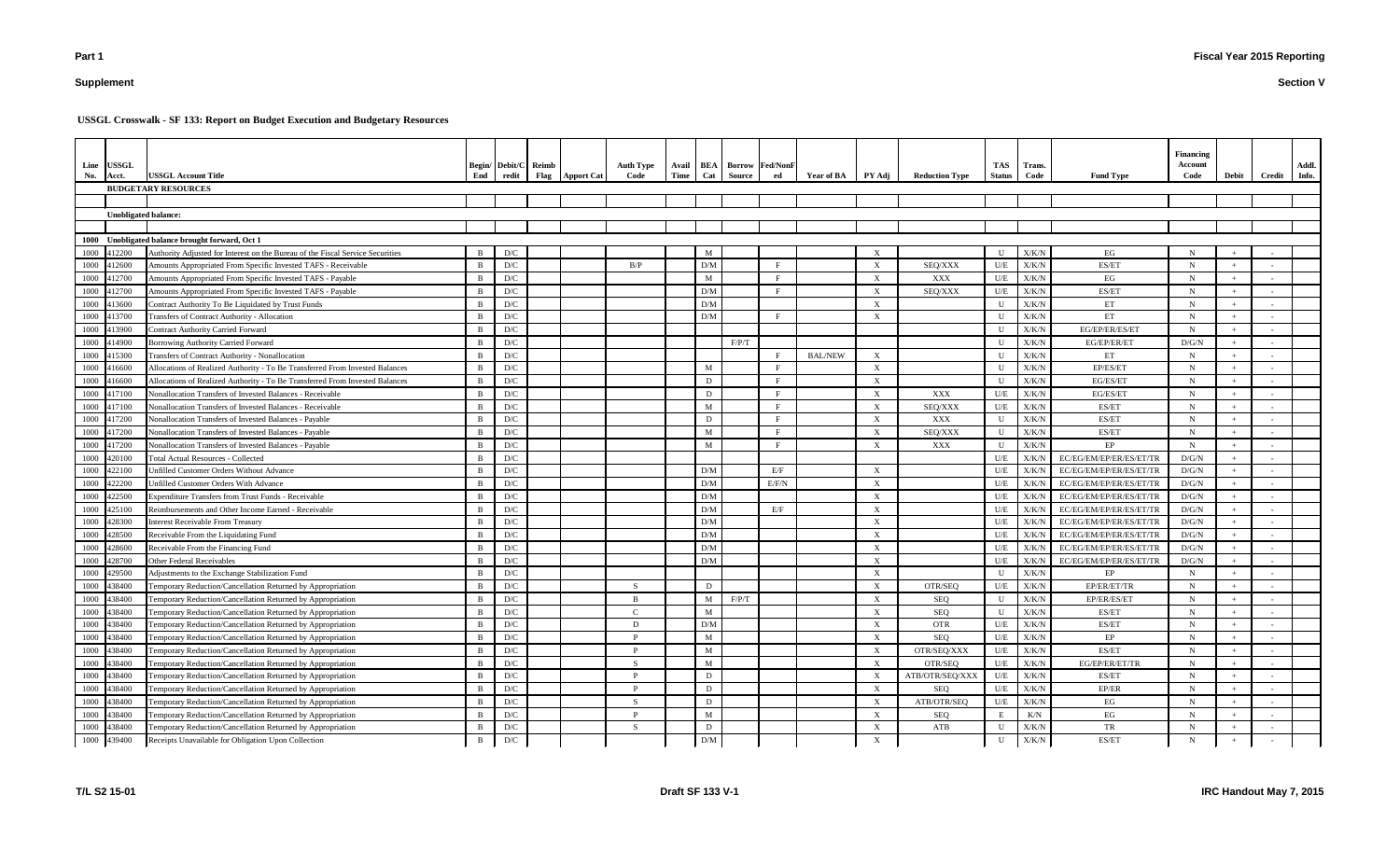# **Supplement**

#### **Section V**

| Line<br>No. | <b>USSGL</b><br>Acct.       | <b>USSGL Account Title</b><br><b>BUDGETARY RESOURCES</b>                       | End          | Begin/ Debit/C Reimb<br>redit<br>Flag | <b>Apport Cat</b> | <b>Auth Type</b><br>Code | <b>Time</b> | Cat          | Source | Avail   BEA   Borrow   Fed/NonF<br>ed | Year of BA     | PY Adj                    | <b>Reduction Type</b> | TAS<br><b>Status</b> | Trans.<br>Code | <b>Fund Type</b>        | <b>Financing</b><br>Account<br>Code | Debit | Credit | Addl.<br>Info. |
|-------------|-----------------------------|--------------------------------------------------------------------------------|--------------|---------------------------------------|-------------------|--------------------------|-------------|--------------|--------|---------------------------------------|----------------|---------------------------|-----------------------|----------------------|----------------|-------------------------|-------------------------------------|-------|--------|----------------|
|             |                             |                                                                                |              |                                       |                   |                          |             |              |        |                                       |                |                           |                       |                      |                |                         |                                     |       |        |                |
|             | <b>Unobligated balance:</b> |                                                                                |              |                                       |                   |                          |             |              |        |                                       |                |                           |                       |                      |                |                         |                                     |       |        |                |
|             |                             |                                                                                |              |                                       |                   |                          |             |              |        |                                       |                |                           |                       |                      |                |                         |                                     |       |        |                |
| 1000        |                             | Unobligated balance brought forward, Oct 1                                     |              |                                       |                   |                          |             |              |        |                                       |                |                           |                       |                      |                |                         |                                     |       |        |                |
| 1000        | 412200                      | Authority Adjusted for Interest on the Bureau of the Fiscal Service Securities | - B          | D/C                                   |                   |                          |             | M            |        |                                       |                | $\boldsymbol{\mathrm{X}}$ |                       |                      | X/K/N          | EG                      | $\mathbf N$                         |       |        |                |
| 1000        | 412600                      | Amounts Appropriated From Specific Invested TAFS - Receivable                  | - B          | D/C                                   |                   | B/P                      |             | D/M          |        | F                                     |                | X                         | SEQ/XXX               | U/E                  | X/K/N          | ES/ET                   | N                                   |       |        |                |
| 1000        | 412700                      | Amounts Appropriated From Specific Invested TAFS - Payable                     |              | $\mathbf{D}/\mathbf{C}$               |                   |                          |             | M            |        | F                                     |                | X                         | XXX                   | U/E                  | X/K/N          | EG                      | $\mathbf N$                         |       |        |                |
| 1000        | 412700                      | Amounts Appropriated From Specific Invested TAFS - Payable                     |              | $\mathbf{D}/\mathbf{C}$               |                   |                          |             | D/M          |        | F                                     |                | $\boldsymbol{\mathrm{X}}$ | SEQ/XXX               | U/E                  | X/K/N          | ES/ET                   | $\mathbf N$                         |       |        |                |
| 1000        | 413600                      | Contract Authority To Be Liquidated by Trust Funds                             | -B           | $\mathbf{D}/\mathbf{C}$               |                   |                          |             | D/M          |        |                                       |                | $\boldsymbol{\mathrm{X}}$ |                       |                      | X/K/N          | ET                      | N                                   |       |        |                |
| 1000        | 413700                      | Transfers of Contract Authority - Allocation                                   | - B          | $\mathbf{D}/\mathbf{C}$               |                   |                          |             | D/M          |        | F                                     |                | $\boldsymbol{\mathrm{X}}$ |                       |                      | X/K/N          | ET                      | $\mathbf N$                         |       |        |                |
| 1000        | 413900                      | <b>Contract Authority Carried Forward</b>                                      | B            | D/C                                   |                   |                          |             |              |        |                                       |                |                           |                       |                      | X/K/N          | EG/EP/ER/ES/ET          | $\mathbf N$                         |       |        |                |
| 1000        | 414900                      | <b>Borrowing Authority Carried Forward</b>                                     | B            | D/C                                   |                   |                          |             |              | F/P/T  |                                       |                |                           |                       |                      | X/K/N          | EG/EP/ER/ET             | D/G/N                               |       |        |                |
| 1000        | 415300                      | Transfers of Contract Authority - Nonallocation                                | -B           | D/C                                   |                   |                          |             |              |        | F                                     | <b>BAL/NEW</b> | $\boldsymbol{\mathrm{X}}$ |                       |                      | X/K/N          | ET                      | $\mathbf N$                         |       |        |                |
|             | 1000 416600                 | Allocations of Realized Authority - To Be Transferred From Invested Balances   | <sub>B</sub> | D/C                                   |                   |                          |             | M            |        | F                                     |                | $\boldsymbol{\mathrm{X}}$ |                       |                      | X/K/N          | EP/ES/ET                | $\mathbf N$                         |       |        |                |
| 1000        | 416600                      | Allocations of Realized Authority - To Be Transferred From Invested Balances   | B            | D/C                                   |                   |                          |             | D            |        | F                                     |                | $\boldsymbol{\mathrm{X}}$ |                       |                      | X/K/N          | EG/ES/ET                | N                                   |       |        |                |
| 1000        | 417100                      | Nonallocation Transfers of Invested Balances - Receivable                      | - B          | $\mathbf{D}/\mathbf{C}$               |                   |                          |             | D            |        | F                                     |                | $\boldsymbol{\mathrm{X}}$ | XXX                   | U/E                  | X/K/N          | EG/ES/ET                | $\mathbf N$                         |       |        |                |
| 1000        | 417100                      | Nonallocation Transfers of Invested Balances - Receivable                      | - B          | D/C                                   |                   |                          |             | $\mathbf{M}$ |        | F                                     |                | $\boldsymbol{\mathrm{X}}$ | SEQ/XXX               | U/E                  | X/K/N          | ES/ET                   | $\mathbf N$                         |       |        |                |
| 1000        | 417200                      | Nonallocation Transfers of Invested Balances - Payable                         | - B          | D/C                                   |                   |                          |             | D            |        | F                                     |                | $\boldsymbol{\mathrm{X}}$ | XXX                   | $\mathbf{U}$         | X/K/N          | ES/ET                   | N                                   |       |        |                |
| 1000        | 417200                      | Nonallocation Transfers of Invested Balances - Payable                         | -B           | D/C                                   |                   |                          |             | M            |        | F                                     |                | $\boldsymbol{\mathrm{X}}$ | SEQ/XXX               | $\mathbf{U}$         | X/K/N          | ES/ET                   | $\mathbf N$                         |       |        |                |
| 1000        | 417200                      | Nonallocation Transfers of Invested Balances - Payable                         |              | $\mathbf{D}/\mathbf{C}$               |                   |                          |             | M            |        | F                                     |                | $\boldsymbol{\mathrm{X}}$ | XXX                   |                      | X/K/N          | EP                      | $\mathbf N$                         |       |        |                |
| 1000        | 420100                      | <b>Total Actual Resources - Collected</b>                                      | <sup>B</sup> | $\mathbf{D}/\mathbf{C}$               |                   |                          |             |              |        |                                       |                |                           |                       | U/E                  | X/K/N          | EC/EG/EM/EP/ER/ES/ET/TR | D/G/N                               |       |        |                |
| 1000        | 422100                      | Unfilled Customer Orders Without Advance                                       | <sup>B</sup> | $\mathbf{D}/\mathbf{C}$               |                   |                          |             | D/M          |        | E/F                                   |                | $\boldsymbol{\mathrm{X}}$ |                       | U/E                  | X/K/N          | EC/EG/EM/EP/ER/ES/ET/TR | D/G/N                               |       |        |                |
| 1000        | 422200                      | Unfilled Customer Orders With Advance                                          |              | $\mathbf{D}/\mathbf{C}$               |                   |                          |             | D/M          |        | E/F/N                                 |                | $\boldsymbol{\mathrm{X}}$ |                       | U/E                  | X/K/N          | EC/EG/EM/EP/ER/ES/ET/TI | D/G/N                               |       |        |                |
| 1000        | 422500                      | <b>Expenditure Transfers from Trust Funds - Receivable</b>                     | <sup>B</sup> | D/C                                   |                   |                          |             | D/M          |        |                                       |                | $\boldsymbol{\mathrm{X}}$ |                       | U/E                  | X/K/N          | EC/EG/EM/EP/ER/ES/ET/TR | D/G/N                               |       |        |                |
| 1000        | 425100                      | Reimbursements and Other Income Earned - Receivable                            | -B           | $\mathbf{D}/\mathbf{C}$               |                   |                          |             | D/M          |        | E/F                                   |                | $\boldsymbol{\mathrm{X}}$ |                       | U/E                  | X/K/N          | EC/EG/EM/EP/ER/ES/ET/TR | D/G/N                               |       |        |                |
| 1000        | 428300                      | <b>Interest Receivable From Treasury</b>                                       | -B           | $\mathbf{D}/\mathbf{C}$               |                   |                          |             | D/M          |        |                                       |                | $\boldsymbol{\mathrm{X}}$ |                       | U/E                  | X/K/N          | EC/EG/EM/EP/ER/ES/ET/TR | D/G/N                               |       |        |                |
| 1000        | 428500                      | Receivable From the Liquidating Fund                                           | <sup>B</sup> | $\mathbf{D}/\mathbf{C}$               |                   |                          |             | D/M          |        |                                       |                | $\boldsymbol{\mathrm{X}}$ |                       | U/E                  | X/K/N          | EC/EG/EM/EP/ER/ES/ET/TR | D/G/N                               |       |        |                |
| 1000        | 428600                      | Receivable From the Financing Fund                                             | - B          | $\mathbf{D}/\mathbf{C}$               |                   |                          |             | D/M          |        |                                       |                | $\boldsymbol{\mathrm{X}}$ |                       | U/E                  | X/K/N          | EC/EG/EM/EP/ER/ES/ET/TR | D/G/N                               |       |        |                |
| 1000        | 428700                      | <b>Other Federal Receivables</b>                                               | -B           | D/C                                   |                   |                          |             | D/M          |        |                                       |                | $\boldsymbol{\mathrm{X}}$ |                       | U/E                  | X/K/N          | EC/EG/EM/EP/ER/ES/ET/TR | D/G/N                               |       |        |                |
| 1000        | 429500                      | Adjustments to the Exchange Stabilization Fund                                 | B            | D/C                                   |                   |                          |             |              |        |                                       |                | X                         |                       | U                    | X/K/N          | EP                      | $\mathbf N$                         |       |        |                |
| 1000        | 438400                      | Temporary Reduction/Cancellation Returned by Appropriation                     | B            | $\mathbf{D}/\mathbf{C}$               |                   | -S                       |             | D            |        |                                       |                | $\boldsymbol{\mathrm{X}}$ | OTR/SEQ               | U/E                  | X/K/N          | EP/ER/ET/TR             | $\mathbf N$                         |       |        |                |
|             | 1000 438400                 | Temporary Reduction/Cancellation Returned by Appropriation                     |              | D/C                                   |                   | B                        |             | M            | F/P/T  |                                       |                | $\mathbf{X}$              | SEQ                   |                      | X/K/N          | EP/ER/ES/ET             | N                                   |       | $\sim$ |                |
|             | 1000 438400                 | Temporary Reduction/Cancellation Returned by Appropriation                     | -B           | $\mathbf{D}/\mathbf{C}$               |                   | $\mathcal{C}$            |             | $\mathbf{M}$ |        |                                       |                | $\mathbf X$               | SEQ                   |                      | ${\rm X/K/N}$  | ES/ET                   | $\mathbf N$                         |       |        |                |
| 1000        | 438400                      | Temporary Reduction/Cancellation Returned by Appropriation                     | <sup>B</sup> | $\mathbf{D}/\mathbf{C}$               |                   | D                        |             | D/M          |        |                                       |                | $\boldsymbol{\mathrm{X}}$ | <b>OTR</b>            | U/E                  | ${\rm X/K/N}$  | ES/ET                   | $\mathbf N$                         |       |        |                |
| 1000        | 438400                      | Temporary Reduction/Cancellation Returned by Appropriation                     | - B          | $\mathbf{D}/\mathbf{C}$               |                   |                          |             | M            |        |                                       |                | $\boldsymbol{\mathrm{X}}$ | SEQ                   | U/E                  | ${\rm X/K/N}$  | EP                      | $\mathbf N$                         |       |        |                |
| 1000        | 438400                      | Temporary Reduction/Cancellation Returned by Appropriation                     | B            | $\mathbf{D}/\mathbf{C}$               |                   | D                        |             | M            |        |                                       |                | $\boldsymbol{\mathrm{X}}$ | OTR/SEQ/XXX           | U/E                  | X/K/N          | ES/ET                   | $\mathbf N$                         |       |        |                |
| 1000        | 438400                      | Temporary Reduction/Cancellation Returned by Appropriation                     | B            | D/C                                   |                   | -S                       |             | M            |        |                                       |                | $\boldsymbol{\mathrm{X}}$ | OTR/SEQ               | U/E                  | X/K/N          | EG/EP/ER/ET/TR          | $\mathbf N$                         |       |        |                |
| 1000        | 438400                      | Temporary Reduction/Cancellation Returned by Appropriation                     | <sup>B</sup> | $\mathbf{D}/\mathbf{C}$               |                   | $\mathbf{D}$             |             | D            |        |                                       |                | $\boldsymbol{\mathrm{X}}$ | ATB/OTR/SEQ/XXX       | U/E                  | X/K/N          | ES/ET                   | $\mathbf N$                         |       |        |                |
|             | 1000 438400                 | Temporary Reduction/Cancellation Returned by Appropriation                     | B            | $\mathbf{D}/\mathbf{C}$               |                   | $\mathbf{D}$             |             | D            |        |                                       |                | $\mathbf X$               | SEQ                   | U/E                  | X/K/N          | EP/ER                   | $\mathbf N$                         |       |        |                |
| 1000        | 438400                      | Temporary Reduction/Cancellation Returned by Appropriation                     | B            | $\mathbf{D}/\mathbf{C}$               |                   | - S                      |             | D            |        |                                       |                | $\boldsymbol{\mathrm{X}}$ | ATB/OTR/SEQ           | U/E                  | ${\rm X/K/N}$  | EG                      | $\mathbf N$                         |       |        |                |
| 1000        | 438400                      | Temporary Reduction/Cancellation Returned by Appropriation                     | B            | $\mathbf{D}/\mathbf{C}$               |                   |                          |             | M            |        |                                       |                | $\boldsymbol{\mathrm{X}}$ | SEQ                   | E                    | K/N            | EG                      | $\mathbf N$                         |       |        |                |
| 1000        | 438400                      | Temporary Reduction/Cancellation Returned by Appropriation                     | B            | $\mathbf{D}/\mathbf{C}$               |                   | - S                      |             | D            |        |                                       |                | X                         | ATB                   |                      | ${\rm X/K/N}$  | TR                      | $\mathbf N$                         |       | $\sim$ |                |
| 1000        | 439400                      | Receipts Unavailable for Obligation Upon Collection                            | B            | D/C                                   |                   |                          |             | D/M          |        |                                       |                | $\mathbf X$               |                       | U                    | X/K/N          | ES/ET                   | $\mathbf N$                         |       |        |                |

# **USSGL Crosswalk - SF 133: Report on Budget Execution and Budgetary Resources**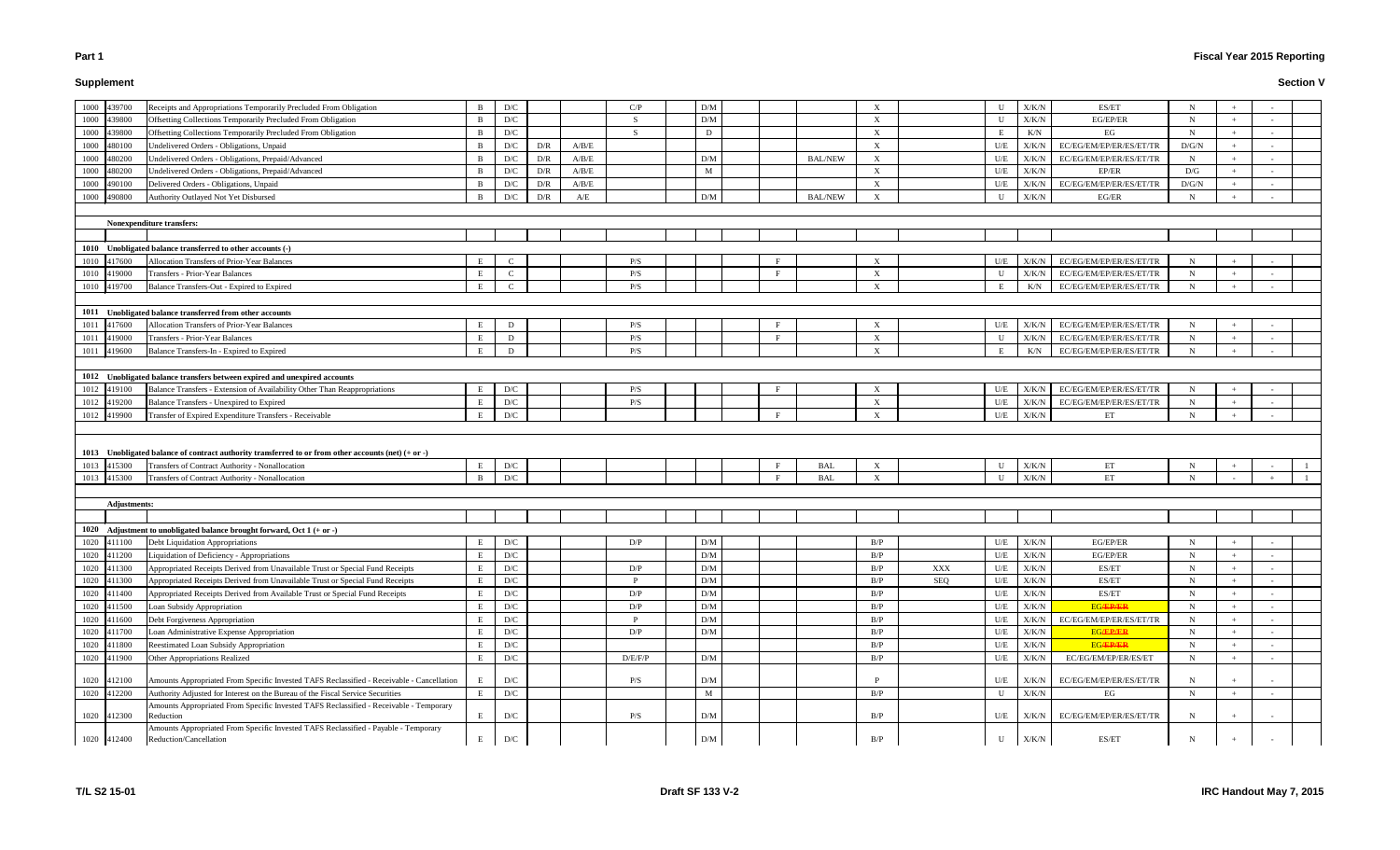# **Supplement**

# **Fiscal Year 2015 Reporting**

|      | 1000 439700<br>Receipts and Appropriations Temporarily Precluded From Obligation                                                                         | B            | D/C                     |     |       | C/P         | D/M                     |              |                | X                         | U                       | X/K/N                        | ES/ET                              | N           |     |                          |  |
|------|----------------------------------------------------------------------------------------------------------------------------------------------------------|--------------|-------------------------|-----|-------|-------------|-------------------------|--------------|----------------|---------------------------|-------------------------|------------------------------|------------------------------------|-------------|-----|--------------------------|--|
|      | 1000 439800<br>Offsetting Collections Temporarily Precluded From Obligation                                                                              | B            | D/C                     |     |       | $\mathbf S$ | D/M                     |              |                | X                         | U                       | X/K/N                        | EG/EP/ER                           | $\mathbf N$ |     |                          |  |
|      | Offsetting Collections Temporarily Precluded From Obligation<br>1000 439800                                                                              | B            | D/C                     |     |       | -S          | D                       |              |                | X                         | Е                       | K/N                          | EG                                 | $\mathbf N$ |     |                          |  |
|      | Undelivered Orders - Obligations, Unpaid<br>1000 480100                                                                                                  | B            | D/C                     | D/R | A/B/E |             |                         |              |                | X                         | U/E                     | X/K/N                        | EC/EG/EM/EP/ER/ES/ET/TR            | D/G/N       |     |                          |  |
| 1000 | 480200<br>Undelivered Orders - Obligations, Prepaid/Advanced                                                                                             | B            | D/C                     | D/R | A/B/E |             | D/M                     |              | <b>BAL/NEW</b> | X                         | $U/E$                   | X/K/N                        | EC/EG/EM/EP/ER/ES/ET/TR            | N           |     |                          |  |
| 1000 | 480200<br>Undelivered Orders - Obligations, Prepaid/Advanced                                                                                             | <sup>B</sup> | D/C                     | D/R | A/B/E |             | M                       |              |                | $\mathbf{X}$              | U/E                     | X/K/N                        | EP/ER                              | D/G         |     |                          |  |
|      | Delivered Orders - Obligations, Unpaid<br>1000 490100                                                                                                    | B            | D/C                     | D/R | A/B/E |             |                         |              |                | $\mathbf{X}$              | U/E                     | X/K/N                        | EC/EG/EM/EP/ER/ES/ET/TR            | D/G/N       |     |                          |  |
| 1000 | Authority Outlayed Not Yet Disbursed<br>490800                                                                                                           | <sup>B</sup> | D/C                     | D/R | A/E   |             | $\mathbf{D}/\mathbf{M}$ |              | <b>BAL/NEW</b> | X                         | U                       | X/K/N                        | $EG/ER$                            | N           | $+$ | $\overline{\phantom{a}}$ |  |
|      |                                                                                                                                                          |              |                         |     |       |             |                         |              |                |                           |                         |                              |                                    |             |     |                          |  |
|      | Nonexpenditure transfers:                                                                                                                                |              |                         |     |       |             |                         |              |                |                           |                         |                              |                                    |             |     |                          |  |
|      |                                                                                                                                                          |              |                         |     |       |             |                         |              |                |                           |                         |                              |                                    |             |     |                          |  |
|      | 1010 Unobligated balance transferred to other accounts (-)                                                                                               |              |                         |     |       |             |                         |              |                |                           |                         |                              |                                    |             |     |                          |  |
|      | 1010 417600<br>Allocation Transfers of Prior-Year Balances                                                                                               | E            | $\mathcal{C}$           |     |       | P/S         |                         | F            |                | $\mathbf{x}$              | U/E                     | X/K/N                        | EC/EG/EM/EP/ER/ES/ET/TR            | N           |     |                          |  |
|      | 1010 419000<br>Transfers - Prior-Year Balances                                                                                                           | E            | $\mathbf C$             |     |       | P/S         |                         | F            |                | X                         | U                       | X/K/N                        | EC/EG/EM/EP/ER/ES/ET/TR            | N           |     |                          |  |
|      | 1010 419700<br>Balance Transfers-Out - Expired to Expired                                                                                                |              | $\mathsf{C}$            |     |       | P/S         |                         |              |                | X                         |                         | K/N                          | EC/EG/EM/EP/ER/ES/ET/TR            | N           |     |                          |  |
|      |                                                                                                                                                          |              |                         |     |       |             |                         |              |                |                           |                         |                              |                                    |             |     |                          |  |
|      | 1011 Unobligated balance transferred from other accounts                                                                                                 |              |                         |     |       |             |                         |              |                |                           |                         |                              |                                    |             |     |                          |  |
| 1011 | Allocation Transfers of Prior-Year Balances<br>417600                                                                                                    |              | D                       |     |       | P/S         |                         | Е            |                | X                         | U/E                     | X/K/N                        | EC/EG/EM/EP/ER/ES/ET/TR            | N           |     |                          |  |
| 1011 | 419000<br>Transfers - Prior-Year Balances                                                                                                                | E            | D                       |     |       | P/S         |                         | F            |                | X                         | U                       | X/K/N                        | EC/EG/EM/EP/ER/ES/ET/TR            | N           |     |                          |  |
|      | 1011 419600<br>Balance Transfers-In - Expired to Expired                                                                                                 |              | D                       |     |       | P/S         |                         |              |                | $\mathbf{X}$              | E                       | K/N                          | EC/EG/EM/EP/ER/ES/ET/TR            | N           |     |                          |  |
|      |                                                                                                                                                          |              |                         |     |       |             |                         |              |                |                           |                         |                              |                                    |             |     |                          |  |
|      | 1012 Unobligated balance transfers between expired and unexpired accounts                                                                                |              |                         |     |       |             |                         |              |                |                           |                         |                              |                                    |             |     |                          |  |
|      | 1012 419100<br>Balance Transfers - Extension of Availability Other Than Reappropriations                                                                 |              | $\mathbf{D}/\mathbf{C}$ |     |       | P/S         |                         |              |                | $\boldsymbol{\mathrm{X}}$ | U/E                     | X/K/N                        | EC/EG/EM/EP/ER/ES/ET/TR            | N           |     |                          |  |
|      | 1012 419200<br>Balance Transfers - Unexpired to Expired                                                                                                  | E            | D/C                     |     |       | P/S         |                         |              |                | X                         | U/E                     | X/K/N                        | EC/EG/EM/EP/ER/ES/ET/TR            | N           |     |                          |  |
|      |                                                                                                                                                          |              |                         |     |       |             |                         |              |                |                           |                         |                              |                                    |             |     |                          |  |
|      |                                                                                                                                                          | E            |                         |     |       |             |                         | F            |                |                           |                         |                              |                                    | $\mathbf N$ |     |                          |  |
|      | 1012 419900<br>Transfer of Expired Expenditure Transfers - Receivable                                                                                    |              | D/C                     |     |       |             |                         |              |                | $\boldsymbol{\mathrm{X}}$ | U/E                     | X/K/N                        | ET                                 |             |     |                          |  |
|      |                                                                                                                                                          |              |                         |     |       |             |                         |              |                |                           |                         |                              |                                    |             |     |                          |  |
|      |                                                                                                                                                          |              |                         |     |       |             |                         |              |                |                           |                         |                              |                                    |             |     |                          |  |
|      | 1013 Unobligated balance of contract authority transferred to or from other accounts (net) $(+ or -)$<br>Transfers of Contract Authority - Nonallocation |              | D/C                     |     |       |             |                         | $\mathbf{F}$ | BAL            | X                         | U                       |                              | ET                                 | N           |     |                          |  |
|      | 1013 415300<br>Transfers of Contract Authority - Nonallocation                                                                                           |              | D/C                     |     |       |             |                         | F            | <b>BAL</b>     | X                         | U                       | X/K/N                        | ET                                 | $\mathbf N$ |     |                          |  |
|      | 1013 415300                                                                                                                                              |              |                         |     |       |             |                         |              |                |                           |                         | X/K/N                        |                                    |             |     |                          |  |
|      | <b>Adjustments:</b>                                                                                                                                      |              |                         |     |       |             |                         |              |                |                           |                         |                              |                                    |             |     |                          |  |
|      |                                                                                                                                                          |              |                         |     |       |             |                         |              |                |                           |                         |                              |                                    |             |     |                          |  |
|      |                                                                                                                                                          |              |                         |     |       |             |                         |              |                |                           |                         |                              |                                    |             |     |                          |  |
|      | 1020 Adjustment to unobligated balance brought forward, Oct 1 (+ or -)<br>1020 411100<br>Debt Liquidation Appropriations                                 |              | D/C                     |     |       | D/P         | D/M                     |              |                | B/P                       | U/E                     | X/K/N                        | EG/EP/ER                           | N           |     |                          |  |
|      |                                                                                                                                                          |              | $\mathbf{D}/\mathbf{C}$ |     |       |             | D/M                     |              |                | R/P                       | $U\!/\!E$               |                              | EG/EP/ER                           | N           |     |                          |  |
|      | 1020 411200 Liquidation of Deficiency - Appropriations<br>1020 411300<br>Appropriated Receipts Derived from Unavailable Trust or Special Fund Receipts   | E            | D/C                     |     |       | D/P         | D/M                     |              |                | B/P<br>XXX                | U/E                     | $\rm X/K/N$<br>${\rm X/K/N}$ | ES/ET                              | N           |     |                          |  |
|      | Appropriated Receipts Derived from Unavailable Trust or Special Fund Receipts                                                                            |              | D/C                     |     |       |             | D/M                     |              |                | B/P<br>SEQ                | $U\!/\!E$               | X/K/N                        | ES/ET                              | N           |     |                          |  |
|      | 1020 411300<br>1020 411400                                                                                                                               |              | D/C                     |     |       | D/P         | D/M                     |              |                | B/P                       | $\mathbf{U}/\mathbf{E}$ | X/K/N                        | ES/ET                              | $\mathbf N$ |     |                          |  |
|      | Appropriated Receipts Derived from Available Trust or Special Fund Receipts<br>1020 411500                                                               | E            | D/C                     |     |       | D/P         | $\rm{D}/\rm{M}$         |              |                | B/P                       | U/E                     | X/K/N                        | <b>EG/EP/ER</b>                    | $\mathbf N$ |     |                          |  |
|      | Loan Subsidy Appropriation                                                                                                                               |              |                         |     |       |             | D/M                     |              |                | B/P                       |                         |                              | EC/EG/EM/EP/ER/ES/ET/TR            | $\mathbf N$ |     |                          |  |
|      | 1020 411600<br>Debt Forgiveness Appropriation                                                                                                            |              | D/C                     |     |       | D/P         |                         |              |                |                           | U/E                     | X/K/N                        |                                    | N           |     |                          |  |
|      | Loan Administrative Expense Appropriation<br>1020 411700<br>1020 411800                                                                                  |              | $\mathbf{D}/\mathbf{C}$ |     |       |             | D/M                     |              |                | B/P<br>B/P                | U/E<br>U/E              | $\rm X/K/N$                  | <b>EG/EP/ER</b><br><b>EG/EP/ER</b> | $\mathbf N$ |     |                          |  |
|      | Reestimated Loan Subsidy Appropriation                                                                                                                   | E            | D/C                     |     |       |             | D/M                     |              |                |                           |                         | X/K/N                        |                                    | N           |     |                          |  |
|      | 1020 411900<br>Other Appropriations Realized                                                                                                             |              | D/C                     |     |       | D/E/F/P     |                         |              |                | B/P                       | U/E                     | X/K/N                        | EC/EG/EM/EP/ER/ES/ET               |             |     |                          |  |
|      | 1020 412100<br>Amounts Appropriated From Specific Invested TAFS Reclassified - Receivable - Cancellation                                                 |              | D/C                     |     |       | P/S         | D/M                     |              |                |                           | U/E                     | X/K/N                        | EC/EG/EM/EP/ER/ES/ET/TR            | N           |     |                          |  |
|      | 1020 412200<br>Authority Adjusted for Interest on the Bureau of the Fiscal Service Securities                                                            | E            | $\mathbf{D}/\mathbf{C}$ |     |       |             | M                       |              |                | B/P                       | U                       | X/K/N                        | EG                                 | $\mathbf N$ |     |                          |  |
|      | Amounts Appropriated From Specific Invested TAFS Reclassified - Receivable - Temporary                                                                   |              |                         |     |       |             |                         |              |                |                           |                         |                              |                                    |             |     |                          |  |
|      | 1020 412300<br>Reduction                                                                                                                                 | E            | D/C                     |     |       | P/S         | D/M                     |              |                | B/P                       | U/E                     | X/K/N                        | EC/EG/EM/EP/ER/ES/ET/TR            | N           |     |                          |  |
|      | Amounts Appropriated From Specific Invested TAFS Reclassified - Payable - Temporary<br>Reduction/Cancellation<br>1020 412400                             | E            | D/C                     |     |       |             | D/M                     |              |                | B/P                       | U                       | X/K/N                        | $\operatorname{ES/ET}$             | N           |     |                          |  |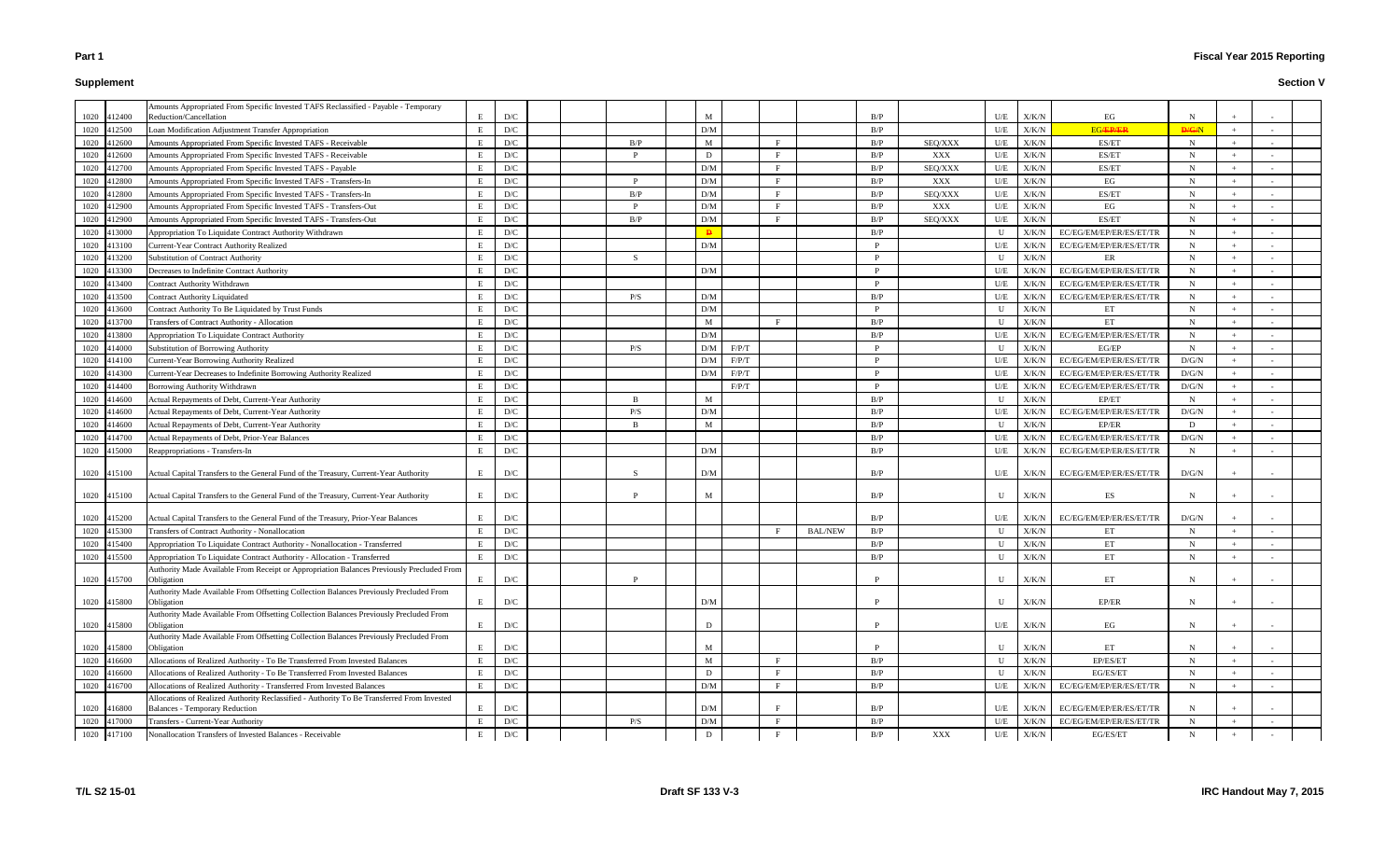# **Supplement**

|      | 1020 412400 | Amounts Appropriated From Specific Invested TAFS Reclassified - Payable - Temporary<br>Reduction/Cancellation | E            | D/C                     |  |                | M   |              |              |                | B/P          |         | U/E          | X/K/N         | EG                      | N            |     |  |
|------|-------------|---------------------------------------------------------------------------------------------------------------|--------------|-------------------------|--|----------------|-----|--------------|--------------|----------------|--------------|---------|--------------|---------------|-------------------------|--------------|-----|--|
|      | 1020 412500 | Loan Modification Adjustment Transfer Appropriation                                                           | E            | D/C                     |  |                | D/M |              |              |                | B/P          |         | U/E          | X/K/N         | <b>EG/EP/ER</b>         | D/G/N        |     |  |
|      | 1020 412600 | Amounts Appropriated From Specific Invested TAFS - Receivable                                                 | E            | $\mathbf{D}/\mathbf{C}$ |  | B/P            | M   |              | $\mathbf{E}$ |                | B/P          | SEQ/XXX | U/E          | X/K/N         | ES/ET                   | $\mathbf N$  |     |  |
|      | 1020 412600 | Amounts Appropriated From Specific Invested TAFS - Receivable                                                 | E            | D/C                     |  | D              |     | D            | $\mathbf{E}$ |                | B/P          | XXX     | U/E          | X/K/N         | ES/ET                   | $\mathbf N$  |     |  |
| 1020 | 412700      | Amounts Appropriated From Specific Invested TAFS - Payable                                                    | E            | D/C                     |  |                | D/M |              | $\mathbf{F}$ |                | B/P          | SEQ/XXX | U/E          | X/K/N         | ES/ET                   | N            |     |  |
| 1020 | 412800      | Amounts Appropriated From Specific Invested TAFS - Transfers-In                                               | E            | $\mathbf{D}/\mathbf{C}$ |  | D              | D/M |              | F            |                | B/P          | XXX     | U/E          | X/K/N         | EG                      | $\mathbf N$  |     |  |
| 1020 | 412800      | Amounts Appropriated From Specific Invested TAFS - Transfers-In                                               | E            | D/C                     |  | B/P            | D/M |              | F            |                | B/P          | SEQ/XXX | U/E          | X/K/N         | ES/ET                   | N            |     |  |
| 1020 | 412900      | Amounts Appropriated From Specific Invested TAFS - Transfers-Out                                              | E            | D/C                     |  | D              | D/M |              | F            |                | B/P          | XXX     | U/E          | X/K/N         | EG                      | N            |     |  |
|      | 1020 412900 | Amounts Appropriated From Specific Invested TAFS - Transfers-Out                                              | E            | $\mathbf{D}/\mathbf{C}$ |  | B/P            | D/M |              | $\mathbf{F}$ |                | B/P          | SEQ/XXX | U/E          | X/K/N         | ES/ET                   | N            |     |  |
|      | 1020 413000 | Appropriation To Liquidate Contract Authority Withdrawn                                                       | E            | D/C                     |  |                |     | $\mathbf{p}$ |              |                | B/P          |         | U            | X/K/N         | EC/EG/EM/EP/ER/ES/ET/TR | N            |     |  |
|      | 1020 413100 | Current-Year Contract Authority Realized                                                                      | E            | D/C                     |  |                | D/M |              |              |                | P            |         | U/E          | X/K/N         | EC/EG/EM/EP/ER/ES/ET/TR | N            |     |  |
| 1020 | 413200      | <b>Substitution of Contract Authority</b>                                                                     | E            | D/C                     |  | -S             |     |              |              |                | <b>P</b>     |         | U            | X/K/N         | $\rm ER$                | N            |     |  |
|      | 1020 413300 | Decreases to Indefinite Contract Authority                                                                    | E            | D/C                     |  |                | D/M |              |              |                | P            |         | U/E          | X/K/N         | EC/EG/EM/EP/ER/ES/ET/TR | N            |     |  |
| 1020 | 413400      | Contract Authority Withdrawn                                                                                  | E            | D/C                     |  |                |     |              |              |                | P            |         | U/E          | X/K/N         | EC/EG/EM/EP/ER/ES/ET/TR | N            |     |  |
|      | 1020 413500 | <b>Contract Authority Liquidated</b>                                                                          | E            | D/C                     |  | P/S            | D/M |              |              |                | B/P          |         | U/E          | X/K/N         | EC/EG/EM/EP/ER/ES/ET/TR | N            |     |  |
|      | 1020 413600 | Contract Authority To Be Liquidated by Trust Funds                                                            | E            | $\mathbf{D}/\mathbf{C}$ |  |                | D/M |              |              |                | $\mathbf{P}$ |         | U            | X/K/N         | ET                      | $\mathbf N$  |     |  |
| 1020 | 413700      | <b>Transfers of Contract Authority - Allocation</b>                                                           | E            | D/C                     |  |                | M   |              | F            |                | B/P          |         | $\mathbf{U}$ | X/K/N         | ET                      | $\mathbf N$  |     |  |
| 1020 | 413800      | Appropriation To Liquidate Contract Authority                                                                 | E            | $\mathbf{D}/\mathbf{C}$ |  |                | D/M |              |              |                | B/P          |         | U/E          | X/K/N         | EC/EG/EM/EP/ER/ES/ET/TR | N            |     |  |
| 1020 | 414000      | <b>Substitution of Borrowing Authority</b>                                                                    | E            | D/C                     |  | P/S            |     | D/M          | F/P/T        |                | D            |         | U            | X/K/N         | EG/EP                   | $N_{\rm}$    |     |  |
|      | 1020 414100 | <b>Current-Year Borrowing Authority Realized</b>                                                              | E            | D/C                     |  |                |     | D/M          | F/P/T        |                | <b>P</b>     |         | U/E          | X/K/N         | EC/EG/EM/EP/ER/ES/ET/TR | D/G/N        | $+$ |  |
|      | 1020 414300 | Current-Year Decreases to Indefinite Borrowing Authority Realized                                             | E            | D/C                     |  |                | D/M |              | F/P/T        |                | D            |         | U/E          | X/K/N         | EC/EG/EM/EP/ER/ES/ET/TR | D/G/N        |     |  |
|      | 1020 414400 | Borrowing Authority Withdrawn                                                                                 | E            | $\mathbf{D}/\mathbf{C}$ |  |                |     |              | F/P/T        |                | P            |         | U/E          | X/K/N         | EC/EG/EM/EP/ER/ES/ET/TR | D/G/N        |     |  |
|      | 1020 414600 | Actual Repayments of Debt, Current-Year Authority                                                             | E            | D/C                     |  | $\overline{B}$ | M   |              |              |                | B/P          |         | $\mathbf{U}$ | X/K/N         | EP/ET                   | $\mathbf N$  |     |  |
| 1020 | 414600      | Actual Repayments of Debt, Current-Year Authority                                                             | E            | $\mathbf{D}/\mathbf{C}$ |  | P/S            | D/M |              |              |                | B/P          |         | U/E          | X/K/N         | EC/EG/EM/EP/ER/ES/ET/TR | D/G/N        |     |  |
| 1020 | 414600      | Actual Repayments of Debt, Current-Year Authority                                                             | E            | D/C                     |  | $\mathbf{B}$   | M   |              |              |                | B/P          |         | U            | X/K/N         | EP/ER                   | D            |     |  |
| 1020 | 414700      | <b>Actual Repayments of Debt, Prior-Year Balances</b>                                                         | E            | D/C                     |  |                |     |              |              |                | B/P          |         | U/E          | X/K/N         | EC/EG/EM/EP/ER/ES/ET/TR | D/G/N        |     |  |
|      | 1020 415000 | Reappropriations - Transfers-In                                                                               | E            | D/C                     |  |                | D/M |              |              |                | B/P          |         | U/E          | X/K/N         | EC/EG/EM/EP/ER/ES/ET/TR | $\mathbf N$  |     |  |
|      |             |                                                                                                               |              |                         |  |                |     |              |              |                |              |         |              |               |                         |              |     |  |
|      | 1020 415100 | Actual Capital Transfers to the General Fund of the Treasury, Current-Year Authority                          | E            | D/C                     |  | -S             | D/M |              |              |                | B/P          |         | U/E          | X/K/N         | EC/EG/EM/EP/ER/ES/ET/TR | D/G/N        |     |  |
|      |             |                                                                                                               | E            | D/C                     |  | D              | M   |              |              |                | B/P          |         | U            | X/K/N         | ES                      | N            |     |  |
|      | 1020 415100 | Actual Capital Transfers to the General Fund of the Treasury, Current-Year Authority                          |              |                         |  |                |     |              |              |                |              |         |              |               |                         |              |     |  |
|      | 1020 415200 | Actual Capital Transfers to the General Fund of the Treasury, Prior-Year Balances                             | E            | D/C                     |  |                |     |              |              |                | B/P          |         | U/E          | X/K/N         | EC/EG/EM/EP/ER/ES/ET/TR | D/G/N        |     |  |
|      | 1020 415300 | Transfers of Contract Authority - Nonallocation                                                               | E            | D/C                     |  |                |     |              |              | <b>BAL/NEW</b> | B/P          |         | U            | X/K/N         | ET                      | N            |     |  |
| 1020 | 415400      | Appropriation To Liquidate Contract Authority - Nonallocation - Transferred                                   | E            | D/C                     |  |                |     |              |              |                | B/P          |         | $\mathbf{U}$ | X/K/N         | ET                      | N            |     |  |
|      | 1020 415500 | Appropriation To Liquidate Contract Authority - Allocation - Transferred                                      | $\mathbf{E}$ | D/C                     |  |                |     |              |              |                | R/P          |         | $\mathbf{H}$ | $\rm X/K/N$   | ET                      | $\mathbf{N}$ |     |  |
|      |             | Authority Made Available From Receipt or Appropriation Balances Previously Precluded From                     |              |                         |  |                |     |              |              |                |              |         |              |               |                         |              |     |  |
|      | 1020 415700 | Obligation                                                                                                    | E            | $\mathbf{D}/\mathbf{C}$ |  | D              |     |              |              |                |              |         | U            | X/K/N         | ET                      | N            |     |  |
|      | 1020 415800 | Authority Made Available From Offsetting Collection Balances Previously Precluded From<br>Obligation          | E            | $\mathbf{D}/\mathbf{C}$ |  |                | D/M |              |              |                | P            |         | U            | X/K/N         | EP/ER                   | N            |     |  |
|      |             | Authority Made Available From Offsetting Collection Balances Previously Precluded From                        |              |                         |  |                |     |              |              |                |              |         |              |               |                         |              |     |  |
|      | 1020 415800 | Obligation                                                                                                    | E            | $\mathbf{D}/\mathbf{C}$ |  |                | D   |              |              |                | <b>P</b>     |         |              | $U/E$ $X/K/N$ | EG                      | N            |     |  |
|      |             | Authority Made Available From Offsetting Collection Balances Previously Precluded From                        |              |                         |  |                |     |              |              |                |              |         |              |               |                         |              |     |  |
|      | 1020 415800 | Obligation                                                                                                    | E            | D/C                     |  |                | M   |              |              |                | D            |         | U            | X/K/N         | ET                      | N            |     |  |
|      | 1020 416600 | Allocations of Realized Authority - To Be Transferred From Invested Balances                                  | E            | D/C                     |  |                | M   |              | F            |                | B/P          |         | U            | X/K/N         | EP/ES/ET                | $\mathbf N$  |     |  |
|      | 1020 416600 | Allocations of Realized Authority - To Be Transferred From Invested Balances                                  | E            | $\mathbf{D}/\mathbf{C}$ |  |                |     | D            | $\mathbf{F}$ |                | B/P          |         | U            | X/K/N         | EG/ES/ET                | $\mathbf N$  |     |  |
|      | 1020 416700 | Allocations of Realized Authority - Transferred From Invested Balances                                        | E            | $\mathbf{D}/\mathbf{C}$ |  |                | D/M |              | $\mathbf{E}$ |                | B/P          |         | U/E          | X/K/N         | EC/EG/EM/EP/ER/ES/ET/TR | $\mathbf N$  |     |  |
|      |             | Allocations of Realized Authority Reclassified - Authority To Be Transferred From Invested                    |              |                         |  |                |     |              | Е            |                |              |         |              |               |                         |              |     |  |
|      | 1020 416800 | <b>Balances - Temporary Reduction</b>                                                                         | E            | D/C                     |  |                | D/M |              | F            |                | B/P          |         | U/E          | X/K/N         | EC/EG/EM/EP/ER/ES/ET/TR | N            |     |  |
|      | 1020 417000 | Transfers - Current-Year Authority                                                                            | E            | D/C                     |  | P/S            | D/M |              | $\mathbf{F}$ |                | B/P          |         | U/E          | ${\rm X/K/N}$ | EC/EG/EM/EP/ER/ES/ET/TR | N            |     |  |
|      | 1020 417100 | Nonallocation Transfers of Invested Balances - Receivable                                                     | E            | D/C                     |  |                |     | D            |              |                | B/P          | XXX     | U/E          | X/K/N         | EG/ES/ET                | $N_{\rm}$    |     |  |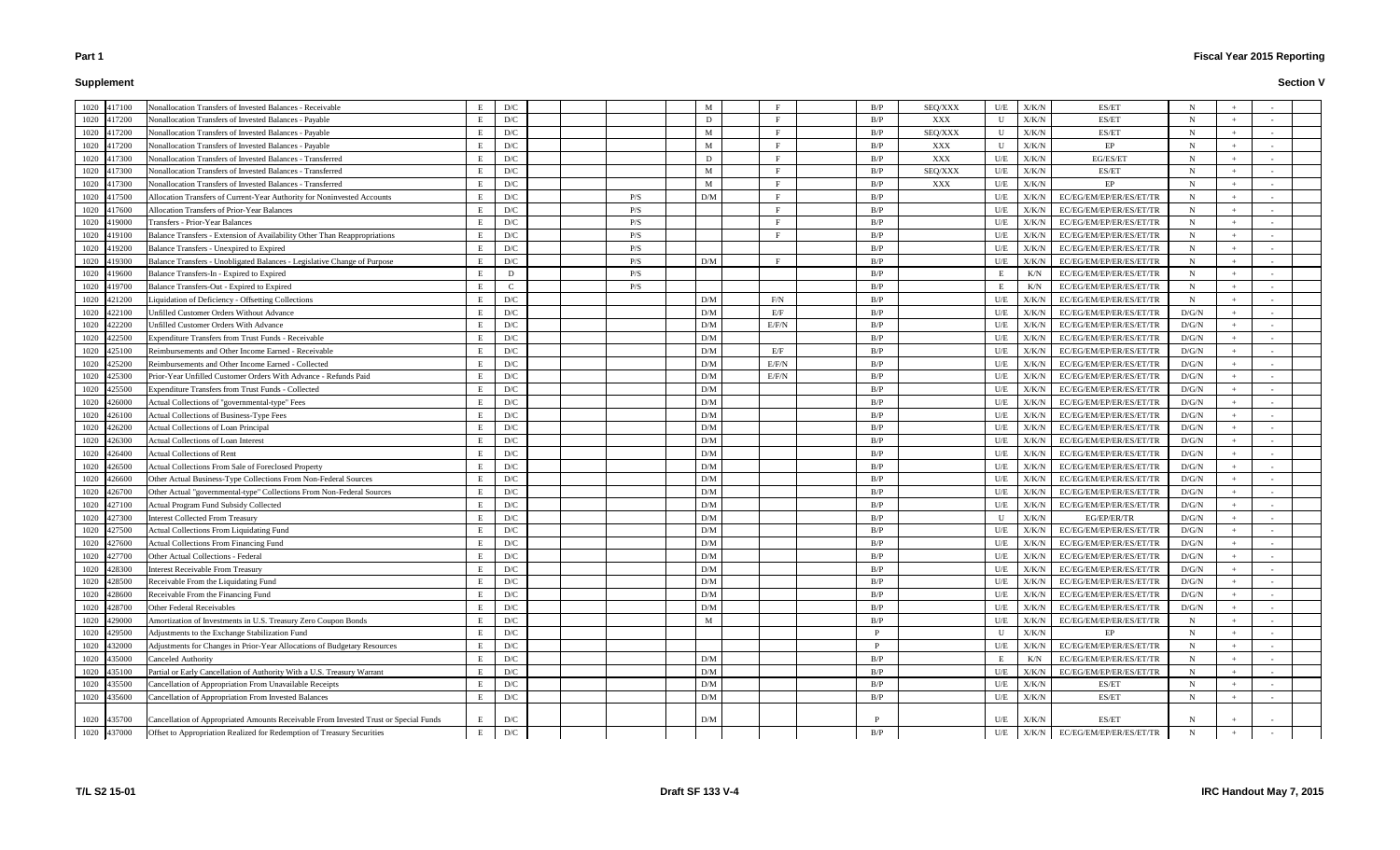# **Supplement**

|      | 1020 417100                | Nonallocation Transfers of Invested Balances - Receivable                            | E      | D/C                     |  |     | M   |                    | B/P        | SEQ/XXX | U/E          | X/K/N          | ES/ET                                              | N           |     |  |
|------|----------------------------|--------------------------------------------------------------------------------------|--------|-------------------------|--|-----|-----|--------------------|------------|---------|--------------|----------------|----------------------------------------------------|-------------|-----|--|
|      | 1020 417200                | Nonallocation Transfers of Invested Balances - Payable                               | E      | $\mathbf{D}/\mathbf{C}$ |  |     | D   | $\mathbf{E}$       | B/P        | XXX     | U            | X/K/N          | ES/ET                                              | N           |     |  |
|      | 1020 417200                | Nonallocation Transfers of Invested Balances - Payable                               | E      | D/C                     |  |     | M   | $\mathbf{F}% _{0}$ | B/P        | SEQ/XXX | U            | X/K/N          | ES/ET                                              | N           |     |  |
|      | 1020 417200                | Nonallocation Transfers of Invested Balances - Payable                               | E      | D/C                     |  |     | M   | E                  | B/P        | XXX     | U            | X/K/N          | EP                                                 | N           |     |  |
| 1020 | 417300                     | Nonallocation Transfers of Invested Balances - Transferred                           | E      | D/C                     |  |     | D   | $\mathbf{F}$       | B/P        | XXX     | U/E          | X/K/N          | EG/ES/ET                                           | N           |     |  |
| 1020 | 417300                     | Nonallocation Transfers of Invested Balances - Transferred                           | E      | D/C                     |  |     | M   | $\mathbf{E}$       | B/P        | SEQ/XXX | U/E          | X/K/N          | ES/ET                                              | N           |     |  |
| 1020 | 417300                     | Nonallocation Transfers of Invested Balances - Transferred                           | E      | D/C                     |  |     | M   | F                  | B/P        | XXX     | U/E          | X/K/N          | EP                                                 | N           |     |  |
| 1020 | 417500                     | Allocation Transfers of Current-Year Authority for Noninvested Accounts              | E      | D/C                     |  | P/S | D/M | $\mathbf{F}$       | B/P        |         | U/E          | X/K/N          | EC/EG/EM/EP/ER/ES/ET/TR                            | N           |     |  |
|      | 1020 417600                | <b>Allocation Transfers of Prior-Year Balances</b>                                   | E      | $\mathbf{D}/\mathbf{C}$ |  | P/S |     | $\mathbf{F}$       | B/P        |         | U/E          | X/K/N          | EC/EG/EM/EP/ER/ES/ET/TR                            | N           |     |  |
| 1020 | 419000                     | <b>Transfers - Prior-Year Balances</b>                                               | E      | D/C                     |  | P/S |     | $\mathbf{E}% _{0}$ | B/P        |         | U/E          | X/K/N          | EC/EG/EM/EP/ER/ES/ET/TR                            | N           |     |  |
| 1020 | 419100                     | Balance Transfers - Extension of Availability Other Than Reappropriations            |        | $\mathbf{D}/\mathbf{C}$ |  | P/S |     |                    | B/P        |         | U/E          | X/K/N          | EC/EG/EM/EP/ER/ES/ET/TR                            | $\mathbf N$ |     |  |
| 1020 | 419200                     | Balance Transfers - Unexpired to Expired                                             |        | $\mathbf{D}/\mathbf{C}$ |  | P/S |     |                    | B/P        |         | U/E          | X/K/N          | EC/EG/EM/EP/ER/ES/ET/TR                            | N           |     |  |
| 1020 | 419300                     | Balance Transfers - Unobligated Balances - Legislative Change of Purpose             | E      | D/C                     |  | P/S | D/M | F                  | B/P        |         | U/E          | X/K/N          | EC/EG/EM/EP/ER/ES/ET/TR                            | N           |     |  |
| 1020 | 419600                     | Balance Transfers-In - Expired to Expired                                            | E      | D                       |  | P/S |     |                    | B/P        |         |              | K/N            | EC/EG/EM/EP/ER/ES/ET/TR                            | N           |     |  |
|      | 1020 419700                | Balance Transfers-Out - Expired to Expired                                           | E      | $\mathbf C$             |  | P/S |     |                    | B/P        |         |              | K/N            | EC/EG/EM/EP/ER/ES/ET/TR                            | $\mathbf N$ |     |  |
|      | 1020 421200                | Liquidation of Deficiency - Offsetting Collections                                   | E      | D/C                     |  |     | D/M | $F/N$              | B/P        |         | U/E          | X/K/N          | EC/EG/EM/EP/ER/ES/ET/TR                            | $\mathbf N$ |     |  |
| 1020 | 422100                     | Unfilled Customer Orders Without Advance                                             |        | D/C                     |  |     | D/M | E/F                | B/P        |         | U/E          | X/K/N          | EC/EG/EM/EP/ER/ES/ET/TR                            | D/G/N       |     |  |
| 1020 | 422200                     | Unfilled Customer Orders With Advance                                                | E      | D/C                     |  |     | D/M | E/F/N              | B/P        |         | U/E          | X/K/N          | EC/EG/EM/EP/ER/ES/ET/TR                            | D/G/N       |     |  |
| 1020 | 422500                     | <b>Expenditure Transfers from Trust Funds - Receivable</b>                           | E      | D/C                     |  |     | D/M |                    | B/P        |         | U/E          | X/K/N          | EC/EG/EM/EP/ER/ES/ET/TR                            | D/G/N       |     |  |
| 1020 | 425100                     | Reimbursements and Other Income Earned - Receivable                                  | E      | D/C                     |  |     | D/M | E/F                | B/P        |         | U/E          | X/K/N          | EC/EG/EM/EP/ER/ES/ET/TR                            | D/G/N       |     |  |
|      | 1020 425200                | Reimbursements and Other Income Earned - Collected                                   |        | $\mathbf{D}/\mathbf{C}$ |  |     | D/M | E/F/N              | B/P        |         | U/E          | X/K/N          | EC/EG/EM/EP/ER/ES/ET/TR                            | D/G/N       |     |  |
| 1020 | 425300                     | Prior-Year Unfilled Customer Orders With Advance - Refunds Paid                      | E      | D/C                     |  |     | D/M | E/F/N              | B/P        |         | U/E          | X/K/N          | EC/EG/EM/EP/ER/ES/ET/TR                            | D/G/N       |     |  |
| 1020 | 425500                     | <b>Expenditure Transfers from Trust Funds - Collected</b>                            |        | D/C                     |  |     | D/M |                    | B/P        |         | U/E          | X/K/N          | EC/EG/EM/EP/ER/ES/ET/TR                            | D/G/N       |     |  |
| 1020 | 426000                     | Actual Collections of "governmental-type" Fees                                       |        | $\mathbf{D}/\mathbf{C}$ |  |     | D/M |                    | B/P        |         | U/E          | X/K/N          | EC/EG/EM/EP/ER/ES/ET/TR                            | D/G/N       |     |  |
|      | 1020 426100                | Actual Collections of Business-Type Fees                                             | E      | D/C                     |  |     | D/M |                    | B/P        |         | U/E          | X/K/N          | EC/EG/EM/EP/ER/ES/ET/TR                            | D/G/N       |     |  |
| 1020 | 426200                     | <b>Actual Collections of Loan Principal</b>                                          | E      | D/C                     |  |     | D/M |                    | B/P        |         | U/E          | X/K/N          | EC/EG/EM/EP/ER/ES/ET/TR                            | D/G/N       |     |  |
|      | 1020 426300                | <b>Actual Collections of Loan Interest</b>                                           | E      | $\mathbf{D}/\mathbf{C}$ |  |     | D/M |                    | B/P        |         | U/E          | X/K/N          | EC/EG/EM/EP/ER/ES/ET/TR                            | D/G/N       |     |  |
|      | 1020 426400                | <b>Actual Collections of Rent</b>                                                    | E      | D/C                     |  |     | D/M |                    | B/P        |         | U/E          | X/K/N          | EC/EG/EM/EP/ER/ES/ET/TR                            | D/G/N       |     |  |
|      | 1020 426500                | Actual Collections From Sale of Foreclosed Property                                  | E      | D/C                     |  |     | D/M |                    | B/P        |         | U/E          | X/K/N          | EC/EG/EM/EP/ER/ES/ET/TR                            | D/G/N       |     |  |
| 1020 | 426600                     | Other Actual Business-Type Collections From Non-Federal Sources                      | E      | D/C                     |  |     | D/M |                    | B/P        |         | U/E          | X/K/N          | EC/EG/EM/EP/ER/ES/ET/TR                            | D/G/N       |     |  |
|      | 1020 426700                | Other Actual "governmental-type" Collections From Non-Federal Sources                | E      | D/C                     |  |     | D/M |                    | B/P        |         | U/E          | X/K/N          | EC/EG/EM/EP/ER/ES/ET/TR                            | D/G/N       |     |  |
| 1020 | 427100                     | <b>Actual Program Fund Subsidy Collected</b>                                         | E      | D/C                     |  |     | D/M |                    | B/P        |         | U/E          | X/K/N          | EC/EG/EM/EP/ER/ES/ET/TR                            | D/G/N       |     |  |
| 1020 | 427300                     | Interest Collected From Treasury                                                     |        | D/C                     |  |     | D/M |                    | B/P        |         | $\mathbf{U}$ | X/K/N          | EG/EP/ER/TR                                        | D/G/N       |     |  |
|      | 1020 427500                | <b>Actual Collections From Liquidating Fund</b>                                      | E      | D/C                     |  |     | D/M |                    | B/P        |         | U/E          | X/K/N          | EC/EG/EM/EP/ER/ES/ET/TR                            | D/G/N       |     |  |
| 1020 | 427600                     | <b>Actual Collections From Financing Fund</b>                                        | E      | D/C                     |  |     | D/M |                    | B/P        |         | U/E          | X/K/N          | EC/EG/EM/EP/ER/ES/ET/TR                            | D/G/N       |     |  |
|      | 1020 427700                | Other Actual Collections - Federal                                                   |        | D/C                     |  |     | D/M |                    | R/P        |         | I/I          | ${\rm X/K/N}$  | EC/EG/EM/EP/ER/ES/ET/TR                            | $\rm D/G/N$ |     |  |
|      |                            |                                                                                      |        | $\mathbf{D}/\mathbf{C}$ |  |     | D/M |                    |            |         |              |                |                                                    | D/G/N       |     |  |
|      | 1020 428300<br>1020 428500 | <b>Interest Receivable From Treasury</b><br>Receivable From the Liquidating Fund     | E<br>E | D/C                     |  |     | D/M |                    | B/P<br>B/P |         | U/E<br>U/E   | X/K/N<br>X/K/N | EC/EG/EM/EP/ER/ES/ET/TR<br>EC/EG/EM/EP/ER/ES/ET/TR | D/G/N       |     |  |
|      |                            |                                                                                      | E      | $\mathbf{D}/\mathbf{C}$ |  |     | D/M |                    |            |         |              |                | EC/EG/EM/EP/ER/ES/ET/TR                            |             |     |  |
|      | 1020 428600                | Receivable From the Financing Fund                                                   |        |                         |  |     |     |                    | B/P        |         | U/E          | X/K/N          |                                                    | D/G/N       |     |  |
|      | 1020 428700                | Other Federal Receivables                                                            | E      | $\mathbf{D}/\mathbf{C}$ |  |     | D/M |                    | B/P        |         | U/E          | X/K/N          | EC/EG/EM/EP/ER/ES/ET/TR                            | D/G/N       |     |  |
|      | 1020 429000                | Amortization of Investments in U.S. Treasury Zero Coupon Bonds                       | E      | D/C                     |  |     | M   |                    | B/P<br>P   |         | U/E          | X/K/N          | EC/EG/EM/EP/ER/ES/ET/TR                            | $N_{\rm}$   |     |  |
|      | 1020 429500                | Adjustments to the Exchange Stabilization Fund                                       | E      | D/C                     |  |     |     |                    |            |         | U            | X/K/N          | EP                                                 | $N_{\odot}$ |     |  |
|      | 1020 432000                | Adjustments for Changes in Prior-Year Allocations of Budgetary Resources             | E      | $\mathbf{D}/\mathbf{C}$ |  |     |     |                    | P          |         | U/E          | X/K/N          | EC/EG/EM/EP/ER/ES/ET/TR                            | $N_{\odot}$ |     |  |
|      | 1020 435000                | Canceled Authority                                                                   | E      | D/C                     |  |     | D/M |                    | B/P        |         | E            | K/N            | EC/EG/EM/EP/ER/ES/ET/TR                            | $N_{\rm}$   |     |  |
|      | 1020 435100                | Partial or Early Cancellation of Authority With a U.S. Treasury Warrant              | E      | D/C                     |  |     | D/M |                    | B/P        |         | U/E          | X/K/N          | EC/EG/EM/EP/ER/ES/ET/TR                            | N           |     |  |
|      | 1020 435500                | Cancellation of Appropriation From Unavailable Receipts                              | E      | $\mathbf{D}/\mathbf{C}$ |  |     | D/M |                    | B/P        |         | U/E          | X/K/N          | ES/ET                                              | $N_{\odot}$ |     |  |
|      | 1020 435600                | Cancellation of Appropriation From Invested Balances                                 | E      | D/C                     |  |     | D/M |                    | B/P        |         | U/E          | X/K/N          | ES/ET                                              | $\mathbf N$ |     |  |
|      | 1020 435700                | Cancellation of Appropriated Amounts Receivable From Invested Trust or Special Funds | E      | D/C                     |  |     | D/M |                    |            |         | U/E          | X/K/N          | ES/ET                                              | N           |     |  |
|      | 1020 437000                | Offset to Appropriation Realized for Redemption of Treasury Securities               | E      | $\mathbf{D}/\mathbf{C}$ |  |     |     |                    | B/P        |         | U/E          | X/K/N          | EC/EG/EM/EP/ER/ES/ET/TR                            | $\mathbf N$ | $+$ |  |
|      |                            |                                                                                      |        |                         |  |     |     |                    |            |         |              |                |                                                    |             |     |  |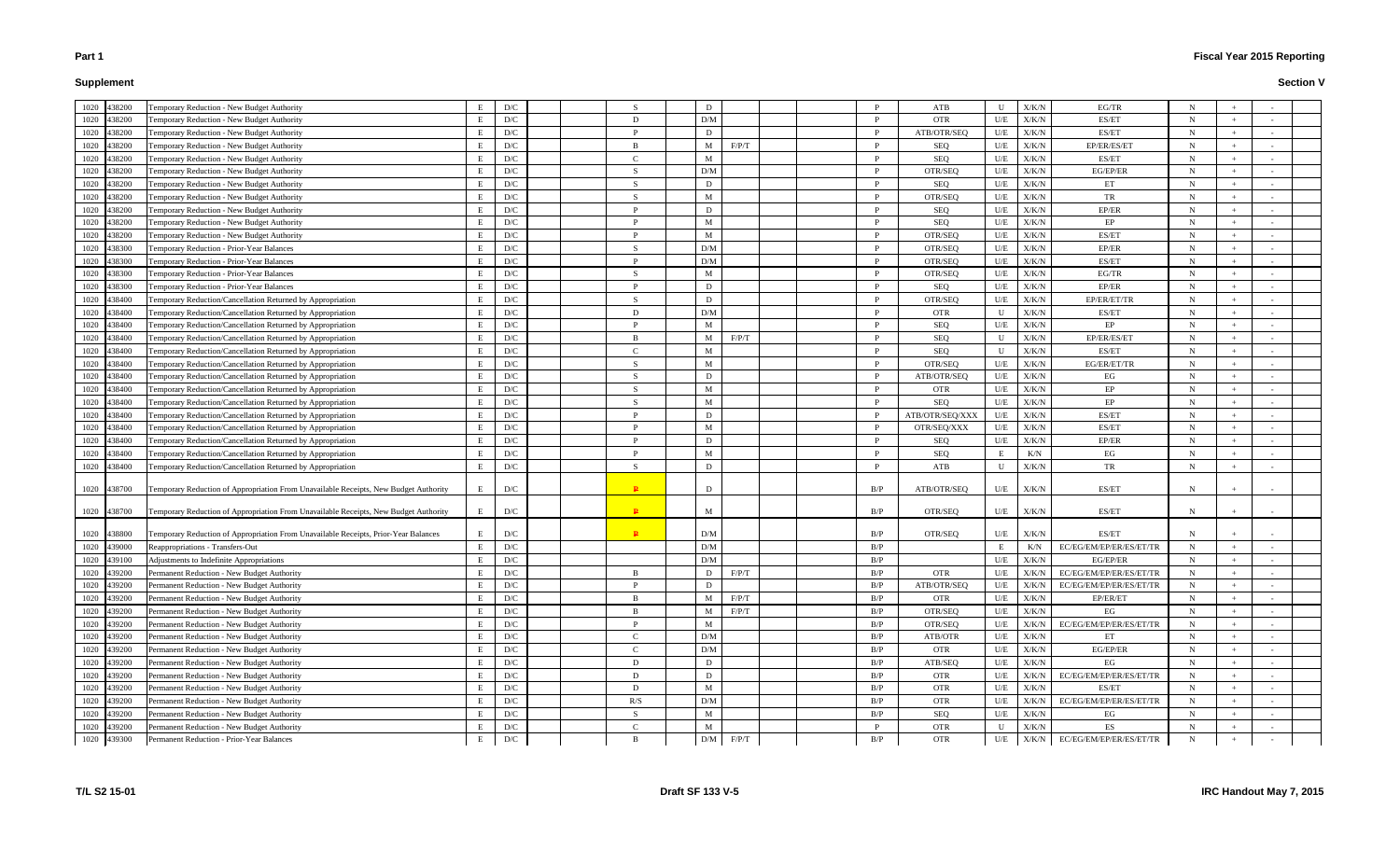# **Supplement**

|             | 1020 438200 | Temporary Reduction - New Budget Authority                                           | E | D/C                     |                | D   |                     |              | ATB             | U   | X/K/N                              | EG/TR                   | N           |     |     |  |
|-------------|-------------|--------------------------------------------------------------------------------------|---|-------------------------|----------------|-----|---------------------|--------------|-----------------|-----|------------------------------------|-------------------------|-------------|-----|-----|--|
|             | 1020 438200 | Temporary Reduction - New Budget Authority                                           | E | D/C                     | D              | D/M |                     | <sup>D</sup> | OTR             | U/E | X/K/N                              | ES/ET                   | N           |     |     |  |
|             | 1020 438200 | Temporary Reduction - New Budget Authority                                           | E | D/C                     | <sup>D</sup>   | D   |                     | P            | ATB/OTR/SEQ     | U/E | X/K/N                              | ES/ET                   | N           |     |     |  |
|             | 1020 438200 | Temporary Reduction - New Budget Authority                                           | E | D/C                     | $\overline{B}$ | M   | F/P/T               | $\mathbf{p}$ | SEQ             | U/E | X/K/N                              | EP/ER/ES/ET             | N           |     |     |  |
| 1020        | 438200      | Temporary Reduction - New Budget Authority                                           |   | D/C                     | $\mathcal{C}$  | M   |                     | <sup>D</sup> | SEQ             | U/E | X/K/N                              | ES/ET                   | N           |     |     |  |
|             | 1020 438200 | Temporary Reduction - New Budget Authority                                           |   | D/C                     | $\mathbf S$    | D/M |                     | P            | OTR/SEQ         | U/E | X/K/N                              | EG/EP/ER                | N           |     |     |  |
| 1020        | 438200      | Temporary Reduction - New Budget Authority                                           | E | D/C                     | - S            | D   |                     | $\mathbf{p}$ | SEQ             | U/E | X/K/N                              | ET                      | N           |     |     |  |
| 1020        | 438200      | Temporary Reduction - New Budget Authority                                           |   | D/C                     | $\mathcal{S}$  | M   |                     | <sup>D</sup> | OTR/SEQ         | U/E | X/K/N                              | TR                      | N           |     |     |  |
|             | 1020 438200 | Temporary Reduction - New Budget Authority                                           |   | D/C                     | D              | D   |                     | P            | SEQ             | U/E | X/K/N                              | EP/ER                   | $\mathbf N$ |     |     |  |
| 1020        | 438200      | Temporary Reduction - New Budget Authority                                           |   | D/C                     | P              | M   |                     | P            | SEQ             | U/E | X/K/N                              | EP                      | N           |     |     |  |
| 1020        | 438200      | Temporary Reduction - New Budget Authority                                           |   | D/C                     | D              | M   |                     | <sup>D</sup> | OTR/SEQ         | U/E | X/K/N                              | ES/ET                   | N           |     |     |  |
| 1020        | 438300      | Temporary Reduction - Prior-Year Balances                                            |   | D/C                     | $\mathbf S$    | D/M |                     | <b>P</b>     | OTR/SEQ         | U/E | X/K/N                              | EP/ER                   | N           |     |     |  |
| 1020 438300 |             | Temporary Reduction - Prior-Year Balances                                            | E | D/C                     | P              | D/M |                     | P            | OTR/SEQ         | U/E | X/K/N                              | ES/ET                   | $\mathbf N$ | $+$ |     |  |
|             | 1020 438300 | Temporary Reduction - Prior-Year Balances                                            |   | D/C                     | -S             | M   |                     | <sup>D</sup> | OTR/SEQ         | U/E | X/K/N                              | EG/TR                   | N           |     |     |  |
|             | 1020 438300 | Temporary Reduction - Prior-Year Balances                                            |   | D/C                     | P              | D   |                     | P            | SEQ             | U/E | X/K/N                              | EP/ER                   | $\mathbf N$ |     |     |  |
|             | 1020 438400 | Temporary Reduction/Cancellation Returned by Appropriation                           |   | D/C                     | -S             | D   |                     | P            | OTR/SEQ         | U/E | X/K/N                              | EP/ER/ET/TR             | $\mathbf N$ |     |     |  |
|             | 1020 438400 | Temporary Reduction/Cancellation Returned by Appropriation                           |   | D/C                     | D              | D/M |                     | $\mathbf{p}$ | <b>OTR</b>      | U   | X/K/N                              | ES/ET                   | N           |     |     |  |
| 1020 438400 |             | Temporary Reduction/Cancellation Returned by Appropriation                           |   | D/C                     | D              | M   |                     | <b>P</b>     | SEQ             | U/E | X/K/N                              | EP                      | N           |     |     |  |
| 1020 438400 |             | Temporary Reduction/Cancellation Returned by Appropriation                           |   | D/C                     | $\overline{B}$ | M   | F/P/T               | P            | SEQ             | U   | X/K/N                              | EP/ER/ES/ET             | N           |     |     |  |
| 1020        | 438400      | Temporary Reduction/Cancellation Returned by Appropriation                           |   | D/C                     | $\Gamma$       | M   |                     | <sup>D</sup> | SEQ             | U   | X/K/N                              | ES/ET                   | N           |     |     |  |
|             | 1020 438400 | Temporary Reduction/Cancellation Returned by Appropriation                           |   | D/C                     | $\mathbf{S}$   | M   |                     | P            | OTR/SEQ         | U/E | X/K/N                              | EG/ER/ET/TR             | N           |     |     |  |
| 1020        | 438400      | Temporary Reduction/Cancellation Returned by Appropriation                           |   | D/C                     | -S             | D   |                     | P            | ATB/OTR/SEQ     | U/E | X/K/N                              | EG                      | $\mathbf N$ |     |     |  |
| 1020        | 438400      | Temporary Reduction/Cancellation Returned by Appropriation                           |   | D/C                     | -S             | M   |                     | P            | <b>OTR</b>      | U/E | X/K/N                              | EP                      | N           |     |     |  |
| 1020        | 438400      | Temporary Reduction/Cancellation Returned by Appropriation                           |   | D/C                     | $\mathbf S$    | M   |                     | <sup>D</sup> | SEQ             | U/E | X/K/N                              | EP                      | N           |     |     |  |
| 1020        | 438400      | Temporary Reduction/Cancellation Returned by Appropriation                           |   | D/C                     | P              | D   |                     | <sup>D</sup> | ATB/OTR/SEQ/XXX | U/E | X/K/N                              | ES/ET                   | N           |     |     |  |
| 1020        | 438400      | Temporary Reduction/Cancellation Returned by Appropriation                           |   | D/C                     | D              | M   |                     | <sup>D</sup> | OTR/SEQ/XXX     | U/E | X/K/N                              | ES/ET                   | N           |     |     |  |
|             | 1020 438400 | Temporary Reduction/Cancellation Returned by Appropriation                           |   | D/C                     | D              | D   |                     | P            | SEQ             | U/E | X/K/N                              | EP/ER                   | N           |     |     |  |
|             | 1020 438400 | Temporary Reduction/Cancellation Returned by Appropriation                           |   | D/C                     | $\mathbf{p}$   | M   |                     | P            | SEQ             |     | K/N                                | EG                      | N           |     |     |  |
|             | 1020 438400 | Temporary Reduction/Cancellation Returned by Appropriation                           | E | D/C                     | -S             | D   |                     | P            | ATB             | U   | X/K/N                              | TR                      | N           |     |     |  |
|             |             |                                                                                      |   |                         |                |     |                     |              |                 |     |                                    |                         |             |     |     |  |
|             | 1020 438700 | Temporary Reduction of Appropriation From Unavailable Receipts, New Budget Authority | E | D/C                     | $\mathbf{P}$   | D   |                     | B/P          | ATB/OTR/SEQ     | U/E | X/K/N                              | ES/ET                   | N           |     |     |  |
|             |             |                                                                                      |   |                         |                |     |                     |              |                 |     |                                    |                         |             |     |     |  |
|             | 1020 438700 | Temporary Reduction of Appropriation From Unavailable Receipts, New Budget Authority | Е | D/C                     | $\mathbf{P}$   | M   |                     | B/P          | OTR/SEQ         | U/E | X/K/N                              | ES/ET                   | N           |     |     |  |
|             | 1020 438800 | Temporary Reduction of Appropriation From Unavailable Receipts, Prior-Year Balances  |   | D/C                     | $\mathbf{P}$   | D/M |                     | B/P          | OTR/SEQ         | U/E | X/K/N                              | ES/ET                   | N           |     |     |  |
|             | 1020 439000 | Reappropriations - Transfers-Out                                                     |   | $\mathbf{D}/\mathbf{C}$ |                | D/M |                     | B/P          |                 |     | K/N                                | EC/EG/EM/EP/ER/ES/ET/TR | N           |     |     |  |
|             | 1020 439100 | Adjustments to Indefinite Appropriations                                             | E | D/C                     |                | D/M |                     | B/P          |                 | U/E | $\mathbf{X}/\mathbf{K}/\mathbf{N}$ | EG/EP/ER                | N           | $+$ | $-$ |  |
|             | 1020 439200 | Permanent Reduction - New Budget Authority                                           | E | $\mathbf{D}/\mathbf{C}$ | -B             | D   | F/P/T               | B/P          | <b>OTR</b>      | U/E | X/K/N                              | EC/EG/EM/EP/ER/ES/ET/TR | $\mathbf N$ |     |     |  |
|             | 1020 439200 | Permanent Reduction - New Budget Authority                                           | E | D/C                     | P              | D   |                     | B/P          | ATB/OTR/SEQ     | U/E | $\rm X/K/N$                        | EC/EG/EM/EP/ER/ES/ET/TR | $\mathbf N$ |     |     |  |
|             | 1020 439200 | Permanent Reduction - New Budget Authority                                           |   | D/C                     | -B             | M   | F/P/T               | B/P          | OTR             | U/E | X/K/N                              | EP/ER/ET                | $N_{\rm}$   |     |     |  |
|             | 1020 439200 | Permanent Reduction - New Budget Authority                                           |   | $\mathbf{D}/\mathbf{C}$ | <sup>B</sup>   | M   | $\rm F/P/T$         | B/P          | OTR/SEQ         | U/E | ${\rm X/K/N}$                      | EG                      | $\mathbf N$ |     |     |  |
|             | 1020 439200 | Permanent Reduction - New Budget Authority                                           |   | D/C                     | P              | M   |                     | B/P          | OTR/SEQ         | U/E | X/K/N                              | EC/EG/EM/EP/ER/ES/ET/TR | N           |     |     |  |
|             | 1020 439200 | Permanent Reduction - New Budget Authority                                           | E | D/C                     | $\mathcal{C}$  | D/M |                     | B/P          | ATB/OTR         | U/E | X/K/N                              | ET                      | $\mathbf N$ | $+$ |     |  |
|             | 1020 439200 | Permanent Reduction - New Budget Authority                                           |   | D/C                     | $\mathcal{C}$  | D/M |                     | B/P          | <b>OTR</b>      | U/E | $\rm X/K/N$                        | EG/EP/ER                | N           |     |     |  |
|             | 1020 439200 | Permanent Reduction - New Budget Authority                                           | E | D/C                     | D              | D   |                     | B/P          | ATB/SEQ         | U/E | X/K/N                              | EG                      | $\mathbf N$ |     |     |  |
|             | 1020 439200 | Permanent Reduction - New Budget Authority                                           | E | D/C                     | D              | D   |                     | B/P          | <b>OTR</b>      | U/E | X/K/N                              | EC/EG/EM/EP/ER/ES/ET/TR | $\mathbf N$ |     |     |  |
|             | 1020 439200 | Permanent Reduction - New Budget Authority                                           |   | D/C                     | D              | M   |                     | B/P          | <b>OTR</b>      | U/E | ${\rm X/K/N}$                      | ES/ET                   | N           |     |     |  |
|             | 1020 439200 | Permanent Reduction - New Budget Authority                                           |   | D/C                     | R/S            | D/M |                     | B/P          | <b>OTR</b>      | U/E | X/K/N                              | EC/EG/EM/EP/ER/ES/ET/TR | $\mathbf N$ |     |     |  |
|             | 1020 439200 | Permanent Reduction - New Budget Authority                                           | E | D/C                     | -S             | M   |                     | B/P          | SEQ             | U/E | $\rm X/K/N$                        | EG                      | $N_{\rm}$   |     |     |  |
|             | 1020 439200 | Permanent Reduction - New Budget Authority                                           |   | $\mathbf{D}/\mathbf{C}$ | <sup>-</sup> C | M   |                     | P            | OTR             | U   | X/K/N                              | ES                      | N           |     |     |  |
|             | 1020 439300 | Permanent Reduction - Prior-Year Balances                                            |   | $\mathbf{D}/\mathbf{C}$ | B              |     | $\rm D/M$ $-$ F/P/T | B/P          | <b>OTR</b>      | U/E | X/K/N                              | EC/EG/EM/EP/ER/ES/ET/TR | $\mathbf N$ |     |     |  |
|             |             |                                                                                      |   |                         |                |     |                     |              |                 |     |                                    |                         |             |     |     |  |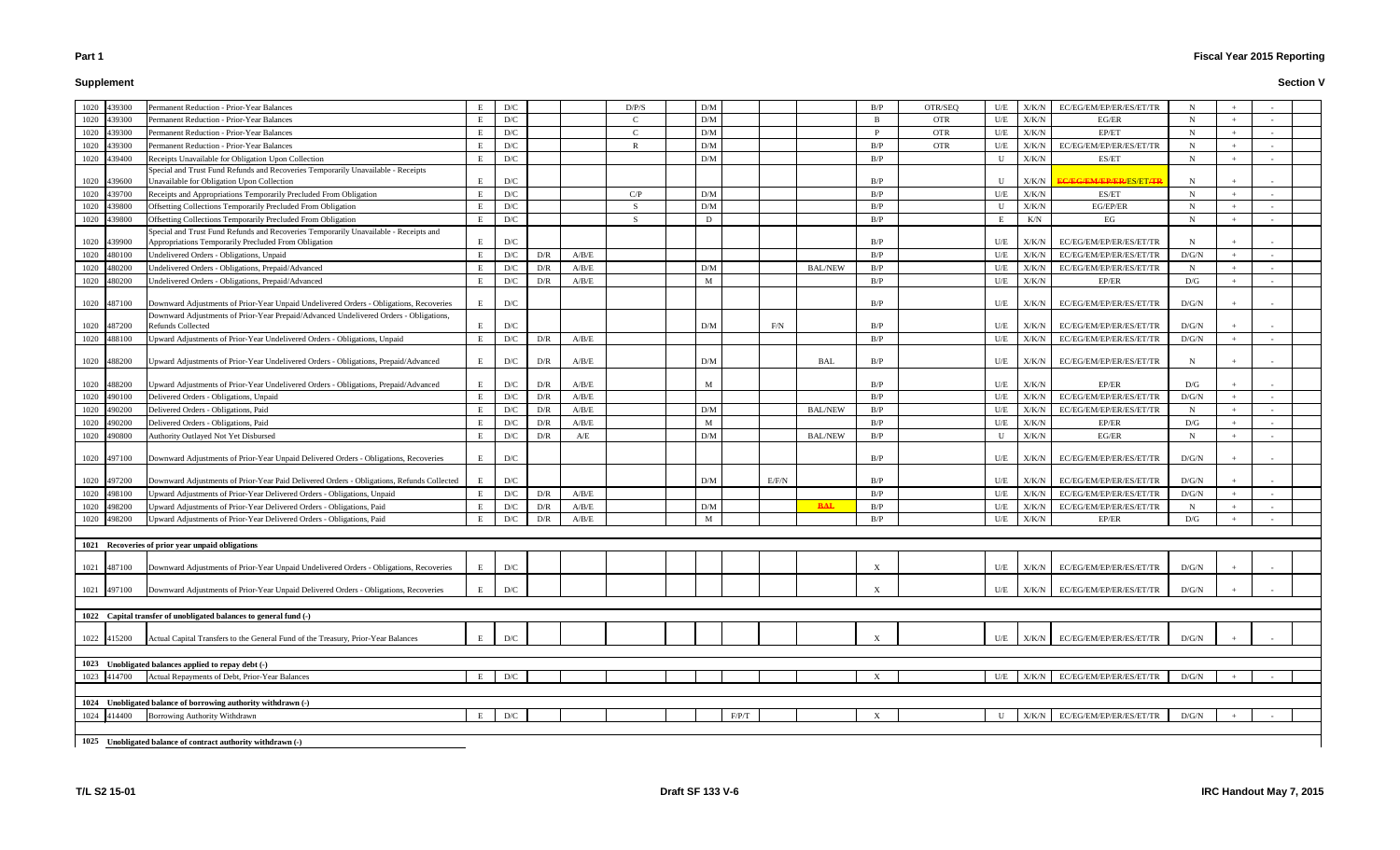# **Supplement**

# **Fiscal Year 2015 Reporting**

|      | 1020 439300                | Permanent Reduction - Prior-Year Balances                                                 | Е | D/C                     |            |             | D/P/S         | D/M   |       |                | B/P                       | OTR/SEQ    | U/E          | X/K/N          | EC/EG/EM/EP/ER/ES/ET/TR                         |                      |        |  |
|------|----------------------------|-------------------------------------------------------------------------------------------|---|-------------------------|------------|-------------|---------------|-------|-------|----------------|---------------------------|------------|--------------|----------------|-------------------------------------------------|----------------------|--------|--|
|      | 1020 439300                | <b>Permanent Reduction - Prior-Year Balances</b>                                          | E | D/C                     |            |             | $\mathcal{C}$ | D/M   |       |                | $\overline{B}$            | <b>OTR</b> | U/E          | X/K/N          | EG/ER                                           | $\mathbf N$          | $+$    |  |
|      | 1020 439300                | Permanent Reduction - Prior-Year Balances                                                 | E | D/C                     |            |             | $\mathcal{C}$ | D/M   |       |                | D                         | <b>OTR</b> | U/E          | X/K/N          | EP/ET                                           | $\mathbf N$          | $+$    |  |
| 1020 | 439300                     | Permanent Reduction - Prior-Year Balances                                                 | E | D/C                     |            |             |               | D/M   |       |                | B/P                       | <b>OTR</b> | U/E          | X/K/N          | EC/EG/EM/EP/ER/ES/ET/TR                         | N                    | $\pm$  |  |
|      | 1020 439400                | Receipts Unavailable for Obligation Upon Collection                                       | E | D/C                     |            |             |               | D/M   |       |                | B/P                       |            |              | X/K/N          | ES/ET                                           | N                    | $+$    |  |
|      |                            | Special and Trust Fund Refunds and Recoveries Temporarily Unavailable - Receipts          |   |                         |            |             |               |       |       |                |                           |            |              |                |                                                 |                      |        |  |
|      | 1020 439600                | Unavailable for Obligation Upon Collection                                                | E | D/C                     |            |             |               |       |       |                | B/P                       |            |              | X/K/N          | <del>EC/EG/EM/EP/ER/</del> ES/ET <del>/TI</del> | N                    |        |  |
|      | 1020 439700                | Receipts and Appropriations Temporarily Precluded From Obligation                         | E | D/C                     |            |             | C/P           | D/M   |       |                | B/P                       |            | U/E          | X/K/N          | ES/ET                                           | $\mathbf N$          | $+$    |  |
|      | 1020 439800                | Offsetting Collections Temporarily Precluded From Obligation                              | E | D/C                     |            |             | <sub>S</sub>  | D/M   |       |                | B/P                       |            | $\mathbf{U}$ | X/K/N          | EG/EP/ER                                        | $\mathbf N$          | $+$    |  |
|      | 1020 439800                | Offsetting Collections Temporarily Precluded From Obligation                              | E | D/C                     |            |             | <sup>S</sup>  | D     |       |                | B/P                       |            | E            | K/N            | EG                                              | N                    | $+$    |  |
|      |                            | Special and Trust Fund Refunds and Recoveries Temporarily Unavailable - Receipts and      |   |                         |            |             |               |       |       |                |                           |            |              |                |                                                 |                      |        |  |
|      | 1020 439900                | Appropriations Temporarily Precluded From Obligation                                      | E | D/C                     |            |             |               |       |       |                | B/P                       |            | U/E          | X/K/N          | EC/EG/EM/EP/ER/ES/ET/TR                         | N                    |        |  |
| 1020 | 480100                     | Undelivered Orders - Obligations, Unpaid                                                  | E | D/C                     | D/R        | A/B/E       |               |       |       |                | B/P                       |            | U/E          | X/K/N          | EC/EG/EM/EP/ER/ES/ET/TR                         | D/G/N                | $+$    |  |
| 1020 | 480200                     | Undelivered Orders - Obligations, Prepaid/Advanced                                        | E | D/C                     | D/R        | A/B/E       |               | D/M   |       | <b>BAL/NEW</b> | B/P                       |            | U/E          | X/K/N          | EC/EG/EM/EP/ER/ES/ET/TR                         | $\mathbf N$          | $+$    |  |
| 1020 | 480200                     | Undelivered Orders - Obligations, Prepaid/Advanced                                        | E | D/C                     | D/R        | A/B/E       |               | M     |       |                | B/P                       |            | U/E          | ${\rm X/K/N}$  | EP/ER                                           | D/G                  | $^{+}$ |  |
|      | 1020 487100                | Downward Adjustments of Prior-Year Unpaid Undelivered Orders - Obligations, Recoveries    | E | D/C                     |            |             |               |       |       |                | B/P                       |            | U/E          | X/K/N          | EC/EG/EM/EP/ER/ES/ET/TR                         | D/G/N                | $+$    |  |
|      |                            | Downward Adjustments of Prior-Year Prepaid/Advanced Undelivered Orders - Obligations,     |   |                         |            |             |               |       |       |                |                           |            |              |                |                                                 |                      |        |  |
|      | 1020 487200                | <b>Refunds Collected</b>                                                                  | E | D/C                     |            |             |               | D/M   | F/N   |                | B/P                       |            | U/E          | X/K/N          | EC/EG/EM/EP/ER/ES/ET/TR                         | D/G/N                |        |  |
| 1020 | 488100                     | Upward Adjustments of Prior-Year Undelivered Orders - Obligations, Unpaid                 | E | D/C                     | D/R        | A/B/E       |               |       |       |                | B/P                       |            | U/E          | X/K/N          | EC/EG/EM/EP/ER/ES/ET/TR                         | D/G/N                | $+$    |  |
|      |                            |                                                                                           |   |                         |            |             |               |       |       |                |                           |            |              |                |                                                 |                      |        |  |
|      | 1020 488200                | Upward Adjustments of Prior-Year Undelivered Orders - Obligations, Prepaid/Advanced       | E | D/C                     | D/R        | A/B/E       |               | D/M   |       | <b>BAL</b>     | B/P                       |            | U/E          | X/K/N          | EC/EG/EM/EP/ER/ES/ET/TR                         | N                    | $^{+}$ |  |
|      | 1020 488200                | Upward Adjustments of Prior-Year Undelivered Orders - Obligations, Prepaid/Advanced       | E |                         |            | A/B/E       |               | M     |       |                | B/P                       |            |              | X/K/N          | EP/ER                                           |                      |        |  |
|      |                            | Delivered Orders - Obligations, Unpaid                                                    | E | D/C                     | D/R        | A/B/E       |               |       |       |                | B/P                       |            | U/E<br>U/E   |                | EC/EG/EM/EP/ER/ES/ET/TR                         | D/G                  | $+$    |  |
|      | 1020 490100<br>1020 490200 | Delivered Orders - Obligations, Paid                                                      | E | D/C<br>D/C              | D/R<br>D/R | A/B/E       |               | D/M   |       | <b>BAL/NEW</b> | B/P                       |            | U/E          | X/K/N<br>X/K/N | EC/EG/EM/EP/ER/ES/ET/TR                         | D/G/N<br>$\mathbf N$ | $+$    |  |
| 1020 | 490200                     | Delivered Orders - Obligations, Paid                                                      | E | D/C                     | D/R        | $\rm A/B/E$ |               | M     |       |                | B/P                       |            | U/E          | X/K/N          | EP/ER                                           | D/G                  | $+$    |  |
| 1020 | 490800                     | Authority Outlayed Not Yet Disbursed                                                      | E | D/C                     | D/R        | A/E         |               | D/M   |       | <b>BAL/NEW</b> | B/P                       |            |              | X/K/N          | EG/ER                                           | N                    | $+$    |  |
|      |                            |                                                                                           |   |                         |            |             |               |       |       |                |                           |            |              |                |                                                 |                      |        |  |
|      | 1020 497100                | Downward Adjustments of Prior-Year Unpaid Delivered Orders - Obligations, Recoveries      | E | D/C                     |            |             |               |       |       |                | B/P                       |            | U/E          | X/K/N          | EC/EG/EM/EP/ER/ES/ET/TR                         | D/G/N                |        |  |
|      |                            |                                                                                           |   |                         |            |             |               |       |       |                |                           |            |              |                |                                                 |                      |        |  |
|      | 1020 497200                | Downward Adjustments of Prior-Year Paid Delivered Orders - Obligations, Refunds Collected | E | D/C                     |            |             |               | D/M   | E/F/N |                | B/P                       |            | U/E          | X/K/N          | EC/EG/EM/EP/ER/ES/ET/TR                         | D/G/N                | $+$    |  |
| 1020 | 498100                     | Upward Adjustments of Prior-Year Delivered Orders - Obligations, Unpaid                   | E | D/C                     | D/R        | A/B/E       |               |       |       |                | B/P                       |            | U/E          | X/K/N          | EC/EG/EM/EP/ER/ES/ET/TR                         | D/G/N                | $+$    |  |
| 1020 | 498200                     | Upward Adjustments of Prior-Year Delivered Orders - Obligations, Paid                     | E | D/C                     | D/R        | $\rm A/B/E$ |               | D/M   |       | <b>BAL</b>     | B/P                       |            | U/E          | X/K/N          | EC/EG/EM/EP/ER/ES/ET/TR                         | N                    | $+$    |  |
| 1020 | 498200                     | Upward Adjustments of Prior-Year Delivered Orders - Obligations, Paid                     | E | D/C                     | D/R        | $\rm A/B/E$ |               | M     |       |                | B/P                       |            | U/E          | X/K/N          | EP/ER                                           | D/G                  | $+$    |  |
|      |                            |                                                                                           |   |                         |            |             |               |       |       |                |                           |            |              |                |                                                 |                      |        |  |
|      |                            | 1021 Recoveries of prior year unpaid obligations                                          |   |                         |            |             |               |       |       |                |                           |            |              |                |                                                 |                      |        |  |
|      |                            | Downward Adjustments of Prior-Year Unpaid Undelivered Orders - Obligations, Recoveries    | E | D/C                     |            |             |               |       |       |                | $\boldsymbol{\mathrm{X}}$ |            | U/E          |                | X/K/N EC/EG/EM/EP/ER/ES/ET/TR                   | $\rm D/G/N$          |        |  |
|      | 1021 487100                |                                                                                           |   |                         |            |             |               |       |       |                |                           |            |              |                |                                                 |                      |        |  |
|      | 1021 497100                | Downward Adjustments of Prior-Year Unpaid Delivered Orders - Obligations, Recoveries      | E | D/C                     |            |             |               |       |       |                | X                         |            | U/E          | X/K/N          | EC/EG/EM/EP/ER/ES/ET/TR                         | D/G/N                |        |  |
|      |                            |                                                                                           |   |                         |            |             |               |       |       |                |                           |            |              |                |                                                 |                      |        |  |
|      |                            | 1022 Capital transfer of unobligated balances to general fund (-)                         |   |                         |            |             |               |       |       |                |                           |            |              |                |                                                 |                      |        |  |
|      |                            |                                                                                           |   |                         |            |             |               |       |       |                |                           |            |              |                |                                                 |                      |        |  |
|      | 1022 415200                | Actual Capital Transfers to the General Fund of the Treasury, Prior-Year Balances         | E | D/C                     |            |             |               |       |       |                |                           |            | U/E          | X/K/N          | EC/EG/EM/EP/ER/ES/ET/TR                         | D/G/N                |        |  |
|      |                            |                                                                                           |   |                         |            |             |               |       |       |                |                           |            |              |                |                                                 |                      |        |  |
|      |                            | 1023 Unobligated balances applied to repay debt (-)                                       |   |                         |            |             |               |       |       |                |                           |            |              |                |                                                 |                      |        |  |
|      | 1023 414700                | Actual Repayments of Debt, Prior-Year Balances                                            | E | $\mathbf{D}/\mathbf{C}$ |            |             |               |       |       |                | $\boldsymbol{\mathrm{X}}$ |            | U/E          | X/K/N          | EC/EG/EM/EP/ER/ES/ET/TR                         | D/G/N                |        |  |
|      |                            |                                                                                           |   |                         |            |             |               |       |       |                |                           |            |              |                |                                                 |                      |        |  |
|      |                            | 1024 Unobligated balance of borrowing authority withdrawn (-)                             |   |                         |            |             |               |       |       |                |                           |            |              |                |                                                 |                      |        |  |
|      | 1024 414400                | Borrowing Authority Withdrawn                                                             | E | $\mathbf{D}/\mathbf{C}$ |            |             |               | F/P/T |       |                |                           |            |              | X/K/N          | EC/EG/EM/EP/ER/ES/ET/TR                         | D/G/N                |        |  |
|      |                            |                                                                                           |   |                         |            |             |               |       |       |                |                           |            |              |                |                                                 |                      |        |  |
|      |                            | 1025 Unobligated balance of contract authority withdrawn (-)                              |   |                         |            |             |               |       |       |                |                           |            |              |                |                                                 |                      |        |  |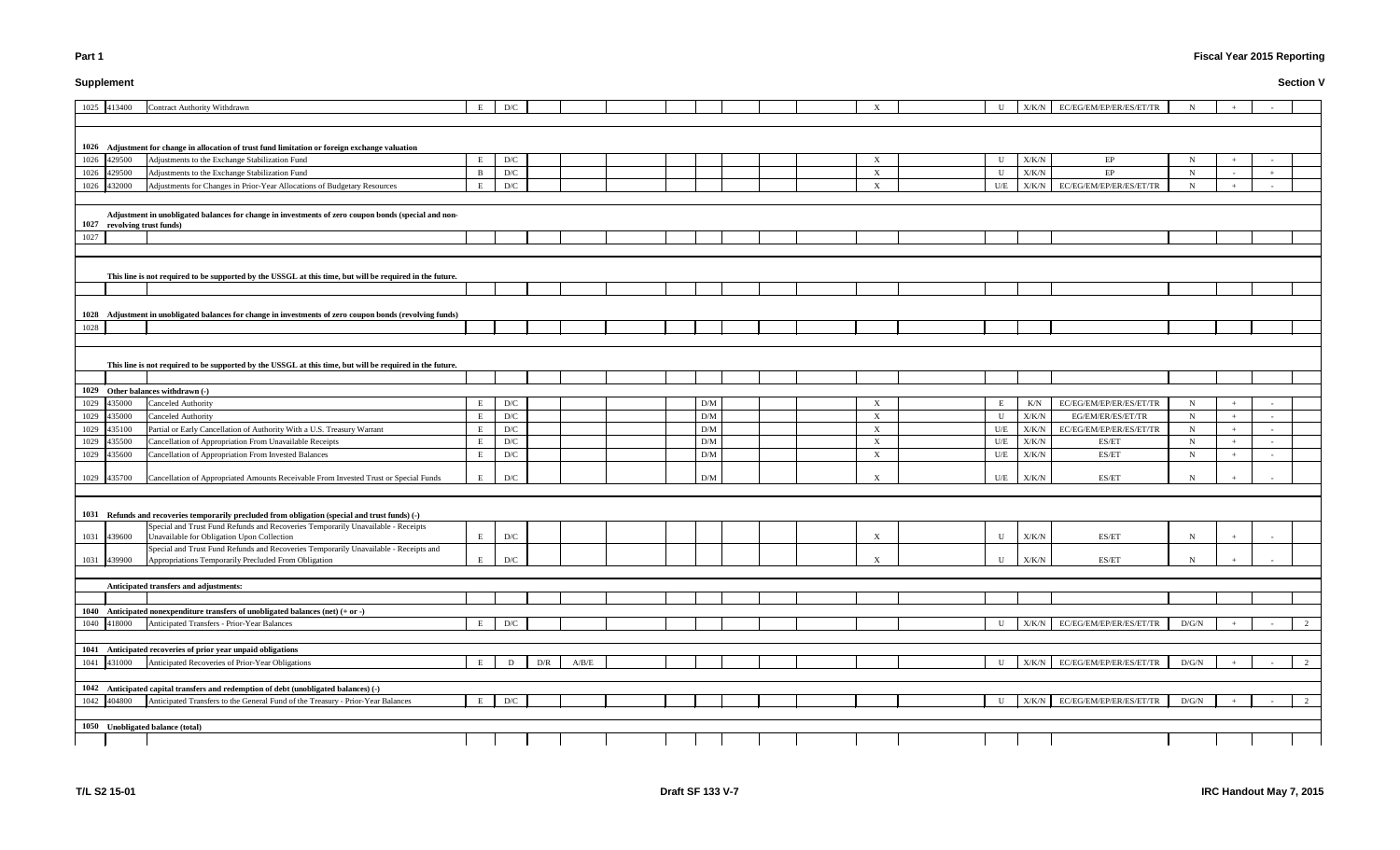# **Supplement**

# **Fiscal Year 2015 Reporting**

| U           | X/K/N         | EC/EG/EM/EP/ER/ES/ET/TR                             | N            | $\boldsymbol{+}$                 | $\overline{a}$           |                |
|-------------|---------------|-----------------------------------------------------|--------------|----------------------------------|--------------------------|----------------|
|             |               |                                                     |              |                                  |                          |                |
|             |               |                                                     |              |                                  |                          |                |
| ${\bf U}$   | $\rm X/K/N$   | EP                                                  | N            | $^+$                             | $\blacksquare$           |                |
| ${\bf U}$   | ${\rm X/K/N}$ | EP                                                  | N            | $\overline{a}$                   | $^+$                     |                |
| $U\!/\!E$   | X/K/N         | EC/EG/EM/EP/ER/ES/ET/TR                             | N            | $^+$                             | $\overline{\phantom{a}}$ |                |
|             |               |                                                     |              |                                  |                          |                |
|             |               |                                                     |              |                                  |                          |                |
|             |               |                                                     |              |                                  |                          |                |
|             |               |                                                     |              |                                  |                          |                |
|             |               |                                                     |              |                                  |                          |                |
|             |               |                                                     |              |                                  |                          |                |
|             |               |                                                     |              |                                  |                          |                |
|             |               |                                                     |              |                                  |                          |                |
|             |               |                                                     |              |                                  |                          |                |
|             |               |                                                     |              |                                  |                          |                |
|             |               |                                                     |              |                                  |                          |                |
|             |               |                                                     |              |                                  |                          |                |
|             |               |                                                     |              |                                  |                          |                |
|             |               |                                                     |              |                                  |                          |                |
| $\mathbf E$ | K/N           | EC/EG/EM/EP/ER/ES/ET/TR                             | N            |                                  | $\overline{\phantom{a}}$ |                |
| U           | X/K/N         | EG/EM/ER/ES/ET/TR                                   | N            | $^+$                             | $\overline{\phantom{a}}$ |                |
| U/E         | X/K/N         | EC/EG/EM/EP/ER/ES/ET/TR                             | N            | $^+$                             | $\overline{\phantom{a}}$ |                |
| $U\!/\!E$   | X/K/N         | ES/ET                                               | N            | $^+$                             | $\overline{\phantom{a}}$ |                |
| U/E         | X/K/N         | $\ensuremath{\mathrm{ES}}/\ensuremath{\mathrm{ET}}$ | N            | $\boldsymbol{+}$                 | $\blacksquare$           |                |
|             |               |                                                     |              |                                  |                          |                |
| $U\!/\!E$   | X/K/N         | ES/ET                                               | N            | $^+$                             | $\overline{\phantom{a}}$ |                |
|             |               |                                                     |              |                                  |                          |                |
|             |               |                                                     |              |                                  |                          |                |
|             |               |                                                     |              |                                  |                          |                |
| U           | $\rm X/K/N$   | ES/ET                                               | N            | $\qquad \qquad +$                |                          |                |
| ${\bf U}$   | $\rm X/K/N$   | $\ensuremath{\mathrm{ES}}/\ensuremath{\mathrm{ET}}$ |              |                                  |                          |                |
|             |               |                                                     | N            | $\begin{array}{c} + \end{array}$ | $\overline{\phantom{a}}$ |                |
|             |               |                                                     |              |                                  |                          |                |
|             |               |                                                     |              |                                  |                          |                |
|             |               |                                                     |              |                                  |                          |                |
| U           | $\rm X/K/N$   | EC/EG/EM/EP/ER/ES/ET/TR                             | $\rm{D/G/N}$ | $+$                              | ÷.                       | $\sqrt{2}$     |
|             |               |                                                     |              |                                  |                          |                |
|             |               |                                                     |              |                                  |                          |                |
| ${\bf U}$   | $\rm X/K/N$   | EC/EG/EM/EP/ER/ES/ET/TR                             | $\rm{D/G/N}$ | $\boldsymbol{+}$                 | $\overline{a}$           | 2              |
|             |               |                                                     |              |                                  |                          |                |
|             |               |                                                     |              |                                  |                          |                |
| ${\bf U}$   | $\rm X/K/N$   | EC/EG/EM/EP/ER/ES/ET/TR                             | $\rm{D/G/N}$ | $\, +$                           | $\mathbb{Z}^2$           | $\overline{c}$ |
|             |               |                                                     |              |                                  |                          |                |
|             |               |                                                     |              |                                  |                          |                |
|             |               |                                                     |              |                                  |                          |                |
|             |               |                                                     |              |                                  |                          |                |

|      | 1025 413400 | Contract Authority Withdrawn                                                                                                                                                        | E            | D/C                     |       |                 |  |  | $\boldsymbol{\mathrm{X}}$ | U           | X/K/N         | EC/EG/EM/EP/ER/ES/ET/TR | N            |        |        |             |
|------|-------------|-------------------------------------------------------------------------------------------------------------------------------------------------------------------------------------|--------------|-------------------------|-------|-----------------|--|--|---------------------------|-------------|---------------|-------------------------|--------------|--------|--------|-------------|
|      |             |                                                                                                                                                                                     |              |                         |       |                 |  |  |                           |             |               |                         |              |        |        |             |
|      |             |                                                                                                                                                                                     |              |                         |       |                 |  |  |                           |             |               |                         |              |        |        |             |
|      | 1026 429500 | 1026 Adjustment for change in allocation of trust fund limitation or foreign exchange valuation<br>Adjustments to the Exchange Stabilization Fund                                   | Е            | D/C                     |       |                 |  |  | $\boldsymbol{X}$          | U           | X/K/N         | EP                      | N            | $+$    |        |             |
|      | 1026 429500 | Adjustments to the Exchange Stabilization Fund                                                                                                                                      | $\mathbf{B}$ | D/C                     |       |                 |  |  | X                         | $\mathbf U$ | X/K/N         | EP                      | N            | $\sim$ | $+$    |             |
|      | 1026 432000 | Adjustments for Changes in Prior-Year Allocations of Budgetary Resources                                                                                                            | E            | D/C                     |       |                 |  |  | $\boldsymbol{\mathrm{X}}$ | U/E         | X/K/N         | EC/EG/EM/EP/ER/ES/ET/TR | $\mathbf N$  |        |        |             |
|      |             |                                                                                                                                                                                     |              |                         |       |                 |  |  |                           |             |               |                         |              |        |        |             |
|      |             | Adjustment in unobligated balances for change in investments of zero coupon bonds (special and non-                                                                                 |              |                         |       |                 |  |  |                           |             |               |                         |              |        |        |             |
|      |             | 1027 revolving trust funds)                                                                                                                                                         |              |                         |       |                 |  |  |                           |             |               |                         |              |        |        |             |
| 1027 |             |                                                                                                                                                                                     |              |                         |       |                 |  |  |                           |             |               |                         |              |        |        |             |
|      |             |                                                                                                                                                                                     |              |                         |       |                 |  |  |                           |             |               |                         |              |        |        |             |
|      |             |                                                                                                                                                                                     |              |                         |       |                 |  |  |                           |             |               |                         |              |        |        |             |
|      |             | This line is not required to be supported by the USSGL at this time, but will be required in the future.                                                                            |              |                         |       |                 |  |  |                           |             |               |                         |              |        |        |             |
|      |             |                                                                                                                                                                                     |              |                         |       |                 |  |  |                           |             |               |                         |              |        |        |             |
|      |             |                                                                                                                                                                                     |              |                         |       |                 |  |  |                           |             |               |                         |              |        |        |             |
|      |             | 1028 Adjustment in unobligated balances for change in investments of zero coupon bonds (revolving funds)                                                                            |              |                         |       |                 |  |  |                           |             |               |                         |              |        |        |             |
| 1028 |             |                                                                                                                                                                                     |              |                         |       |                 |  |  |                           |             |               |                         |              |        |        |             |
|      |             |                                                                                                                                                                                     |              |                         |       |                 |  |  |                           |             |               |                         |              |        |        |             |
|      |             |                                                                                                                                                                                     |              |                         |       |                 |  |  |                           |             |               |                         |              |        |        |             |
|      |             | This line is not required to be supported by the USSGL at this time, but will be required in the future.                                                                            |              |                         |       |                 |  |  |                           |             |               |                         |              |        |        |             |
|      |             |                                                                                                                                                                                     |              |                         |       |                 |  |  |                           |             |               |                         |              |        |        |             |
|      |             | 1029 Other balances withdrawn (-)                                                                                                                                                   |              |                         |       |                 |  |  |                           |             |               |                         |              |        |        |             |
|      | 1029 435000 | <b>Canceled Authority</b>                                                                                                                                                           | E            | D/C                     |       | D/M             |  |  | $\boldsymbol{\mathrm{X}}$ | E           | K/N           | EC/EG/EM/EP/ER/ES/ET/TR | N            | $+$    |        |             |
| 1029 | 435000      | <b>Canceled Authority</b>                                                                                                                                                           | E            | D/C                     |       | D/M             |  |  | X                         | U           | X/K/N         | EG/EM/ER/ES/ET/TR       | $\mathbf N$  | $+$    |        |             |
| 1029 | 435100      | Partial or Early Cancellation of Authority With a U.S. Treasury Warrant                                                                                                             | E            | D/C                     |       | D/M             |  |  | X                         | U/E         | X/K/N         | EC/EG/EM/EP/ER/ES/ET/TR | N            | $+$    | $\sim$ |             |
| 1029 | 435500      | Cancellation of Appropriation From Unavailable Receipts                                                                                                                             | E            | D/C                     |       | D/M             |  |  | $\boldsymbol{\mathrm{X}}$ | U/E         | X/K/N         | ES/ET                   | N            | $+$    | $\sim$ |             |
| 1029 | 435600      | <b>Cancellation of Appropriation From Invested Balances</b>                                                                                                                         | E            | $\mathbf{D}/\mathbf{C}$ |       | $\rm{D}/\rm{M}$ |  |  | $\boldsymbol{\mathrm{X}}$ | $U\!/\!E$   | $\rm X/K/N$   | ES/ET                   | N            |        | $\sim$ |             |
|      |             |                                                                                                                                                                                     |              |                         |       |                 |  |  |                           |             |               |                         |              |        |        |             |
|      | 1029 435700 | Cancellation of Appropriated Amounts Receivable From Invested Trust or Special Funds                                                                                                | E            | D/C                     |       | D/M             |  |  | $\mathbf{x}$              | U/E         | X/K/N         | ES/ET                   | N            |        |        |             |
|      |             |                                                                                                                                                                                     |              |                         |       |                 |  |  |                           |             |               |                         |              |        |        |             |
|      |             |                                                                                                                                                                                     |              |                         |       |                 |  |  |                           |             |               |                         |              |        |        |             |
|      |             | 1031 Refunds and recoveries temporarily precluded from obligation (special and trust funds) (-)<br>Special and Trust Fund Refunds and Recoveries Temporarily Unavailable - Receipts |              |                         |       |                 |  |  |                           |             |               |                         |              |        |        |             |
|      | 1031 439600 | Unavailable for Obligation Upon Collection                                                                                                                                          | E            | D/C                     |       |                 |  |  | $\boldsymbol{\mathrm{X}}$ | $\mathbf U$ | X/K/N         | ES/ET                   | N            |        |        |             |
|      |             | Special and Trust Fund Refunds and Recoveries Temporarily Unavailable - Receipts and                                                                                                |              |                         |       |                 |  |  |                           |             |               |                         |              |        |        |             |
|      | 1031 439900 | Appropriations Temporarily Precluded From Obligation                                                                                                                                | E            | D/C                     |       |                 |  |  | $\boldsymbol{\mathrm{X}}$ | U           | $\rm X/K/N$   | ES/ET                   | N            |        | $\sim$ |             |
|      |             |                                                                                                                                                                                     |              |                         |       |                 |  |  |                           |             |               |                         |              |        |        |             |
|      |             | Anticipated transfers and adjustments:                                                                                                                                              |              |                         |       |                 |  |  |                           |             |               |                         |              |        |        |             |
|      |             |                                                                                                                                                                                     |              |                         |       |                 |  |  |                           |             |               |                         |              |        |        |             |
|      |             | 1040 Anticipated nonexpenditure transfers of unobligated balances (net) (+ or -)                                                                                                    |              |                         |       |                 |  |  |                           |             |               |                         |              |        |        |             |
|      | 1040 418000 | Anticipated Transfers - Prior-Year Balances                                                                                                                                         | E            | D/C                     |       |                 |  |  |                           | U           | X/K/N         | EC/EG/EM/EP/ER/ES/ET/TR | D/G/N        |        |        | $\tilde{z}$ |
|      |             |                                                                                                                                                                                     |              |                         |       |                 |  |  |                           |             |               |                         |              |        |        |             |
|      |             | 1041 Anticipated recoveries of prior year unpaid obligations                                                                                                                        |              |                         |       |                 |  |  |                           |             |               |                         |              |        |        |             |
|      | 1041 431000 | Anticipated Recoveries of Prior-Year Obligations                                                                                                                                    | E            | D/R<br>D                | A/B/E |                 |  |  |                           | U           | X/K/N         | EC/EG/EM/EP/ER/ES/ET/TR | $\rm{D/G/N}$ |        |        | $\tilde{z}$ |
|      |             |                                                                                                                                                                                     |              |                         |       |                 |  |  |                           |             |               |                         |              |        |        |             |
|      |             | 1042 Anticipated capital transfers and redemption of debt (unobligated balances) (-)                                                                                                |              |                         |       |                 |  |  |                           |             |               |                         |              |        |        |             |
|      | 1042 404800 | Anticipated Transfers to the General Fund of the Treasury - Prior-Year Balances                                                                                                     | E            | $\mathbf{D}/\mathbf{C}$ |       |                 |  |  |                           | $\mathbf U$ | ${\rm X/K/N}$ | EC/EG/EM/EP/ER/ES/ET/TR | $\rm D/G/N$  |        |        | $\tilde{z}$ |
|      |             |                                                                                                                                                                                     |              |                         |       |                 |  |  |                           |             |               |                         |              |        |        |             |
|      |             | 1050 Unobligated balance (total)                                                                                                                                                    |              |                         |       |                 |  |  |                           |             |               |                         |              |        |        |             |
|      |             |                                                                                                                                                                                     |              |                         |       |                 |  |  |                           |             |               |                         |              |        |        |             |
|      |             |                                                                                                                                                                                     |              |                         |       |                 |  |  |                           |             |               |                         |              |        |        |             |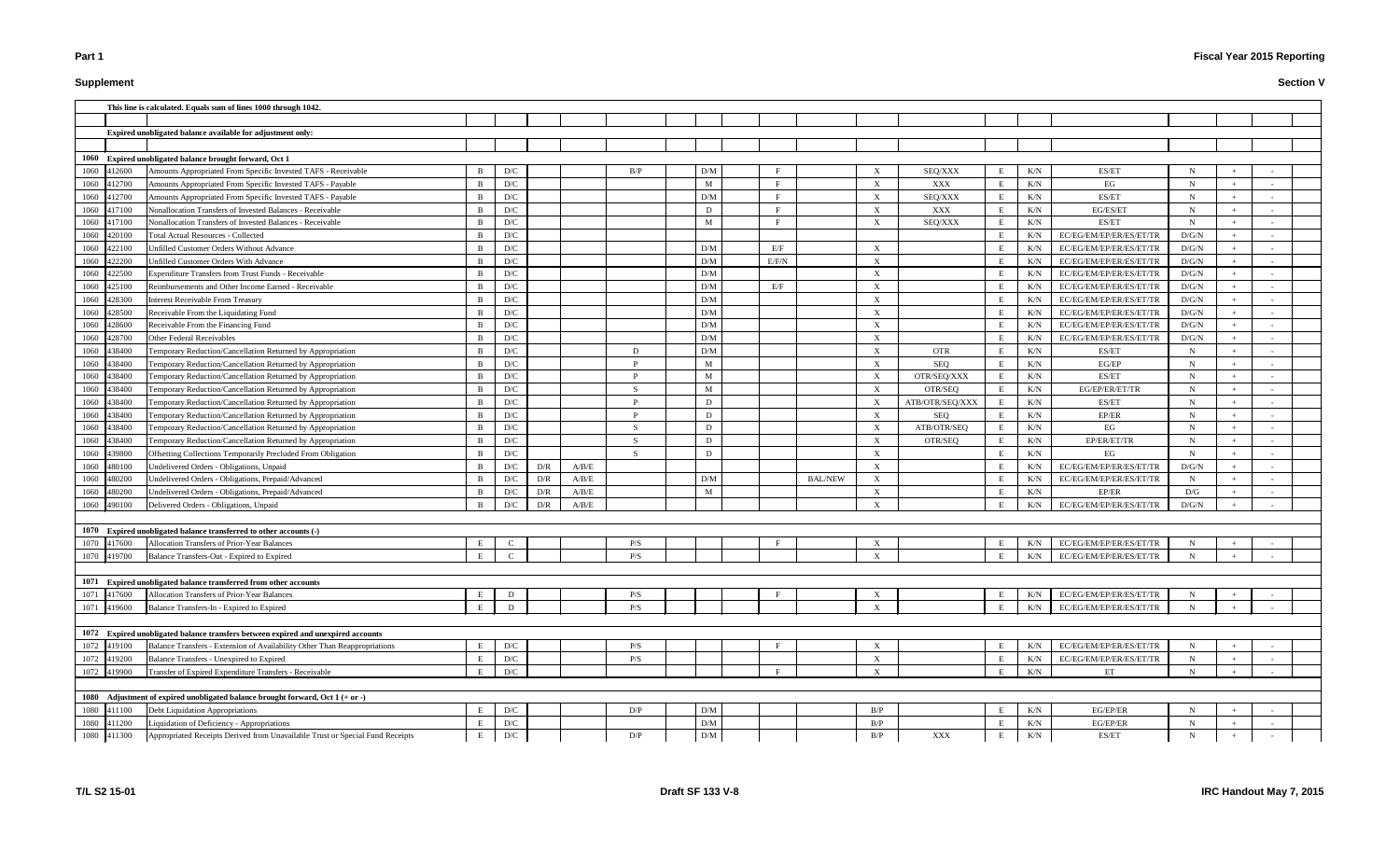# **Supplement**

|             |        | This line is calculated. Equals sum of lines 1000 through 1042.                   |                |                         |     |       |     |                 |       |                |                           |                 |   |           |                               |             |     |  |
|-------------|--------|-----------------------------------------------------------------------------------|----------------|-------------------------|-----|-------|-----|-----------------|-------|----------------|---------------------------|-----------------|---|-----------|-------------------------------|-------------|-----|--|
|             |        |                                                                                   |                |                         |     |       |     |                 |       |                |                           |                 |   |           |                               |             |     |  |
|             |        | Expired unobligated balance available for adjustment only:                        |                |                         |     |       |     |                 |       |                |                           |                 |   |           |                               |             |     |  |
|             |        |                                                                                   |                |                         |     |       |     |                 |       |                |                           |                 |   |           |                               |             |     |  |
|             |        | 1060 Expired unobligated balance brought forward, Oct 1                           |                |                         |     |       |     |                 |       |                |                           |                 |   |           |                               |             |     |  |
| 1060        | 412600 | Amounts Appropriated From Specific Invested TAFS - Receivable                     | <sup>B</sup>   | D/C                     |     |       | B/P | D/M             |       |                | $\boldsymbol{\mathrm{X}}$ | SEQ/XXX         |   | K/N       | ES/ET                         | $\mathbf N$ |     |  |
| 1060        | 112700 | Amounts Appropriated From Specific Invested TAFS - Payable                        | $\overline{B}$ | $\mathbf{D}/\mathbf{C}$ |     |       |     | M               |       |                | $\boldsymbol{\mathrm{X}}$ | XXX             |   | K/N       | EG                            | $\mathbf N$ |     |  |
| 1060        | 112700 | Amounts Appropriated From Specific Invested TAFS - Payable                        | <sup>B</sup>   | $\mathbf{D}/\mathbf{C}$ |     |       |     | D/M             |       |                | $\boldsymbol{\mathrm{X}}$ | SEQ/XXX         |   | K/N       | ES/ET                         | $\mathbf N$ |     |  |
| 1060        | 417100 | Nonallocation Transfers of Invested Balances - Receivable                         | B              | $\mathbf{D}/\mathbf{C}$ |     |       |     | D               |       |                | X                         | XXX             | E | K/N       | EG/ES/ET                      | $\mathbf N$ | $+$ |  |
| 1060        | 417100 | Nonallocation Transfers of Invested Balances - Receivable                         | B              | D/C                     |     |       |     | M               |       |                | $\boldsymbol{\mathrm{X}}$ | SEQ/XXX         | E | K/N       | ES/ET                         | $\mathbf N$ |     |  |
| 1060        | 420100 | <b>Total Actual Resources - Collected</b>                                         | $\overline{B}$ | D/C                     |     |       |     |                 |       |                |                           |                 | E | K/N       | EC/EG/EM/EP/ER/ES/ET/TR       | D/G/N       |     |  |
| 1060        | 422100 | Unfilled Customer Orders Without Advance                                          | $\overline{B}$ | D/C                     |     |       |     | D/M             | E/F   |                | $\boldsymbol{\mathrm{X}}$ |                 | E | K/N       | EC/EG/EM/EP/ER/ES/ET/TR       | D/G/N       |     |  |
| 1060        | 422200 | Unfilled Customer Orders With Advance                                             | $\overline{B}$ | D/C                     |     |       |     | D/M             | E/F/N |                | $\boldsymbol{\mathrm{X}}$ |                 | E | K/N       | EC/EG/EM/EP/ER/ES/ET/TR       | D/G/N       |     |  |
| 1060        | 422500 | Expenditure Transfers from Trust Funds - Receivable                               | B              | D/C                     |     |       |     | D/M             |       |                | $\boldsymbol{\mathrm{X}}$ |                 | E | K/N       | EC/EG/EM/EP/ER/ES/ET/TR       | D/G/N       |     |  |
| 1060        | 425100 | Reimbursements and Other Income Earned - Receivable                               | B              | $\mathbf{D}/\mathbf{C}$ |     |       |     | D/M             | E/F   |                | $\boldsymbol{\mathrm{X}}$ |                 | E | K/N       | EC/EG/EM/EP/ER/ES/ET/TR       | D/G/N       | $+$ |  |
| 1060        | 128300 | Interest Receivable From Treasury                                                 | - B            | $\mathbf{D}/\mathbf{C}$ |     |       |     | D/M             |       |                | $\boldsymbol{\mathrm{X}}$ |                 | E | K/N       | EC/EG/EM/EP/ER/ES/ET/TR       | D/G/N       |     |  |
| 1060        | 28500  | Receivable From the Liquidating Fund                                              |                | D/C                     |     |       |     | D/M             |       |                | $\boldsymbol{\mathrm{X}}$ |                 | E | K/N       | EC/EG/EM/EP/ER/ES/ET/TR       | D/G/N       |     |  |
| 1060        | 28600  | Receivable From the Financing Fund                                                | $\overline{B}$ | $\mathbf{D}/\mathbf{C}$ |     |       |     | D/M             |       |                | $\boldsymbol{\mathrm{X}}$ |                 | E | K/N       | EC/EG/EM/EP/ER/ES/ET/TR       | $\rm D/G/N$ |     |  |
| 1060        | 128700 | Other Federal Receivables                                                         | $\overline{B}$ | D/C                     |     |       |     | D/M             |       |                | X                         |                 | E | K/N       | EC/EG/EM/EP/ER/ES/ET/TR       | D/G/N       |     |  |
| 1060        | 38400  | Temporary Reduction/Cancellation Returned by Appropriation                        | $\overline{B}$ | D/C                     |     |       | Ð   | D/M             |       |                | $\boldsymbol{\mathrm{X}}$ | <b>OTR</b>      | E | K/N       | ES/ET                         | N           |     |  |
| 1060        | 138400 | Temporary Reduction/Cancellation Returned by Appropriation                        | B              | $\mathbf{D}/\mathbf{C}$ |     |       |     | M               |       |                | X                         | SEQ             | E | K/N       | EG/EP                         | N           |     |  |
| 1060        | 438400 | Temporary Reduction/Cancellation Returned by Appropriation                        | -B             | D/C                     |     |       |     | M               |       |                | $\boldsymbol{\mathrm{X}}$ | OTR/SEQ/XXX     | E | K/N       | ES/ET                         | $\mathbf N$ |     |  |
| 1060        | 138400 | Temporary Reduction/Cancellation Returned by Appropriation                        | -B             | $\mathbf{D}/\mathbf{C}$ |     |       |     | M               |       |                | $\mathbf{X}$              | OTR/SEQ         |   | K/N       | EG/EP/ER/ET/TR                | - N         |     |  |
| 1060        | 438400 | Temporary Reduction/Cancellation Returned by Appropriation                        | -B             | D/C                     |     |       |     | D               |       |                | X                         | ATB/OTR/SEQ/XXX | E | K/N       | ES/ET                         | N           |     |  |
| 1060        | 438400 | Temporary Reduction/Cancellation Returned by Appropriation                        | -B             | D/C                     |     |       |     | D               |       |                | $\boldsymbol{\mathrm{X}}$ | SEO             | E | K/N       | EP/ER                         | N           |     |  |
| 1060        | 138400 | Temporary Reduction/Cancellation Returned by Appropriation                        | B              | D/C                     |     |       | -S  | D               |       |                | $\boldsymbol{\mathrm{X}}$ | ATB/OTR/SEQ     | E | K/N       | EG                            | $\mathbf N$ |     |  |
| 1060        | 38400  | Temporary Reduction/Cancellation Returned by Appropriation                        | B              | $\mathbf{D}/\mathbf{C}$ |     |       | -S  | D               |       |                | $\boldsymbol{\mathrm{X}}$ | OTR/SEQ         | E | K/N       | EP/ER/ET/TR                   | N           |     |  |
| 1060        | 139800 | Offsetting Collections Temporarily Precluded From Obligation                      | B              | D/C                     |     |       | -S  | D               |       |                | $\boldsymbol{\mathrm{X}}$ |                 |   | K/N       | EG                            | N           |     |  |
| 1060        | 180100 | Undelivered Orders - Obligations, Unpaid                                          | - B            | D/C                     | D/R | A/B/E |     |                 |       |                | $\boldsymbol{\mathrm{X}}$ |                 |   | K/N       | EC/EG/EM/EP/ER/ES/ET/TR       | D/G/N       |     |  |
| 1060        | 180200 | Undelivered Orders - Obligations, Prepaid/Advanced                                | B              | D/C                     | D/R | A/B/E |     | D/M             |       | <b>BAL/NEW</b> | X                         |                 | E | K/N       | EC/EG/EM/EP/ER/ES/ET/TR       | $\mathbf N$ |     |  |
| 1060        | 480200 | Undelivered Orders - Obligations, Prepaid/Advanced                                | B              | D/C                     | D/R | A/B/E |     | M               |       |                | $\boldsymbol{\mathrm{X}}$ |                 | E | K/N       | EP/ER                         | D/G         |     |  |
| 1060        | 490100 | Delivered Orders - Obligations, Unpaid                                            | B              | D/C                     | D/R | A/B/E |     |                 |       |                | $\boldsymbol{\mathrm{X}}$ |                 | E | K/N       | EC/EG/EM/EP/ER/ES/ET/TR       | D/G/N       |     |  |
|             |        |                                                                                   |                |                         |     |       |     |                 |       |                |                           |                 |   |           |                               |             |     |  |
| 1070        |        | Expired unobligated balance transferred to other accounts (-)                     |                |                         |     |       |     |                 |       |                |                           |                 |   |           |                               |             |     |  |
| 1070        | 417600 | Allocation Transfers of Prior-Year Balances                                       | Е              | $\mathbf C$             |     |       | P/S |                 |       |                |                           |                 |   | K/N       | EC/EG/EM/EP/ER/ES/ET/TR       | N           |     |  |
|             |        | 1070 419700 Balance Transfers-Out - Expired to Expired                            | $\,$ E $\,$    | $\mathcal{C}$           |     |       | P/S |                 |       |                | $\mathbf{Y}$              |                 |   |           | E K/N EC/EG/EM/EP/ER/ES/ET/TR | N           |     |  |
|             |        |                                                                                   |                |                         |     |       |     |                 |       |                |                           |                 |   |           |                               |             |     |  |
|             |        | 1071 Expired unobligated balance transferred from other accounts                  |                |                         |     |       |     |                 |       |                |                           |                 |   |           |                               |             |     |  |
| 1071        | 417600 | Allocation Transfers of Prior-Year Balances                                       | E              | D                       |     |       | P/S |                 |       |                | $\boldsymbol{\mathrm{X}}$ |                 |   | K/N       | EC/EG/EM/EP/ER/ES/ET/TR       | N           |     |  |
| 1071        | 419600 | Balance Transfers-In - Expired to Expired                                         | E              | D                       |     |       | P/S |                 |       |                | X                         |                 |   | K/N       | EC/EG/EM/EP/ER/ES/ET/TR       | $\mathbf N$ |     |  |
|             |        |                                                                                   |                |                         |     |       |     |                 |       |                |                           |                 |   |           |                               |             |     |  |
|             |        | 1072 Expired unobligated balance transfers between expired and unexpired accounts |                |                         |     |       |     |                 |       |                |                           |                 |   |           |                               |             |     |  |
| 1072        | 419100 | Balance Transfers - Extension of Availability Other Than Reappropriations         | E              | $\mathbf{D}/\mathbf{C}$ |     |       | P/S |                 |       |                | X                         |                 | E | K/N       | EC/EG/EM/EP/ER/ES/ET/TR       | $\mathbf N$ |     |  |
| 1072        | 419200 | Balance Transfers - Unexpired to Expired                                          | E              | $\mathbf{D}/\mathbf{C}$ |     |       | P/S |                 |       |                | $\boldsymbol{\mathrm{X}}$ |                 |   | $\rm K/N$ | EC/EG/EM/EP/ER/ES/ET/TR       | $\mathbf N$ |     |  |
| 1072        | 419900 | Transfer of Expired Expenditure Transfers - Receivable                            | E              | $\mathbf{D}/\mathbf{C}$ |     |       |     |                 |       |                | $\boldsymbol{\mathrm{X}}$ |                 |   | K/N       | ET                            | $\mathbf N$ |     |  |
|             |        |                                                                                   |                |                         |     |       |     |                 |       |                |                           |                 |   |           |                               |             |     |  |
| 1080        |        | Adjustment of expired unobligated balance brought forward, Oct 1 (+ or -)         |                |                         |     |       |     |                 |       |                |                           |                 |   |           |                               |             |     |  |
| 1080 411100 |        | Debt Liquidation Appropriations                                                   | E              | $\mathbf{D}/\mathbf{C}$ |     |       | D/P | D/M             |       |                | B/P                       |                 | E | K/N       | EG/EP/ER                      | $\mathbf N$ |     |  |
| 1080        | 411200 | Liquidation of Deficiency - Appropriations                                        | E              | $\mathbf{D}/\mathbf{C}$ |     |       |     | $\rm{D}/\rm{M}$ |       |                | B/P                       |                 | E | K/N       | EG/EP/ER                      | $\mathbf N$ |     |  |
| 1080 411300 |        | Appropriated Receipts Derived from Unavailable Trust or Special Fund Receipts     | E              | $\mathbf{D}/\mathbf{C}$ |     |       | D/P | $\rm{D}/\rm{M}$ |       |                | $\rm\,B/P$                | XXX             | Е | K/N       | ES/ET                         | $\mathbf N$ |     |  |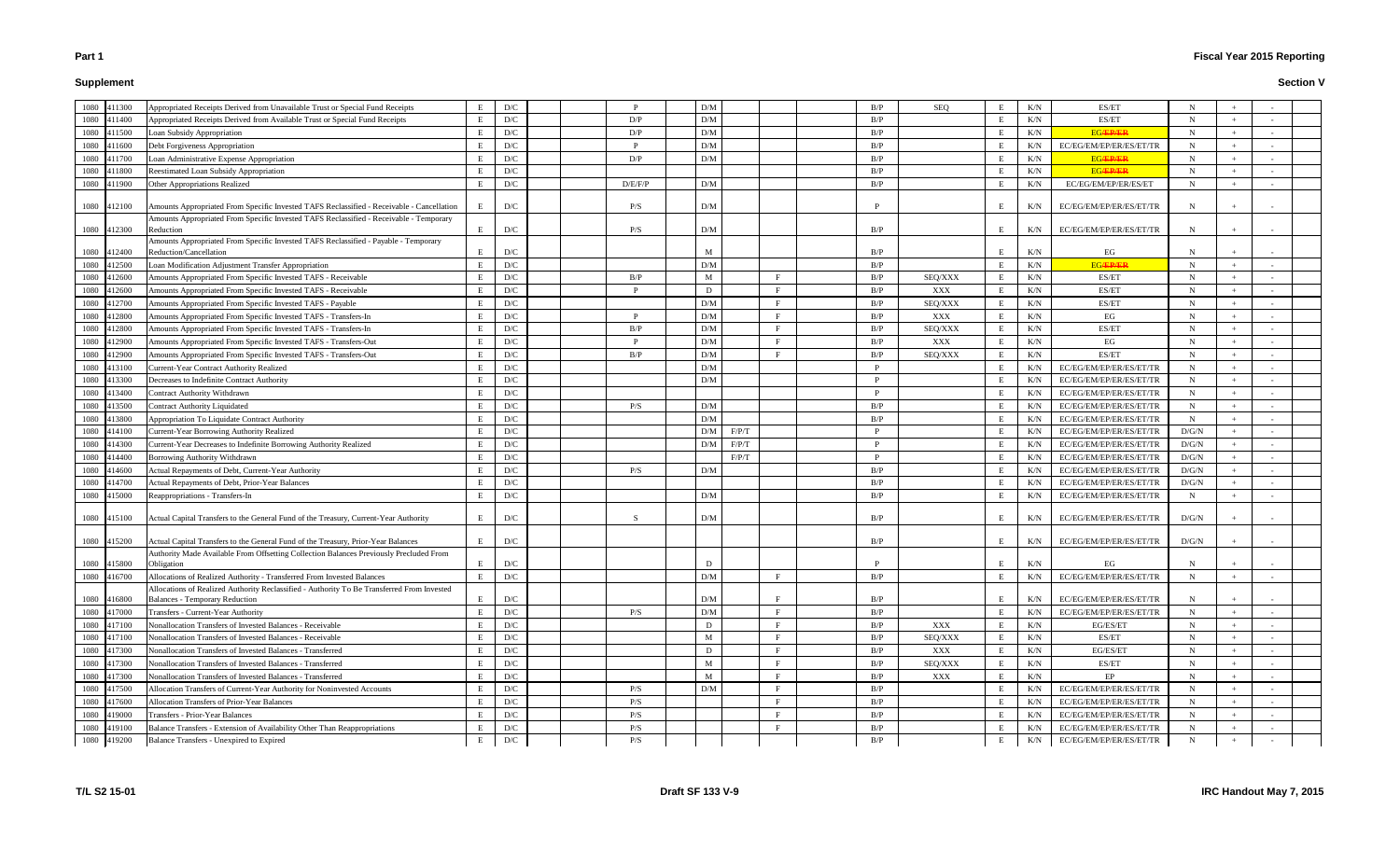# **Supplement**

# **Fiscal Year 2015 Reporting**

| 1080 | 411300      | Appropriated Receipts Derived from Unavailable Trust or Special Fund Receipts                       | E           | D/C                     | <sup>D</sup> | D/M                     |              | B/P | <b>SEQ</b> | E      | K/N | ES/ET                   | N           |     |  |
|------|-------------|-----------------------------------------------------------------------------------------------------|-------------|-------------------------|--------------|-------------------------|--------------|-----|------------|--------|-----|-------------------------|-------------|-----|--|
| 1080 | 411400      | Appropriated Receipts Derived from Available Trust or Special Fund Receipts                         | E           | D/C                     | D/P          | D/M                     |              | B/P |            | E      | K/N | ES/ET                   | $\mathbf N$ | $+$ |  |
| 1080 | 411500      | Loan Subsidy Appropriation                                                                          | E           | D/C                     | D/P          | D/M                     |              | B/P |            | E      | K/N | <b>EG/EP/ER</b>         | $\mathbf N$ | $+$ |  |
| 1080 | 411600      | Debt Forgiveness Appropriation                                                                      | E           | D/C                     | D            | D/M                     |              | B/P |            | E      | K/N | EC/EG/EM/EP/ER/ES/ET/TR | $\mathbf N$ | $+$ |  |
| 1080 | 411700      | Loan Administrative Expense Appropriation                                                           | E           | D/C                     | D/P          | D/M                     |              | B/P |            | E      | K/N | <b>EGÆPÆR</b>           | $\mathbf N$ | $+$ |  |
| 1080 | 411800      | Reestimated Loan Subsidy Appropriation                                                              | E           | D/C                     |              |                         |              | B/P |            | E      | K/N | <b>EG/EP/ER</b>         | $\mathbf N$ | $+$ |  |
| 1080 | 411900      | Other Appropriations Realized                                                                       | E           | D/C                     | D/E/F/P      | D/M                     |              | B/P |            | E      | K/N | EC/EG/EM/EP/ER/ES/ET    | N           | $+$ |  |
|      |             |                                                                                                     |             |                         |              |                         |              |     |            |        |     |                         |             |     |  |
| 1080 | 412100      | Amounts Appropriated From Specific Invested TAFS Reclassified - Receivable - Cancellation           | E           | D/C                     | P/S          | D/M                     |              |     |            | E      | K/N | EC/EG/EM/EP/ER/ES/ET/TR | N           |     |  |
| 1080 | 412300      | Amounts Appropriated From Specific Invested TAFS Reclassified - Receivable - Temporary<br>Reduction | E           | D/C                     | P/S          | D/M                     |              | B/P |            | E      | K/N | EC/EG/EM/EP/ER/ES/ET/TR | N           | $+$ |  |
|      |             | Amounts Appropriated From Specific Invested TAFS Reclassified - Payable - Temporary                 |             |                         |              |                         |              |     |            |        |     |                         |             |     |  |
| 1080 | 412400      | Reduction/Cancellation                                                                              | E           | D/C                     |              | M                       |              | B/P |            | E      | K/N | EG                      | N           |     |  |
| 1080 | 112500      | Loan Modification Adjustment Transfer Appropriation                                                 | E           | D/C                     |              | D/M                     |              | B/P |            | E      | K/N | <b>EG/EP/ER</b>         | $\mathbf N$ | $+$ |  |
| 1080 | 112600      | Amounts Appropriated From Specific Invested TAFS - Receivable                                       | E           | D/C                     | B/P          | M                       | $\mathbf{F}$ | B/P | SEQ/XXX    | E      | K/N | ES/ET                   | $\mathbf N$ | $+$ |  |
| 1080 | 12600       | Amounts Appropriated From Specific Invested TAFS - Receivable                                       | E           | D/C                     | D            | D                       | F            | B/P | XXX        | E      | K/N | ES/ET                   | N           |     |  |
| 1080 | 112700      | Amounts Appropriated From Specific Invested TAFS - Payable                                          | E           | $\mathbf{D}/\mathbf{C}$ |              | D/M                     | $\mathbf{F}$ | B/P | SEQ/XXX    | E      | K/N | ES/ET                   | N           |     |  |
| 1080 | 12800       | Amounts Appropriated From Specific Invested TAFS - Transfers-In                                     | E           | D/C                     | D            | D/M                     | F            | B/P | XXX        | E      | K/N | EG                      | N           |     |  |
| 1080 | 412800      | Amounts Appropriated From Specific Invested TAFS - Transfers-In                                     | E           | $\mathbf{D}/\mathbf{C}$ | B/P<br>D     | D/M                     | $\mathbf{F}$ | B/P | SEQ/XXX    | E      | K/N | ES/ET                   | N           | $+$ |  |
| 1080 | 412900      | Amounts Appropriated From Specific Invested TAFS - Transfers-Out                                    | E           | D/C                     |              | D/M                     | $\mathbf{F}$ | B/P | XXX        | E      | K/N | EG                      | $\mathbf N$ | $+$ |  |
| 1080 | 412900      | Amounts Appropriated From Specific Invested TAFS - Transfers-Out                                    | E           | D/C                     | B/P          | D/M                     | $\mathbf{F}$ | B/P | SEQ/XXX    | E      | K/N | ES/ET                   | N           | $+$ |  |
| 1080 | 413100      | Current-Year Contract Authority Realized                                                            | E           | D/C                     |              | D/M                     |              | P   |            | E      | K/N | EC/EG/EM/EP/ER/ES/ET/TR | $\mathbf N$ | $+$ |  |
| 1080 | 413300      | Decreases to Indefinite Contract Authority                                                          | E           | D/C                     |              | D/M                     |              | P   |            | E      | K/N | EC/EG/EM/EP/ER/ES/ET/TR | $\mathbf N$ | $+$ |  |
| 1080 | 413400      | Contract Authority Withdrawn                                                                        | E           | D/C                     |              |                         |              | P   |            | E      | K/N | EC/EG/EM/EP/ER/ES/ET/TR | $\mathbf N$ | $+$ |  |
| 1080 | 413500      | Contract Authority Liquidated                                                                       | E           | D/C                     | P/S          | D/M                     |              | B/P |            | E      | K/N | EC/EG/EM/EP/ER/ES/ET/TR | $\mathbf N$ | $+$ |  |
| 1080 | 113800      | Appropriation To Liquidate Contract Authority                                                       | E           | D/C                     |              | D/M                     |              | B/P |            | E      | K/N | EC/EG/EM/EP/ER/ES/ET/TR | $\mathbf N$ | $+$ |  |
| 1080 | 114100      | <b>Current-Year Borrowing Authority Realized</b>                                                    | E           | D/C                     |              | F/P/T<br>D/M            |              | P   |            | E      | K/N | EC/EG/EM/EP/ER/ES/ET/TR | D/G/N       |     |  |
| 1080 | 14300       | Current-Year Decreases to Indefinite Borrowing Authority Realized                                   | E           | D/C                     |              | D/M<br>F/P/T            |              | P   |            | E      | K/N | EC/EG/EM/EP/ER/ES/ET/TR | D/G/N       |     |  |
| 1080 | 114400      | Borrowing Authority Withdrawn                                                                       | E           | D/C                     |              | F/P/T                   |              | P   |            | E      | K/N | EC/EG/EM/EP/ER/ES/ET/TR | D/G/N       | $+$ |  |
| 1080 | 14600       | Actual Repayments of Debt, Current-Year Authority                                                   | E           | D/C                     | P/S          | D/M                     |              | B/P |            | E      | K/N | EC/EG/EM/EP/ER/ES/ET/TR | D/G/N       |     |  |
| 1080 | 414700      | Actual Repayments of Debt, Prior-Year Balances                                                      | E           | D/C                     |              |                         |              | B/P |            | E      | K/N | EC/EG/EM/EP/ER/ES/ET/TR | D/G/N       |     |  |
| 1080 | 115000      | Reappropriations - Transfers-In                                                                     | E           | D/C                     |              | D/M                     |              | B/P |            | E      | K/N | EC/EG/EM/EP/ER/ES/ET/TR | N           |     |  |
| 1080 | 415100      | Actual Capital Transfers to the General Fund of the Treasury, Current-Year Authority                | E           | D/C                     | -S           | D/M                     |              | B/P |            | E      | K/N | EC/EG/EM/EP/ER/ES/ET/TR | D/G/N       |     |  |
|      |             | Actual Capital Transfers to the General Fund of the Treasury, Prior-Year Balances                   |             |                         |              |                         |              |     |            |        |     |                         |             |     |  |
| 1080 | 415200      | Authority Made Available From Offsetting Collection Balances Previously Precluded From              | E           | D/C                     |              |                         |              | B/P |            | E      | K/N | EC/EG/EM/EP/ER/ES/ET/TR | D/G/N       |     |  |
|      | 1080 415800 | Obligation                                                                                          | E           | D/C                     |              | D                       |              |     |            | Е      | K/N | EG                      | N           | $+$ |  |
| 1080 | 416700      | Allocations of Realized Authority - Transferred From Invested Balances                              | $\,$ E $\,$ | D/C                     |              | $\mathbf{D}/\mathbf{M}$ | F            | B/P |            | $\,$ E | K/N | EC/EG/EM/EP/ER/ES/ET/TR | $\mathbf N$ | $+$ |  |
|      |             | Allocations of Realized Authority Reclassified - Authority To Be Transferred From Invested          |             |                         |              |                         |              |     |            |        |     |                         |             |     |  |
| 1080 | 416800      | <b>Balances - Temporary Reduction</b>                                                               | E           | D/C                     |              | D/M                     |              | B/P |            | E      | K/N | EC/EG/EM/EP/ER/ES/ET/TR | N           | $+$ |  |
| 1080 | 417000      | Transfers - Current-Year Authority                                                                  | $\mathbf E$ | D/C                     | P/S          | D/M                     | $\mathbf{F}$ | B/P |            | E      | K/N | EC/EG/EM/EP/ER/ES/ET/TR | N           | $+$ |  |
| 1080 | 417100      | Nonallocation Transfers of Invested Balances - Receivable                                           | E           | D/C                     |              | D                       | E            | B/P | XXX        | E      | K/N | EG/ES/ET                | $\mathbf N$ | $+$ |  |
| 1080 | 417100      | Nonallocation Transfers of Invested Balances - Receivable                                           | E           | D/C                     |              | M                       | F            | B/P | SEQ/XXX    | E      | K/N | ES/ET                   | N           | $+$ |  |
| 1080 | 417300      | Nonallocation Transfers of Invested Balances - Transferred                                          | E           | D/C                     |              | D                       | $\mathbf{F}$ | B/P | XXX        | E      | K/N | EG/ES/ET                | $\mathbf N$ | $+$ |  |
| 1080 | 417300      | Nonallocation Transfers of Invested Balances - Transferred                                          | E           | D/C                     |              | M                       | F            | B/P | SEQ/XXX    | E      | K/N | ES/ET                   | $\mathbf N$ | $+$ |  |
| 1080 | 417300      | Nonallocation Transfers of Invested Balances - Transferred                                          | E           | D/C                     |              | M                       | F            | B/P | XXX        | E      | K/N | EP                      | N           | $+$ |  |
| 1080 | 417500      | Allocation Transfers of Current-Year Authority for Noninvested Accounts                             | E           | D/C                     | P/S          | D/M                     | F            | B/P |            | E      | K/N | EC/EG/EM/EP/ER/ES/ET/TR | $\mathbf N$ | $+$ |  |
| 1080 | 417600      | Allocation Transfers of Prior-Year Balances                                                         | E           | D/C                     | P/S          |                         | $\mathbf{F}$ | B/P |            | E      | K/N | EC/EG/EM/EP/ER/ES/ET/TR | $\mathbf N$ | $+$ |  |
| 1080 | 419000      | Transfers - Prior-Year Balances                                                                     | E           | D/C                     | P/S          |                         | $\mathbf{F}$ | B/P |            | E      | K/N | EC/EG/EM/EP/ER/ES/ET/TR | $\mathbf N$ | $+$ |  |
| 1080 | 419100      | Balance Transfers - Extension of Availability Other Than Reappropriations                           | E           | D/C                     | P/S          |                         | $\mathbf{F}$ | B/P |            | E      | K/N | EC/EG/EM/EP/ER/ES/ET/TR | $\mathbf N$ | $+$ |  |
| 1080 | 419200      | Balance Transfers - Unexpired to Expired                                                            | E           | D/C                     | P/S          |                         |              | B/P |            | E      | K/N | EC/EG/EM/EP/ER/ES/ET/TR | N           | $+$ |  |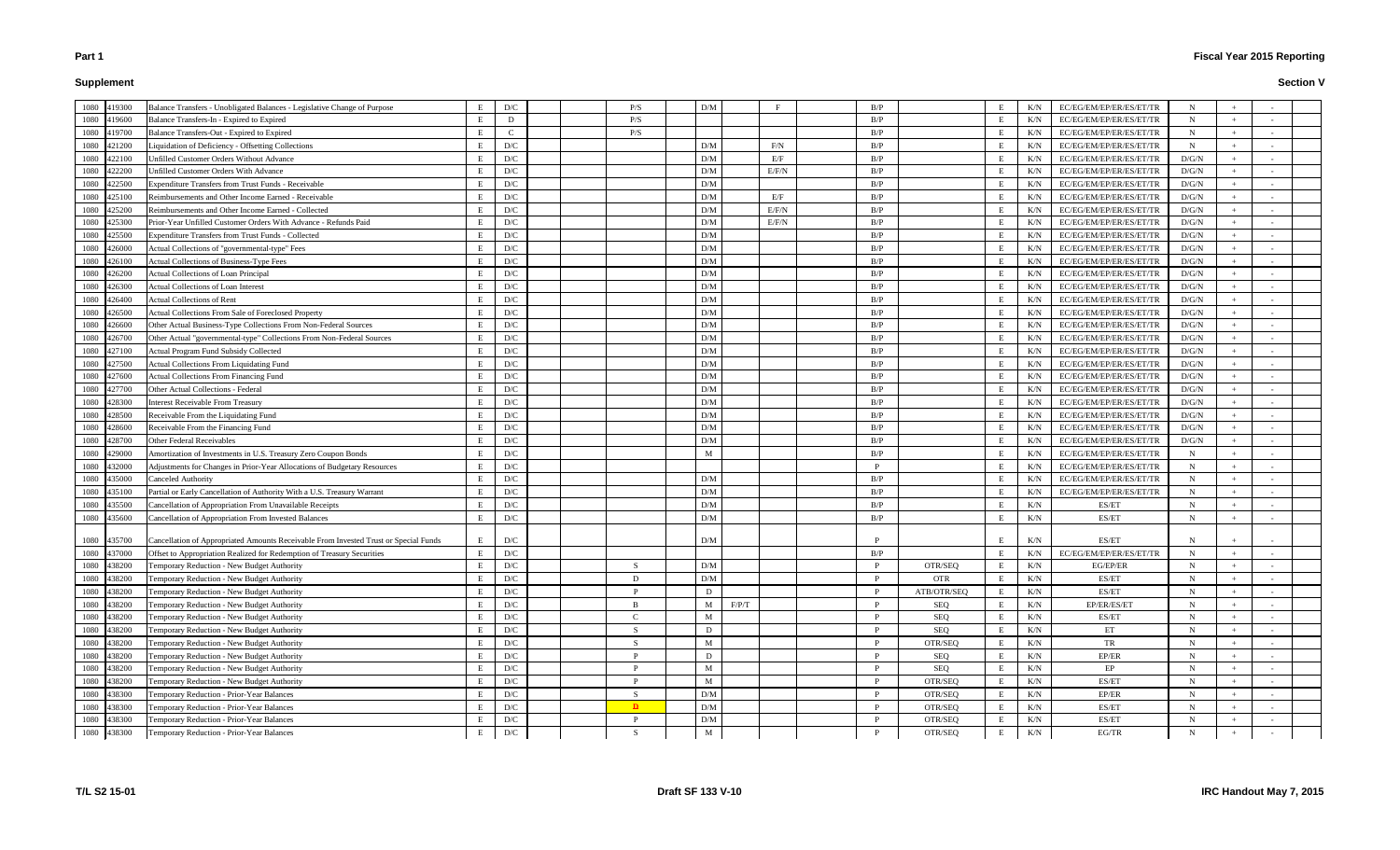# **Supplement**

| 1080         | 419300           | Balance Transfers - Unobligated Balances - Legislative Change of Purpose                 | E      | D/C                     | P/S          | D/M        |       |       | B/P          |                       | E      | K/N        | EC/EG/EM/EP/ER/ES/ET/TR | N           |            |        |  |
|--------------|------------------|------------------------------------------------------------------------------------------|--------|-------------------------|--------------|------------|-------|-------|--------------|-----------------------|--------|------------|-------------------------|-------------|------------|--------|--|
| 1080         | 419600           | Balance Transfers-In - Expired to Expired                                                | E      | D                       | P/S          |            |       |       | B/P          |                       |        | K/N        | EC/EG/EM/EP/ER/ES/ET/TR | N           |            |        |  |
| 1080         | 119700           | Balance Transfers-Out - Expired to Expired                                               |        | $\mathcal{C}$           | P/S          |            |       |       | B/P          |                       |        | K/N        | EC/EG/EM/EP/ER/ES/ET/TR | N           |            |        |  |
| 1080         | 421200           | iquidation of Deficiency - Offsetting Collections                                        | Е      | D/C                     |              | D/M        |       | F/N   | B/P          |                       | Е      | K/N        | EC/EG/EM/EP/ER/ES/ET/TR | N           |            |        |  |
| 1080         | 122100           | Infilled Customer Orders Without Advance                                                 | Е      | D/C                     |              | D/M        |       | E/F   | B/P          |                       | E      | K/N        | EC/EG/EM/EP/ER/ES/ET/TR | D/G/N       |            |        |  |
| 1080         | 122200           | <b>Jnfilled Customer Orders With Advance</b>                                             | Е      | D/C                     |              | D/M        |       | E/F/N | B/P          |                       | E      | K/N        | EC/EG/EM/EP/ER/ES/ET/TR | D/G/N       |            |        |  |
| 1080         | 422500           | <b>Expenditure Transfers from Trust Funds - Receivable</b>                               | E      | D/C                     |              | D/M        |       |       | B/P          |                       | E      | K/N        | EC/EG/EM/EP/ER/ES/ET/TR | D/G/N       |            |        |  |
| 1080         | 25100            | Reimbursements and Other Income Earned - Receivable                                      |        | $\mathbf{D}/\mathbf{C}$ |              | D/M        |       | E/F   | B/P          |                       |        | K/N        | EC/EG/EM/EP/ER/ES/ET/TR | D/G/N       |            |        |  |
| 1080         | 25200            | Reimbursements and Other Income Earned - Collected                                       |        | D/C                     |              | D/M        |       | E/F/N | B/P          |                       |        | K/N        | EC/EG/EM/EP/ER/ES/ET/TR | D/G/N       |            |        |  |
| 1080         | 125300           | Prior-Year Unfilled Customer Orders With Advance - Refunds Paid                          | Е      | D/C                     |              | D/M        |       | E/F/N | B/P          |                       | E      | K/N        | EC/EG/EM/EP/ER/ES/ET/TR | D/G/N       |            |        |  |
| 1080         | 125500           | Expenditure Transfers from Trust Funds - Collected                                       | Е      | D/C                     |              | D/M        |       |       | B/P          |                       | E      | K/N        | EC/EG/EM/EP/ER/ES/ET/TR | D/G/N       |            |        |  |
| 1080         | 426000           | Actual Collections of "governmental-type" Fees                                           | E      | D/C                     |              | D/M        |       |       | B/P          |                       | - E    | K/N        | EC/EG/EM/EP/ER/ES/ET/TR | D/G/N       |            |        |  |
| 1080         | 426100           | Actual Collections of Business-Type Fees                                                 | E      | D/C                     |              | D/M        |       |       | B/P          |                       | E      | K/N        | EC/EG/EM/EP/ER/ES/ET/TR | D/G/N       |            |        |  |
| 1080         | 426200           | <b>Actual Collections of Loan Principal</b>                                              | E      | D/C                     |              | D/M        |       |       | B/P          |                       | E      | K/N        | EC/EG/EM/EP/ER/ES/ET/TR | D/G/N       |            |        |  |
| 1080         | 426300           | <b>Actual Collections of Loan Interest</b>                                               | E      | D/C                     |              | D/M        |       |       | B/P          |                       | E      | K/N        | EC/EG/EM/EP/ER/ES/ET/TR | D/G/N       | $\pm$      |        |  |
| 1080         | 426400           | <b>Actual Collections of Rent</b>                                                        |        | $\mathbf{D}/\mathbf{C}$ |              | D/M        |       |       | B/P          |                       |        | K/N        | EC/EG/EM/EP/ER/ES/ET/TR | D/G/N       |            |        |  |
| 1080         | 126500           | <b>Actual Collections From Sale of Foreclosed Property</b>                               |        | $\mathbf{D}/\mathbf{C}$ |              | D/M        |       |       | B/P          |                       | E      | K/N        | EC/EG/EM/EP/ER/ES/ET/TR | D/G/N       |            |        |  |
| 1080         | 126600           | Other Actual Business-Type Collections From Non-Federal Sources                          | Е      | D/C                     |              | D/M        |       |       | B/P          |                       | E      | K/N        | EC/EG/EM/EP/ER/ES/ET/TR | D/G/N       |            |        |  |
| 1080         | 426700           | Other Actual "governmental-type" Collections From Non-Federal Sources                    | E      | D/C                     |              | D/M        |       |       | B/P          |                       | E      | K/N        | EC/EG/EM/EP/ER/ES/ET/TR | D/G/N       |            |        |  |
| 1080         | 127100           | Actual Program Fund Subsidy Collected                                                    |        | $\mathbf{D}/\mathbf{C}$ |              | D/M        |       |       | B/P          |                       | E      | K/N        | EC/EG/EM/EP/ER/ES/ET/TR | D/G/N       |            |        |  |
| 1080         | 27500            | <b>Actual Collections From Liquidating Fund</b>                                          |        | D/C                     |              | D/M        |       |       | B/P          |                       |        | K/N        | EC/EG/EM/EP/ER/ES/ET/TR | D/G/N       |            |        |  |
| 1080         | 427600           | <b>Actual Collections From Financing Fund</b>                                            |        | D/C                     |              | D/M        |       |       | B/P          |                       |        | K/N        | EC/EG/EM/EP/ER/ES/ET/TR | D/G/N       |            |        |  |
| 1080         | 427700           | Other Actual Collections - Federal                                                       | Е      | D/C                     |              | D/M        |       |       | B/P          |                       | E      | K/N        | EC/EG/EM/EP/ER/ES/ET/TR | D/G/N       |            |        |  |
| 1080         | 428300           | nterest Receivable From Treasury                                                         | E      | D/C                     |              | D/M        |       |       | B/P          |                       | E      | K/N        | EC/EG/EM/EP/ER/ES/ET/TR | D/G/N       |            |        |  |
| 1080         | 428500           | Receivable From the Liquidating Fund                                                     | Е      | D/C                     |              | D/M        |       |       | B/P          |                       | E      | K/N        | EC/EG/EM/EP/ER/ES/ET/TR | D/G/N       | $+$        |        |  |
| 1080         | 428600           | Receivable From the Financing Fund                                                       |        | D/C                     |              | D/M        |       |       | B/P          |                       |        | K/N        | EC/EG/EM/EP/ER/ES/ET/TR | D/G/N       |            |        |  |
| 1080         | 428700           | Other Federal Receivables                                                                |        | D/C                     |              | D/M        |       |       | B/P          |                       |        | K/N        | EC/EG/EM/EP/ER/ES/ET/TR | D/G/N       |            |        |  |
| 1080         | 129000           | Amortization of Investments in U.S. Treasury Zero Coupon Bonds                           | Е      | D/C                     |              | M          |       |       | B/P          |                       |        | K/N        | EC/EG/EM/EP/ER/ES/ET/TR | N           | $+$        |        |  |
| 1080         | 132000           | Adjustments for Changes in Prior-Year Allocations of Budgetary Resources                 | Е      | D/C                     |              |            |       |       | P            |                       | E      | K/N        | EC/EG/EM/EP/ER/ES/ET/TR | N           | $+$        |        |  |
| 1080         | 35000            | Canceled Authority                                                                       |        | D/C                     |              | D/M        |       |       | B/P          |                       | E      | K/N        | EC/EG/EM/EP/ER/ES/ET/TR | N           |            |        |  |
| 1080         | 135100           | Partial or Early Cancellation of Authority With a U.S. Treasury Warrant                  | E      | D/C                     |              | D/M        |       |       | B/P          |                       | E      | K/N        | EC/EG/EM/EP/ER/ES/ET/TR | N           |            |        |  |
| 1080         | 35500            | Cancellation of Appropriation From Unavailable Receipts                                  |        | $\mathbf{D}/\mathbf{C}$ |              | D/M        |       |       | B/P          |                       |        | K/N        | ES/ET                   | N           |            |        |  |
| 1080         | 435600           | Cancellation of Appropriation From Invested Balances                                     | E      | D/C                     |              | D/M        |       |       | B/P          |                       | - E    | K/N        | ES/ET                   | N           |            |        |  |
|              |                  |                                                                                          |        |                         |              |            |       |       |              |                       |        |            |                         |             |            |        |  |
| 1080         | 435700<br>437000 | Cancellation of Appropriated Amounts Receivable From Invested Trust or Special Funds     | Е      | D/C                     |              | D/M        |       |       |              |                       |        | K/N        | ES/ET                   | N           |            |        |  |
| 1080         |                  | Offset to Appropriation Realized for Redemption of Treasury Securities                   | E      | D/C                     |              |            |       |       | B/P<br>P     |                       | E.     | K/N<br>K/N | EC/EG/EM/EP/ER/ES/ET/TR | N           | $+$        |        |  |
| 1080<br>1080 | 438200<br>438200 | Temporary Reduction - New Budget Authority<br>Temporary Reduction - New Budget Authority | E<br>E | D/C<br>D/C              | S<br>D       | D/M<br>D/M |       |       | $\mathbf{P}$ | OTR/SEQ<br><b>OTR</b> | E<br>E | K/N        | EG/EP/ER<br>ES/ET       | N<br>N      | $+$<br>$+$ |        |  |
| 1080         | 438200           | Temporary Reduction - New Budget Authority                                               | E      | $\mathbf{D}/\mathbf{C}$ | D            | D          |       |       | $\mathbf{P}$ | ATB/OTR/SEQ           | E      | K/N        | ES/ET                   | N           | $+$        |        |  |
| 1080         | 438200           | Temporary Reduction - New Budget Authority                                               |        | D/C                     | B            | M          | F/P/T |       | $\mathbf{P}$ | SEQ                   |        | K/N        | EP/ER/ES/ET             | N           | $+$        |        |  |
| 1080         | 438200           | Temporary Reduction - New Budget Authority                                               | Е      | D/C                     | $\mathsf{C}$ | M          |       |       | $\mathbf{P}$ | SEQ                   | E      | K/N        | ES/ET                   | $\mathbf N$ | $+$        |        |  |
| 1080         | 438200           | Temporary Reduction - New Budget Authority                                               | E      | D/C                     | -S           | D          |       |       | $\mathbf{P}$ | SEQ                   | E      | K/N        | ET                      | N           | $+$        |        |  |
| 1080         | 438200           | Temporary Reduction - New Budget Authority                                               | E      | D/C                     | S.           | M          |       |       | $\mathbf{P}$ | OTR/SEQ               | E      | K/N        | TR                      | N           | $+$        |        |  |
| 1080         | 438200           | Temporary Reduction - New Budget Authority                                               | E      | D/C                     | D            | D          |       |       | $\mathbf{P}$ | SEQ                   | E      | K/N        | EP/ER                   | N           | $+$        |        |  |
| 1080         | 438200           | Temporary Reduction - New Budget Authority                                               | E      | D/C                     | $\mathbf{D}$ | M          |       |       | $\mathbf{P}$ | SEQ                   | E      | K/N        | EP                      | N           |            |        |  |
| 1080         | 438200           | Temporary Reduction - New Budget Authority                                               | E      | D/C                     | D            | M          |       |       | $\mathbf{P}$ | OTR/SEQ               | E      | K/N        | ES/ET                   | N           | $+$        |        |  |
| 1080         | 438300           | Temporary Reduction - Prior-Year Balances                                                | E      | D/C                     | - S          | D/M        |       |       | $\mathbf{P}$ | OTR/SEQ               | E      | K/N        | EP/ER                   | N           | $+$        |        |  |
| 1080         | 438300           | Temporary Reduction - Prior-Year Balances                                                | E      | D/C                     | $\mathbf{P}$ | D/M        |       |       | P            | OTR/SEQ               | E      | K/N        | ES/ET                   | N           | $+$        |        |  |
| 1080         | 438300           | Temporary Reduction - Prior-Year Balances                                                | E      | D/C                     | D            | D/M        |       |       | $\mathbf{P}$ | OTR/SEQ               | E      | K/N        | ES/ET                   | N           | $+$        |        |  |
|              | 1080 438300      | Temporary Reduction - Prior-Year Balances                                                | E      | D/C                     | S            | M          |       |       | $\mathbf{P}$ | OTR/SEQ               | E      | K/N        | $EG/TR$                 | $\mathbf N$ | $+$        | $\sim$ |  |
|              |                  |                                                                                          |        |                         |              |            |       |       |              |                       |        |            |                         |             |            |        |  |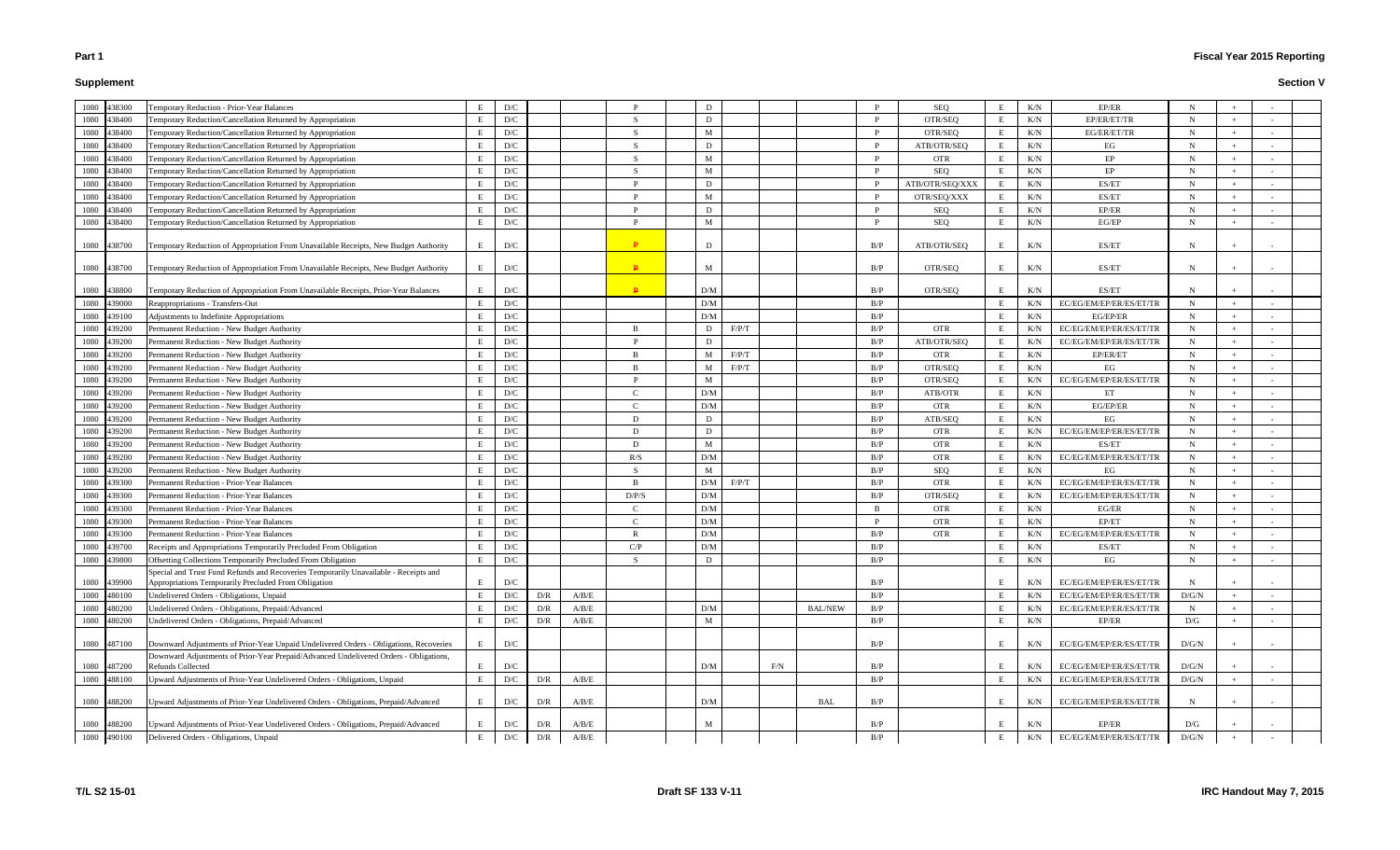# **Supplement**

# **Fiscal Year 2015 Reporting**

| 1080<br>438300 | Temporary Reduction - Prior-Year Balances                                                                  | Е  | D/C                     |     |       |               | D   |       |     |                | P            | SEQ             | E   | K/N       | EP/ER                   | N           |     |            |  |
|----------------|------------------------------------------------------------------------------------------------------------|----|-------------------------|-----|-------|---------------|-----|-------|-----|----------------|--------------|-----------------|-----|-----------|-------------------------|-------------|-----|------------|--|
| 1080<br>438400 | Temporary Reduction/Cancellation Returned by Appropriation                                                 | Е  | $\mathbf{D}/\mathbf{C}$ |     |       | $\mathcal{S}$ | D   |       |     |                | $\mathbf{P}$ | OTR/SEQ         | E   | K/N       | EP/ER/ET/TR             | N           |     |            |  |
| 1080<br>438400 | Temporary Reduction/Cancellation Returned by Appropriation                                                 | E. | D/C                     |     |       | <sup>S</sup>  | M   |       |     |                | P            | OTR/SEQ         |     | K/N       | EG/ER/ET/TR             | N           |     |            |  |
| 1080<br>438400 | Temporary Reduction/Cancellation Returned by Appropriation                                                 | E  | D/C                     |     |       | - S           | D   |       |     |                | $\mathbf{P}$ | ATB/OTR/SEQ     |     | K/N       | EG                      | N           |     |            |  |
| 1080<br>438400 | Temporary Reduction/Cancellation Returned by Appropriation                                                 | Е  | D/C                     |     |       | - S           | M   |       |     |                | P            | <b>OTR</b>      | E   | K/N       | EP                      | N           |     |            |  |
| 1080<br>438400 | Temporary Reduction/Cancellation Returned by Appropriation                                                 | Е  | D/C                     |     |       | - S           | M   |       |     |                | P            | SEQ             | E   | K/N       | EP                      | N           |     |            |  |
| 1080<br>438400 | Temporary Reduction/Cancellation Returned by Appropriation                                                 | E  | D/C                     |     |       |               | D   |       |     |                | <sup>D</sup> | ATB/OTR/SEQ/XXX |     | K/N       | ES/ET                   | N           |     |            |  |
| 1080<br>438400 | Temporary Reduction/Cancellation Returned by Appropriation                                                 | E  | D/C                     |     |       | D             | M   |       |     |                | $\mathbf{P}$ | OTR/SEQ/XXX     | E   | K/N       | ES/ET                   | N           |     |            |  |
| 1080<br>438400 | Temporary Reduction/Cancellation Returned by Appropriation                                                 | E  | D/C                     |     |       | Ð             | D   |       |     |                | $\mathbf{P}$ | SEQ             |     | K/N       | EP/ER                   | N           |     |            |  |
| 438400<br>1080 | Temporary Reduction/Cancellation Returned by Appropriation                                                 | E  | D/C                     |     |       |               | M   |       |     |                | <sup>D</sup> | SEQ             |     | $\rm K/N$ | EG/EP                   | N           |     |            |  |
| 1080 438700    | Temporary Reduction of Appropriation From Unavailable Receipts, New Budget Authority                       | E  | D/C                     |     |       | $\mathbf{P}$  | D   |       |     |                | B/P          | ATB/OTR/SEQ     | E   | K/N       | ES/ET                   | N           |     |            |  |
| 1080 438700    | Temporary Reduction of Appropriation From Unavailable Receipts, New Budget Authority                       | E  | D/C                     |     |       | $\mathbf{P}$  | M   |       |     |                | B/P          | OTR/SEQ         | E   | K/N       | ES/ET                   | N           |     |            |  |
| 1080 438800    | Temporary Reduction of Appropriation From Unavailable Receipts, Prior-Year Balances                        | E  | $\mathbf{D}/\mathbf{C}$ |     |       | $\mathbf{p}$  | D/M |       |     |                | B/P          | OTR/SEQ         |     | K/N       | ES/ET                   | N           |     |            |  |
| 1080<br>439000 | Reappropriations - Transfers-Out                                                                           | Е  | $\mathbf{D}/\mathbf{C}$ |     |       |               | D/M |       |     |                | B/P          |                 |     | K/N       | EC/EG/EM/EP/ER/ES/ET/TR | N           |     |            |  |
| 1080<br>439100 | Adjustments to Indefinite Appropriations                                                                   | Е  | D/C                     |     |       |               | D/M |       |     |                | B/P          |                 | E   | K/N       | EG/EP/ER                | N           |     |            |  |
| 1080<br>439200 | Permanent Reduction - New Budget Authority                                                                 | E  | D/C                     |     |       | -B            | D   | F/P/T |     |                | B/P          | <b>OTR</b>      | - E | K/N       | EC/EG/EM/EP/ER/ES/ET/TR | N           |     |            |  |
| 1080<br>439200 | Permanent Reduction - New Budget Authority                                                                 | Е  | D/C                     |     |       | D             | D   |       |     |                | B/P          | ATB/OTR/SEQ     | E   | K/N       | EC/EG/EM/EP/ER/ES/ET/TR | N           |     |            |  |
| 1080<br>439200 | Permanent Reduction - New Budget Authority                                                                 | E  | D/C                     |     |       | -B            | M   | F/P/T |     |                | B/P          | <b>OTR</b>      |     | K/N       | EP/ER/ET                | N           |     |            |  |
| 1080<br>439200 | Permanent Reduction - New Budget Authority                                                                 | E  | $\mathbf{D}/\mathbf{C}$ |     |       | -B            | M   | F/P/T |     |                | B/P          | OTR/SEQ         |     | K/N       | EG                      | $\mathbf N$ |     |            |  |
| 1080<br>439200 | Permanent Reduction - New Budget Authority                                                                 | Е  | $\mathbf{D}/\mathbf{C}$ |     |       |               | M   |       |     |                | B/P          | OTR/SEQ         |     | K/N       | EC/EG/EM/EP/ER/ES/ET/TR | N           |     |            |  |
| 1080<br>439200 | Permanent Reduction - New Budget Authority                                                                 | Е  | D/C                     |     |       | $\sqrt{ }$    | D/M |       |     |                | B/P          | ATB/OTR         | E   | K/N       | ET                      | N           |     |            |  |
| 1080<br>439200 | Permanent Reduction - New Budget Authority                                                                 | E  | D/C                     |     |       | $\Gamma$      | D/M |       |     |                | B/P          | <b>OTR</b>      | E   | K/N       | EG/EP/ER                | $\mathbf N$ |     |            |  |
| 1080<br>439200 | Permanent Reduction - New Budget Authority                                                                 | E  | D/C                     |     |       | D             | D   |       |     |                | B/P          | ATB/SEQ         | E   | K/N       | EG                      | N           |     |            |  |
| 1080<br>439200 | Permanent Reduction - New Budget Authority                                                                 | E  | $\mathbf{D}/\mathbf{C}$ |     |       | - D           | D   |       |     |                | B/P          | <b>OTR</b>      |     | K/N       | EC/EG/EM/EP/ER/ES/ET/TR | N           |     |            |  |
| 1080<br>439200 | Permanent Reduction - New Budget Authority                                                                 | E  | $\mathbf{D}/\mathbf{C}$ |     |       | $\mathbf{D}$  | M   |       |     |                | B/P          | <b>OTR</b>      |     | K/N       | ES/ET                   | N           |     |            |  |
| 1080<br>439200 | Permanent Reduction - New Budget Authority                                                                 | Е  | $\mathbf{D}/\mathbf{C}$ |     |       | R/S           | D/M |       |     |                | B/P          | <b>OTR</b>      |     | K/N       | EC/EG/EM/EP/ER/ES/ET/TR | N           |     |            |  |
| 1080<br>439200 | Permanent Reduction - New Budget Authority                                                                 | Е  | D/C                     |     |       | -S            | M   |       |     |                | B/P          | SEQ             |     | K/N       | EG                      | N           |     |            |  |
| 1080<br>439300 | <b>Permanent Reduction - Prior-Year Balances</b>                                                           | Е  | D/C                     |     |       | - B           | D/M | F/P/T |     |                | B/P          | <b>OTR</b>      | E   | K/N       | EC/EG/EM/EP/ER/ES/ET/TR | N           |     |            |  |
| 1080<br>439300 | Permanent Reduction - Prior-Year Balances                                                                  | E  | $\mathbf{D}/\mathbf{C}$ |     |       | D/P/S         | D/M |       |     |                | B/P          | OTR/SEQ         | E   | K/N       | EC/EG/EM/EP/ER/ES/ET/TR | N           |     |            |  |
| 1080<br>439300 | Permanent Reduction - Prior-Year Balances                                                                  | E  | $\mathbf{D}/\mathbf{C}$ |     |       | $\Gamma$      | D/M |       |     |                | B            | <b>OTR</b>      |     | K/N       | $EG/ER$                 | $\mathbf N$ |     |            |  |
| 439300<br>1080 | Permanent Reduction - Prior-Year Balances                                                                  | Е  | D/C                     |     |       | $\sqrt{ }$    | D/M |       |     |                | P            | <b>OTR</b>      | E   | K/N       | EP/ET                   | $\mathbf N$ |     |            |  |
| 1080<br>439300 | Permanent Reduction - Prior-Year Balances                                                                  | E. | D/C                     |     |       | R             | D/M |       |     |                | B/P          | <b>OTR</b>      |     | K/N       | EC/EG/EM/EP/ER/ES/ET/TR | N           |     |            |  |
| 1080<br>439700 | Receipts and Appropriations Temporarily Precluded From Obligation                                          | Е  | D/C                     |     |       | C/P           | D/M |       |     |                | B/P          |                 |     | K/N       | ES/ET                   | N           |     |            |  |
| 1080 439800    | Offsetting Collections Temporarily Precluded From Obligation                                               | Е  | D/C                     |     |       | <sub>S</sub>  | D   |       |     |                | B/P          |                 | E   | K/N       | EG                      | $\mathbf N$ | $+$ | $\sim$ $-$ |  |
|                | Special and Trust Fund Refunds and Recoveries Temporarily Unavailable - Receipts and                       |    |                         |     |       |               |     |       |     |                |              |                 |     |           |                         |             |     |            |  |
| 1080 439900    | Appropriations Temporarily Precluded From Obligation                                                       | E  | D/C                     |     |       |               |     |       |     |                | B/P          |                 |     | K/N       | EC/EG/EM/EP/ER/ES/ET/TR | N           |     |            |  |
| 1080<br>480100 | Undelivered Orders - Obligations, Unpaid                                                                   | E  | $\mathbf{D}/\mathbf{C}$ | D/R | A/B/E |               |     |       |     |                | B/P          |                 | E   | K/N       | EC/EG/EM/EP/ER/ES/ET/TR | D/G/N       |     |            |  |
| 1080<br>480200 | Undelivered Orders - Obligations, Prepaid/Advanced                                                         | Е  | $\mathbf{D}/\mathbf{C}$ | D/R | A/B/E |               | D/M |       |     | <b>BAL/NEW</b> | B/P          |                 | E   | K/N       | EC/EG/EM/EP/ER/ES/ET/TR | $\mathbf N$ |     |            |  |
| 1080<br>480200 | Undelivered Orders - Obligations, Prepaid/Advanced                                                         | Е  | $\mathbf{D}/\mathbf{C}$ | D/R | A/B/E |               | M   |       |     |                | B/P          |                 | E   | K/N       | EP/ER                   | D/G         |     |            |  |
|                |                                                                                                            |    |                         |     |       |               |     |       |     |                |              |                 |     |           |                         |             |     |            |  |
| 1080 487100    | Downward Adjustments of Prior-Year Unpaid Undelivered Orders - Obligations, Recoveries                     | E  | D/C                     |     |       |               |     |       |     |                | B/P          |                 | E   | K/N       | EC/EG/EM/EP/ER/ES/ET/TR | D/G/N       |     |            |  |
| 1080 487200    | Downward Adjustments of Prior-Year Prepaid/Advanced Undelivered Orders - Obligations,<br>Refunds Collected | E  | D/C                     |     |       |               | D/M |       | F/N |                | B/P          |                 |     | K/N       | EC/EG/EM/EP/ER/ES/ET/TR | D/G/N       |     |            |  |
| 488100<br>1080 | Upward Adjustments of Prior-Year Undelivered Orders - Obligations, Unpaid                                  | E  | $\mathbf{D}/\mathbf{C}$ | D/R | A/B/E |               |     |       |     |                | B/P          |                 | E   | K/N       | EC/EG/EM/EP/ER/ES/ET/TR | D/G/N       |     |            |  |
|                |                                                                                                            |    |                         |     |       |               |     |       |     |                |              |                 |     |           |                         |             |     |            |  |
| 488200<br>1080 | Upward Adjustments of Prior-Year Undelivered Orders - Obligations, Prepaid/Advanced                        | E  | D/C                     | D/R | A/B/E |               | D/M |       |     | <b>BAL</b>     | B/P          |                 | E   | K/N       | EC/EG/EM/EP/ER/ES/ET/TR | N           |     |            |  |
| 1080 488200    | Upward Adjustments of Prior-Year Undelivered Orders - Obligations, Prepaid/Advanced                        | E  | $\mathbf{D}/\mathbf{C}$ | D/R | A/B/E |               | M   |       |     |                | B/P          |                 |     | K/N       | EP/ER                   | D/G         |     |            |  |
| 1080 490100    | Delivered Orders - Obligations, Unpaid                                                                     | Е  | D/C                     | D/R | A/B/E |               |     |       |     |                | B/P          |                 | E   | $\rm K/N$ | EC/EG/EM/EP/ER/ES/ET/TR | D/G/N       |     |            |  |
|                |                                                                                                            |    |                         |     |       |               |     |       |     |                |              |                 |     |           |                         |             |     |            |  |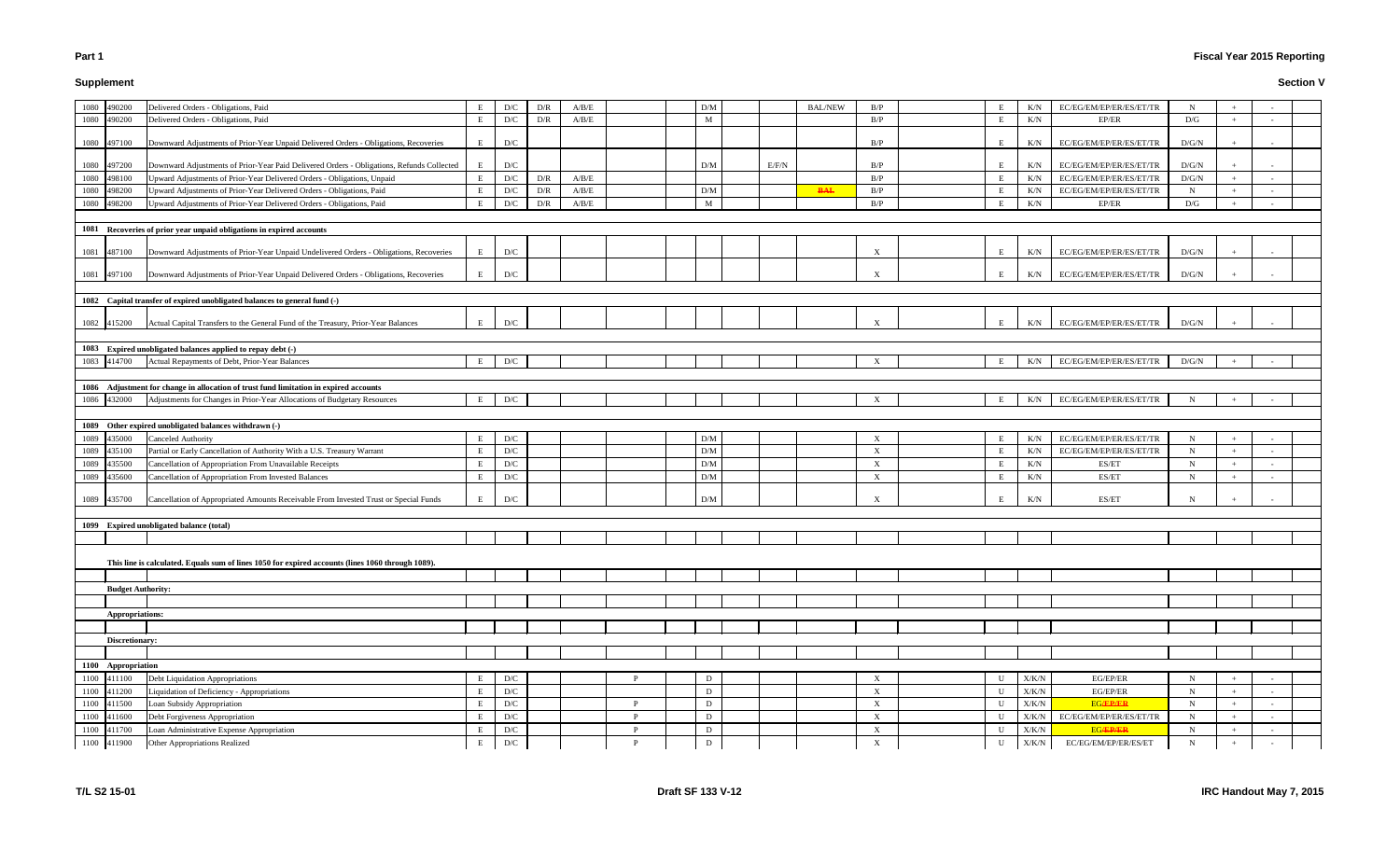# **Supplement**

# **Fiscal Year 2015 Reporting**

| E           | K/N       | EC/EG/EM/EP/ER/ES/ET/TR | ${\bf N}$               | $\! +$            | $\overline{\phantom{a}}$ |  |
|-------------|-----------|-------------------------|-------------------------|-------------------|--------------------------|--|
| E           | K/N       | EP/ER                   | $\mathbf{D}/\mathbf{G}$ | $\boldsymbol{+}$  | $\overline{\phantom{a}}$ |  |
|             |           |                         |                         |                   |                          |  |
| E           | K/N       | EC/EG/EM/EP/ER/ES/ET/TR | D/G/N                   | $^+$              | $\overline{\phantom{a}}$ |  |
|             |           |                         |                         |                   |                          |  |
| E           | K/N       | EC/EG/EM/EP/ER/ES/ET/TR | D/G/N                   | $+$               | $\blacksquare$           |  |
| E           | $\rm K/N$ | EC/EG/EM/EP/ER/ES/ET/TR | $\rm{D/G/N}$            | $^+$              | $\blacksquare$           |  |
| Е           | K/N       | EC/EG/EM/EP/ER/ES/ET/TR | N                       | $\! +$            | $\overline{\phantom{a}}$ |  |
| E           | K/N       | EP/ER                   | D/G                     | $^+$              | $\overline{\phantom{a}}$ |  |
|             |           |                         |                         |                   |                          |  |
|             |           |                         |                         |                   |                          |  |
| $\mathbf E$ | K/N       | EC/EG/EM/EP/ER/ES/ET/TR | D/G/N                   | $+$               | $\overline{\phantom{a}}$ |  |
|             |           |                         |                         |                   |                          |  |
| E           | K/N       | EC/EG/EM/EP/ER/ES/ET/TR | D/G/N                   | $\! + \!\!\!\!$   |                          |  |
|             |           |                         |                         |                   |                          |  |
|             |           |                         |                         |                   |                          |  |
|             |           |                         |                         |                   |                          |  |
| E           | K/N       | EC/EG/EM/EP/ER/ES/ET/TR | $\rm{D/G/N}$            | $\! + \!\!\!\!$   |                          |  |
|             |           |                         |                         |                   |                          |  |
|             |           |                         |                         |                   |                          |  |
| E           | $\rm K/N$ | EC/EG/EM/EP/ER/ES/ET/TR | $\rm{D/G/N}$            | $^+$              | $\overline{\phantom{a}}$ |  |
|             |           |                         |                         |                   |                          |  |
|             |           |                         |                         |                   |                          |  |
| E           | K/N       | EC/EG/EM/EP/ER/ES/ET/TR | ${\bf N}$               | $^+$              | $\sim$                   |  |
|             |           |                         |                         |                   |                          |  |
|             |           |                         |                         |                   |                          |  |
| E           | K/N       | EC/EG/EM/EP/ER/ES/ET/TR | N                       | $^+$              | $\overline{\phantom{a}}$ |  |
| E           | K/N       | EC/EG/EM/EP/ER/ES/ET/TR | N                       | $\! + \!\!\!\!$   | $\overline{\phantom{a}}$ |  |
| E           | K/N       | ES/ET                   | ${\bf N}$               | $\! + \!\!\!\!$   | $\equiv$                 |  |
| E           | $\rm K/N$ | ES/ET                   | $\mathbf N$             | $\! + \!\!\!\!$   | $\overline{\phantom{a}}$ |  |
|             |           |                         |                         |                   |                          |  |
| E           | K/N       | ES/ET                   | N                       | $\! + \!\!\!\!$   | $\overline{\phantom{a}}$ |  |
|             |           |                         |                         |                   |                          |  |
|             |           |                         |                         |                   |                          |  |
|             |           |                         |                         |                   |                          |  |
|             |           |                         |                         |                   |                          |  |
|             |           |                         |                         |                   |                          |  |
|             |           |                         |                         |                   |                          |  |
|             |           |                         |                         |                   |                          |  |
|             |           |                         |                         |                   |                          |  |
|             |           |                         |                         |                   |                          |  |
|             |           |                         |                         |                   |                          |  |
|             |           |                         |                         |                   |                          |  |
|             |           |                         |                         |                   |                          |  |
|             |           |                         |                         |                   |                          |  |
| U           | X/K/N     | EG/EP/ER                | N                       | $^+$              | $\overline{\phantom{a}}$ |  |
| U           | X/K/N     | EG/EP/ER                | ${\bf N}$               | $^+$              | $\overline{\phantom{a}}$ |  |
| U           | X/K/N     | <b>EG/EP/ER</b>         | N                       | $^{+}$            | $\overline{\phantom{a}}$ |  |
| U           | X/K/N     | EC/EG/EM/EP/ER/ES/ET/TR | ${\bf N}$               | $+$               | $\overline{\phantom{a}}$ |  |
| U           | X/K/N     | <b>EG/EP/ER</b>         | ${\bf N}$               | $\! + \!\!\!\!$   | $\overline{\phantom{a}}$ |  |
| U           | X/K/N     | EC/EG/EM/EP/ER/ES/ET    | N                       | $\qquad \qquad +$ | $\overline{\phantom{a}}$ |  |
|             |           |                         |                         |                   |                          |  |

|      | 1080 490200              | Delivered Orders - Obligations, Paid                                                              | Е | D/C                     | D/R                     | A/B/E |   | D/M |       | <b>BAL/NEW</b> | B/P                       | E  | K/N           | EC/EG/EM/EP/ER/ES/ET/TR | N           |     |  |
|------|--------------------------|---------------------------------------------------------------------------------------------------|---|-------------------------|-------------------------|-------|---|-----|-------|----------------|---------------------------|----|---------------|-------------------------|-------------|-----|--|
|      | 1080 490200              | Delivered Orders - Obligations, Paid                                                              | Е | D/C                     | $\mathbf{D}/\mathbf{R}$ | A/B/E |   | M   |       |                | B/P                       | E  | K/N           | EP/ER                   | D/G         | $+$ |  |
|      |                          |                                                                                                   |   |                         |                         |       |   |     |       |                |                           |    |               |                         |             |     |  |
|      | 1080 497100              | Downward Adjustments of Prior-Year Unpaid Delivered Orders - Obligations, Recoveries              | E | D/C                     |                         |       |   |     |       |                | B/P                       | E  | K/N           | EC/EG/EM/EP/ER/ES/ET/TR | D/G/N       |     |  |
|      |                          |                                                                                                   |   |                         |                         |       |   |     |       |                |                           |    |               |                         |             |     |  |
|      | 1080 497200              | Downward Adjustments of Prior-Year Paid Delivered Orders - Obligations, Refunds Collected         | E | D/C                     |                         |       |   | D/M | E/F/N |                | B/P                       | E  | K/N           | EC/EG/EM/EP/ER/ES/ET/TR | D/G/N       |     |  |
| 1080 | 498100                   | Upward Adjustments of Prior-Year Delivered Orders - Obligations, Unpaid                           | E | D/C                     | D/R                     | A/B/E |   |     |       |                | B/P                       | E  | K/N           | EC/EG/EM/EP/ER/ES/ET/TR | D/G/N       | $+$ |  |
| 1080 | 498200                   | Upward Adjustments of Prior-Year Delivered Orders - Obligations, Paid                             | E | $\mathbf{D}/\mathbf{C}$ | $\mathbf{D}/\mathbf{R}$ | A/B/E |   | D/M |       | <b>BAL</b>     | B/P                       |    | K/N           | EC/EG/EM/EP/ER/ES/ET/TR | N           | $+$ |  |
| 1080 | 498200                   | Upward Adjustments of Prior-Year Delivered Orders - Obligations, Paid                             | E | D/C                     | $\mathbf{D}/\mathbf{R}$ | A/B/E |   | M   |       |                | B/P                       | Е  | K/N           | EP/ER                   | D/G         | $+$ |  |
|      |                          |                                                                                                   |   |                         |                         |       |   |     |       |                |                           |    |               |                         |             |     |  |
|      |                          | 1081 Recoveries of prior year unpaid obligations in expired accounts                              |   |                         |                         |       |   |     |       |                |                           |    |               |                         |             |     |  |
|      | 1081 487100              | Downward Adjustments of Prior-Year Unpaid Undelivered Orders - Obligations, Recoveries            | E | D/C                     |                         |       |   |     |       |                | $\boldsymbol{\mathrm{X}}$ | E  | K/N           | EC/EG/EM/EP/ER/ES/ET/TR | D/G/N       |     |  |
|      | 1081 497100              | Downward Adjustments of Prior-Year Unpaid Delivered Orders - Obligations, Recoveries              | E | D/C                     |                         |       |   |     |       |                | $\boldsymbol{\mathrm{X}}$ | E  | K/N           | EC/EG/EM/EP/ER/ES/ET/TR | D/G/N       |     |  |
|      |                          |                                                                                                   |   |                         |                         |       |   |     |       |                |                           |    |               |                         |             |     |  |
|      |                          | 1082 Capital transfer of expired unobligated balances to general fund (-)                         |   |                         |                         |       |   |     |       |                |                           |    |               |                         |             |     |  |
|      | 1082 415200              | Actual Capital Transfers to the General Fund of the Treasury, Prior-Year Balances                 | E | D/C                     |                         |       |   |     |       |                | $\boldsymbol{\mathrm{X}}$ | E  | K/N           | EC/EG/EM/EP/ER/ES/ET/TR | D/G/N       |     |  |
|      |                          |                                                                                                   |   |                         |                         |       |   |     |       |                |                           |    |               |                         |             |     |  |
|      |                          | 1083 Expired unobligated balances applied to repay debt (-)                                       |   |                         |                         |       |   |     |       |                |                           |    |               |                         |             |     |  |
|      | 1083 414700              | Actual Repayments of Debt, Prior-Year Balances                                                    | E | D/C                     |                         |       |   |     |       |                | X                         | E  | K/N           | EC/EG/EM/EP/ER/ES/ET/TR | D/G/N       |     |  |
|      |                          |                                                                                                   |   |                         |                         |       |   |     |       |                |                           |    |               |                         |             |     |  |
|      |                          | 1086 Adjustment for change in allocation of trust fund limitation in expired accounts             |   |                         |                         |       |   |     |       |                |                           |    |               |                         |             |     |  |
|      | 1086 432000              | Adjustments for Changes in Prior-Year Allocations of Budgetary Resources                          | Е | D/C                     |                         |       |   |     |       |                | $\boldsymbol{\mathrm{X}}$ | E  | K/N           | EC/EG/EM/EP/ER/ES/ET/TR | N           |     |  |
|      |                          |                                                                                                   |   |                         |                         |       |   |     |       |                |                           |    |               |                         |             |     |  |
|      |                          | 1089 Other expired unobligated balances withdrawn (-)                                             |   |                         |                         |       |   |     |       |                |                           |    |               |                         |             |     |  |
|      | 1089 435000              | <b>Canceled Authority</b>                                                                         | Е | D/C                     |                         |       |   | D/M |       |                | X                         | E  | K/N           | EC/EG/EM/EP/ER/ES/ET/TR | $\mathbf N$ | $+$ |  |
|      | 1089 435100              | Partial or Early Cancellation of Authority With a U.S. Treasury Warrant                           | E | D/C                     |                         |       |   | D/M |       |                | X                         | -E | K/N           | EC/EG/EM/EP/ER/ES/ET/TR | $\mathbf N$ | $+$ |  |
|      | 1089 435500              | Cancellation of Appropriation From Unavailable Receipts                                           | E | D/C                     |                         |       |   | D/M |       |                | $\boldsymbol{\mathrm{X}}$ | E  | K/N           | ES/ET                   | $\mathbf N$ | $+$ |  |
|      | 1089 435600              | Cancellation of Appropriation From Invested Balances                                              | Е | D/C                     |                         |       |   | D/M |       |                | $\boldsymbol{\mathrm{X}}$ | E  | K/N           | ES/ET                   | N           | $+$ |  |
|      |                          |                                                                                                   |   |                         |                         |       |   |     |       |                |                           |    |               |                         |             |     |  |
|      | 1089 435700              | Cancellation of Appropriated Amounts Receivable From Invested Trust or Special Funds              | E | D/C                     |                         |       |   | D/M |       |                | $\mathbf X$               | E  | K/N           | ES/ET                   | N           |     |  |
|      |                          | 1099 Expired unobligated balance (total)                                                          |   |                         |                         |       |   |     |       |                |                           |    |               |                         |             |     |  |
|      |                          |                                                                                                   |   |                         |                         |       |   |     |       |                |                           |    |               |                         |             |     |  |
|      |                          |                                                                                                   |   |                         |                         |       |   |     |       |                |                           |    |               |                         |             |     |  |
|      |                          | This line is calculated. Equals sum of lines 1050 for expired accounts (lines 1060 through 1089). |   |                         |                         |       |   |     |       |                |                           |    |               |                         |             |     |  |
|      |                          |                                                                                                   |   |                         |                         |       |   |     |       |                |                           |    |               |                         |             |     |  |
|      | <b>Budget Authority:</b> |                                                                                                   |   |                         |                         |       |   |     |       |                |                           |    |               |                         |             |     |  |
|      |                          |                                                                                                   |   |                         |                         |       |   |     |       |                |                           |    |               |                         |             |     |  |
|      | Appropriations:          |                                                                                                   |   |                         |                         |       |   |     |       |                |                           |    |               |                         |             |     |  |
|      |                          |                                                                                                   |   |                         |                         |       |   |     |       |                |                           |    |               |                         |             |     |  |
|      | Discretionary:           |                                                                                                   |   |                         |                         |       |   |     |       |                |                           |    |               |                         |             |     |  |
|      |                          |                                                                                                   |   |                         |                         |       |   |     |       |                |                           |    |               |                         |             |     |  |
|      | 1100 Appropriation       |                                                                                                   |   |                         |                         |       |   |     |       |                |                           |    |               |                         |             |     |  |
|      | 1100 411100              | Debt Liquidation Appropriations                                                                   | Е | D/C                     |                         |       |   | D   |       |                | X                         |    | $\rm X/K/N$   | EG/EP/ER                | N           |     |  |
|      | 1100 411200              | Liquidation of Deficiency - Appropriations                                                        | Е | D/C                     |                         |       |   | D   |       |                | $\boldsymbol{X}$          |    | $\rm X/K/N$   | EG/EP/ER                | N           | $+$ |  |
|      | 1100 411500              | Loan Subsidy Appropriation                                                                        | E | ${\rm D/C}$             |                         |       | D | D   |       |                | $\mathbf X$               |    | ${\rm X/K/N}$ | <b>EG/EP/ER</b>         | N           | $+$ |  |
|      | 1100 411600              | Debt Forgiveness Appropriation                                                                    | E | D/C                     |                         |       | D | D   |       |                | $\boldsymbol{X}$          |    | X/K/N         | EC/EG/EM/EP/ER/ES/ET/TR | $\mathbf N$ | $+$ |  |
|      | 1100 411700              | Loan Administrative Expense Appropriation                                                         | Е | D/C                     |                         |       |   | D   |       |                | $\mathbf X$               |    | $\rm X/K/N$   | <b>EG/EP/ER</b>         | $\mathbf N$ | $+$ |  |
|      | 1100 411900              | Other Appropriations Realized                                                                     | Е | D/C                     |                         |       |   | D   |       |                | $\mathbf X$               | U  | X/K/N         | EC/EG/EM/EP/ER/ES/ET    | $\mathbf N$ |     |  |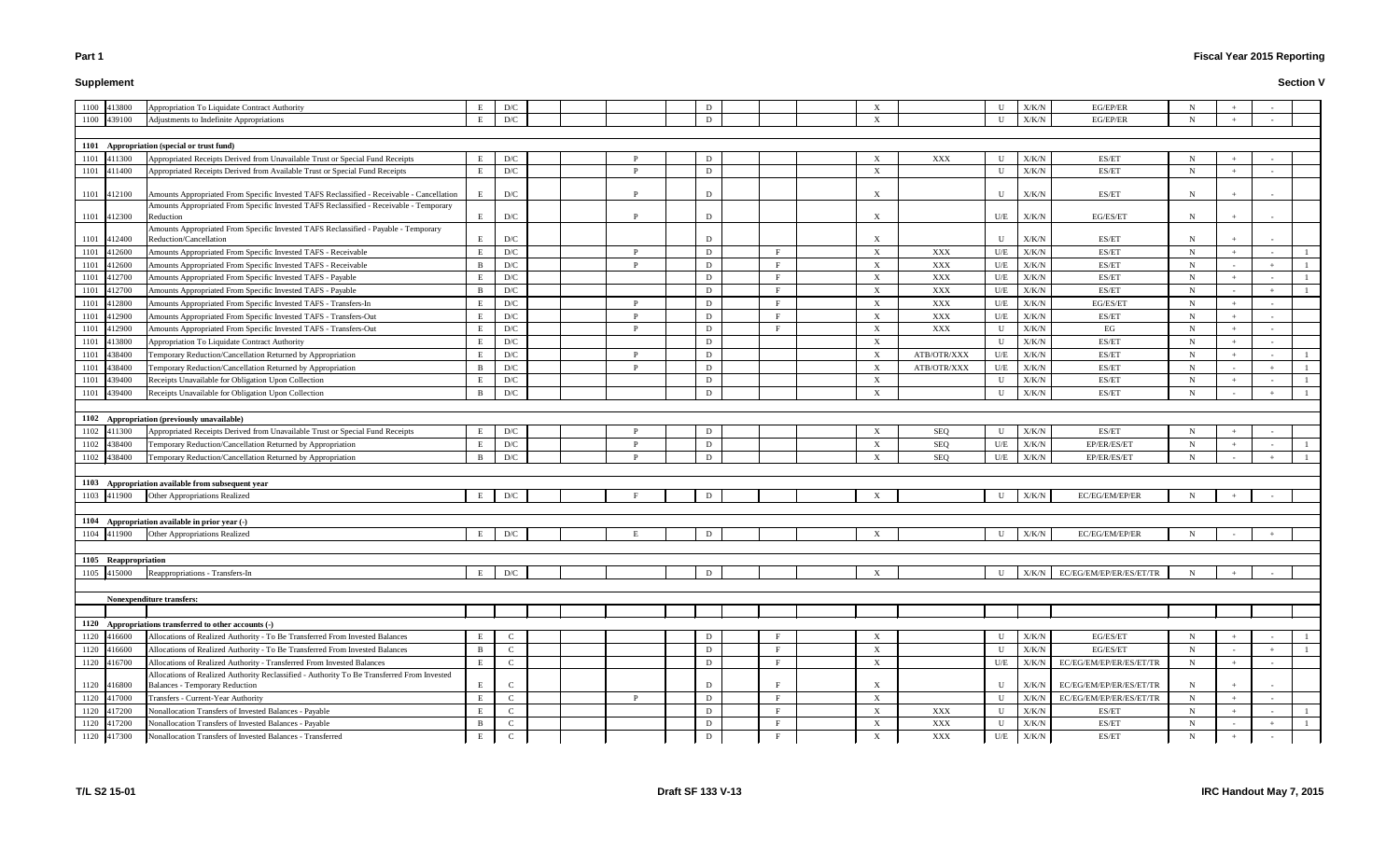**Supplement**

#### **Fiscal Year 2015 Reporting**

#### **Section V**

|                  | U   | X/K/N | EG/EP/ER                | N |                          | $\overline{\phantom{a}}$ |              |
|------------------|-----|-------|-------------------------|---|--------------------------|--------------------------|--------------|
|                  | U   | X/K/N | EG/EP/ER                | N | $\! + \!\!\!\!$          | $\overline{\phantom{a}}$ |              |
|                  |     |       |                         |   |                          |                          |              |
|                  |     |       |                         |   |                          |                          |              |
| XXX              | U   | X/K/N | ES/ET                   | N | $\qquad \qquad +$        | $\overline{\phantom{a}}$ |              |
|                  | U   | X/K/N | ES/ET                   | N | $\! + \!\!\!\!$          | $\overline{\phantom{a}}$ |              |
|                  | U   | X/K/N | ES/ET                   | N | $\! + \!\!\!\!$          | $\overline{\phantom{a}}$ |              |
|                  | U/E | X/K/N | EG/ES/ET                | N |                          | $\overline{a}$           |              |
|                  | U   | X/K/N | ES/ET                   | N | $^{+}$                   | $\overline{\phantom{a}}$ |              |
| <b>XXX</b>       | U/E | X/K/N | ES/ET                   | N |                          | $\overline{\phantom{a}}$ | 1            |
| <b>XXX</b>       | U/E | X/K/N | ES/ET                   | N | $\blacksquare$           |                          | $\mathbf{1}$ |
| <b>XXX</b>       | U/E | X/K/N | ES/ET                   | N | $^+$                     | $\overline{a}$           | $\mathbf{1}$ |
| <b>XXX</b>       | U/E | X/K/N | ES/ET                   | N | $\frac{1}{2}$            | $^{+}$                   | 1            |
| XXX              | U/E | X/K/N | EG/ES/ET                | N | $^{+}$                   | $\overline{\phantom{a}}$ |              |
| XXX              | U/E | X/K/N | ES/ET                   | N | $\! + \!\!\!\!$          | $\overline{\phantom{a}}$ |              |
| <b>XXX</b>       | U   | X/K/N | EG                      | N |                          | $\overline{a}$           |              |
|                  | U   | X/K/N | ES/ET                   | N | $\! + \!\!\!\!$          | $\overline{\phantom{a}}$ |              |
| <b>B/OTR/XXX</b> | U/E | X/K/N | ES/ET                   | N | $^+$                     | $\overline{a}$           | 1            |
| <b>B/OTR/XXX</b> | U/E | X/K/N | ES/ET                   | N | $\overline{\phantom{a}}$ | $^{+}$                   | 1            |
|                  | U   | X/K/N | ES/ET                   | N | $^{+}$                   | $\overline{\phantom{m}}$ | $\mathbf{1}$ |
|                  | U   | X/K/N | ES/ET                   | N | $\blacksquare$           | $\! + \!\!\!\!$          | $\mathbf{1}$ |
|                  |     |       |                         |   |                          |                          |              |
|                  |     |       |                         |   |                          |                          |              |
| <b>SEQ</b>       | U   | X/K/N | ES/ET                   | N | $^+$                     | $\frac{1}{2}$            |              |
| <b>SEQ</b>       | U/E | X/K/N | EP/ER/ES/ET             | N |                          |                          | $\mathbf{1}$ |
| <b>SEQ</b>       | U/E | X/K/N | EP/ER/ES/ET             | N | $\overline{\phantom{0}}$ | $\ddot{}$                | $\mathbf{1}$ |
|                  |     |       |                         |   |                          |                          |              |
|                  |     |       |                         |   |                          |                          |              |
|                  | U   | X/K/N | EC/EG/EM/EP/ER          | N |                          | $\overline{a}$           |              |
|                  |     |       |                         |   |                          |                          |              |
|                  |     |       |                         |   |                          |                          |              |
|                  | U   | X/K/N | EC/EG/EM/EP/ER          | N | $\blacksquare$           | $\boldsymbol{+}$         |              |
|                  |     |       |                         |   |                          |                          |              |
|                  |     |       |                         |   |                          |                          |              |
|                  | U   | X/K/N | EC/EG/EM/EP/ER/ES/ET/TR | N | $^{+}$                   | $\blacksquare$           |              |
|                  |     |       |                         |   |                          |                          |              |
|                  |     |       |                         |   |                          |                          |              |
|                  |     |       |                         |   |                          |                          |              |
|                  |     |       |                         |   |                          |                          |              |
|                  | U   | X/K/N | EG/ES/ET                | N | $\! + \!\!\!\!$          | $\overline{\phantom{a}}$ | $\mathbf{1}$ |
|                  | U   | X/K/N | EG/ES/ET                | N | ٠                        | $^{+}$                   | 1            |
|                  | U/E | X/K/N | EC/EG/EM/EP/ER/ES/ET/TR | N | $\! + \!\!\!\!$          | $\overline{\phantom{a}}$ |              |
|                  | U   | X/K/N | EC/EG/EM/EP/ER/ES/ET/TR | N | $^{+}$                   | $\overline{\phantom{0}}$ |              |
|                  | U   | X/K/N | EC/EG/EM/EP/ER/ES/ET/TR | N | $\qquad \qquad +$        | $\overline{\phantom{a}}$ |              |
| XXX              | U   | X/K/N | ES/ET                   | N | $\! + \!\!\!\!$          | $\overline{\phantom{a}}$ | $\mathbf{1}$ |
| XXX              | U   | X/K/N | ES/ET                   | N | $\overline{\phantom{a}}$ |                          | 1            |
| XXX              | U/E | X/K/N | ES/ET                   | N | $+$                      |                          |              |

# 1100 413800 Appropriation To Liquidate Contract Authority **E** D/C **D** D D D 1100 439100 Adjustments to Indefinite Appropriations K E D/C D D D D D D D D X **1101 Appropriation (special or trust fund)** 1101 411300 Appropriated Receipts Derived from Unavailable Trust or Special Fund Receipts E D/C P P D D X X 1101 411400 Appropriated Receipts Derived from Available Trust or Special Fund Receipts F D/C D P D D X X 1101 412100 Amounts Appropriated From Specific Invested TAFS Reclassified - Receivable - Cancellation E D/C P P D D D D D D D D D D D D D D D N 1101 412300 Amounts Appropriated From Specific Invested TAFS Reclassified - Receivable - Temporary Reduction **Example 2 E** D/C P P P D D N X X U/E X/K/N EG/ES/ET N H + 1 1101 412400 Amounts Appropriated From Specific Invested TAFS Reclassified - Payable - Temporary Reduction/Cancellation E D/C D X U X/K/N ES/ET N + - 1101 412600 Amounts Appropriated From Specific Invested TAFS - Receivable E D/C E D/C P P D D F F X 1101 412600 Amounts Appropriated From Specific Invested TAFS - Receivable B D/C P P D F F X X 1101 412700 Amounts Appropriated From Specific Invested TAFS - Payable K E D/C D F D D F F X X 1101 412700 Amounts Appropriated From Specific Invested TAFS - Payable X<br>B D/C D D D F X 1101 412800 Amounts Appropriated From Specific Invested TAFS - Transfers-In E D/C P P D B T E X 1101 412900 Amounts Appropriated From Specific Invested TAFS - Transfers-Out E D/C P P D F F X 1101 412900 Amounts Appropriated From Specific Invested TAFS - Transfers-Out E D/C P P D F F X 1101 413800 Appropriation To Liquidate Contract Authority **E** D/C D D D D D D D D N 1101 438400 Temporary Reduction/Cancellation Returned by Appropriation 
B D/C P P D D X ATB 1101 438400 Temporary Reduction/Cancellation Returned by Appropriation B B D/C P P D D X ATB 1101 439400 Receipts Unavailable for Obligation Upon Collection E D/C D X U X/K/N ES/ET N + - 1 1101 439400 Receipts Unavailable for Obligation Upon Collection B B D/C D D D D D D B D X **1102 Appropriation (previously unavailable)** 1102 411300 Appropriated Receipts Derived from Unavailable Trust or Special Fund Receipts E D/C P P D D D N 1102 438400 Temporary Reduction/Cancellation Returned by Appropriation 
B D/C P P D D D D D N 1102 438400 Temporary Reduction/Cancellation Returned by Appropriation B B D/C P P D D D B N EX **1103 Appropriation available from subsequent year** 1103 411900 Other Appropriations Realized X E D/C F P D D D N **1104 Appropriation available in prior year (-)** 1104 411900 Other Appropriations Realized K Realized K R D/C E D/C E D E D E D E D E D X **1105 Reappropriation**1105 415000 Reappropriations - Transfers-In and E D/C E D/C D D D D D D D D D N **1120 Appropriations transferred to other accounts (-)** 1120 416600 Allocations of Realized Authority - To Be Transferred From Invested Balances E C C D F D D F F X 1120 416600 Allocations of Realized Authority - To Be Transferred From Invested Balances Balances B B C D B D D D F B X 1120 416700 Allocations of Realized Authority - Transferred From Invested Balances E C C D F D B F X 1120 416800 Allocations of Realized Authority Reclassified - Authority To Be Transferred From Invested Balances - Temporary Reduction E C D F X U X/K/N EC/EG/EM/EP/ER/ES/ET/TR N + - 1120 |417000 | Transfers - Current-Year Authority | E C | | P | D | F | X | V | X/K/N | EC/EG/EM/EP/ER/ES/ET/TR | N | + | -1120 417200 Nonallocation Transfers of Invested Balances - Payable **E C** C **P F** D **F E** X 1120 417200 Nonallocation Transfers of Invested Balances - Payable B C B C D F R X 1120 417300 Nonallocation Transfers of Invested Balances - Transferred E C D F X XXX U/E X/K/N ES/ET N + - **Nonexpenditure transfers:**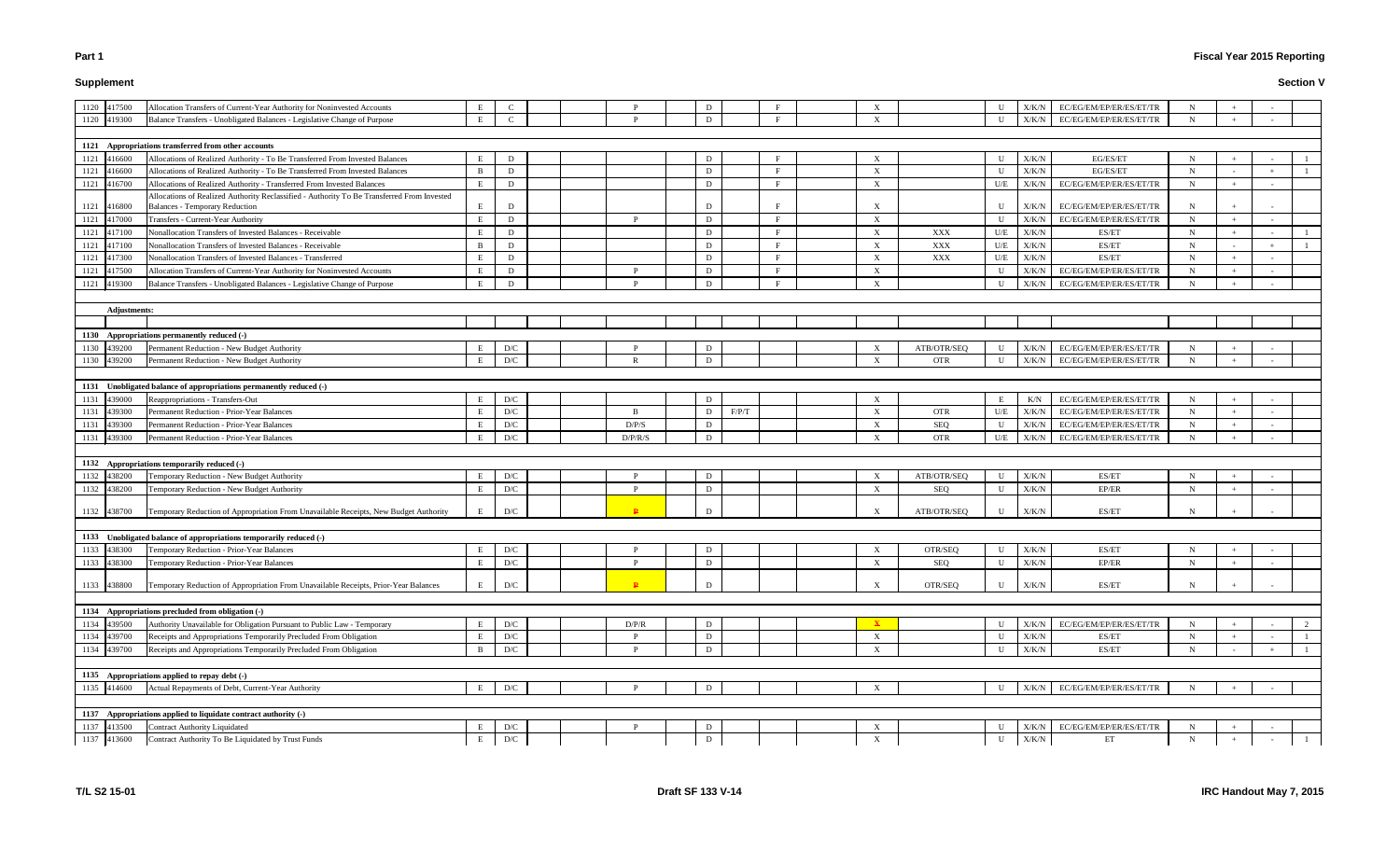# **Supplement**

# **Fiscal Year 2015 Reporting**

| 1120 417500 |                     | Allocation Transfers of Current-Year Authority for Noninvested Accounts                    | Е |     |  |                | D |       |          | X                         |             |              | X/K/N         | EC/EG/EM/EP/ER/ES/ET/TR | $\mathbf N$ |                |  |
|-------------|---------------------|--------------------------------------------------------------------------------------------|---|-----|--|----------------|---|-------|----------|---------------------------|-------------|--------------|---------------|-------------------------|-------------|----------------|--|
| 1120 419300 |                     | Balance Transfers - Unobligated Balances - Legislative Change of Purpose                   | E |     |  |                | D |       |          | $\boldsymbol{\mathrm{X}}$ |             | $\mathbf{H}$ | X/K/N         | EC/EG/EM/EP/ER/ES/ET/TR | N           |                |  |
|             |                     |                                                                                            |   |     |  |                |   |       |          |                           |             |              |               |                         |             |                |  |
|             |                     | 1121 Appropriations transferred from other accounts                                        |   |     |  |                |   |       |          |                           |             |              |               |                         |             |                |  |
| 1121 416600 |                     | Allocations of Realized Authority - To Be Transferred From Invested Balances               | E | D   |  |                | D |       |          | $\boldsymbol{\mathrm{X}}$ |             | $\mathbf{U}$ | X/K/N         | EG/ES/ET                | $\mathbf N$ |                |  |
| 1121 416600 |                     | Allocations of Realized Authority - To Be Transferred From Invested Balances               | B | D   |  |                | D |       |          | X                         |             | $\mathbf{U}$ | $\rm X/K/N$   | EG/ES/ET                | $\mathbf N$ |                |  |
| 1121 416700 |                     | Allocations of Realized Authority - Transferred From Invested Balances                     | E | D   |  |                | D |       |          | X                         |             | U/E          | $\rm X/K/N$   | EC/EG/EM/EP/ER/ES/ET/TR | $\mathbf N$ |                |  |
|             |                     | Allocations of Realized Authority Reclassified - Authority To Be Transferred From Invested |   |     |  |                |   |       |          |                           |             |              |               |                         |             |                |  |
| 1121 416800 |                     | <b>Balances - Temporary Reduction</b>                                                      | Е | D   |  |                | D |       |          | X                         |             | U            | X/K/N         | EC/EG/EM/EP/ER/ES/ET/TR | N           |                |  |
| 1121 417000 |                     | Transfers - Current-Year Authority                                                         | E | D   |  | P              | D |       | F        | $\boldsymbol{\mathrm{X}}$ |             | U            | X/K/N         | EC/EG/EM/EP/ER/ES/ET/TR | $\mathbf N$ | $\sim$         |  |
| 1121 417100 |                     | Nonallocation Transfers of Invested Balances - Receivable                                  | E | D   |  |                | D |       |          | X                         | XXX         | U/E          | X/K/N         | ES/ET                   | $\mathbf N$ |                |  |
| 1121 417100 |                     | Nonallocation Transfers of Invested Balances - Receivable                                  | B | D   |  |                | D |       |          | X                         | XXX         | U/E          | $\rm X/K/N$   | ES/ET                   | $\mathbf N$ |                |  |
| 1121 417300 |                     | Nonallocation Transfers of Invested Balances - Transferred                                 | Е | D   |  |                | D |       | E        | $\boldsymbol{\mathrm{X}}$ | XXX         | U/E          | X/K/N         | ES/ET                   | $\mathbf N$ | $\sim$         |  |
| 1121 417500 |                     | Allocation Transfers of Current-Year Authority for Noninvested Accounts                    | E | D   |  | D              | D |       | - E -    | $\boldsymbol{\mathrm{X}}$ |             | II           | X/K/N         | EC/EG/EM/EP/ER/ES/ET/TR | $\mathbf N$ | $\overline{a}$ |  |
| 1121 419300 |                     | Balance Transfers - Unobligated Balances - Legislative Change of Purpose                   | E | D   |  |                | D |       | <b>F</b> | $\boldsymbol{\mathrm{X}}$ |             |              | X/K/N         | EC/EG/EM/EP/ER/ES/ET/TR | N           |                |  |
|             |                     |                                                                                            |   |     |  |                |   |       |          |                           |             |              |               |                         |             |                |  |
|             | <b>Adjustments:</b> |                                                                                            |   |     |  |                |   |       |          |                           |             |              |               |                         |             |                |  |
|             |                     |                                                                                            |   |     |  |                |   |       |          |                           |             |              |               |                         |             |                |  |
|             |                     | 1130 Appropriations permanently reduced (-)                                                |   |     |  |                |   |       |          |                           |             |              |               |                         |             |                |  |
| 1130 439200 |                     | Permanent Reduction - New Budget Authority                                                 | Е | D/C |  |                | D |       |          |                           | ATB/OTR/SEQ | U            | X/K/N         | EC/EG/EM/EP/ER/ES/ET/TR | $\mathbf N$ |                |  |
| 1130 439200 |                     | Permanent Reduction - New Budget Authority                                                 | E | D/C |  |                | D |       |          | $\boldsymbol{\mathrm{X}}$ | <b>OTR</b>  | U            | X/K/N         | EC/EG/EM/EP/ER/ES/ET/TR | N           |                |  |
|             |                     |                                                                                            |   |     |  |                |   |       |          |                           |             |              |               |                         |             |                |  |
|             |                     | 1131 Unobligated balance of appropriations permanently reduced (-)                         |   |     |  |                |   |       |          |                           |             |              |               |                         |             |                |  |
| 1131 439000 |                     | Reappropriations - Transfers-Out                                                           | E | D/C |  |                | D |       |          | X                         |             | E            | K/N           | EC/EG/EM/EP/ER/ES/ET/TR | $\mathbf N$ |                |  |
| 1131        | 439300              | Permanent Reduction - Prior-Year Balances                                                  | E | D/C |  | $\overline{B}$ | D | F/P/T |          | X                         | <b>OTR</b>  | U/E          | X/K/N         | EC/EG/EM/EP/ER/ES/ET/TR | $\mathbf N$ |                |  |
| 1131        | 439300              | Permanent Reduction - Prior-Year Balances                                                  | E | D/C |  | D/P/S          | D |       |          | $\boldsymbol{\mathrm{X}}$ | <b>SEQ</b>  |              | X/K/N         | EC/EG/EM/EP/ER/ES/ET/TR | $\mathbf N$ | $\sim$         |  |
| 1131 439300 |                     | Permanent Reduction - Prior-Year Balances                                                  | E | D/C |  | D/P/R/S        | D |       |          | X                         | <b>OTR</b>  | U/E          | X/K/N         | EC/EG/EM/EP/ER/ES/ET/TR | N           | $\sim$         |  |
|             |                     |                                                                                            |   |     |  |                |   |       |          |                           |             |              |               |                         |             |                |  |
|             |                     | 1132 Appropriations temporarily reduced (-)                                                |   |     |  |                |   |       |          |                           |             |              |               |                         |             |                |  |
| 1132 438200 |                     | Temporary Reduction - New Budget Authority                                                 | Е | D/C |  |                | D |       |          | X                         | ATB/OTR/SEQ | $\mathbf{U}$ | X/K/N         | ES/ET                   | $\mathbf N$ |                |  |
| 1132 438200 |                     | Temporary Reduction - New Budget Authority                                                 | E | D/C |  | P              | D |       |          | $\boldsymbol{\mathrm{X}}$ | <b>SEQ</b>  | U            | X/K/N         | EP/ER                   | $\mathbf N$ |                |  |
| 1132 438700 |                     | Temporary Reduction of Appropriation From Unavailable Receipts, New Budget Authority       | E | D/C |  |                | D |       |          | $\boldsymbol{X}$          | ATB/OTR/SEQ |              | X/K/N         | ES/ET                   | N           |                |  |
|             |                     | 1133 Unobligated balance of appropriations temporarily reduced (-)                         |   |     |  |                |   |       |          |                           |             |              |               |                         |             |                |  |
| 1133 438300 |                     | Temporary Reduction - Prior-Year Balances                                                  | E | D/C |  |                | D |       |          | $\boldsymbol{\mathrm{X}}$ | OTR/SEO     | U            | X/K/N         | ES/ET                   | N           |                |  |
| 1133 438300 |                     | Temporary Reduction - Prior-Year Balances                                                  | E | D/C |  | P              | D |       |          | $\boldsymbol{\mathrm{X}}$ | <b>SEQ</b>  | U            | X/K/N         | EP/ER                   | $\mathbf N$ |                |  |
|             |                     |                                                                                            |   |     |  |                |   |       |          |                           |             |              |               |                         |             |                |  |
| 1133 438800 |                     | Temporary Reduction of Appropriation From Unavailable Receipts, Prior-Year Balances        | E | D/C |  | $\mathbf{P}$   | D |       |          | X                         | OTR/SEQ     | $\mathbf{U}$ | X/K/N         | ES/ET                   | N           |                |  |
|             |                     | 1134 Appropriations precluded from obligation (-)                                          |   |     |  |                |   |       |          |                           |             |              |               |                         |             |                |  |
| 1134 439500 |                     | Authority Unavailable for Obligation Pursuant to Public Law - Temporary                    | E | D/C |  | D/P/R          | D |       |          |                           |             |              | X/K/N         | EC/EG/EM/EP/ER/ES/ET/TR | $\mathbf N$ |                |  |
| 1134 439700 |                     | Receipts and Appropriations Temporarily Precluded From Obligation                          | E | D/C |  |                | D |       |          | $\boldsymbol{\mathrm{X}}$ |             |              | $\rm X/K/N$   | ES/ET                   | $\mathbf N$ |                |  |
| 1134 439700 |                     | Receipts and Appropriations Temporarily Precluded From Obligation                          | B | D/C |  |                | D |       |          | $\boldsymbol{\mathrm{X}}$ |             | $\mathbf{U}$ | X/K/N         | ES/ET                   | $\mathbf N$ |                |  |
|             |                     |                                                                                            |   |     |  |                |   |       |          |                           |             |              |               |                         |             |                |  |
|             |                     | 1135 Appropriations applied to repay debt (-)                                              |   |     |  |                |   |       |          |                           |             |              |               |                         |             |                |  |
| 1135 414600 |                     | Actual Repayments of Debt, Current-Year Authority                                          | E | D/C |  |                | D |       |          | $\boldsymbol{\mathrm{X}}$ |             | U            | X/K/N         | EC/EG/EM/EP/ER/ES/ET/TR | N           |                |  |
|             |                     |                                                                                            |   |     |  |                |   |       |          |                           |             |              |               |                         |             |                |  |
|             |                     | 1137 Appropriations applied to liquidate contract authority (-)                            |   |     |  |                |   |       |          |                           |             |              |               |                         |             |                |  |
| 1137 413500 |                     | <b>Contract Authority Liquidated</b>                                                       | Е | D/C |  |                | D |       |          | $\boldsymbol{\mathrm{X}}$ |             |              | X/K/N         | EC/EG/EM/EP/ER/ES/ET/TR | $\mathbf N$ |                |  |
| 1137 413600 |                     | Contract Authority To Be Liquidated by Trust Funds                                         | E | D/C |  |                | D |       |          | $\boldsymbol{\mathrm{X}}$ |             | $\mathbf U$  | ${\rm X/K/N}$ | ET                      | $\mathbf N$ |                |  |
|             |                     |                                                                                            |   |     |  |                |   |       |          |                           |             |              |               |                         |             |                |  |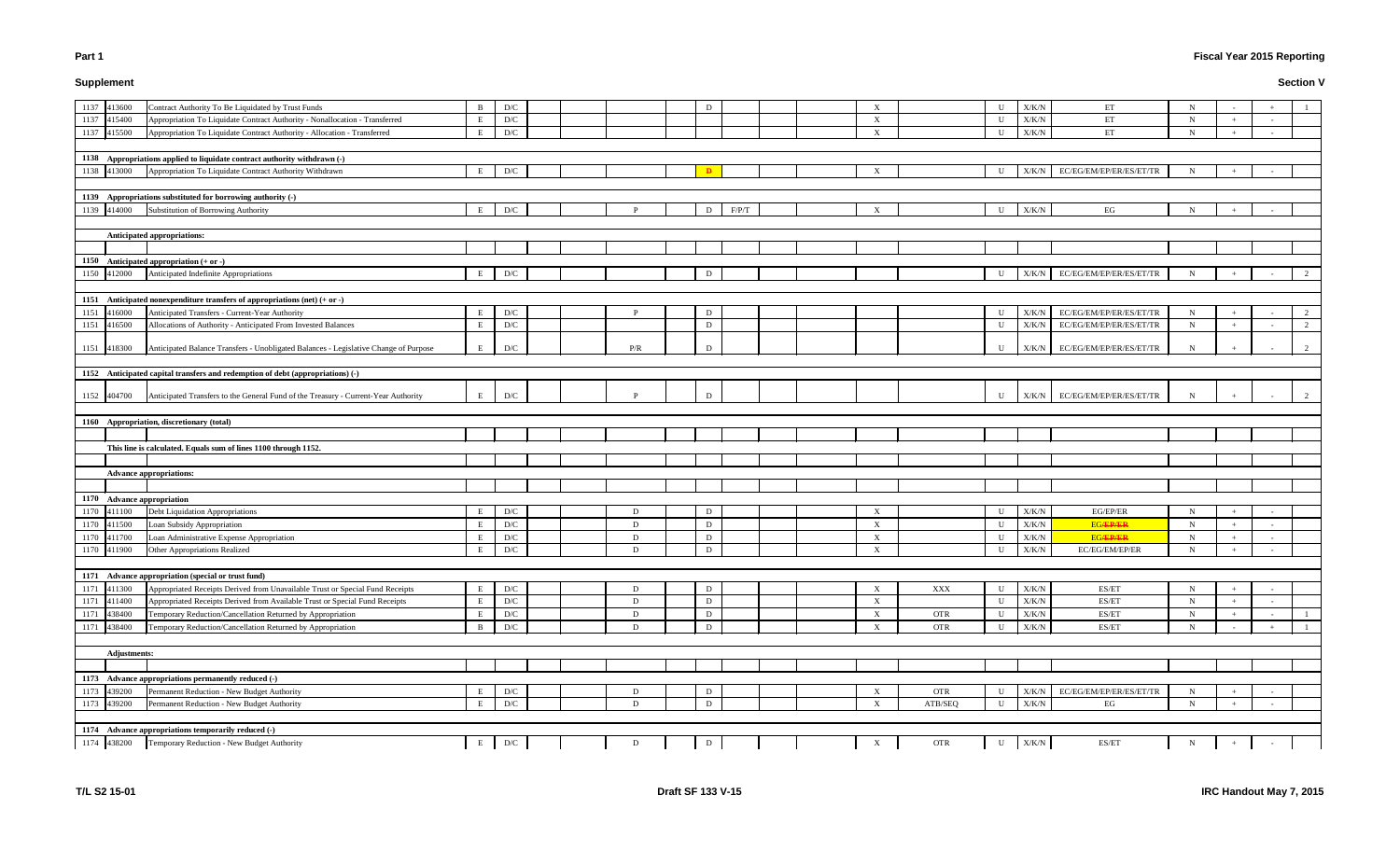# **Supplement**

# **Fiscal Year 2015 Reporting**

|            | U         | X/K/N         | ET                      | N         | $\overline{\phantom{a}}$ | $\boldsymbol{+}$         | $\mathbf{1}$     |
|------------|-----------|---------------|-------------------------|-----------|--------------------------|--------------------------|------------------|
|            | U         | ${\rm X/K/N}$ | ET                      | ${\bf N}$ | $^+$                     | $\overline{a}$           |                  |
|            | ${\bf U}$ | X/K/N         | ET                      | ${\bf N}$ | $^+$                     | $\overline{\phantom{a}}$ |                  |
|            |           |               |                         |           |                          |                          |                  |
|            |           |               |                         |           |                          |                          |                  |
|            | U         | $\rm X/K/N$   | EC/EG/EM/EP/ER/ES/ET/TR | ${\bf N}$ | $\boldsymbol{+}$         | $\sim$                   |                  |
|            |           |               |                         |           |                          |                          |                  |
|            |           |               |                         |           |                          |                          |                  |
|            | ${\bf U}$ | X/K/N         | EG                      | ${\bf N}$ | $\ddag$                  | $\overline{\phantom{a}}$ |                  |
|            |           |               |                         |           |                          |                          |                  |
|            |           |               |                         |           |                          |                          |                  |
|            |           |               |                         |           |                          |                          |                  |
|            |           |               |                         |           |                          |                          |                  |
|            | U         | ${\rm X/K/N}$ | EC/EG/EM/EP/ER/ES/ET/TR | N         | $^+$                     | $\overline{\phantom{a}}$ | 2                |
|            |           |               |                         |           |                          |                          |                  |
|            |           |               |                         |           |                          |                          |                  |
|            | ${\bf U}$ | X/K/N         | EC/EG/EM/EP/ER/ES/ET/TR | N         | $^+$                     | $\blacksquare$           | $\boldsymbol{2}$ |
|            | ${\bf U}$ | X/K/N         | EC/EG/EM/EP/ER/ES/ET/TR | ${\bf N}$ | $^+$                     | $\blacksquare$           | $\boldsymbol{2}$ |
|            |           |               |                         |           |                          | $\overline{\phantom{a}}$ |                  |
|            | U         | X/K/N         | EC/EG/EM/EP/ER/ES/ET/TR | N         |                          |                          | 2                |
|            |           |               |                         |           |                          |                          |                  |
|            |           |               |                         |           |                          |                          |                  |
|            | U         | X/K/N         | EC/EG/EM/EP/ER/ES/ET/TR | N         |                          | $\overline{\phantom{a}}$ | $\overline{c}$   |
|            |           |               |                         |           |                          |                          |                  |
|            |           |               |                         |           |                          |                          |                  |
|            |           |               |                         |           |                          |                          |                  |
|            |           |               |                         |           |                          |                          |                  |
|            |           |               |                         |           |                          |                          |                  |
|            |           |               |                         |           |                          |                          |                  |
|            |           |               |                         |           |                          |                          |                  |
|            |           |               |                         |           |                          |                          |                  |
|            | ${\bf U}$ | X/K/N         | EG/EP/ER                | N         | $^+$                     | $\overline{\phantom{a}}$ |                  |
|            | ${\bf U}$ | ${\rm X/K/N}$ | <b>EG/EP/ER</b>         | ${\bf N}$ |                          | $\overline{a}$           |                  |
|            | U         | X/K/N         | <b>EG/EP/ER</b>         | N         | $^+$                     | $\overline{\phantom{a}}$ |                  |
|            | ${\bf U}$ | ${\rm X/K/N}$ | EC/EG/EM/EP/ER          | ${\bf N}$ | $\boldsymbol{+}$         | $\overline{\phantom{a}}$ |                  |
|            |           |               |                         |           |                          |                          |                  |
|            |           |               |                         |           |                          |                          |                  |
| <b>XXX</b> | ${\bf U}$ | ${\rm X/K/N}$ | ES/ET                   | ${\bf N}$ |                          | $\blacksquare$           |                  |
|            | ${\bf U}$ | X/K/N         | ES/ET                   | N         | $^+$                     | $\overline{\phantom{a}}$ |                  |
| <b>OTR</b> | U         | X/K/N         | ES/ET                   | N         | $^+$                     | $\overline{\phantom{a}}$ | 1                |
| <b>OTR</b> | U         | X/K/N         | ES/ET                   | ${\bf N}$ | $\overline{\phantom{a}}$ | $^+$                     | $\mathbf{1}$     |
|            |           |               |                         |           |                          |                          |                  |
|            |           |               |                         |           |                          |                          |                  |
|            |           |               |                         |           |                          |                          |                  |
|            |           |               |                         |           |                          |                          |                  |
| <b>OTR</b> | U         | X/K/N         | EC/EG/EM/EP/ER/ES/ET/TR | N         |                          | $\overline{\phantom{a}}$ |                  |
| ATB/SEQ    | ${\bf U}$ | ${\rm X/K/N}$ | $_{\rm EG}$             | ${\bf N}$ | $\ddag$                  | $\blacksquare$           |                  |
|            |           |               |                         |           |                          |                          |                  |
|            |           |               |                         |           |                          |                          |                  |
| <b>OTR</b> | U         | $\rm X/K/N$   | ES/ET                   | ${\bf N}$ | $\hspace{1.0cm} +$       | $\sigma_{\rm{max}}$      |                  |

| 1137        | 413600              | Contract Authority To Be Liquidated by Trust Funds                                                | - B          | D/C                     |     | D            |       |  | $\boldsymbol{\mathrm{X}}$ |            | U           | $\rm X/K/N$   | ET                      | N           |        |        |  |
|-------------|---------------------|---------------------------------------------------------------------------------------------------|--------------|-------------------------|-----|--------------|-------|--|---------------------------|------------|-------------|---------------|-------------------------|-------------|--------|--------|--|
| 1137 415400 |                     | Appropriation To Liquidate Contract Authority - Nonallocation - Transferred                       | E            | D/C                     |     |              |       |  | $\boldsymbol{\mathrm{X}}$ |            | $\mathbf U$ | $\rm X/K/N$   | ET                      | N           | $+$    |        |  |
| 1137 415500 |                     | Appropriation To Liquidate Contract Authority - Allocation - Transferred                          | E            | D/C                     |     |              |       |  | X                         |            | U           | X/K/N         | ET                      | N           | $+$    |        |  |
|             |                     |                                                                                                   |              |                         |     |              |       |  |                           |            |             |               |                         |             |        |        |  |
|             |                     | 1138 Appropriations applied to liquidate contract authority withdrawn (-)                         |              |                         |     |              |       |  |                           |            |             |               |                         |             |        |        |  |
| 1138 413000 |                     | Appropriation To Liquidate Contract Authority Withdrawn                                           | E            | D/C                     |     | $\mathbf{p}$ |       |  | $\boldsymbol{\mathrm{X}}$ |            | U           | X/K/N         | EC/EG/EM/EP/ER/ES/ET/TR | N           |        |        |  |
|             |                     |                                                                                                   |              |                         |     |              |       |  |                           |            |             |               |                         |             |        |        |  |
|             |                     | 1139 Appropriations substituted for borrowing authority (-)                                       |              |                         |     |              |       |  |                           |            |             |               |                         |             |        |        |  |
|             | 1139 414000         | Substitution of Borrowing Authority                                                               | E.           | D/C                     |     | D            | F/P/T |  | $\boldsymbol{\mathrm{X}}$ |            | U           | X/K/N         | EG                      | N           |        |        |  |
|             |                     |                                                                                                   |              |                         |     |              |       |  |                           |            |             |               |                         |             |        |        |  |
|             |                     | Anticipated appropriations:                                                                       |              |                         |     |              |       |  |                           |            |             |               |                         |             |        |        |  |
|             |                     |                                                                                                   |              |                         |     |              |       |  |                           |            |             |               |                         |             |        |        |  |
|             |                     | 1150 Anticipated appropriation $(+ or -)$                                                         |              |                         |     |              |       |  |                           |            |             |               |                         |             |        |        |  |
|             | 1150 412000         | Anticipated Indefinite Appropriations                                                             | E            | D/C                     |     | D            |       |  |                           |            | U           | X/K/N         | EC/EG/EM/EP/ER/ES/ET/TR | N           |        |        |  |
|             |                     |                                                                                                   |              |                         |     |              |       |  |                           |            |             |               |                         |             |        |        |  |
|             |                     | 1151 Anticipated nonexpenditure transfers of appropriations (net) $(+ or -)$                      |              |                         |     |              |       |  |                           |            |             |               |                         |             |        |        |  |
| 1151        | 416000              | Anticipated Transfers - Current-Year Authority                                                    | E            | D/C                     |     | D            |       |  |                           |            | U           | X/K/N         | EC/EG/EM/EP/ER/ES/ET/TR | N           |        |        |  |
| 1151        | 416500              | Allocations of Authority - Anticipated From Invested Balances                                     | E            | D/C                     |     | D            |       |  |                           |            | U           | X/K/N         | EC/EG/EM/EP/ER/ES/ET/TR | N           |        |        |  |
|             |                     |                                                                                                   |              |                         |     |              |       |  |                           |            |             |               |                         |             |        |        |  |
| 1151 418300 |                     | Anticipated Balance Transfers - Unobligated Balances - Legislative Change of Purpose              | E            | D/C                     | P/R | D            |       |  |                           |            | U           | X/K/N         | EC/EG/EM/EP/ER/ES/ET/TR | N           |        |        |  |
|             |                     |                                                                                                   |              |                         |     |              |       |  |                           |            |             |               |                         |             |        |        |  |
|             |                     | 1152 Anticipated capital transfers and redemption of debt (appropriations) (-)                    |              |                         |     |              |       |  |                           |            |             |               |                         |             |        |        |  |
|             | 1152 404700         | Anticipated Transfers to the General Fund of the Treasury - Current-Year Authority                | $\mathbf{E}$ | D/C                     |     | $\mathbf{D}$ |       |  |                           |            | U           | X/K/N         | EC/EG/EM/EP/ER/ES/ET/TR |             |        |        |  |
|             |                     |                                                                                                   |              |                         |     |              |       |  |                           |            |             |               |                         |             |        |        |  |
|             |                     | 1160 Appropriation, discretionary (total)                                                         |              |                         |     |              |       |  |                           |            |             |               |                         |             |        |        |  |
|             |                     |                                                                                                   |              |                         |     |              |       |  |                           |            |             |               |                         |             |        |        |  |
|             |                     | This line is calculated. Equals sum of lines 1100 through 1152.                                   |              |                         |     |              |       |  |                           |            |             |               |                         |             |        |        |  |
|             |                     |                                                                                                   |              |                         |     |              |       |  |                           |            |             |               |                         |             |        |        |  |
|             |                     | <b>Advance appropriations:</b>                                                                    |              |                         |     |              |       |  |                           |            |             |               |                         |             |        |        |  |
|             |                     |                                                                                                   |              |                         |     |              |       |  |                           |            |             |               |                         |             |        |        |  |
|             |                     | 1170 Advance appropriation                                                                        |              |                         |     |              |       |  |                           |            |             |               |                         |             |        |        |  |
| 1170 411100 |                     | Debt Liquidation Appropriations                                                                   | E            | D/C                     | D   | D            |       |  | $\boldsymbol{\mathrm{X}}$ |            | U           | X/K/N         | EG/EP/ER                | $\mathbf N$ | $+$    |        |  |
| 1170 411500 |                     | Loan Subsidy Appropriation                                                                        | E            | D/C                     | D   | D            |       |  | X                         |            | U           | X/K/N         | <b>EG/EP/ER</b>         | N           | $+$    |        |  |
| 1170 411700 |                     | Loan Administrative Expense Appropriation                                                         | Е            | D/C                     | D   | D            |       |  | $\boldsymbol{\mathrm{X}}$ |            | U           | X/K/N         | <b>EG/EP/ER</b>         | N           |        |        |  |
| 1170 411900 |                     | Other Appropriations Realized                                                                     | E            | D/C                     | D   | D            |       |  | $\boldsymbol{X}$          |            | U           | X/K/N         | EC/EG/EM/EP/ER          | N           | $+$    |        |  |
|             |                     |                                                                                                   |              |                         |     |              |       |  |                           |            |             |               |                         |             |        |        |  |
|             |                     | 1171 Advance appropriation (special or trust fund)                                                |              |                         |     |              |       |  |                           |            |             |               |                         |             |        |        |  |
| 1171        | 411300              | Appropriated Receipts Derived from Unavailable Trust or Special Fund Receipts                     | E            | D/C                     | D   | D            |       |  | X                         | <b>XXX</b> | $\mathbf U$ | ${\rm X/K/N}$ | ES/ET                   | N           |        |        |  |
| 1171        |                     |                                                                                                   |              |                         |     |              |       |  |                           |            |             |               | ES/ET                   |             | $+$    | $\sim$ |  |
|             | 411400              | Appropriated Receipts Derived from Available Trust or Special Fund Receipts                       | E            | $\mathbf{D}/\mathbf{C}$ | D   | D            |       |  | $\mathbf{X}$              |            | $\mathbf U$ | ${\rm X/K/N}$ |                         | N           |        |        |  |
| 1171        | 438400              | Temporary Reduction/Cancellation Returned by Appropriation                                        | E            | D/C                     | D   | D            |       |  | X                         | <b>OTR</b> | U           | $\rm X/K/N$   | ES/ET                   | N           |        | $\sim$ |  |
| 1171        | 438400              | Temporary Reduction/Cancellation Returned by Appropriation                                        | <b>R</b>     | $\mathbf{D}/\mathbf{C}$ | D   | D            |       |  | X                         | <b>OTR</b> | U           | ${\rm X/K/N}$ | ES/ET                   | $\mathbf N$ | $\sim$ |        |  |
|             |                     |                                                                                                   |              |                         |     |              |       |  |                           |            |             |               |                         |             |        |        |  |
|             | <b>Adjustments:</b> |                                                                                                   |              |                         |     |              |       |  |                           |            |             |               |                         |             |        |        |  |
|             |                     |                                                                                                   |              |                         |     |              |       |  |                           |            |             |               |                         |             |        |        |  |
|             |                     | 1173 Advance appropriations permanently reduced (-)                                               |              |                         |     |              |       |  |                           |            |             |               |                         |             |        |        |  |
| 1173 439200 |                     | Permanent Reduction - New Budget Authority                                                        | E            | D/C                     | D   | D            |       |  | $\boldsymbol{\mathrm{X}}$ | <b>OTR</b> | U           | X/K/N         | EC/EG/EM/EP/ER/ES/ET/TR | N           |        |        |  |
| 1173 439200 |                     | Permanent Reduction - New Budget Authority                                                        | E            | $\mathbf{D}/\mathbf{C}$ | D   | D            |       |  | X                         | ATB/SEQ    | $\mathbf U$ | X/K/N         | $_{\rm EG}$             | N           |        |        |  |
|             |                     |                                                                                                   |              |                         |     |              |       |  |                           |            |             |               |                         |             |        |        |  |
|             |                     | 1174 Advance appropriations temporarily reduced (-)<br>Temporary Reduction - New Budget Authority | E            | D/C                     |     |              |       |  |                           | <b>OTR</b> | ${\bf U}$   | $\rm X/K/N$   | ES/ET                   |             |        |        |  |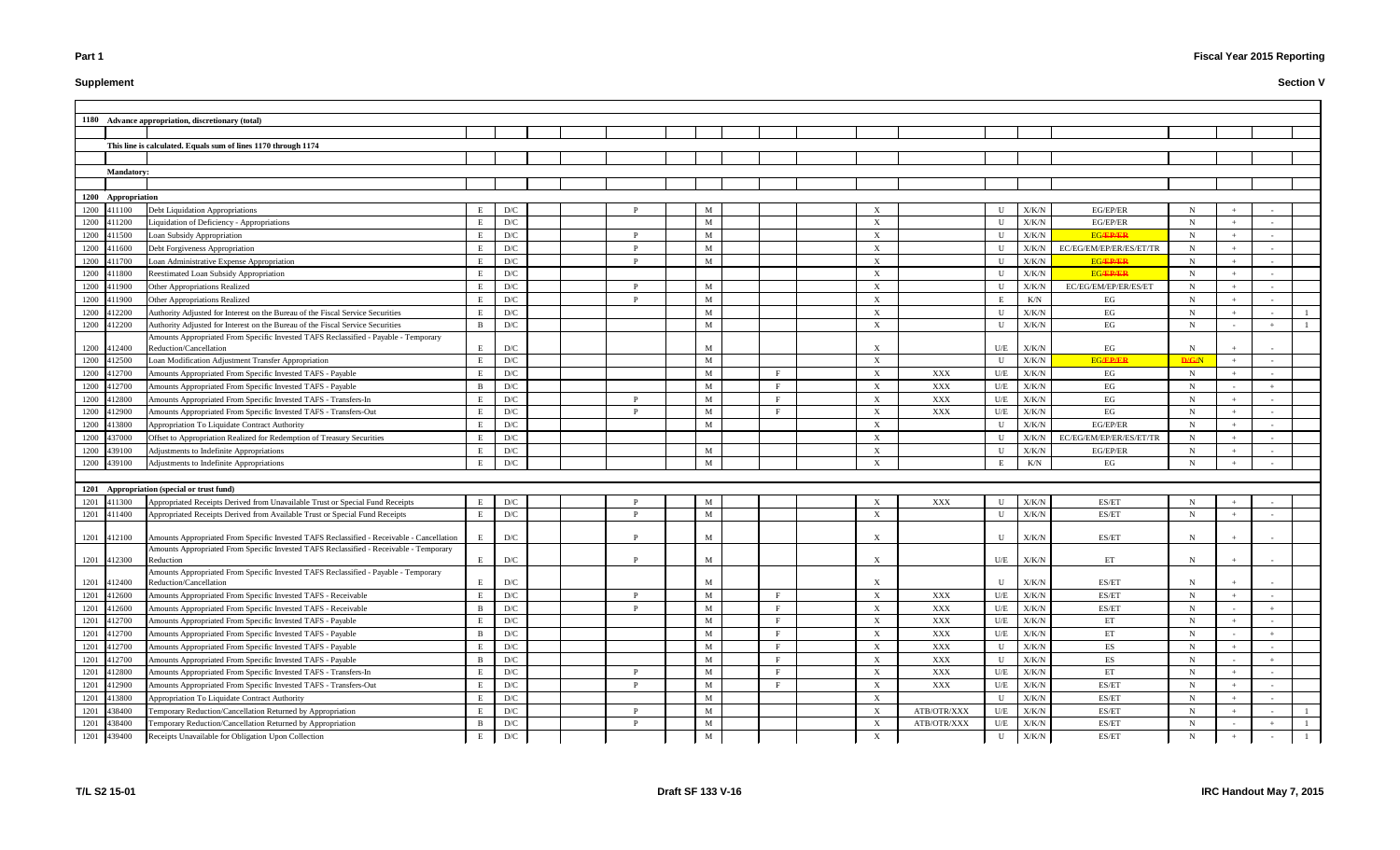# **Supplement**

|      |                    | 1180 Advance appropriation, discretionary (total)                                                                       |              |                         |  |              |        |                            |                                |             |                    |                |                                                     |             |     |        |  |
|------|--------------------|-------------------------------------------------------------------------------------------------------------------------|--------------|-------------------------|--|--------------|--------|----------------------------|--------------------------------|-------------|--------------------|----------------|-----------------------------------------------------|-------------|-----|--------|--|
|      |                    |                                                                                                                         |              |                         |  |              |        |                            |                                |             |                    |                |                                                     |             |     |        |  |
|      |                    | This line is calculated. Equals sum of lines 1170 through 1174                                                          |              |                         |  |              |        |                            |                                |             |                    |                |                                                     |             |     |        |  |
|      |                    |                                                                                                                         |              |                         |  |              |        |                            |                                |             |                    |                |                                                     |             |     |        |  |
|      | <b>Mandatory:</b>  |                                                                                                                         |              |                         |  |              |        |                            |                                |             |                    |                |                                                     |             |     |        |  |
|      |                    |                                                                                                                         |              |                         |  |              |        |                            |                                |             |                    |                |                                                     |             |     |        |  |
|      | 1200 Appropriation |                                                                                                                         |              |                         |  |              |        |                            |                                |             |                    |                |                                                     |             |     |        |  |
|      | 1200 411100        | Debt Liquidation Appropriations                                                                                         |              | D/C                     |  |              |        |                            |                                |             | $\mathbf{U}$       | X/K/N          | EG/EP/ER                                            | N           |     |        |  |
|      | 1200 411200        | Liquidation of Deficiency - Appropriations                                                                              | E            | D/C                     |  |              | M      |                            | $\boldsymbol{\mathrm{X}}$      |             | U                  | X/K/N          | EG/EP/ER                                            | N           |     |        |  |
| 1200 | 411500             | Loan Subsidy Appropriation                                                                                              | E            | D/C                     |  | P            | M      |                            | $\boldsymbol{\mathrm{X}}$      |             | $\mathbf U$        | X/K/N          | <b>EG/EP/ER</b>                                     | N           |     |        |  |
| 1200 | 411600             | Debt Forgiveness Appropriation                                                                                          | E            | D/C                     |  | P            | M      |                            | $\boldsymbol{\mathrm{X}}$      |             | U                  | X/K/N          | EC/EG/EM/EP/ER/ES/ET/TR                             | N           |     |        |  |
| 1200 | 411700             | Loan Administrative Expense Appropriation                                                                               |              | D/C                     |  | P            | M      |                            | X                              |             | U                  | $\rm X/K/N$    | <b>EG/EP/ER</b>                                     | N           |     |        |  |
| 1200 | 411800             | Reestimated Loan Subsidy Appropriation                                                                                  |              | D/C                     |  |              |        |                            | X                              |             | U                  | X/K/N          | <b>EG/EP/ER</b>                                     | N           |     |        |  |
| 1200 | 411900             | Other Appropriations Realized                                                                                           |              | D/C                     |  | $\mathbf{p}$ | M      |                            | X                              |             | U                  | X/K/N          | EC/EG/EM/EP/ER/ES/ET                                | N           |     |        |  |
| 1200 | 411900             | <b>Other Appropriations Realized</b>                                                                                    | E            | D/C                     |  | P            | M      |                            | X                              |             | Е                  | K/N            | EG                                                  | N           |     |        |  |
| 1200 | 412200             | Authority Adjusted for Interest on the Bureau of the Fiscal Service Securities                                          |              | D/C                     |  |              | M      |                            | X                              |             | $\mathbf U$        | X/K/N          | EG                                                  | N           |     |        |  |
| 1200 | 412200             | Authority Adjusted for Interest on the Bureau of the Fiscal Service Securities                                          | B            | D/C                     |  |              | M      |                            | $\boldsymbol{\mathrm{X}}$      |             | $\mathbf{U}$       | X/K/N          | $\operatorname{EG}$                                 | N           |     |        |  |
|      |                    | Amounts Appropriated From Specific Invested TAFS Reclassified - Payable - Temporary                                     |              |                         |  |              |        |                            |                                |             |                    |                |                                                     |             |     |        |  |
| 1200 | 412400             | Reduction/Cancellation                                                                                                  | E            | D/C                     |  |              | M      |                            | $\boldsymbol{\mathrm{X}}$      |             | U/E                | X/K/N          | EG                                                  | N           |     |        |  |
| 1200 | 412500             | Loan Modification Adjustment Transfer Appropriation                                                                     | E            | D/C                     |  |              | M      |                            | X                              |             | $\mathbf U$        | X/K/N          | <b>EG/EP/ER</b>                                     | D/G/N       |     |        |  |
| 1200 | 412700             | Amounts Appropriated From Specific Invested TAFS - Payable                                                              |              | D/C                     |  |              | M      | F                          | $\boldsymbol{\mathrm{X}}$      | XXX         | U/E                | X/K/N          | EG                                                  | $\mathbf N$ |     |        |  |
| 1200 | 412700             | Amounts Appropriated From Specific Invested TAFS - Payable                                                              | <sub>B</sub> | $\mathbf{D}/\mathbf{C}$ |  | P            | M      | F                          | $\boldsymbol{\mathrm{X}}$      | XXX         | $U\!/\!E$          | X/K/N          | $\operatorname{EG}$                                 | N           |     |        |  |
| 1200 | 412800             | Amounts Appropriated From Specific Invested TAFS - Transfers-In                                                         |              | D/C                     |  | P            | M      | $_{\rm F}$<br>$\mathbf{F}$ | X                              | XXX         | U/E                | X/K/N          | $\operatorname{EG}$<br>EG                           | N           |     |        |  |
| 1200 | 412900             | Amounts Appropriated From Specific Invested TAFS - Transfers-Out                                                        |              | D/C<br>D/C              |  |              | M<br>M |                            | X<br>$\boldsymbol{\mathrm{X}}$ | XXX         | U/E<br>$\mathbf U$ | X/K/N          |                                                     | N<br>N      |     |        |  |
| 1200 | 413800<br>437000   | Appropriation To Liquidate Contract Authority<br>Offset to Appropriation Realized for Redemption of Treasury Securities |              | D/C                     |  |              |        |                            | $\boldsymbol{\mathrm{X}}$      |             | U                  | X/K/N          | EG/EP/ER<br>EC/EG/EM/EP/ER/ES/ET/TR                 | N           |     |        |  |
| 1200 | 1200 439100        | Adjustments to Indefinite Appropriations                                                                                | $\mathbf{E}$ | D/C                     |  |              | M      |                            | $\boldsymbol{X}$               |             | U                  | X/K/N<br>X/K/N | EG/EP/ER                                            | N           |     |        |  |
|      | 1200 439100        | Adjustments to Indefinite Appropriations                                                                                |              | D/C                     |  |              | M      |                            | X                              |             | E                  | K/N            | EG                                                  | N           |     |        |  |
|      |                    |                                                                                                                         |              |                         |  |              |        |                            |                                |             |                    |                |                                                     |             |     |        |  |
|      |                    | 1201 Appropriation (special or trust fund)                                                                              |              |                         |  |              |        |                            |                                |             |                    |                |                                                     |             |     |        |  |
|      | 1201 411300        | Appropriated Receipts Derived from Unavailable Trust or Special Fund Receipts                                           |              | D/C                     |  |              | M      |                            | X                              | XXX         | U                  | X/K/N          | ES/ET                                               | N           |     |        |  |
|      | 1201 411400        | Appropriated Receipts Derived from Available Trust or Special Fund Receipts                                             |              | D/C                     |  | D            | M      |                            | $\boldsymbol{\mathrm{X}}$      |             | $\mathbf U$        | X/K/N          | ES/ET                                               | N           |     |        |  |
|      |                    |                                                                                                                         |              |                         |  |              |        |                            |                                |             |                    |                |                                                     |             |     |        |  |
|      | 1201 412100        | Amounts Appropriated From Specific Invested TAFS Reclassified - Receivable - Cancellation                               | E            | D/C                     |  | P            | M      |                            |                                |             | U                  | X/K/N          | ES/ET                                               | N           |     |        |  |
|      |                    | Amounts Appropriated From Specific Invested TAFS Reclassified - Receivable - Temporary                                  |              |                         |  |              |        |                            |                                |             |                    |                |                                                     |             |     |        |  |
|      |                    | 1201 412300 Reduction                                                                                                   | E            | D/C                     |  | D            | M      |                            | $\mathbf{A}$                   |             | U/E                | X/K/N          | ET                                                  | N           |     |        |  |
|      |                    | Amounts Appropriated From Specific Invested TAFS Reclassified - Payable - Temporary                                     |              |                         |  |              |        |                            |                                |             |                    |                |                                                     |             |     |        |  |
|      | 1201 412400        | Reduction/Cancellation                                                                                                  | E            | D/C                     |  |              | M      |                            | X                              |             | U                  | $\rm X/K/N$    | ES/ET                                               |             |     |        |  |
|      | 1201 412600        | Amounts Appropriated From Specific Invested TAFS - Receivable                                                           |              | $\mathbf{D}/\mathbf{C}$ |  | P            | M      | F                          | X                              | XXX         | U/E                | ${\rm X/K/N}$  | ES/ET                                               | $\mathbf N$ |     |        |  |
| 1201 | 412600             | Amounts Appropriated From Specific Invested TAFS - Receivable                                                           | B            | $\mathbf{D}/\mathbf{C}$ |  | P            | M      | $\mathbf{F}$               | X                              | XXX         | U/E                | $\rm X/K/N$    | $\ensuremath{\mathrm{ES}}/\ensuremath{\mathrm{ET}}$ | N           |     |        |  |
| 1201 | 412700             | Amounts Appropriated From Specific Invested TAFS - Payable                                                              |              | $\mathbf{D}/\mathbf{C}$ |  |              | M      | $\mathbf{F}$               | $\mathbf X$                    | XXX         | U/E                | $\rm X/K/N$    | ET                                                  | N           |     |        |  |
| 1201 | 412700             | Amounts Appropriated From Specific Invested TAFS - Payable                                                              | B            | D/C                     |  |              | M      | F                          | X                              | XXX         | $U\!/\!E$          | $\rm X/K/N$    | ET                                                  | N           |     |        |  |
|      | 1201 412700        | Amounts Appropriated From Specific Invested TAFS - Payable                                                              |              | $\mathbf{D}/\mathbf{C}$ |  |              | M      | F                          | X                              | XXX         | $\mathbf U$        | $\rm X/K/N$    | ES                                                  | N           |     |        |  |
|      | 1201 412700        | Amounts Appropriated From Specific Invested TAFS - Payable                                                              | <sup>B</sup> | D/C                     |  |              | M      | $\mathbf{F}$               | X                              | XXX         | $\mathbf U$        | $\rm X/K/N$    | ES                                                  | N           |     |        |  |
|      | 1201 412800        | Amounts Appropriated From Specific Invested TAFS - Transfers-In                                                         | E            | D/C                     |  | P            | M      | F                          | X                              | XXX         | U/E                | X/K/N          | ET                                                  | N           |     |        |  |
|      | 1201 412900        | Amounts Appropriated From Specific Invested TAFS - Transfers-Out                                                        | E            | D/C                     |  | P            | M      | $\mathbf{F}$               | X                              | XXX         | $U\!/\!E$          | X/K/N          | $\ensuremath{\mathrm{ES}}/\ensuremath{\mathrm{ET}}$ | N           |     |        |  |
| 1201 | 413800             | Appropriation To Liquidate Contract Authority                                                                           | E.           | D/C                     |  |              | M      |                            | X                              |             | $\mathbf U$        | ${\rm X/K/N}$  | $\ensuremath{\mathrm{ES}}/\ensuremath{\mathrm{ET}}$ | N           |     |        |  |
| 1201 | 438400             | Temporary Reduction/Cancellation Returned by Appropriation                                                              |              | D/C                     |  |              | M      |                            | $\boldsymbol{\mathrm{X}}$      | ATB/OTR/XXX | $U\!/\!E$          | ${\rm X/K/N}$  | $\ensuremath{\mathrm{ES}}/\ensuremath{\mathrm{ET}}$ | N           |     |        |  |
| 1201 | 438400             | Temporary Reduction/Cancellation Returned by Appropriation                                                              | B            | D/C                     |  | P            | M      |                            | X                              | ATB/OTR/XXX | $U\!/\!E$          | $\rm X/K/N$    | $\ensuremath{\mathrm{ES}}/\ensuremath{\mathrm{ET}}$ | N           |     |        |  |
|      | 1201 439400        | Receipts Unavailable for Obligation Upon Collection                                                                     | E            | D/C                     |  |              | M      |                            | X                              |             | U                  | X/K/N          | ES/ET                                               | $\mathbf N$ | $+$ | $\sim$ |  |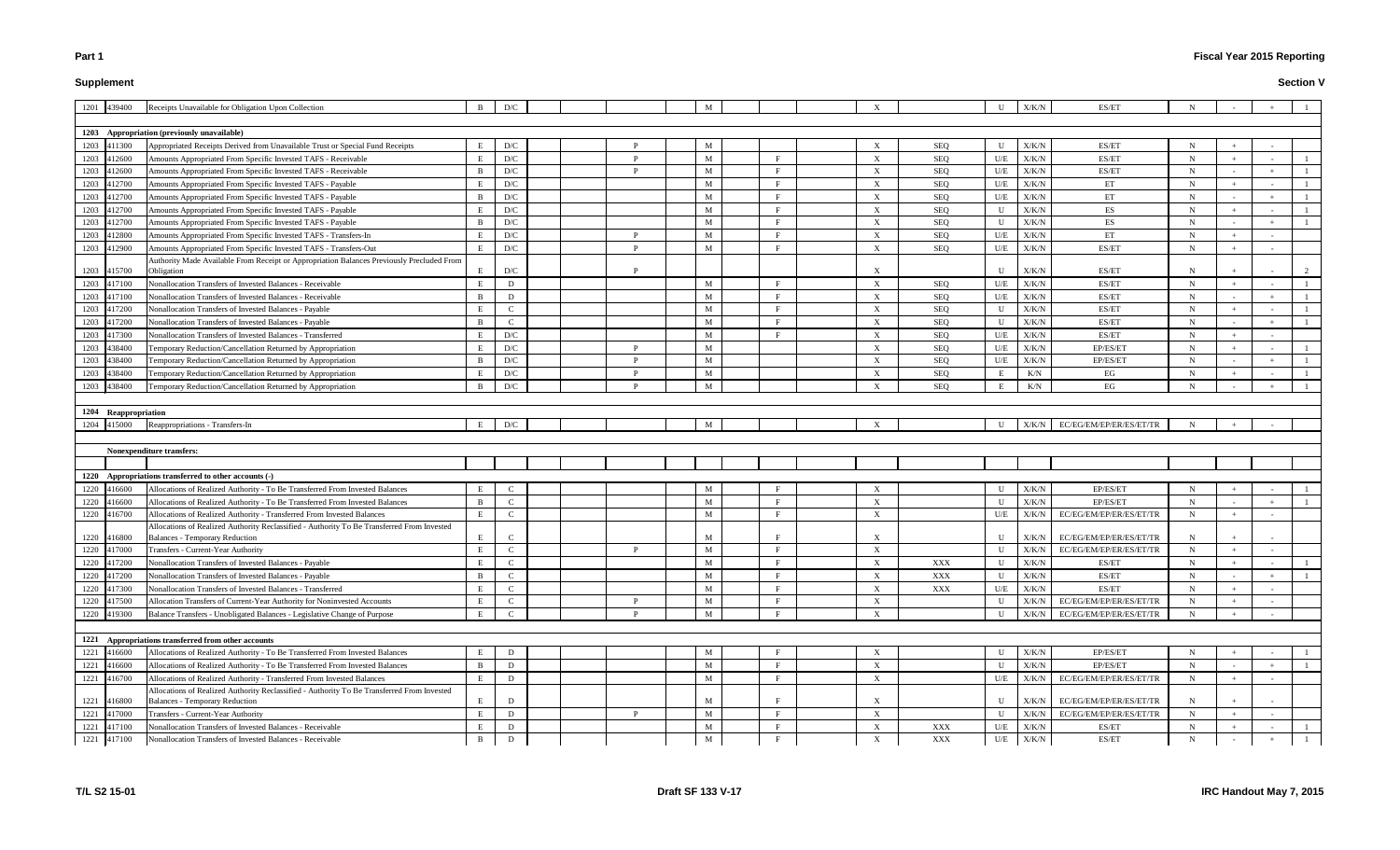# **Supplement**

# **Fiscal Year 2015 Reporting**

| 1201 439400                | Receipts Unavailable for Obligation Upon Collection                                                                                 | <sup>B</sup>      | D/C              |  |              | M      |              |                                |                |                         | X/K/N          | ES/ET                                               |             |               |     |  |
|----------------------------|-------------------------------------------------------------------------------------------------------------------------------------|-------------------|------------------|--|--------------|--------|--------------|--------------------------------|----------------|-------------------------|----------------|-----------------------------------------------------|-------------|---------------|-----|--|
|                            |                                                                                                                                     |                   |                  |  |              |        |              |                                |                |                         |                |                                                     |             |               |     |  |
|                            | 1203 Appropriation (previously unavailable)                                                                                         |                   |                  |  |              |        |              |                                |                |                         |                |                                                     |             |               |     |  |
| 1203 411300                | Appropriated Receipts Derived from Unavailable Trust or Special Fund Receipts                                                       | E<br>E            | D/C<br>D/C       |  | <sup>D</sup> | M      | E.           | X                              | SEQ            | U                       | $\rm X/K/N$    | ES/ET<br>ES/ET                                      | N           |               |     |  |
| 1203<br>412600             | Amounts Appropriated From Specific Invested TAFS - Receivable                                                                       |                   |                  |  | <sup>D</sup> | M      |              | $\boldsymbol{\mathrm{X}}$      | SEQ            | U/E                     | X/K/N          |                                                     | $\mathbf N$ |               |     |  |
| 1203<br>412600             | Amounts Appropriated From Specific Invested TAFS - Receivable                                                                       | $\mathbf{B}$      | D/C              |  |              | M      |              | $\boldsymbol{\mathrm{X}}$      | SEQ            | U/E                     | X/K/N          | ES/ET                                               | N           | $\sim$        |     |  |
| 1203<br>112700             | Amounts Appropriated From Specific Invested TAFS - Payable                                                                          |                   | D/C              |  |              | M      |              | $\boldsymbol{\mathrm{X}}$      | <b>SEQ</b>     | U/E                     | X/K/N          | ET                                                  | N           | $+$           |     |  |
| 1203<br>12700              | Amounts Appropriated From Specific Invested TAFS - Payable                                                                          |                   | D/C              |  |              | M      |              | X                              | <b>SEQ</b>     | $\mathbf{U}/\mathbf{E}$ | X/K/N          | ET                                                  | N           |               |     |  |
| 1203<br>412700             | Amounts Appropriated From Specific Invested TAFS - Payable                                                                          | E                 | D/C              |  |              | M      |              | X                              | SEQ            | U                       | X/K/N          | ES                                                  | N           | $+$           |     |  |
| 1203<br>412700             | Amounts Appropriated From Specific Invested TAFS - Payable                                                                          | <sup>B</sup>      | D/C              |  |              | M      | F            | $\boldsymbol{\mathrm{X}}$      | SEQ            | U                       | X/K/N          | ES                                                  | N           | $\sim$        | $+$ |  |
| 412800<br>1203             | Amounts Appropriated From Specific Invested TAFS - Transfers-In                                                                     | E                 | D/C              |  |              | M      | $\mathbf{F}$ | X                              | SEQ            | U/E                     | X/K/N          | ET                                                  | N           | $+$           |     |  |
| 1203 412900                | Amounts Appropriated From Specific Invested TAFS - Transfers-Out                                                                    | E                 | D/C              |  | D            | M      |              | $\boldsymbol{\mathrm{X}}$      | SEQ            | U/E                     | X/K/N          | ES/ET                                               | N           | $+$           |     |  |
| 1203 415700                | Authority Made Available From Receipt or Appropriation Balances Previously Precluded From<br>Obligation                             | E                 | D/C              |  |              |        |              | X                              |                | $\mathbf{I}$            | X/K/N          | ES/ET                                               | N           | $+$           |     |  |
| 1203<br>417100             | Nonallocation Transfers of Invested Balances - Receivable                                                                           | E                 | D                |  |              | M      |              | $\boldsymbol{\mathrm{X}}$      | SEQ            | U/E                     | X/K/N          | ES/ET                                               | N           | $+$           |     |  |
|                            | Nonallocation Transfers of Invested Balances - Receivable                                                                           |                   |                  |  |              |        |              |                                |                |                         |                | ES/ET                                               |             |               |     |  |
| 1203 417100                | Nonallocation Transfers of Invested Balances - Pavable                                                                              | <sup>B</sup><br>E | D<br>$\mathbf C$ |  |              | M      | F            | $\boldsymbol{\mathrm{X}}$      | SEQ<br>SEQ     | U/E<br>$\mathbf U$      | X/K/N<br>X/K/N | ES/ET                                               | N           | $+$           |     |  |
| 1203 417200<br>1203 417200 | Nonallocation Transfers of Invested Balances - Payable                                                                              | <sup>B</sup>      | $\mathbf C$      |  |              | M<br>M |              | X<br>$\boldsymbol{\mathrm{X}}$ | SEQ            | $\mathbf U$             | X/K/N          | ES/ET                                               | N<br>N      |               |     |  |
| 417300                     | Nonallocation Transfers of Invested Balances - Transferred                                                                          | E                 | D/C              |  |              | M      |              | $\boldsymbol{\mathrm{X}}$      | <b>SEQ</b>     | U/E                     | X/K/N          | ES/ET                                               | N           | $\sim$<br>$+$ |     |  |
| 1203                       |                                                                                                                                     | E                 |                  |  |              |        |              |                                |                |                         |                |                                                     |             | $+$           |     |  |
| 1203<br>438400             | Temporary Reduction/Cancellation Returned by Appropriation                                                                          |                   | D/C              |  |              | M      |              | $\boldsymbol{\mathrm{X}}$      | <b>SEQ</b>     | U/E                     | X/K/N          | EP/ES/ET<br>EP/ES/ET                                | N           |               |     |  |
| 1203<br>438400             | Temporary Reduction/Cancellation Returned by Appropriation                                                                          | B                 | D/C              |  | D            | M      |              | $\boldsymbol{\mathrm{X}}$      | <b>SEQ</b>     | U/E                     | X/K/N          |                                                     | N           | $\sim$        |     |  |
| 1203<br>138400             | Temporary Reduction/Cancellation Returned by Appropriation                                                                          | E                 | D/C              |  |              | M      |              | $\boldsymbol{\mathrm{X}}$      | SEQ            | E                       | K/N            | EG                                                  | N           | $+$           |     |  |
| 1203<br>438400             | Temporary Reduction/Cancellation Returned by Appropriation                                                                          | $\mathbf{B}$      | D/C              |  |              | M      |              | $\boldsymbol{\mathrm{X}}$      | SEQ            | E                       | K/N            | EG                                                  | N           |               |     |  |
|                            |                                                                                                                                     |                   |                  |  |              |        |              |                                |                |                         |                |                                                     |             |               |     |  |
| 1204 Reappropriation       |                                                                                                                                     |                   |                  |  |              |        |              |                                |                |                         |                |                                                     |             |               |     |  |
| 1204 415000                | Reappropriations - Transfers-In                                                                                                     | E                 | D/C              |  |              | M      |              |                                |                | U                       | X/K/N          | EC/EG/EM/EP/ER/ES/ET/TR                             |             |               |     |  |
|                            |                                                                                                                                     |                   |                  |  |              |        |              |                                |                |                         |                |                                                     |             |               |     |  |
|                            |                                                                                                                                     |                   |                  |  |              |        |              |                                |                |                         |                |                                                     |             |               |     |  |
|                            | Nonexpenditure transfers:                                                                                                           |                   |                  |  |              |        |              |                                |                |                         |                |                                                     |             |               |     |  |
|                            |                                                                                                                                     |                   |                  |  |              |        |              |                                |                |                         |                |                                                     |             |               |     |  |
| 1220                       | Appropriations transferred to other accounts (-)                                                                                    |                   |                  |  |              |        |              |                                |                |                         |                |                                                     |             |               |     |  |
| 1220 416600                | Allocations of Realized Authority - To Be Transferred From Invested Balances                                                        | E                 | C                |  |              | M      |              | $\boldsymbol{\mathrm{X}}$      |                | U                       | X/K/N          | EP/ES/ET                                            | N           | $+$           |     |  |
| 1220<br>116600             | Allocations of Realized Authority - To Be Transferred From Invested Balances                                                        | $\mathbf{B}$      | $\mathcal{C}$    |  |              | M      |              | $\boldsymbol{X}$               |                | U                       | X/K/N          | EP/ES/ET                                            | N           |               |     |  |
| 1220<br>416700             | Allocations of Realized Authority - Transferred From Invested Balances                                                              | E                 | $\mathcal{C}$    |  |              | M      |              | $\boldsymbol{\mathrm{X}}$      |                | U/E                     | X/K/N          | EC/EG/EM/EP/ER/ES/ET/TR                             | N           | $+$           |     |  |
|                            | Allocations of Realized Authority Reclassified - Authority To Be Transferred From Invested                                          |                   |                  |  |              |        |              |                                |                |                         |                |                                                     |             |               |     |  |
| 1220 416800                | <b>Balances - Temporary Reduction</b>                                                                                               | E                 | $\mathcal{C}$    |  |              | M      |              |                                |                | U                       | X/K/N          | EC/EG/EM/EP/ER/ES/ET/TR                             |             | $+$           |     |  |
| 1220<br>417000             | Transfers - Current-Year Authority                                                                                                  | E                 | $\mathbf C$      |  |              | M      |              | $\boldsymbol{\mathrm{X}}$      |                | U                       | X/K/N          | EC/EG/EM/EP/ER/ES/ET/TR                             | N           | $+$           |     |  |
| 1220 417200                | Nonallocation Transfers of Invested Balances - Payable                                                                              | E                 | $\mathbf C$      |  |              | M      | F            | $\boldsymbol{\mathrm{X}}$      | XXX            | U                       | X/K/N          | ES/ET                                               | N           |               |     |  |
| 1220 417200                | Nonallocation Transfers of Invested Balances - Payable                                                                              | B                 | $\mathbf{C}$     |  |              | M      | F.           | $\boldsymbol{\mathrm{X}}$      | XXX            | U                       | X/K/N          | ES/ET                                               | N           | $\sim$        |     |  |
| 1220 417300                | Nonallocation Transfers of Invested Balances - Transferred                                                                          | E                 | $\mathbf C$      |  |              | M      |              | $\boldsymbol{\mathrm{X}}$      | $\mathbf{XXX}$ | U/E                     | ${\rm X/K/N}$  | ES/ET                                               | N           | $+$           |     |  |
| 1220 417500                | Allocation Transfers of Current-Year Authority for Noninvested Accounts                                                             | E                 | $\mathbf C$      |  | <sup>D</sup> | M      | F.           | $\boldsymbol{\mathrm{X}}$      |                | U                       | X/K/N          | EC/EG/EM/EP/ER/ES/ET/TR                             | N           | $+$           |     |  |
| 1220 419300                | Balance Transfers - Unobligated Balances - Legislative Change of Purpose                                                            | E                 | $\mathbf{C}$     |  |              | M      | F            | X                              |                | $\mathbf U$             | X/K/N          | EC/EG/EM/EP/ER/ES/ET/TR                             | N           | $+$           |     |  |
|                            |                                                                                                                                     |                   |                  |  |              |        |              |                                |                |                         |                |                                                     |             |               |     |  |
|                            | 1221 Appropriations transferred from other accounts                                                                                 |                   |                  |  |              |        |              |                                |                |                         |                |                                                     |             |               |     |  |
| 1221 416600                | Allocations of Realized Authority - To Be Transferred From Invested Balances                                                        | E                 | D                |  |              | M      |              | $\boldsymbol{\mathrm{X}}$      |                |                         | ${\rm X/K/N}$  | EP/ES/ET                                            | N           |               |     |  |
| 1221 416600                | Allocations of Realized Authority - To Be Transferred From Invested Balances                                                        | B                 | $\mathbf{D}$     |  |              | M      |              | $\mathbf{X}$                   |                | U                       | X/K/N          | EP/ES/ET                                            | $\mathbf N$ | $\sim$        |     |  |
| 1221 416700                | Allocations of Realized Authority - Transferred From Invested Balances                                                              | E                 | D                |  |              | M      | $\mathbf{F}$ | X                              |                | U/E                     | X/K/N          | EC/EG/EM/EP/ER/ES/ET/TR                             | $\mathbf N$ | $+$           |     |  |
| 1221 416800                | Allocations of Realized Authority Reclassified - Authority To Be Transferred From Invested<br><b>Balances - Temporary Reduction</b> | E                 | D                |  |              | M      |              | $\boldsymbol{\mathrm{X}}$      |                | U                       | X/K/N          | EC/EG/EM/EP/ER/ES/ET/TR                             | N           | $+$           |     |  |
| 1221 417000                | Transfers - Current-Year Authority                                                                                                  | E                 | D                |  | P            | M      | F            | X                              |                | $\mathbf{U}$            | X/K/N          | EC/EG/EM/EP/ER/ES/ET/TR                             | N           | $+$           |     |  |
| 1221<br>417100             | Nonallocation Transfers of Invested Balances - Receivable                                                                           | E                 | D                |  |              | M      | F            | X                              | XXX            | U/E                     | ${\rm X/K/N}$  | ES/ET                                               | N           | $+$           |     |  |
| 1221 417100                | Nonallocation Transfers of Invested Balances - Receivable                                                                           | $\mathbf{B}$      | ${\bf D}$        |  |              | M      | F            | $\mathbf{X}$                   | XXX            |                         | $U/E$ $X/K/N$  | $\ensuremath{\mathrm{ES}}/\ensuremath{\mathrm{ET}}$ | $\mathbf N$ | $\sim$        |     |  |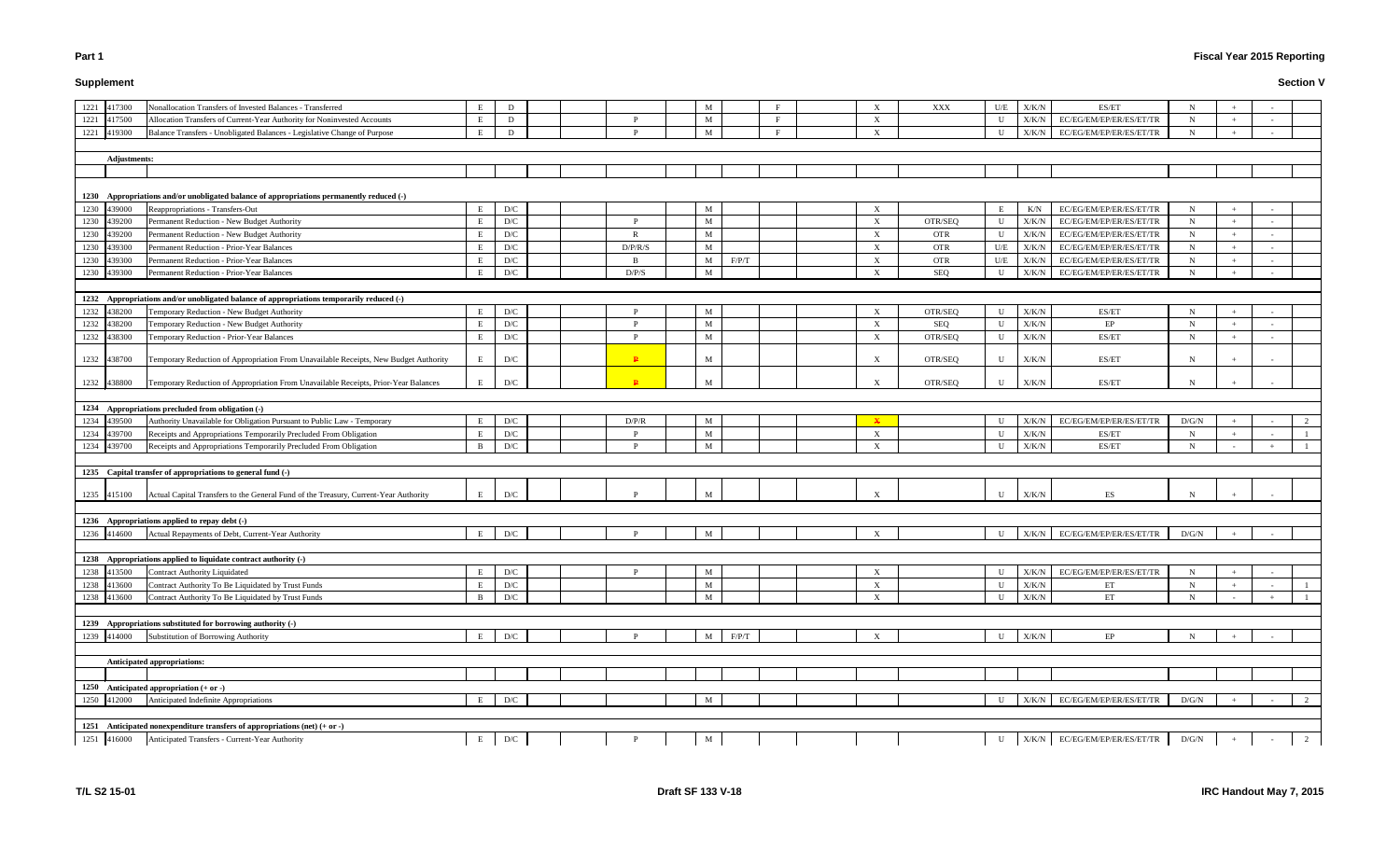# **Supplement**

# **Fiscal Year 2015 Reporting**

|      | 1221 417300  | Nonallocation Transfers of Invested Balances - Transferred                               | E            | D                       |  |              | M |       | $\mathbf{F}$ | X                         | XXX        | U/E         | X/K/N         | ES/ET                           | N           |     |                          |              |
|------|--------------|------------------------------------------------------------------------------------------|--------------|-------------------------|--|--------------|---|-------|--------------|---------------------------|------------|-------------|---------------|---------------------------------|-------------|-----|--------------------------|--------------|
|      | 1221 417500  | Allocation Transfers of Current-Year Authority for Noninvested Accounts                  | Е            | D                       |  | D            | M |       | $\mathbf{F}$ | X                         |            | $\mathbf U$ | X/K/N         | EC/EG/EM/EP/ER/ES/ET/TR         | $\mathbf N$ |     | $\overline{\phantom{a}}$ |              |
| 1221 | 419300       | Balance Transfers - Unobligated Balances - Legislative Change of Purpose                 | F            | D                       |  | D            | M |       | F            | X                         |            | U           | X/K/N         | EC/EG/EM/EP/ER/ES/ET/TR         | $\mathbf N$ | $+$ |                          |              |
|      |              |                                                                                          |              |                         |  |              |   |       |              |                           |            |             |               |                                 |             |     |                          |              |
|      | Adjustments: |                                                                                          |              |                         |  |              |   |       |              |                           |            |             |               |                                 |             |     |                          |              |
|      |              |                                                                                          |              |                         |  |              |   |       |              |                           |            |             |               |                                 |             |     |                          |              |
|      |              |                                                                                          |              |                         |  |              |   |       |              |                           |            |             |               |                                 |             |     |                          |              |
|      |              | 1230 Appropriations and/or unobligated balance of appropriations permanently reduced (-) |              |                         |  |              |   |       |              |                           |            |             |               |                                 |             |     |                          |              |
|      | 1230 439000  | Reappropriations - Transfers-Out                                                         | E            | D/C                     |  |              | M |       |              | $\boldsymbol{\mathrm{X}}$ |            | E           | K/N           | EC/EG/EM/EP/ER/ES/ET/TR         | $\mathbf N$ | $+$ |                          |              |
|      | 1230 439200  | Permanent Reduction - New Budget Authority                                               | E            | D/C                     |  | D            | M |       |              | $\boldsymbol{\mathrm{X}}$ | OTR/SEQ    | $\mathbf U$ | X/K/N         | EC/EG/EM/EP/ER/ES/ET/TR         | $\mathbf N$ |     |                          |              |
|      | 1230 439200  | Permanent Reduction - New Budget Authority                                               | E            | D/C                     |  | R            | M |       |              | X                         | <b>OTR</b> | $\mathbf U$ | X/K/N         | EC/EG/EM/EP/ER/ES/ET/TR         | $\mathbf N$ |     |                          |              |
|      | 1230 439300  | Permanent Reduction - Prior-Year Balances                                                | E            | D/C                     |  | D/P/R/S      | M |       |              | X                         | <b>OTR</b> | U/E         | X/K/N         | EC/EG/EM/EP/ER/ES/ET/TR         | $\mathbf N$ |     |                          |              |
| 1230 | 439300       | Permanent Reduction - Prior-Year Balances                                                |              | D/C                     |  | - B          | M | F/P/T |              | X                         | <b>OTR</b> | U/E         | X/K/N         | EC/EG/EM/EP/ER/ES/ET/TR         | $\mathbf N$ |     |                          |              |
|      | 1230 439300  | Permanent Reduction - Prior-Year Balances                                                | E            | D/C                     |  | D/P/S        | M |       |              | $\boldsymbol{\mathrm{X}}$ | SEQ        | U           | X/K/N         | EC/EG/EM/EP/ER/ES/ET/TR         | N           |     |                          |              |
|      |              |                                                                                          |              |                         |  |              |   |       |              |                           |            |             |               |                                 |             |     |                          |              |
|      |              | 1232 Appropriations and/or unobligated balance of appropriations temporarily reduced (-) |              |                         |  |              |   |       |              |                           |            |             |               |                                 |             |     |                          |              |
|      | 1232 438200  | Temporary Reduction - New Budget Authority                                               |              | D/C                     |  | D            | M |       |              | X                         | OTR/SEQ    | U           | X/K/N         | ES/ET                           | N           |     |                          |              |
|      | 1232 438200  | Temporary Reduction - New Budget Authority                                               | E            | D/C                     |  | D            | M |       |              | $\boldsymbol{\mathrm{X}}$ | SEQ        | U           | X/K/N         | EP                              | $\mathbf N$ | $+$ |                          |              |
|      | 1232 438300  | Temporary Reduction - Prior-Year Balances                                                | E            | D/C                     |  |              | M |       |              |                           | OTR/SEQ    | U           | X/K/N         | ES/ET                           | $\mathbf N$ |     |                          |              |
|      |              |                                                                                          |              |                         |  |              |   |       |              | X                         |            |             |               |                                 |             |     |                          |              |
|      | 1232 438700  | Temporary Reduction of Appropriation From Unavailable Receipts, New Budget Authority     | E            | D/C                     |  | $\mathbf{P}$ | M |       |              | X                         | OTR/SEQ    | U           | X/K/N         | ES/ET                           | N           |     |                          |              |
|      | 1232 438800  | Temporary Reduction of Appropriation From Unavailable Receipts, Prior-Year Balances      |              | ${\rm D/C}$             |  | $\mathbf{D}$ | M |       |              | X                         | OTR/SEO    | U           | X/K/N         | ES/ET                           | N           |     |                          |              |
|      |              |                                                                                          |              |                         |  |              |   |       |              |                           |            |             |               |                                 |             |     |                          |              |
|      |              | 1234 Appropriations precluded from obligation (-)                                        |              |                         |  |              |   |       |              |                           |            |             |               |                                 |             |     |                          |              |
|      | 1234 439500  | Authority Unavailable for Obligation Pursuant to Public Law - Temporary                  | E            | D/C                     |  | D/P/R        | M |       |              | $\mathbf{x}$              |            | U           | X/K/N         | EC/EG/EM/EP/ER/ES/ET/TR         | D/G/N       |     |                          |              |
|      | 1234 439700  | Receipts and Appropriations Temporarily Precluded From Obligation                        | E            | D/C                     |  | D            | M |       |              | X                         |            | U           | X/K/N         | ES/ET                           | $\mathbf N$ | $+$ |                          | $\mathbf{1}$ |
|      | 1234 439700  | Receipts and Appropriations Temporarily Precluded From Obligation                        | B            | ${\rm D/C}$             |  | D            | M |       |              | $\boldsymbol{\mathrm{X}}$ |            | $\mathbf U$ | X/K/N         | ES/ET                           | $\mathbf N$ |     |                          |              |
|      |              |                                                                                          |              |                         |  |              |   |       |              |                           |            |             |               |                                 |             |     |                          |              |
|      |              | 1235 Capital transfer of appropriations to general fund (-)                              |              |                         |  |              |   |       |              |                           |            |             |               |                                 |             |     |                          |              |
|      |              |                                                                                          |              |                         |  |              |   |       |              |                           |            |             |               |                                 |             |     |                          |              |
|      | 1235 415100  | Actual Capital Transfers to the General Fund of the Treasury, Current-Year Authority     | $\mathbf{F}$ | D/C                     |  |              | M |       |              |                           |            | $\mathbf U$ | X/K/N         | <b>ES</b>                       | N           |     |                          |              |
|      |              |                                                                                          |              |                         |  |              |   |       |              |                           |            |             |               |                                 |             |     |                          |              |
|      |              | 1236 Appropriations applied to repay debt (-)                                            |              |                         |  |              |   |       |              |                           |            |             |               |                                 |             |     |                          |              |
|      | 1236 414600  | Actual Repayments of Debt, Current-Year Authority                                        |              | ${\rm D/C}$             |  |              | M |       |              | X                         |            | U           | X/K/N         | EC/EG/EM/EP/ER/ES/ET/TR         | D/G/N       |     |                          |              |
|      |              |                                                                                          |              |                         |  |              |   |       |              |                           |            |             |               |                                 |             |     |                          |              |
|      |              | 1238 Appropriations applied to liquidate contract authority (-)                          |              |                         |  |              |   |       |              |                           |            |             |               |                                 |             |     |                          |              |
|      | 1238 413500  | <b>Contract Authority Liquidated</b>                                                     | E            | D/C                     |  |              | M |       |              | X                         |            | U           | X/K/N         | EC/EG/EM/EP/ER/ES/ET/TR         | N           |     |                          |              |
|      | 1238 413600  | Contract Authority To Be Liquidated by Trust Funds                                       | E            | $\mathbf{D}/\mathbf{C}$ |  |              | M |       |              | X                         |            | U           | X/K/N         | ET                              | $\mathbf N$ |     |                          |              |
|      | 1238 413600  | Contract Authority To Be Liquidated by Trust Funds                                       | B            | D/C                     |  |              | M |       |              | $\boldsymbol{\mathrm{X}}$ |            | U           | X/K/N         | ET                              | N           |     |                          |              |
|      |              |                                                                                          |              |                         |  |              |   |       |              |                           |            |             |               |                                 |             |     |                          |              |
|      |              | 1239 Appropriations substituted for borrowing authority (-)                              |              |                         |  |              |   |       |              |                           |            |             |               |                                 |             |     |                          |              |
|      | 1239 414000  | Substitution of Borrowing Authority                                                      |              | D/C                     |  |              | M | F/P/T |              | X                         |            | U           | X/K/N         | $\rm EP$                        | N           |     |                          |              |
|      |              |                                                                                          |              |                         |  |              |   |       |              |                           |            |             |               |                                 |             |     |                          |              |
|      |              | Anticipated appropriations:                                                              |              |                         |  |              |   |       |              |                           |            |             |               |                                 |             |     |                          |              |
|      |              |                                                                                          |              |                         |  |              |   |       |              |                           |            |             |               |                                 |             |     |                          |              |
|      |              | 1250 Anticipated appropriation (+ or -)                                                  |              |                         |  |              |   |       |              |                           |            |             |               |                                 |             |     |                          |              |
|      | 1250 412000  | Anticipated Indefinite Appropriations                                                    |              | $\mathbf{D}/\mathbf{C}$ |  |              | M |       |              |                           |            | U           | ${\rm X/K/N}$ | EC/EG/EM/EP/ER/ES/ET/TR         | D/G/N       |     |                          |              |
|      |              |                                                                                          |              |                         |  |              |   |       |              |                           |            |             |               |                                 |             |     |                          |              |
|      |              | 1251 Anticipated nonexpenditure transfers of appropriations (net) $(+ or -)$             |              |                         |  |              |   |       |              |                           |            |             |               |                                 |             |     |                          |              |
|      | 1251 416000  | Anticipated Transfers - Current-Year Authority                                           | E            | D/C                     |  |              | M |       |              |                           |            | U           |               | $X/K/N$ EC/EG/EM/EP/ER/ES/ET/TR | D/G/N       |     |                          | 2            |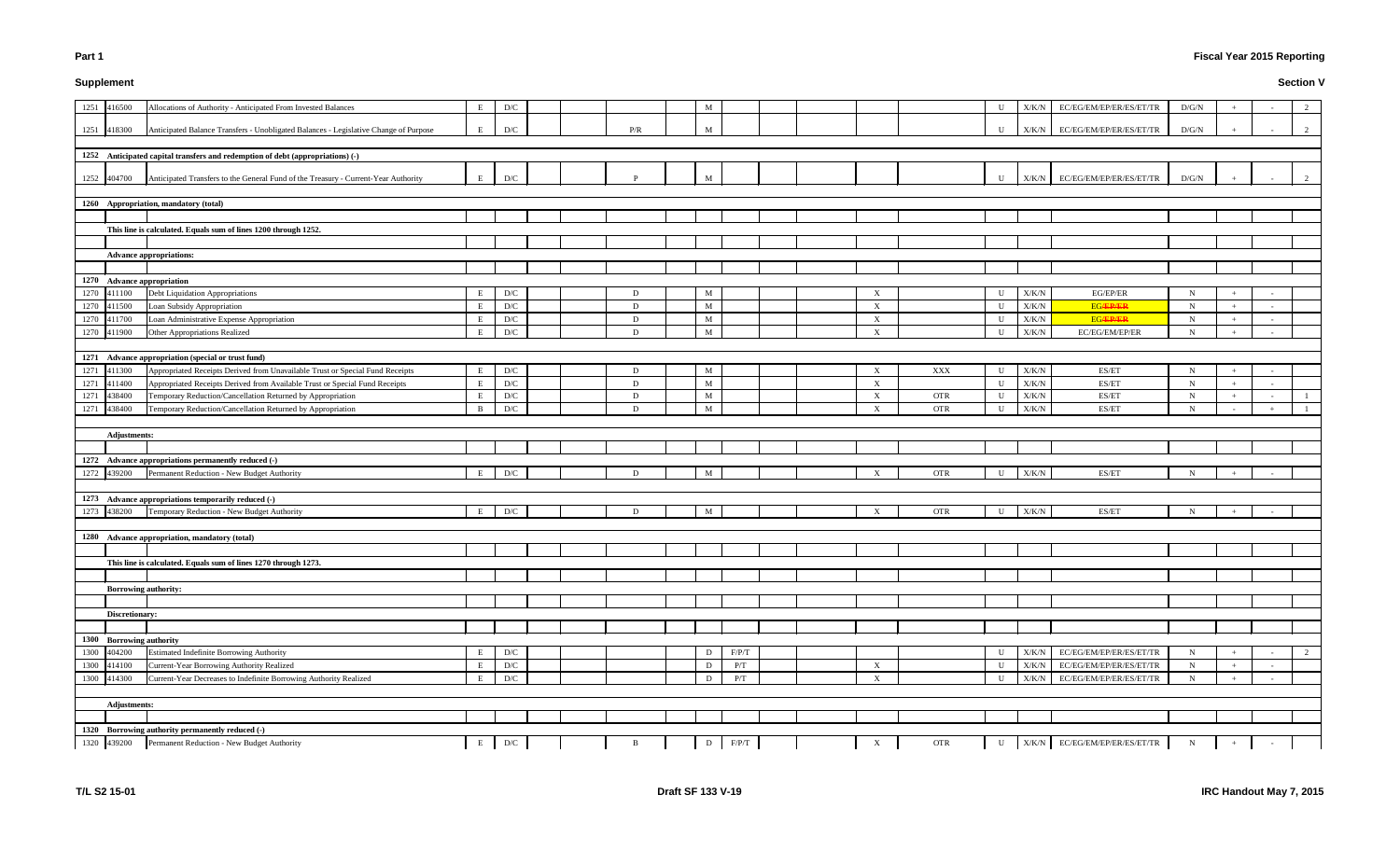# **Supplement**

# **Fiscal Year 2015 Reporting**

| 1251<br>416500             | Allocations of Authority - Anticipated From Invested Balances                        |              | D/C                     |     | M           |       |  |                           |            | U            | X/K/N         | EC/EG/EM/EP/ER/ES/ET/TR         | D/G/N       |     |                          | 2 |
|----------------------------|--------------------------------------------------------------------------------------|--------------|-------------------------|-----|-------------|-------|--|---------------------------|------------|--------------|---------------|---------------------------------|-------------|-----|--------------------------|---|
|                            |                                                                                      |              |                         |     |             |       |  |                           |            |              |               |                                 |             |     |                          |   |
| 1251 418300                | Anticipated Balance Transfers - Unobligated Balances - Legislative Change of Purpose |              | D/C                     | P/R | M           |       |  |                           |            | $\mathbf{U}$ | X/K/N         | EC/EG/EM/EP/ER/ES/ET/TR         | D/G/N       |     |                          | 2 |
|                            |                                                                                      |              |                         |     |             |       |  |                           |            |              |               |                                 |             |     |                          |   |
|                            | 1252 Anticipated capital transfers and redemption of debt (appropriations) (-)       |              |                         |     |             |       |  |                           |            |              |               |                                 |             |     |                          |   |
|                            |                                                                                      |              |                         |     |             |       |  |                           |            |              |               |                                 |             |     |                          |   |
| 1252 404700                | Anticipated Transfers to the General Fund of the Treasury - Current-Year Authority   | E            | $\mathbf{D}/\mathbf{C}$ |     |             |       |  |                           |            | $\mathbf{U}$ | X/K/N         | EC/EG/EM/EP/ER/ES/ET/TR         | D/G/N       |     |                          |   |
|                            |                                                                                      |              |                         |     |             |       |  |                           |            |              |               |                                 |             |     |                          |   |
|                            | 1260 Appropriation, mandatory (total)                                                |              |                         |     |             |       |  |                           |            |              |               |                                 |             |     |                          |   |
|                            |                                                                                      |              |                         |     |             |       |  |                           |            |              |               |                                 |             |     |                          |   |
|                            | This line is calculated. Equals sum of lines 1200 through 1252.                      |              |                         |     |             |       |  |                           |            |              |               |                                 |             |     |                          |   |
|                            |                                                                                      |              |                         |     |             |       |  |                           |            |              |               |                                 |             |     |                          |   |
|                            | <b>Advance appropriations:</b>                                                       |              |                         |     |             |       |  |                           |            |              |               |                                 |             |     |                          |   |
|                            |                                                                                      |              |                         |     |             |       |  |                           |            |              |               |                                 |             |     |                          |   |
| 1270 Advance appropriation |                                                                                      |              |                         |     |             |       |  |                           |            |              |               |                                 |             |     |                          |   |
| 1270<br>411100             | Debt Liquidation Appropriations                                                      |              | $\mathbf{D}/\mathbf{C}$ | D   | M           |       |  | $\boldsymbol{\mathrm{X}}$ |            | $\mathbf{H}$ | $\rm X/K/N$   | EG/EP/ER                        | N           |     |                          |   |
| 1270 411500                | Loan Subsidy Appropriation                                                           |              | D/C                     | D   | M           |       |  | $\boldsymbol{\mathrm{X}}$ |            | $\mathbf{I}$ | ${\rm X/K/N}$ | <b>EG/EP/ER</b>                 | $\mathbf N$ |     | $\sim$                   |   |
| 1270<br>411700             | Loan Administrative Expense Appropriation                                            |              | D/C                     | D   | M           |       |  | $\boldsymbol{\mathrm{X}}$ |            | $\mathbf{H}$ | ${\rm X/K/N}$ | <b>EG/EP/ER</b>                 | $\mathbf N$ |     | $\sim$                   |   |
| 1270 411900                | Other Appropriations Realized                                                        |              | $\mathbf{D}/\mathbf{C}$ | D   | M           |       |  | $\boldsymbol{\mathrm{X}}$ |            | $\mathbf{I}$ | X/K/N         | EC/EG/EM/EP/ER                  | N           |     | $\sim$                   |   |
|                            |                                                                                      |              |                         |     |             |       |  |                           |            |              |               |                                 |             |     |                          |   |
|                            | 1271 Advance appropriation (special or trust fund)                                   |              |                         |     |             |       |  |                           |            |              |               |                                 |             |     |                          |   |
| 1271<br>411300             | Appropriated Receipts Derived from Unavailable Trust or Special Fund Receipts        | E            | D/C                     | D   | M           |       |  | $\boldsymbol{\mathrm{X}}$ | XXX        | U            | X/K/N         | ES/ET                           | N           |     |                          |   |
| 1271<br>411400             | Appropriated Receipts Derived from Available Trust or Special Fund Receipts          | E            | D/C                     | D   | M           |       |  | $\boldsymbol{\mathrm{X}}$ |            | $\mathbf{U}$ | ${\rm X/K/N}$ | ES/ET                           | N           |     |                          |   |
| 1271<br>438400             | Temporary Reduction/Cancellation Returned by Appropriation                           | E            | D/C                     | D   | M           |       |  | $\boldsymbol{\mathrm{X}}$ | <b>OTR</b> | U            | ${\rm X/K/N}$ | ES/ET                           | $\mathbf N$ |     | $\sim$                   |   |
| 1271<br>438400             | Temporary Reduction/Cancellation Returned by Appropriation                           | <sup>B</sup> | $\mathbf{D}/\mathbf{C}$ | D   | $M_{\odot}$ |       |  | $\boldsymbol{\mathrm{X}}$ | <b>OTR</b> | U            | X/K/N         | ES/ET                           | N           |     |                          |   |
|                            |                                                                                      |              |                         |     |             |       |  |                           |            |              |               |                                 |             |     |                          |   |
| <b>Adjustments:</b>        |                                                                                      |              |                         |     |             |       |  |                           |            |              |               |                                 |             |     |                          |   |
|                            | 1272 Advance appropriations permanently reduced (-)                                  |              |                         |     |             |       |  |                           |            |              |               |                                 |             |     |                          |   |
| 1272 439200                | Permanent Reduction - New Budget Authority                                           | E            | D/C                     | D   | M           |       |  | $\boldsymbol{\mathrm{X}}$ | <b>OTR</b> | $\mathbf{I}$ | X/K/N         | ES/ET                           | $\mathbf N$ |     | $\sim$                   |   |
|                            |                                                                                      |              |                         |     |             |       |  |                           |            |              |               |                                 |             |     |                          |   |
|                            | 1273 Advance appropriations temporarily reduced (-)                                  |              |                         |     |             |       |  |                           |            |              |               |                                 |             |     |                          |   |
| 1273 438200                | Temporary Reduction - New Budget Authority                                           | Е            | $\mathbf{D}/\mathbf{C}$ | D   | M           |       |  | $\boldsymbol{\mathrm{X}}$ | <b>OTR</b> | U            | X/K/N         | ES/ET                           | N           |     |                          |   |
|                            |                                                                                      |              |                         |     |             |       |  |                           |            |              |               |                                 |             |     |                          |   |
|                            | 1280 Advance appropriation, mandatory (total)                                        |              |                         |     |             |       |  |                           |            |              |               |                                 |             |     |                          |   |
|                            |                                                                                      |              |                         |     |             |       |  |                           |            |              |               |                                 |             |     |                          |   |
|                            | This line is calculated. Equals sum of lines 1270 through 1273.                      |              |                         |     |             |       |  |                           |            |              |               |                                 |             |     |                          |   |
|                            |                                                                                      |              |                         |     |             |       |  |                           |            |              |               |                                 |             |     |                          |   |
|                            | <b>Borrowing authority:</b>                                                          |              |                         |     |             |       |  |                           |            |              |               |                                 |             |     |                          |   |
|                            |                                                                                      |              |                         |     |             |       |  |                           |            |              |               |                                 |             |     |                          |   |
| Discretionary:             |                                                                                      |              |                         |     |             |       |  |                           |            |              |               |                                 |             |     |                          |   |
|                            |                                                                                      |              |                         |     |             |       |  |                           |            |              |               |                                 |             |     |                          |   |
| 1300 Borrowing authority   |                                                                                      |              |                         |     |             |       |  |                           |            |              |               |                                 |             |     |                          |   |
| 1300 404200                | <b>Estimated Indefinite Borrowing Authority</b>                                      | E            | D/C                     |     | D           | F/P/T |  |                           |            | $\mathbf{U}$ | ${\rm X/K/N}$ | EC/EG/EM/EP/ER/ES/ET/TR         | $\mathbf N$ |     |                          | 2 |
| 1300 414100                | Current-Year Borrowing Authority Realized                                            | E            | D/C                     |     | D           | P/T   |  | $\boldsymbol{\mathrm{X}}$ |            | $\mathbf{U}$ | X/K/N         | EC/EG/EM/EP/ER/ES/ET/TR         | $N_{\rm}$   |     |                          |   |
| 1300 414300                | Current-Year Decreases to Indefinite Borrowing Authority Realized                    | E            | $\mathbf{D}/\mathbf{C}$ |     | D           | P/T   |  | $\boldsymbol{\mathrm{X}}$ |            | $\mathbf{U}$ | X/K/N         | EC/EG/EM/EP/ER/ES/ET/TR         | $\mathbf N$ |     | $\overline{\phantom{a}}$ |   |
|                            |                                                                                      |              |                         |     |             |       |  |                           |            |              |               |                                 |             |     |                          |   |
| <b>Adjustments:</b>        |                                                                                      |              |                         |     |             |       |  |                           |            |              |               |                                 |             |     |                          |   |
|                            |                                                                                      |              |                         |     |             |       |  |                           |            |              |               |                                 |             |     |                          |   |
|                            | 1320 Borrowing authority permanently reduced (-)                                     |              |                         |     |             |       |  |                           |            |              |               |                                 |             |     |                          |   |
| 1320 439200                | Permanent Reduction - New Budget Authority                                           | E            | D/C                     | B   | D           | F/P/T |  | $\mathbf{X}$              | <b>OTR</b> | U            |               | $X/K/N$ EC/EG/EM/EP/ER/ES/ET/TR | $N_{\rm}$   | $+$ |                          |   |
|                            |                                                                                      |              |                         |     |             |       |  |                           |            |              |               |                                 |             |     |                          |   |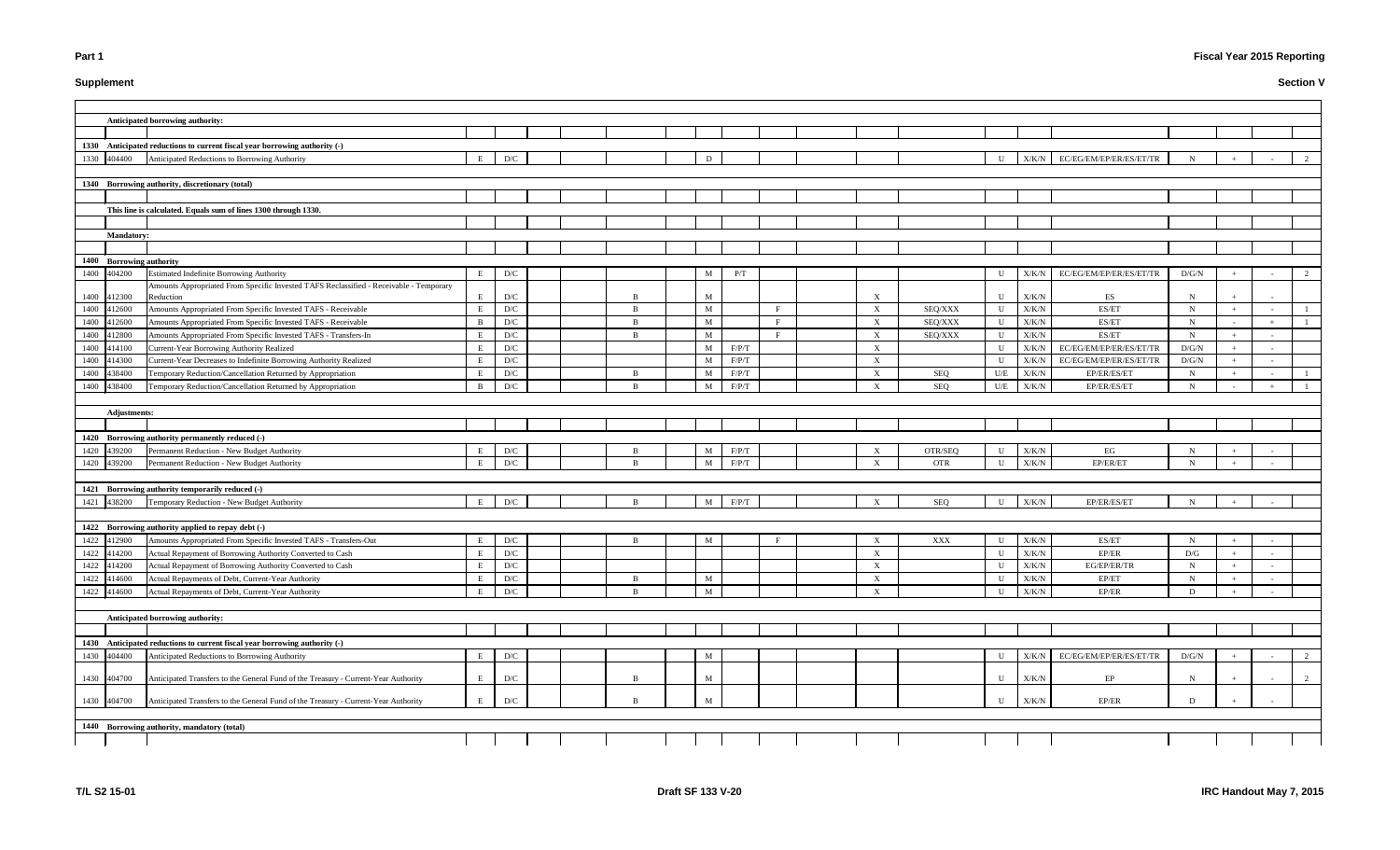# **Supplement**

# **Fiscal Year 2015 Reporting**

|                          | Anticipated borrowing authority:                                                               |              |                         |  |                   |              |             |                   |                           |            |              |               |                         |             |        |   |
|--------------------------|------------------------------------------------------------------------------------------------|--------------|-------------------------|--|-------------------|--------------|-------------|-------------------|---------------------------|------------|--------------|---------------|-------------------------|-------------|--------|---|
|                          |                                                                                                |              |                         |  |                   |              |             |                   |                           |            |              |               |                         |             |        |   |
|                          | 1330 Anticipated reductions to current fiscal year borrowing authority (-)                     |              |                         |  |                   |              |             |                   |                           |            |              |               |                         |             |        |   |
| 1330<br>404400           | Anticipated Reductions to Borrowing Authority                                                  | E            | D/C                     |  |                   | D            |             |                   |                           |            | U            | X/K/N         | EC/EG/EM/EP/ER/ES/ET/TR |             |        |   |
|                          |                                                                                                |              |                         |  |                   |              |             |                   |                           |            |              |               |                         |             |        |   |
|                          | 1340 Borrowing authority, discretionary (total)                                                |              |                         |  |                   |              |             |                   |                           |            |              |               |                         |             |        |   |
|                          |                                                                                                |              |                         |  |                   |              |             |                   |                           |            |              |               |                         |             |        |   |
|                          | This line is calculated. Equals sum of lines 1300 through 1330.                                |              |                         |  |                   |              |             |                   |                           |            |              |               |                         |             |        |   |
|                          |                                                                                                |              |                         |  |                   |              |             |                   |                           |            |              |               |                         |             |        |   |
| <b>Mandatory:</b>        |                                                                                                |              |                         |  |                   |              |             |                   |                           |            |              |               |                         |             |        |   |
|                          |                                                                                                |              |                         |  |                   |              |             |                   |                           |            |              |               |                         |             |        |   |
| 1400 Borrowing authority |                                                                                                |              |                         |  |                   |              |             |                   |                           |            |              |               |                         |             |        |   |
| 1400 404200              | Estimated Indefinite Borrowing Authority                                                       | E            | $\mathbf{D}/\mathbf{C}$ |  |                   | M            | P/T         |                   |                           |            | U            | X/K/N         | EC/EG/EM/EP/ER/ES/ET/TR | D/G/N       |        | 2 |
|                          | Amounts Appropriated From Specific Invested TAFS Reclassified - Receivable - Temporary         |              |                         |  |                   |              |             |                   |                           |            |              |               |                         |             |        |   |
| 1400 412300              | Reduction                                                                                      | E            | $\mathbf{D}/\mathbf{C}$ |  | <b>R</b>          | M            |             |                   | X                         |            | U            | X/K/N         | ES                      | N           |        |   |
| 1400<br>412600           | Amounts Appropriated From Specific Invested TAFS - Receivable                                  | E            | $\mathbf{D}/\mathbf{C}$ |  | $\overline{B}$    | M            |             | F                 | X                         | SEQ/XXX    | U            | X/K/N         | ES/ET                   | $\mathbf N$ |        |   |
| 1400<br>412600           | Amounts Appropriated From Specific Invested TAFS - Receivable                                  | $\mathbf{B}$ | $\mathbf{D}/\mathbf{C}$ |  | $\overline{B}$    | M            |             | F<br>$\mathbf{E}$ | X                         | SEQ/XXX    | U            | X/K/N         | ES/ET                   | $N_{\odot}$ |        |   |
| 412800<br>1400           | Amounts Appropriated From Specific Invested TAFS - Transfers-In                                | E.           | $\mathbf{D}/\mathbf{C}$ |  | $\overline{B}$    | $\mathbf{M}$ |             |                   | $\boldsymbol{\mathrm{X}}$ | SEQ/XXX    | $\mathbf U$  | X/K/N         | ES/ET                   | $\mathbf N$ |        |   |
| 1400 414100              | <b>Current-Year Borrowing Authority Realized</b>                                               | E            | $\mathbf{D}/\mathbf{C}$ |  |                   | M            | $\rm F/P/T$ |                   | $\boldsymbol{\mathrm{X}}$ |            | $\mathbf{U}$ | X/K/N         | EC/EG/EM/EP/ER/ES/ET/TR | D/G/N       |        |   |
| 1400 414300              | Current-Year Decreases to Indefinite Borrowing Authority Realized                              | Е            | $\mathbf{D}/\mathbf{C}$ |  |                   | M            | $\rm F/P/T$ |                   | X                         |            | U            | X/K/N         | EC/EG/EM/EP/ER/ES/ET/TR | D/G/N       | $\sim$ |   |
| 1400<br>438400           | Temporary Reduction/Cancellation Returned by Appropriation                                     | Е            | $\mathbf{D}/\mathbf{C}$ |  | -B<br>$\mathbf R$ | M            | F/P/T       |                   | X                         | SEQ        | U/E          | X/K/N         | EP/ER/ES/ET             | N           |        |   |
| 1400 438400              | Temporary Reduction/Cancellation Returned by Appropriation                                     | $\mathbf{B}$ | $\mathbf{D}/\mathbf{C}$ |  |                   | M            | $\rm F/P/T$ |                   | $\boldsymbol{\mathrm{X}}$ | SEQ        | U/E          | X/K/N         | EP/ER/ES/ET             | N           |        |   |
|                          |                                                                                                |              |                         |  |                   |              |             |                   |                           |            |              |               |                         |             |        |   |
| <b>Adjustments:</b>      |                                                                                                |              |                         |  |                   |              |             |                   |                           |            |              |               |                         |             |        |   |
|                          |                                                                                                |              |                         |  |                   |              |             |                   |                           |            |              |               |                         |             |        |   |
| 439200<br>1420           | 1420 Borrowing authority permanently reduced (-)<br>Permanent Reduction - New Budget Authority | E            | D/C                     |  | -B                | M            | F/P/T       |                   | X                         | OTR/SEQ    | U            | X/K/N         | EG                      | N           |        |   |
| 1420 439200              | Permanent Reduction - New Budget Authority                                                     | E            | D/C                     |  | $\mathbf{R}$      | M            | F/P/T       |                   | X                         | <b>OTR</b> | U            | ${\rm X/K/N}$ | EP/ER/ET                | N           |        |   |
|                          |                                                                                                |              |                         |  |                   |              |             |                   |                           |            |              |               |                         |             |        |   |
|                          | 1421 Borrowing authority temporarily reduced (-)                                               |              |                         |  |                   |              |             |                   |                           |            |              |               |                         |             |        |   |
| 1421 438200              | Temporary Reduction - New Budget Authority                                                     | Е            | $\mathbf{D}/\mathbf{C}$ |  | B                 | M            | F/P/T       |                   | X                         | SEQ        | $\mathbf{U}$ | X/K/N         | EP/ER/ES/ET             | $\mathbf N$ |        |   |
|                          |                                                                                                |              |                         |  |                   |              |             |                   |                           |            |              |               |                         |             |        |   |
|                          | 1422 Borrowing authority applied to repay debt (-)                                             |              |                         |  |                   |              |             |                   |                           |            |              |               |                         |             |        |   |
| 1422<br>412900           | Amounts Appropriated From Specific Invested TAFS - Transfers-Out                               | Е            | D/C                     |  | B                 | M            |             | F                 | X                         | XXX        | U            | X/K/N         | ES/ET                   | $\mathbf N$ |        |   |
| 1422 414200              | Actual Repayment of Borrowing Authority Converted to Cash                                      | E            | $\mathbf{D}/\mathbf{C}$ |  |                   |              |             |                   | $\boldsymbol{\mathrm{X}}$ |            | U            | X/K/N         | EP/ER                   | D/G         |        |   |
| 1422 414200              | Actual Repayment of Borrowing Authority Converted to Cash                                      | E            | $\mathbf{D}/\mathbf{C}$ |  |                   |              |             |                   | X                         |            | $\mathbf U$  | $\rm X/K/N$   | EG/EP/ER/TR             | $\mathbf N$ |        |   |
| 1422 414600              | Actual Repayments of Debt, Current-Year Authority                                              | Е            | $\mathbf{D}/\mathbf{C}$ |  | B                 | M            |             |                   | $\boldsymbol{\mathrm{X}}$ |            | U            | X/K/N         | EP/ET                   | $\mathbf N$ |        |   |
| 1422 414600              | Actual Repayments of Debt, Current-Year Authority                                              | Е            | $\mathbf{D}/\mathbf{C}$ |  | B                 | M            |             |                   | $\boldsymbol{\mathrm{X}}$ |            | U            | ${\rm X/K/N}$ | $\rm EP/ER$             | D           |        |   |
|                          |                                                                                                |              |                         |  |                   |              |             |                   |                           |            |              |               |                         |             |        |   |
|                          | Anticipated borrowing authority:                                                               |              |                         |  |                   |              |             |                   |                           |            |              |               |                         |             |        |   |
|                          |                                                                                                |              |                         |  |                   |              |             |                   |                           |            |              |               |                         |             |        |   |
|                          | 1430 Anticipated reductions to current fiscal year borrowing authority (-)                     |              |                         |  |                   |              |             |                   |                           |            |              |               |                         |             |        |   |
| 404400<br>1430           | Anticipated Reductions to Borrowing Authority                                                  | Е            | $\mathbf{D}/\mathbf{C}$ |  |                   | M            |             |                   |                           |            | U            | X/K/N         | EC/EG/EM/EP/ER/ES/ET/TR | D/G/N       |        | 2 |
|                          |                                                                                                |              |                         |  |                   |              |             |                   |                           |            |              |               |                         |             |        |   |
| 1430 404700              | Anticipated Transfers to the General Fund of the Treasury - Current-Year Authority             | E            | $\mathbf{D}/\mathbf{C}$ |  | B                 | M            |             |                   |                           |            | U            | X/K/N         | EP                      | $N_{\odot}$ |        | 2 |
|                          |                                                                                                |              |                         |  |                   |              |             |                   |                           |            |              |               |                         |             |        |   |
| 1430 404700              | Anticipated Transfers to the General Fund of the Treasury - Current-Year Authority             | E            | D/C                     |  | B                 | M            |             |                   |                           |            |              | X/K/N         | EP/ER                   | D           |        |   |
|                          |                                                                                                |              |                         |  |                   |              |             |                   |                           |            |              |               |                         |             |        |   |
|                          | 1440 Borrowing authority, mandatory (total)                                                    |              |                         |  |                   |              |             |                   |                           |            |              |               |                         |             |        |   |
|                          |                                                                                                |              |                         |  |                   |              |             |                   |                           |            |              |               |                         |             |        |   |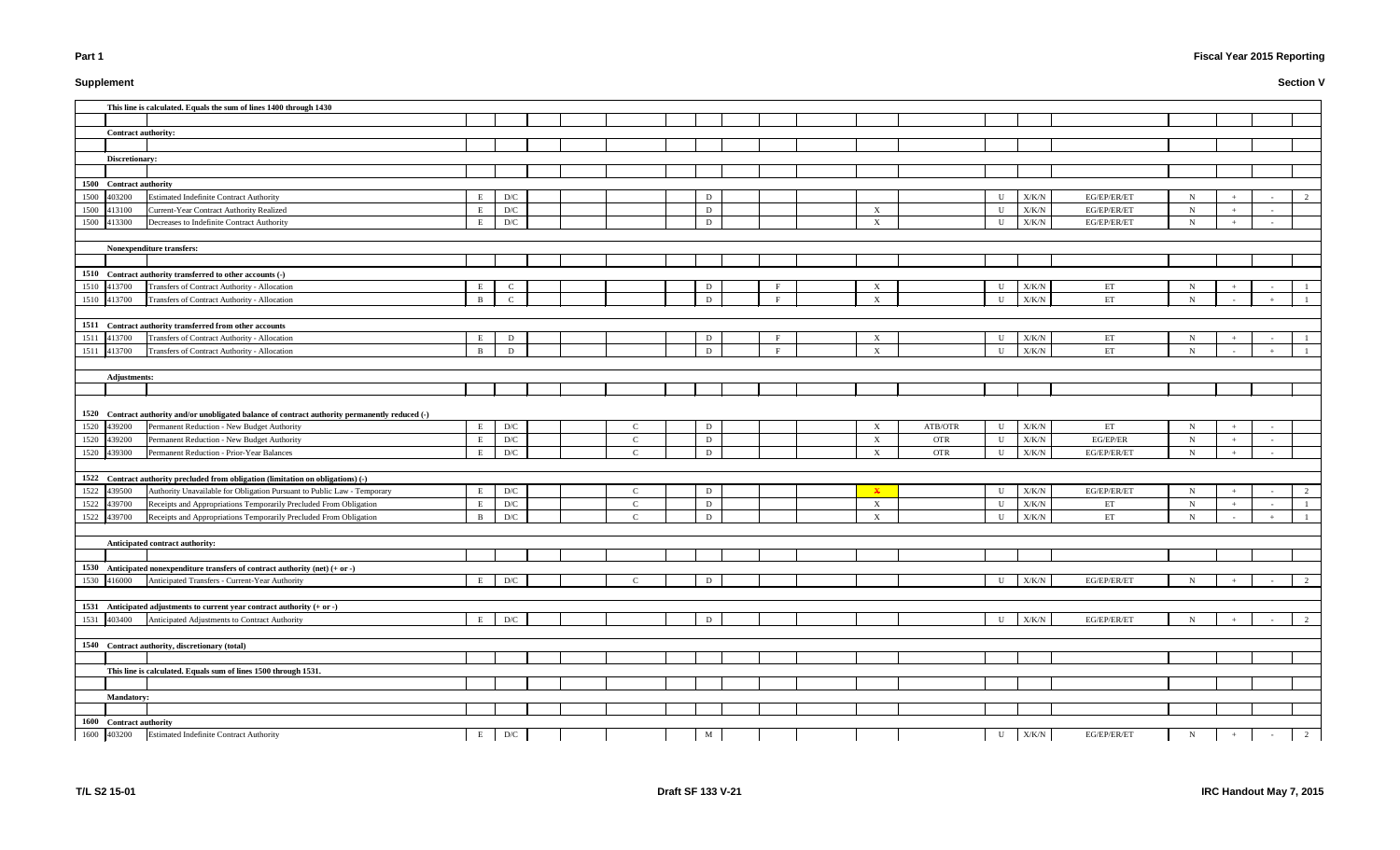# **Supplement**

# **Fiscal Year 2015 Reporting**

|      |                            | This line is calculated. Equals the sum of lines 1400 through 1430                                                                 |              |                         |               |   |              |                           |            |              |               |                            |                            |                |        |                |
|------|----------------------------|------------------------------------------------------------------------------------------------------------------------------------|--------------|-------------------------|---------------|---|--------------|---------------------------|------------|--------------|---------------|----------------------------|----------------------------|----------------|--------|----------------|
|      |                            |                                                                                                                                    |              |                         |               |   |              |                           |            |              |               |                            |                            |                |        |                |
|      | <b>Contract authority:</b> |                                                                                                                                    |              |                         |               |   |              |                           |            |              |               |                            |                            |                |        |                |
|      |                            |                                                                                                                                    |              |                         |               |   |              |                           |            |              |               |                            |                            |                |        |                |
|      | Discretionary:             |                                                                                                                                    |              |                         |               |   |              |                           |            |              |               |                            |                            |                |        |                |
|      |                            |                                                                                                                                    |              |                         |               |   |              |                           |            |              |               |                            |                            |                |        |                |
|      | 1500 Contract authority    |                                                                                                                                    |              |                         |               |   |              |                           |            |              |               |                            |                            |                |        |                |
|      | 1500 403200                | <b>Estimated Indefinite Contract Authority</b>                                                                                     | E            | D/C                     |               | D |              |                           |            | U            | X/K/N         | EG/EP/ER/ET                | N                          |                |        | 2              |
|      | 1500 413100                | Current-Year Contract Authority Realized                                                                                           | E            | $\mathbf{D}/\mathbf{C}$ |               | D |              | $\mathbf{X}$              |            | $\mathbf U$  | X/K/N         | EG/EP/ER/ET                | N                          |                | $\sim$ |                |
|      | 1500 413300                | Decreases to Indefinite Contract Authority                                                                                         | E            | D/C                     |               | D |              | $\boldsymbol{X}$          |            | $\mathbf U$  | X/K/N         | EG/EP/ER/ET                | $\mathbf N$                | $+$            | $\sim$ |                |
|      |                            |                                                                                                                                    |              |                         |               |   |              |                           |            |              |               |                            |                            |                |        |                |
|      |                            | Nonexpenditure transfers:                                                                                                          |              |                         |               |   |              |                           |            |              |               |                            |                            |                |        |                |
|      |                            |                                                                                                                                    |              |                         |               |   |              |                           |            |              |               |                            |                            |                |        |                |
|      |                            | 1510 Contract authority transferred to other accounts (-)                                                                          |              |                         |               |   |              |                           |            |              |               |                            |                            |                |        |                |
|      | 1510 413700                | Transfers of Contract Authority - Allocation                                                                                       | E            | $\mathbf C$             |               | D | F            | $\boldsymbol{\mathrm{X}}$ |            | U            | X/K/N         | ET                         | $\mathbf N$                |                |        |                |
|      | 1510 413700                | Transfers of Contract Authority - Allocation                                                                                       | $\mathbf{R}$ | $\mathsf{C}$            |               | D | $\mathbf{E}$ | $\mathbf{X}$              |            | $\mathbf U$  | X/K/N         | $\mathop{\rm ET}\nolimits$ | $\mathbf N$                |                |        |                |
|      |                            |                                                                                                                                    |              |                         |               |   |              |                           |            |              |               |                            |                            |                |        |                |
|      |                            | 1511 Contract authority transferred from other accounts                                                                            |              |                         |               |   |              |                           |            |              |               |                            |                            |                |        |                |
|      | 1511 413700                | Transfers of Contract Authority - Allocation                                                                                       | E            | D                       |               | D | $\mathbf{F}$ | X                         |            | U            | $\rm X/K/N$   | ET                         | N                          |                |        |                |
|      | 1511 413700                | Transfers of Contract Authority - Allocation                                                                                       | B            | D                       |               | D | $\mathbf{F}$ | $\boldsymbol{X}$          |            | U            | $\rm X/K/N$   | ET                         | N                          |                |        |                |
|      |                            |                                                                                                                                    |              |                         |               |   |              |                           |            |              |               |                            |                            |                |        |                |
|      | <b>Adjustments:</b>        |                                                                                                                                    |              |                         |               |   |              |                           |            |              |               |                            |                            |                |        |                |
|      |                            |                                                                                                                                    |              |                         |               |   |              |                           |            |              |               |                            |                            |                |        |                |
|      |                            |                                                                                                                                    |              |                         |               |   |              |                           |            |              |               |                            |                            |                |        |                |
|      |                            | 1520 Contract authority and/or unobligated balance of contract authority permanently reduced (-)                                   |              |                         |               |   |              |                           |            |              |               |                            |                            |                |        |                |
|      | 1520 439200                | Permanent Reduction - New Budget Authority                                                                                         | E            | $\mathbf{D}/\mathbf{C}$ | C             | D |              | X                         | ATB/OTR    | U            | X/K/N         | ET<br>EG/EP/ER             | $\mathbf N$<br>$\mathbf N$ |                |        |                |
|      | 1520 439200<br>1520 439300 | Permanent Reduction - New Budget Authority                                                                                         | E            | D/C                     | $\mathbf C$   | D |              | $\boldsymbol{\mathrm{X}}$ | <b>OTR</b> | U            | $\rm X/K/N$   |                            |                            | $\overline{+}$ | $\sim$ |                |
|      |                            |                                                                                                                                    |              |                         |               |   |              |                           |            |              |               |                            |                            |                |        |                |
|      |                            | Permanent Reduction - Prior-Year Balances                                                                                          | E            | D/C                     | $\mathbf C$   | D |              | $\boldsymbol{\mathrm{X}}$ | <b>OTR</b> | $\mathbf{U}$ | X/K/N         | EG/EP/ER/ET                | N                          |                |        |                |
|      |                            |                                                                                                                                    |              |                         |               |   |              |                           |            |              |               |                            |                            |                |        |                |
|      |                            | 1522 Contract authority precluded from obligation (limitation on obligations) (-)                                                  |              |                         |               |   |              |                           |            |              |               |                            |                            |                |        |                |
|      | 1522 439500                | Authority Unavailable for Obligation Pursuant to Public Law - Temporary                                                            | E            | $\mathbf{D}/\mathbf{C}$ | $\mathsf{C}$  | D |              | $\mathbf{x}$              |            | U            | X/K/N         | EG/EP/ER/ET                | $\mathbf N$                |                |        | 2              |
|      | 1522 439700                | Receipts and Appropriations Temporarily Precluded From Obligation                                                                  | E            | $\mathbf{D}/\mathbf{C}$ | $\mathbf C$   | D |              | $\boldsymbol{\mathrm{X}}$ |            | U            | ${\rm X/K/N}$ | ET                         | $N_{\rm}$                  |                |        |                |
|      | 1522 439700                | Receipts and Appropriations Temporarily Precluded From Obligation                                                                  | B            | $\mathbf{D}/\mathbf{C}$ | $\mathbf C$   | D |              | $\boldsymbol{\mathrm{X}}$ |            | U            | X/K/N         | ET                         | $\mathbf N$                |                |        |                |
|      |                            |                                                                                                                                    |              |                         |               |   |              |                           |            |              |               |                            |                            |                |        |                |
|      |                            | Anticipated contract authority:                                                                                                    |              |                         |               |   |              |                           |            |              |               |                            |                            |                |        |                |
|      |                            |                                                                                                                                    |              |                         |               |   |              |                           |            |              |               |                            |                            |                |        |                |
|      | 1530 416000                | 1530 Anticipated nonexpenditure transfers of contract authority (net) $(+ or -)$<br>Anticipated Transfers - Current-Year Authority | E            | $\mathbf{D}/\mathbf{C}$ | $\mathcal{C}$ | D |              |                           |            | U            | X/K/N         | EG/EP/ER/ET                | N                          |                |        |                |
|      |                            |                                                                                                                                    |              |                         |               |   |              |                           |            |              |               |                            |                            |                |        | 2              |
|      |                            |                                                                                                                                    |              |                         |               |   |              |                           |            |              |               |                            |                            |                |        |                |
|      | 403400                     | 1531 Anticipated adjustments to current year contract authority $(+ or -)$<br>Anticipated Adjustments to Contract Authority        | E            | D/C                     |               | D |              |                           |            | $\mathbf U$  | X/K/N         | EG/EP/ER/ET                | $\mathbf N$                |                |        | $\overline{2}$ |
| 1531 |                            |                                                                                                                                    |              |                         |               |   |              |                           |            |              |               |                            |                            |                |        |                |
|      |                            | 1540 Contract authority, discretionary (total)                                                                                     |              |                         |               |   |              |                           |            |              |               |                            |                            |                |        |                |
|      |                            |                                                                                                                                    |              |                         |               |   |              |                           |            |              |               |                            |                            |                |        |                |
|      |                            | This line is calculated. Equals sum of lines 1500 through 1531.                                                                    |              |                         |               |   |              |                           |            |              |               |                            |                            |                |        |                |
|      |                            |                                                                                                                                    |              |                         |               |   |              |                           |            |              |               |                            |                            |                |        |                |
|      | <b>Mandatory:</b>          |                                                                                                                                    |              |                         |               |   |              |                           |            |              |               |                            |                            |                |        |                |
|      |                            |                                                                                                                                    |              |                         |               |   |              |                           |            |              |               |                            |                            |                |        |                |
|      | 1600 Contract authority    | <b>Estimated Indefinite Contract Authority</b>                                                                                     |              |                         |               |   |              |                           |            |              |               | EG/EP/ER/ET                |                            |                |        |                |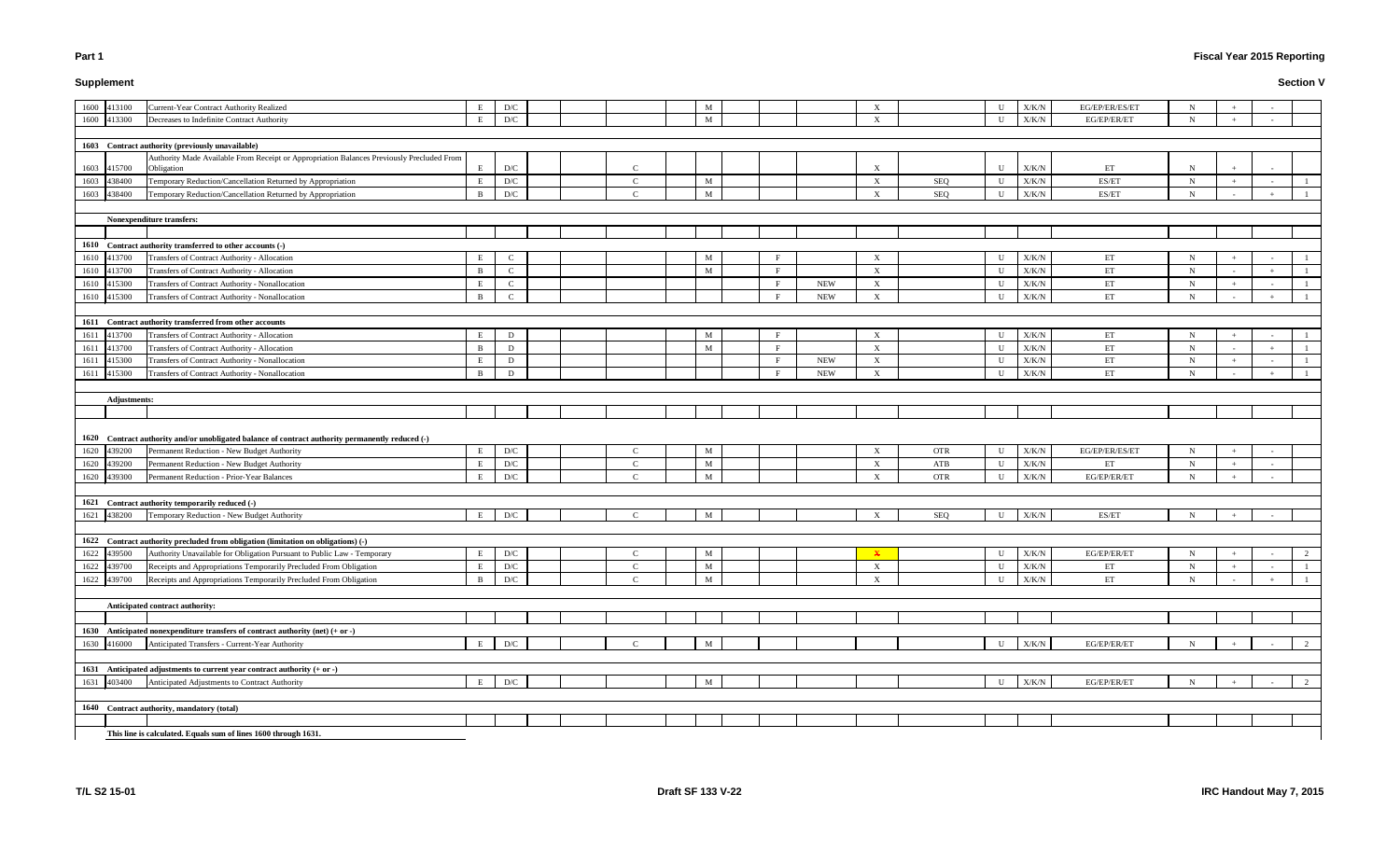# **Supplement**

# **Fiscal Year 2015 Reporting**

|      | 1600 413100         | <b>Current-Year Contract Authority Realized</b>                                                         | E            | $\mathbf{D}/\mathbf{C}$   |               | M            |              |            | X                         |            | U            | X/K/N         | EG/EP/ER/ES/ET             | $\mathbf N$ |     |                          |                |
|------|---------------------|---------------------------------------------------------------------------------------------------------|--------------|---------------------------|---------------|--------------|--------------|------------|---------------------------|------------|--------------|---------------|----------------------------|-------------|-----|--------------------------|----------------|
|      | 1600 413300         | Decreases to Indefinite Contract Authority                                                              | E            | D/C                       |               | M            |              |            | $\boldsymbol{\mathrm{X}}$ |            | U            | X/K/N         | EG/EP/ER/ET                | $\mathbf N$ |     |                          |                |
|      |                     |                                                                                                         |              |                           |               |              |              |            |                           |            |              |               |                            |             |     |                          |                |
|      |                     | 1603 Contract authority (previously unavailable)                                                        |              |                           |               |              |              |            |                           |            |              |               |                            |             |     |                          |                |
|      | 1603 415700         | Authority Made Available From Receipt or Appropriation Balances Previously Precluded From<br>Obligation | E            | D/C                       | $\mathcal{C}$ |              |              |            | X                         |            | $\mathbf U$  | X/K/N         | ET                         | $\mathbf N$ |     |                          |                |
|      | 1603 438400         | Temporary Reduction/Cancellation Returned by Appropriation                                              | E            | $\mathbf{D}/\mathbf{C}$   | $\mathcal{C}$ | M            |              |            | $\mathbf X$               | SEQ        | U            | X/K/N         | ES/ET                      | N           |     |                          |                |
|      | 1603 438400         | Temporary Reduction/Cancellation Returned by Appropriation                                              | <sup>B</sup> | D/C                       | $\mathbf C$   | M            |              |            | X                         | SEQ        | U            | X/K/N         | ES/ET                      | $\mathbf N$ |     |                          |                |
|      |                     |                                                                                                         |              |                           |               |              |              |            |                           |            |              |               |                            |             |     |                          |                |
|      |                     | <b>Nonexpenditure transfers:</b>                                                                        |              |                           |               |              |              |            |                           |            |              |               |                            |             |     |                          |                |
|      |                     |                                                                                                         |              |                           |               |              |              |            |                           |            |              |               |                            |             |     |                          |                |
|      |                     | 1610 Contract authority transferred to other accounts (-)                                               |              |                           |               |              |              |            |                           |            |              |               |                            |             |     |                          |                |
|      | 1610 413700         | Transfers of Contract Authority - Allocation                                                            |              | $\mathcal{C}$             |               | M            | $\mathbf{F}$ |            | X                         |            | U            | X/K/N         | ET                         | $\mathbf N$ |     |                          |                |
|      | 1610 413700         | Transfers of Contract Authority - Allocation                                                            | B            | $\mathbf C$               |               | $\mathbf{M}$ | F            |            | $\mathbf X$               |            | U            | ${\rm X/K/N}$ | ET                         | $\mathbf N$ |     |                          |                |
|      | 1610 415300         | Transfers of Contract Authority - Nonallocation                                                         |              | $\mathbf{C}$              |               |              | $\mathbf{F}$ | <b>NEW</b> | $\mathbf X$               |            | U            | ${\rm X/K/N}$ | ET                         | N           | $+$ | $\overline{\phantom{a}}$ | -1             |
|      | 1610 415300         | Transfers of Contract Authority - Nonallocation                                                         | B            | $\mathbf C$               |               |              | F            | <b>NEW</b> | $\boldsymbol{\mathrm{X}}$ |            | U            | X/K/N         | ET                         | $\mathbf N$ |     | $+$                      |                |
|      |                     |                                                                                                         |              |                           |               |              |              |            |                           |            |              |               |                            |             |     |                          |                |
|      |                     | 1611 Contract authority transferred from other accounts                                                 |              |                           |               |              |              |            |                           |            |              |               |                            |             |     |                          |                |
|      | 1611 413700         | Transfers of Contract Authority - Allocation                                                            | Е            | D                         |               | M            | F            |            | $\mathbf{X}$              |            | U            | X/K/N         | ET                         | $\mathbf N$ |     |                          |                |
| 1611 | 413700              | Transfers of Contract Authority - Allocation                                                            | B            | D                         |               | $\mathbf{M}$ | F            |            | $\mathbf X$               |            | U            | $\rm X/K/N$   | $\mathop{\rm ET}\nolimits$ | $\mathbf N$ |     |                          |                |
| 1611 | 415300              | Transfers of Contract Authority - Nonallocation                                                         |              | D                         |               |              | F            | <b>NEW</b> | $\mathbf X$               |            | U            | ${\rm X/K/N}$ | $\mathop{\rm ET}\nolimits$ | $\mathbf N$ |     |                          |                |
|      | 1611 415300         | Transfers of Contract Authority - Nonallocation                                                         | B            | D                         |               |              | F            | <b>NEW</b> | $\mathbf{X}$              |            | U            | X/K/N         | ET                         | $\mathbf N$ |     |                          |                |
|      |                     |                                                                                                         |              |                           |               |              |              |            |                           |            |              |               |                            |             |     |                          |                |
|      |                     |                                                                                                         |              |                           |               |              |              |            |                           |            |              |               |                            |             |     |                          |                |
|      | <b>Adjustments:</b> |                                                                                                         |              |                           |               |              |              |            |                           |            |              |               |                            |             |     |                          |                |
|      |                     |                                                                                                         |              |                           |               |              |              |            |                           |            |              |               |                            |             |     |                          |                |
|      |                     |                                                                                                         |              |                           |               |              |              |            |                           |            |              |               |                            |             |     |                          |                |
|      |                     |                                                                                                         |              |                           |               |              |              |            |                           |            |              |               |                            |             |     |                          |                |
|      |                     | 1620 Contract authority and/or unobligated balance of contract authority permanently reduced (-)        |              |                           |               |              |              |            |                           |            |              |               |                            |             |     |                          |                |
|      | 1620 439200         | Permanent Reduction - New Budget Authority                                                              | Е            | D/C                       |               | M            |              |            | X                         | <b>OTR</b> | U            | X/K/N         | EG/EP/ER/ES/ET             | N           |     |                          |                |
|      | 1620 439200         | Permanent Reduction - New Budget Authority                                                              | E            | $\mathbf{D}/\mathbf{C}$   | $\mathbf C$   | M            |              |            | $\mathbf{X}$              | ATB        | U            | X/K/N         | ET                         | $\mathbf N$ |     |                          |                |
|      | 1620 439300         | Permanent Reduction - Prior-Year Balances                                                               | E            | D/C                       | $\Gamma$      | M            |              |            | $\boldsymbol{\mathrm{X}}$ | <b>OTR</b> | $\mathbf U$  | X/K/N         | EG/EP/ER/ET                | N           |     |                          |                |
|      |                     |                                                                                                         |              |                           |               |              |              |            |                           |            |              |               |                            |             |     |                          |                |
|      |                     | 1621 Contract authority temporarily reduced (-)                                                         |              |                           |               |              |              |            |                           |            |              |               |                            |             |     |                          |                |
|      | 1621 438200         | Temporary Reduction - New Budget Authority                                                              | Е            | D/C                       | $\mathbf C$   | M            |              |            | $\boldsymbol{\mathrm{X}}$ | SEQ        | U            | X/K/N         | ES/ET                      | $\mathbf N$ | $+$ | $\sim$                   |                |
|      |                     |                                                                                                         |              |                           |               |              |              |            |                           |            |              |               |                            |             |     |                          |                |
|      |                     | 1622 Contract authority precluded from obligation (limitation on obligations) (-)                       |              |                           |               |              |              |            |                           |            |              |               |                            |             |     |                          |                |
|      |                     | 1622 439500 Authority Unavailable for Obligation Pursuant to Public Law - Temporary                     | $\mathbf{E}$ | D/C                       |               | M            |              |            | $\mathbf{v}$              |            | $\mathbf{U}$ | X/K/N         | EG/EP/ER/ET                | N           |     |                          | $\gamma$       |
|      | 1622 439700         | Receipts and Appropriations Temporarily Precluded From Obligation                                       | E            | $\mathbf{D}/\mathbf{C}$   | $\mathsf{C}$  | M            |              |            | X                         |            | U            | ${\rm X/K/N}$ | ET                         | N           |     |                          | $\overline{1}$ |
|      | 1622 439700         | Receipts and Appropriations Temporarily Precluded From Obligation                                       | <sup>B</sup> | $\mathcal{D}/\mathcal{C}$ | $\mathcal{C}$ | M            |              |            | $\mathbf{X}$              |            | U            | X/K/N         | ET                         | N           |     |                          |                |
|      |                     |                                                                                                         |              |                           |               |              |              |            |                           |            |              |               |                            |             |     |                          |                |
|      |                     | Anticipated contract authority:                                                                         |              |                           |               |              |              |            |                           |            |              |               |                            |             |     |                          |                |
|      |                     |                                                                                                         |              |                           |               |              |              |            |                           |            |              |               |                            |             |     |                          |                |
|      |                     | 1630 Anticipated nonexpenditure transfers of contract authority (net) (+ or -)                          |              |                           |               |              |              |            |                           |            |              |               |                            |             |     |                          |                |
|      | 1630 416000         | Anticipated Transfers - Current-Year Authority                                                          | Е            | D/C                       |               | M            |              |            |                           |            | U            | X/K/N         | EG/EP/ER/ET                | N           |     |                          | 2              |
|      |                     |                                                                                                         |              |                           |               |              |              |            |                           |            |              |               |                            |             |     |                          |                |
|      |                     | 1631 Anticipated adjustments to current year contract authority $(+ or -)$                              |              |                           |               |              |              |            |                           |            |              |               |                            |             |     |                          |                |
|      | 1631 403400         | Anticipated Adjustments to Contract Authority                                                           | E            | $\mathbf{D}/\mathbf{C}$   |               | M            |              |            |                           |            | U            | X/K/N         | EG/EP/ER/ET                | $\mathbf N$ |     |                          | 2              |
|      |                     |                                                                                                         |              |                           |               |              |              |            |                           |            |              |               |                            |             |     |                          |                |
|      |                     | 1640 Contract authority, mandatory (total)                                                              |              |                           |               |              |              |            |                           |            |              |               |                            |             |     |                          |                |
|      |                     | This line is calculated. Equals sum of lines 1600 through 1631.                                         |              |                           |               |              |              |            |                           |            |              |               |                            |             |     |                          |                |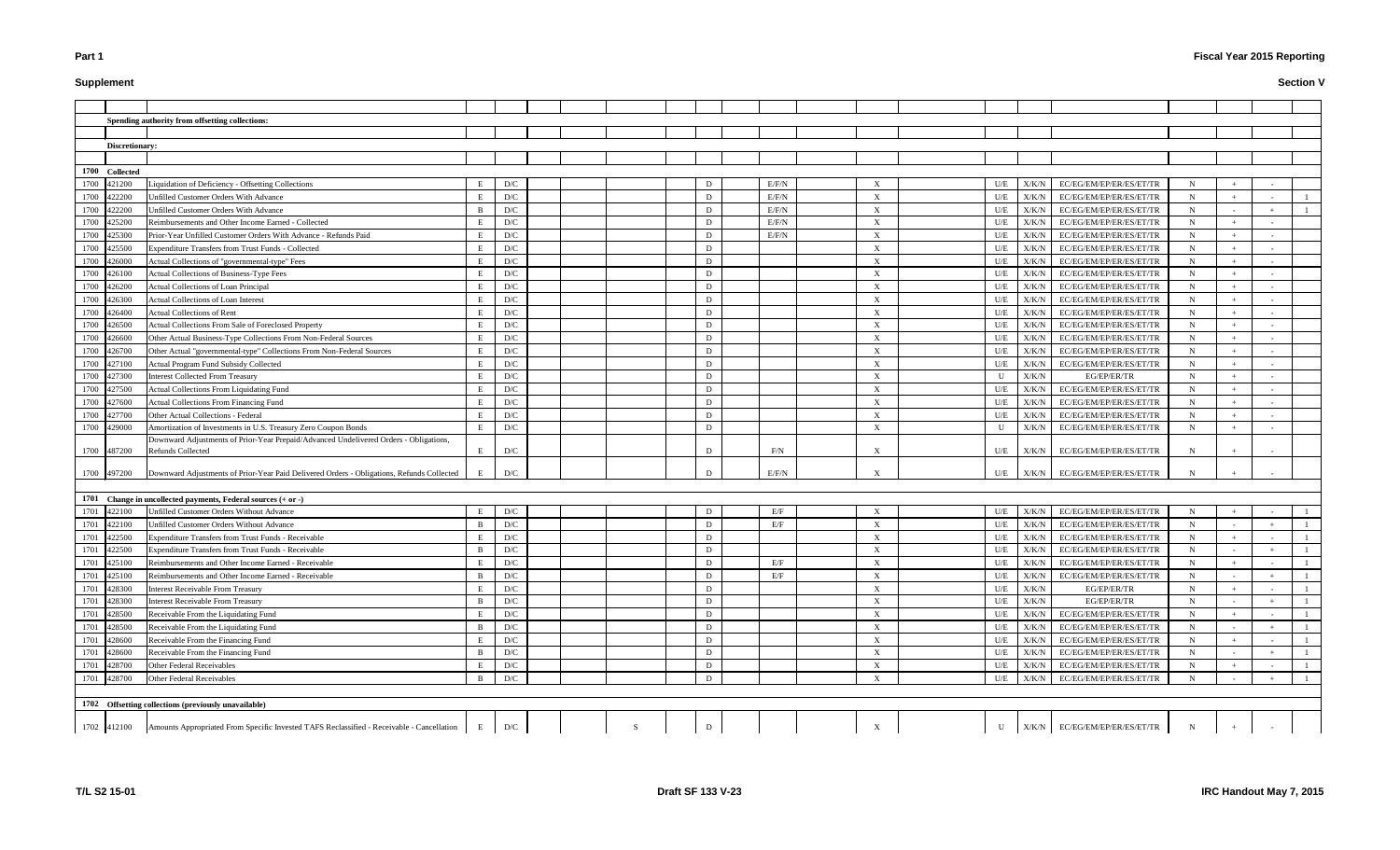# **Supplement**

# **Fiscal Year 2015 Reporting**

|                | Spending authority from offsetting collections:                                           |              |                         |              |             |       |                           |     |               |                                 |             |     |              |
|----------------|-------------------------------------------------------------------------------------------|--------------|-------------------------|--------------|-------------|-------|---------------------------|-----|---------------|---------------------------------|-------------|-----|--------------|
|                |                                                                                           |              |                         |              |             |       |                           |     |               |                                 |             |     |              |
| Discretionary: |                                                                                           |              |                         |              |             |       |                           |     |               |                                 |             |     |              |
|                |                                                                                           |              |                         |              |             |       |                           |     |               |                                 |             |     |              |
| 1700 Collected |                                                                                           |              |                         |              |             |       |                           |     |               |                                 |             |     |              |
| 1700<br>421200 | Liquidation of Deficiency - Offsetting Collections                                        | E            | D/C                     |              | D           | E/F/N | $\boldsymbol{\mathrm{X}}$ | U/E | X/K/N         | EC/EG/EM/EP/ER/ES/ET/TR         | N           |     |              |
| 422200<br>1700 | Unfilled Customer Orders With Advance                                                     | E            | D/C                     |              | D           | E/F/N | $\boldsymbol{\mathrm{X}}$ | U/E | X/K/N         | EC/EG/EM/EP/ER/ES/ET/TR         | $\mathbf N$ |     |              |
| 422200<br>1700 | Unfilled Customer Orders With Advance                                                     | B            | D/C                     |              | D           | E/F/N | X                         | U/E | X/K/N         | EC/EG/EM/EP/ER/ES/ET/TR         | N           |     |              |
| 425200<br>1700 | Reimbursements and Other Income Earned - Collected                                        | E            | D/C                     |              | D           | E/F/N | X                         | U/E | X/K/N         | EC/EG/EM/EP/ER/ES/ET/TR         | N           |     |              |
| 1700<br>425300 | Prior-Year Unfilled Customer Orders With Advance - Refunds Paid                           | E            | $\mathbf{D}/\mathbf{C}$ |              | D           | E/F/N | $\boldsymbol{\mathrm{X}}$ | U/E | X/K/N         | EC/EG/EM/EP/ER/ES/ET/TR         | $\mathbf N$ |     |              |
| 1700<br>425500 | Expenditure Transfers from Trust Funds - Collected                                        | E            | $\mathbf{D}/\mathbf{C}$ |              | D           |       | $\boldsymbol{\mathrm{X}}$ | U/E | X/K/N         | EC/EG/EM/EP/ER/ES/ET/TR         | $\mathbf N$ |     |              |
| 1700<br>426000 | Actual Collections of "governmental-type" Fees                                            | E            | D/C                     |              | D           |       | X                         | U/E | X/K/N         | EC/EG/EM/EP/ER/ES/ET/TR         | $\mathbf N$ |     |              |
| 1700<br>426100 | Actual Collections of Business-Type Fees                                                  | E            | D/C                     |              | D           |       | X                         | U/E | X/K/N         | EC/EG/EM/EP/ER/ES/ET/TR         | N           |     |              |
| 1700<br>426200 | Actual Collections of Loan Principal                                                      | E            | D/C                     |              | D           |       | X                         | U/E | X/K/N         | EC/EG/EM/EP/ER/ES/ET/TR         | N           |     |              |
| 1700<br>426300 | <b>Actual Collections of Loan Interest</b>                                                | E            | D/C                     |              | D           |       | X                         | U/E | X/K/N         | EC/EG/EM/EP/ER/ES/ET/TR         | $\mathbf N$ |     |              |
| 1700<br>426400 | <b>Actual Collections of Rent</b>                                                         | E            | D/C                     |              | D           |       | X                         | U/E | X/K/N         | EC/EG/EM/EP/ER/ES/ET/TR         | $\mathbf N$ |     |              |
| 1700<br>426500 | Actual Collections From Sale of Foreclosed Property                                       |              | $\mathbf{D}/\mathbf{C}$ |              | D           |       | $\boldsymbol{\mathrm{X}}$ | U/E | X/K/N         | EC/EG/EM/EP/ER/ES/ET/TR         | $\mathbf N$ |     |              |
| 1700<br>426600 | Other Actual Business-Type Collections From Non-Federal Sources                           |              | $\mathbf{D}/\mathbf{C}$ |              | D           |       | $\boldsymbol{\mathrm{X}}$ | U/E | X/K/N         | EC/EG/EM/EP/ER/ES/ET/TR         | $\mathbf N$ |     |              |
| 1700<br>426700 | Other Actual "governmental-type" Collections From Non-Federal Sources                     | E            | D/C                     |              | D           |       | $\boldsymbol{\mathrm{X}}$ | U/E | X/K/N         | EC/EG/EM/EP/ER/ES/ET/TR         | $\mathbf N$ |     |              |
| 1700<br>427100 | Actual Program Fund Subsidy Collected                                                     | E            | D/C                     |              | D           |       | $\boldsymbol{\mathrm{X}}$ | U/E | X/K/N         | EC/EG/EM/EP/ER/ES/ET/TR         | N           |     |              |
| 1700<br>427300 | <b>Interest Collected From Treasury</b>                                                   | E            | D/C                     |              | D           |       | $\boldsymbol{\mathrm{X}}$ | U   | X/K/N         | EG/EP/ER/TR                     | N           |     |              |
| 427500<br>1700 | <b>Actual Collections From Liquidating Fund</b>                                           | E            | D/C                     |              | D           |       | $\boldsymbol{X}$          | U/E | X/K/N         | EC/EG/EM/EP/ER/ES/ET/TR         | $\mathbf N$ |     |              |
| 427600<br>1700 | <b>Actual Collections From Financing Fund</b>                                             | E            | D/C                     |              | D           |       | $\boldsymbol{\mathrm{X}}$ | U/E | X/K/N         | EC/EG/EM/EP/ER/ES/ET/TR         | N           |     |              |
| 1700<br>427700 | Other Actual Collections - Federal                                                        | E            | D/C                     |              | D           |       | $\boldsymbol{\mathrm{X}}$ | U/E | X/K/N         | EC/EG/EM/EP/ER/ES/ET/TR         | N           |     |              |
| 1700 429000    | Amortization of Investments in U.S. Treasury Zero Coupon Bonds                            | E            | D/C                     |              | D           |       | X                         | U   | X/K/N         | EC/EG/EM/EP/ER/ES/ET/TR         | N           |     |              |
|                | Downward Adjustments of Prior-Year Prepaid/Advanced Undelivered Orders - Obligations,     |              |                         |              |             |       |                           |     |               |                                 | N           |     |              |
| 1700 487200    | Refunds Collected                                                                         | E            | D/C                     |              | D           | F/N   | $\boldsymbol{\mathrm{X}}$ | U/E | X/K/N         | EC/EG/EM/EP/ER/ES/ET/TR         |             |     |              |
| 1700 497200    | Downward Adjustments of Prior-Year Paid Delivered Orders - Obligations, Refunds Collected | E            | D/C                     |              | D           | E/F/N | $\boldsymbol{\mathrm{X}}$ | U/E |               | X/K/N EC/EG/EM/EP/ER/ES/ET/TR   | N           |     |              |
|                |                                                                                           |              |                         |              |             |       |                           |     |               |                                 |             |     |              |
|                | 1701 Change in uncollected payments, Federal sources (+ or -)                             |              |                         |              |             |       |                           |     |               |                                 |             |     |              |
| 1701<br>422100 | Unfilled Customer Orders Without Advance                                                  | E            | D/C                     |              | D           | E/F   | $\boldsymbol{\mathrm{X}}$ | U/E | X/K/N         | EC/EG/EM/EP/ER/ES/ET/TR         | N           |     |              |
| 1701<br>422100 | Unfilled Customer Orders Without Advance                                                  | $\mathbf{B}$ | D/C                     |              | D           | E/F   | $\mathbf{x}$              | U/E | X/K/N         | EC/EG/EM/EP/ER/ES/ET/TR         | N           |     |              |
| 422500<br>1701 | Expenditure Transfers from Trust Funds - Receivable                                       | E            | $\mathbf{D}/\mathbf{C}$ |              | D           |       | $\boldsymbol{\mathrm{X}}$ | U/E | X/K/N         | EC/EG/EM/EP/ER/ES/ET/TR         | $\mathbf N$ |     |              |
| 1701 422500    | <b>Expenditure Transfers from Trust Funds - Receivable</b>                                | B            | D/C                     |              | D           |       | $\boldsymbol{\mathrm{X}}$ | U/E | X/K/N         | EC/EG/EM/EP/ER/ES/ET/TR         | N           |     |              |
| 1701<br>425100 | Reimbursements and Other Income Earned - Receivable                                       | E            | $\mathbf{D}/\mathbf{C}$ |              | D           | E/F   | $\boldsymbol{\mathrm{X}}$ | U/E | X/K/N         | EC/EG/EM/EP/ER/ES/ET/TR         | $\mathbf N$ | $+$ |              |
| 1701 425100    | Reimbursements and Other Income Earned - Receivable                                       | B            | $\mathbf{D}/\mathbf{C}$ |              | D           | E/F   | X                         | U/E | X/K/N         | EC/EG/EM/EP/ER/ES/ET/TR         | $\mathbf N$ |     |              |
| 1701 428300    | <b>Interest Receivable From Treasury</b>                                                  | E            | D/C                     |              | D           |       | $\boldsymbol{\mathrm{X}}$ | U/E | ${\rm X/K/N}$ | EG/EP/ER/TR                     | $\mathbf N$ |     |              |
| 1701<br>428300 | Interest Receivable From Treasury                                                         | B            | D/C                     |              | D           |       | X                         | U/E | X/K/N         | EG/EP/ER/TR                     | $\mathbf N$ |     | -1           |
| 1701<br>428500 | Receivable From the Liquidating Fund                                                      | E            | $\mathbf{D}/\mathbf{C}$ |              | D           |       | X                         | U/E | X/K/N         | EC/EG/EM/EP/ER/ES/ET/TR         | $\mathbf N$ |     |              |
| 1701<br>428500 | Receivable From the Liquidating Fund                                                      | B            | $\mathbf{D}/\mathbf{C}$ |              | D           |       | $\boldsymbol{\mathrm{X}}$ | U/E | X/K/N         | EC/EG/EM/EP/ER/ES/ET/TR         | $\mathbf N$ |     | $\mathbf{1}$ |
| 1701<br>428600 | Receivable From the Financing Fund                                                        | E            | $\mathbf{D}/\mathbf{C}$ |              | D           |       | $\boldsymbol{\mathrm{X}}$ | U/E | X/K/N         | EC/EG/EM/EP/ER/ES/ET/TR         | $\mathbf N$ | $+$ | $\mathbf{1}$ |
| 1701<br>428600 | Receivable From the Financing Fund                                                        | B            | D/C                     |              | D           |       | $\boldsymbol{\mathrm{X}}$ | U/E | X/K/N         | EC/EG/EM/EP/ER/ES/ET/TR         | $\mathbf N$ |     |              |
| 1701 428700    | Other Federal Receivables                                                                 | E            | D/C                     |              | D           |       | X                         | U/E | X/K/N         | EC/EG/EM/EP/ER/ES/ET/TR         | N           |     |              |
| 1701 428700    | Other Federal Receivables                                                                 | <sup>B</sup> | D/C                     |              | D           |       | X                         | U/E | X/K/N         | EC/EG/EM/EP/ER/ES/ET/TR         | N           |     | -1           |
|                |                                                                                           |              |                         |              |             |       |                           |     |               |                                 |             |     |              |
|                | 1702 Offsetting collections (previously unavailable)                                      |              |                         |              |             |       |                           |     |               |                                 |             |     |              |
|                |                                                                                           |              |                         |              |             |       |                           |     |               |                                 |             |     |              |
| 1702 412100    | Amounts Appropriated From Specific Invested TAFS Reclassified - Receivable - Cancellation | E            | $\mathbf{D}/\mathbf{C}$ | <sub>S</sub> | $\mathbf D$ |       | $\mathbf X$               |     |               | U X/K/N EC/EG/EM/EP/ER/ES/ET/TR | $\mathbf N$ |     |              |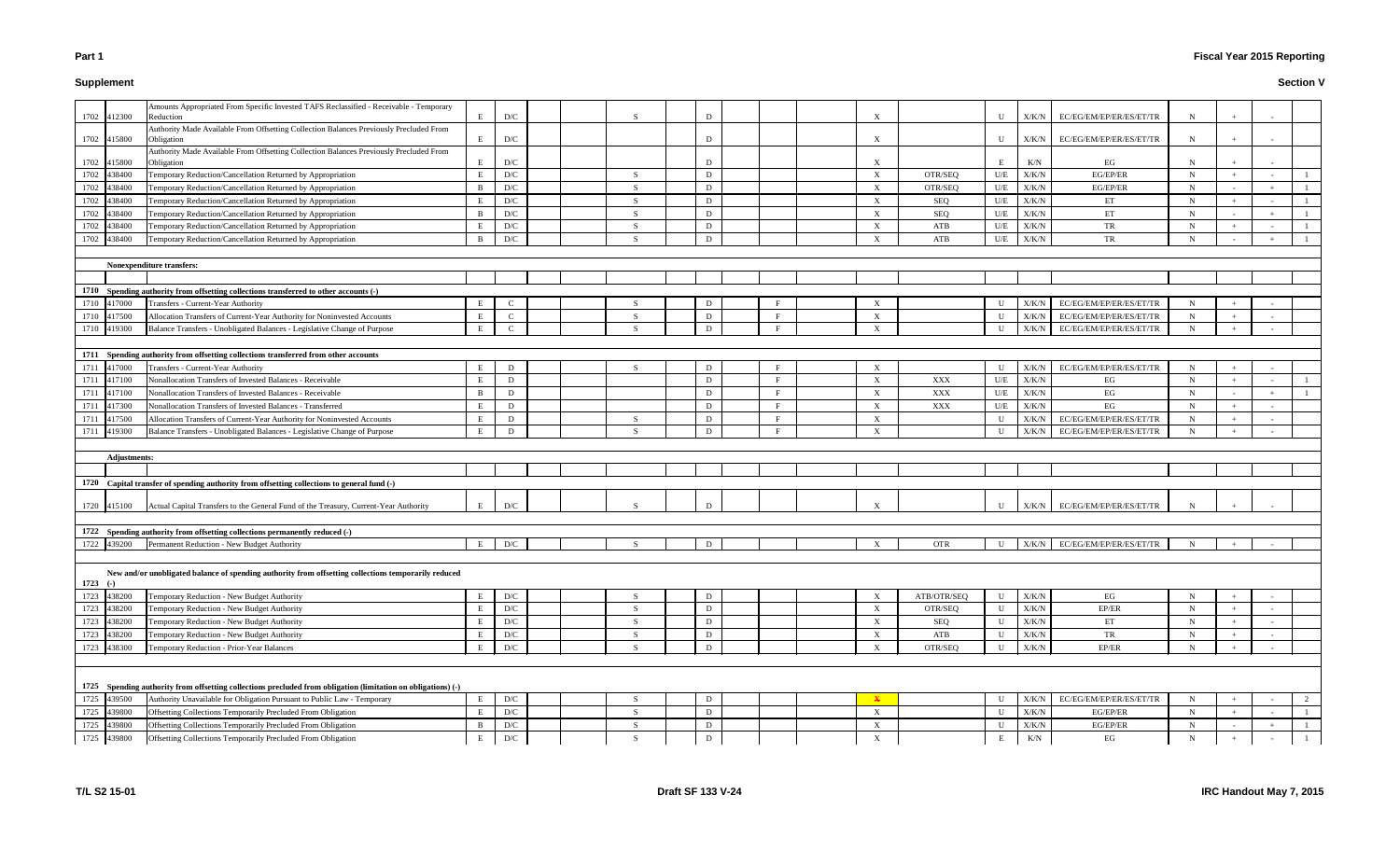#### **Supplement**

# **Fiscal Year 2015 Reporting**

| 1702         | 412300              | Amounts Appropriated From Specific Invested TAFS Reclassified - Receivable - Temporary<br>Reduction           | E           | D/C                     |  |     | D            |   |                           |             | U                 | X/K/N          | EC/EG/EM/EP/ER/ES/ET/TR | N           |        |        |  |
|--------------|---------------------|---------------------------------------------------------------------------------------------------------------|-------------|-------------------------|--|-----|--------------|---|---------------------------|-------------|-------------------|----------------|-------------------------|-------------|--------|--------|--|
|              |                     | Authority Made Available From Offsetting Collection Balances Previously Precluded From                        |             |                         |  |     |              |   |                           |             |                   |                |                         |             |        |        |  |
| 1702         | 415800              | Obligation                                                                                                    | E           | D/C                     |  |     | D            |   | $\boldsymbol{\mathrm{X}}$ |             | U                 | X/K/N          | EC/EG/EM/EP/ER/ES/ET/TR | $\mathbf N$ |        |        |  |
|              | 415800              | Authority Made Available From Offsetting Collection Balances Previously Precluded From                        | E           | D/C                     |  |     |              |   | X                         |             | E                 | K/N            | EG                      | $\mathbf N$ |        |        |  |
| 1702<br>1702 | 438400              | Obligation<br>Temporary Reduction/Cancellation Returned by Appropriation                                      | E           | D/C                     |  | -S  | D            |   | X                         | OTR/SEQ     | U/E               | X/K/N          | EG/EP/ER                | N           | $+$    |        |  |
| 1702         | 438400              | Temporary Reduction/Cancellation Returned by Appropriation                                                    | B           | $\mathbf{D}/\mathbf{C}$ |  |     | D            |   | $\boldsymbol{\mathrm{X}}$ | OTR/SEQ     | U/E               | X/K/N          | EG/EP/ER                | N           |        |        |  |
| 1702         | 138400              | Temporary Reduction/Cancellation Returned by Appropriation                                                    | E           | D/C                     |  | -S  | D            |   | X                         | SEQ         | U/E               | X/K/N          | ET                      | N           | $+$    |        |  |
| 1702         | 138400              | Temporary Reduction/Cancellation Returned by Appropriation                                                    | B           | D/C                     |  | -S  | D            |   | $\boldsymbol{\mathrm{X}}$ | SEQ         | U/E               | X/K/N          | ET                      | N           |        |        |  |
| 1702         | 38400               | Temporary Reduction/Cancellation Returned by Appropriation                                                    | E           | $\mathbf{D}/\mathbf{C}$ |  | - S | D            |   | $\boldsymbol{\mathrm{X}}$ | ATB         | U/E               | X/K/N          | TR                      | N           |        |        |  |
| 1702         | 438400              | Temporary Reduction/Cancellation Returned by Appropriation                                                    | B           | $\mathbf{D}/\mathbf{C}$ |  |     | D            |   | X                         | ATB         | U/E               | X/K/N          | TR                      | N           |        |        |  |
|              |                     |                                                                                                               |             |                         |  |     |              |   |                           |             |                   |                |                         |             |        |        |  |
|              |                     | <b>Nonexpenditure transfers:</b>                                                                              |             |                         |  |     |              |   |                           |             |                   |                |                         |             |        |        |  |
|              |                     |                                                                                                               |             |                         |  |     |              |   |                           |             |                   |                |                         |             |        |        |  |
|              |                     | 1710 Spending authority from offsetting collections transferred to other accounts (-)                         |             |                         |  |     |              |   |                           |             |                   |                |                         |             |        |        |  |
| 1710         | 417000              | Transfers - Current-Year Authority                                                                            | E           |                         |  |     | D            |   |                           |             | U                 | X/K/N          | EC/EG/EM/EP/ER/ES/ET/TR | - N         |        |        |  |
| 1710         | 417500              | Allocation Transfers of Current-Year Authority for Noninvested Accounts                                       | E           | $\mathbf{C}$            |  |     | D            |   | $\boldsymbol{\mathrm{X}}$ |             | U                 | X/K/N          | EC/EG/EM/EP/ER/ES/ET/TR | N           |        |        |  |
| 1710         | 419300              | Balance Transfers - Unobligated Balances - Legislative Change of Purpose                                      | E           | $\mathbf{C}$            |  | - S | D            |   | $\boldsymbol{\mathrm{X}}$ |             | $\mathbf{U}$      | X/K/N          | EC/EG/EM/EP/ER/ES/ET/TR | N           |        |        |  |
|              |                     |                                                                                                               |             |                         |  |     |              |   |                           |             |                   |                |                         |             |        |        |  |
| 1711         |                     | Spending authority from offsetting collections transferred from other accounts                                |             |                         |  |     |              |   |                           |             |                   |                |                         |             |        |        |  |
| 1711         | 417000              | Transfers - Current-Year Authority                                                                            | E           | D                       |  | -S  | D            |   | $\boldsymbol{\mathrm{X}}$ |             | $\mathbf U$       | X/K/N          | EC/EG/EM/EP/ER/ES/ET/TR | N           |        |        |  |
| 1711         | 417100              | Nonallocation Transfers of Invested Balances - Receivable                                                     | E           | D                       |  |     | D            |   | $\boldsymbol{\mathrm{X}}$ | XXX         | U/E               | X/K/N          | EG                      | N           |        |        |  |
| 1711         | 117100              | Nonallocation Transfers of Invested Balances - Receivable                                                     | B           | D                       |  |     | D            | F | X                         | XXX         | U/E               | X/K/N          | EG                      | N           |        |        |  |
| 1711         | 117300              | Nonallocation Transfers of Invested Balances - Transferred                                                    | E           | D                       |  |     | D            | F | X                         | XXX         | U/E               | X/K/N          | EG                      | $\mathbf N$ | $+$    |        |  |
| 1711         | 417500              | Allocation Transfers of Current-Year Authority for Noninvested Accounts                                       | E<br>E      | D<br>D                  |  | -S  | D<br>D       |   | $\boldsymbol{\mathrm{X}}$ |             | U<br>$\mathbf{U}$ | X/K/N<br>X/K/N | EC/EG/EM/EP/ER/ES/ET/TR | $\mathbf N$ |        |        |  |
| 1711         | 119300              | Balance Transfers - Unobligated Balances - Legislative Change of Purpose                                      |             |                         |  |     |              |   | $\boldsymbol{\mathrm{X}}$ |             |                   |                | EC/EG/EM/EP/ER/ES/ET/TR | N           |        |        |  |
|              | <b>Adjustments:</b> |                                                                                                               |             |                         |  |     |              |   |                           |             |                   |                |                         |             |        |        |  |
|              |                     |                                                                                                               |             |                         |  |     |              |   |                           |             |                   |                |                         |             |        |        |  |
|              |                     | 1720 Capital transfer of spending authority from offsetting collections to general fund (-)                   |             |                         |  |     |              |   |                           |             |                   |                |                         |             |        |        |  |
|              |                     |                                                                                                               |             |                         |  |     |              |   |                           |             |                   |                |                         |             |        |        |  |
| 1720         | 415100              | Actual Capital Transfers to the General Fund of the Treasury, Current-Year Authority                          | E           | D/C                     |  |     |              |   |                           |             | II                | X/K/N          | EC/EG/EM/EP/ER/ES/ET/TR |             |        |        |  |
|              |                     |                                                                                                               |             |                         |  |     |              |   |                           |             |                   |                |                         |             |        |        |  |
|              |                     | 1722 Spending authority from offsetting collections permanently reduced (-)                                   |             |                         |  |     |              |   |                           |             |                   |                |                         |             |        |        |  |
| 1722 439200  |                     | Permanent Reduction - New Budget Authority                                                                    | E           | D/C                     |  |     |              |   |                           | <b>OTR</b>  | U                 | X/K/N          | EC/EG/EM/EP/ER/ES/ET/TR | - N         |        |        |  |
|              |                     |                                                                                                               |             |                         |  |     |              |   |                           |             |                   |                |                         |             |        |        |  |
| $1723$ (-)   |                     | New and/or unobligated balance of spending authority from offsetting collections temporarily reduced          |             |                         |  |     |              |   |                           |             |                   |                |                         |             |        |        |  |
| 1723         | 438200              | Temporary Reduction - New Budget Authority                                                                    | E           | $\mathbf{D}/\mathbf{C}$ |  | -S  | D            |   | $\boldsymbol{\mathrm{X}}$ | ATB/OTR/SEQ | $\mathbf U$       | X/K/N          | EG                      | N           |        |        |  |
| 1723         | 438200              | Temporary Reduction - New Budget Authority                                                                    | E           | $\mathbf{D}/\mathbf{C}$ |  | -S  | D            |   | X                         | OTR/SEQ     | $\mathbf U$       | X/K/N          | EP/ER                   | $\mathbf N$ |        |        |  |
| 1723         | 438200              | Temporary Reduction - New Budget Authority                                                                    | E           | $\mathbf{D}/\mathbf{C}$ |  | S.  | D            |   | X                         | SEQ         | $\mathbf U$       | X/K/N          | ET                      | $\mathbf N$ | $+$    | $\sim$ |  |
| 1723         | 438200              | Temporary Reduction - New Budget Authority                                                                    | E           | $\mathbf{D}/\mathbf{C}$ |  | -S  | D            |   | $\mathbf{X}$              | ATB         | $\mathbf U$       | X/K/N          | TR                      | N           | $+$    | $\sim$ |  |
| 1723         | 438300              | Temporary Reduction - Prior-Year Balances                                                                     | E           | $\mathbf{D}/\mathbf{C}$ |  | -S  | D            |   | X                         | OTR/SEQ     | $\mathbf U$       | X/K/N          | EP/ER                   | $\mathbf N$ |        | $\sim$ |  |
|              |                     |                                                                                                               |             |                         |  |     |              |   |                           |             |                   |                |                         |             |        |        |  |
|              |                     |                                                                                                               |             |                         |  |     |              |   |                           |             |                   |                |                         |             |        |        |  |
|              |                     | 1725 Spending authority from offsetting collections precluded from obligation (limitation on obligations) (-) |             |                         |  |     |              |   |                           |             |                   |                |                         |             |        |        |  |
| 1725         | 439500              | Authority Unavailable for Obligation Pursuant to Public Law - Temporary                                       | $\mathbf E$ | $\mathbf{D}/\mathbf{C}$ |  | -S  | D            |   | $\mathbf{X}$              |             | $\mathbf U$       | X/K/N          | EC/EG/EM/EP/ER/ES/ET/TR | $\mathbf N$ |        |        |  |
| 1725         | 439800              | Offsetting Collections Temporarily Precluded From Obligation                                                  | E           | $\mathbf{D}/\mathbf{C}$ |  | -S  | D            |   | X                         |             | $\mathbf U$       | X/K/N          | EG/EP/ER                | $\mathbf N$ | $+$    |        |  |
| 1725         | 439800              | Offsetting Collections Temporarily Precluded From Obligation                                                  | B           | $\mathbf{D}/\mathbf{C}$ |  | -S  | D            |   | X                         |             | $\mathbf U$       | X/K/N          | EG/EP/ER                | $\mathbf N$ | $\sim$ | $+$    |  |
| 1725 439800  |                     | Offsetting Collections Temporarily Precluded From Obligation                                                  | E           | $\mathbf{D}/\mathbf{C}$ |  | -S  | $\mathbf{D}$ |   | $\boldsymbol{\mathrm{X}}$ |             | Е                 | $\rm K/N$      | EG                      | $\mathbf N$ | $+$    | $\sim$ |  |
|              |                     |                                                                                                               |             |                         |  |     |              |   |                           |             |                   |                |                         |             |        |        |  |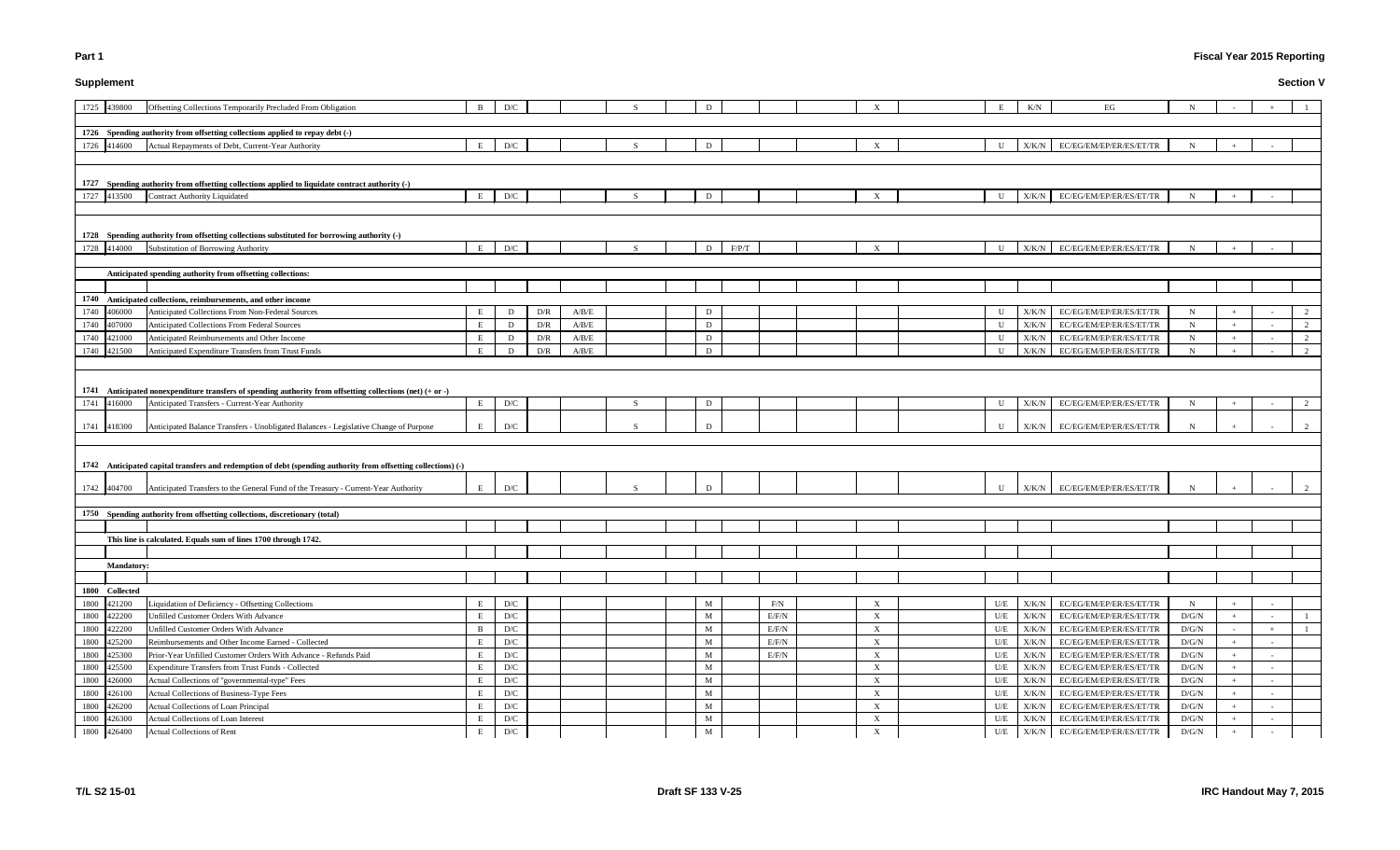# **Supplement**

# **Fiscal Year 2015 Reporting**

| E   | K/N         | EG                      | N     |                                  | $\! + \!\!\!\!$          | $\mathbf{1}$   |
|-----|-------------|-------------------------|-------|----------------------------------|--------------------------|----------------|
|     |             |                         |       |                                  |                          |                |
|     |             |                         |       |                                  |                          |                |
| U   | X/K/N       | EC/EG/EM/EP/ER/ES/ET/TR | N     | $\qquad \qquad +$                | $\overline{\phantom{a}}$ |                |
|     |             |                         |       |                                  |                          |                |
|     |             |                         |       |                                  |                          |                |
| U   | X/K/N       | EC/EG/EM/EP/ER/ES/ET/TR | N     | $+$                              | $\overline{\phantom{a}}$ |                |
|     |             |                         |       |                                  |                          |                |
|     |             |                         |       |                                  |                          |                |
| U   | X/K/N       | EC/EG/EM/EP/ER/ES/ET/TR | N     | $^{+}$                           |                          |                |
|     |             |                         |       |                                  |                          |                |
|     |             |                         |       |                                  |                          |                |
|     |             |                         |       |                                  |                          |                |
|     |             |                         |       |                                  |                          |                |
| U   | X/K/N       | EC/EG/EM/EP/ER/ES/ET/TR | N     | $^{+}$                           |                          | 2              |
| U   | X/K/N       | EC/EG/EM/EP/ER/ES/ET/TR | N     | $^{+}$                           | L,                       | 2              |
| U   | X/K/N       | EC/EG/EM/EP/ER/ES/ET/TR | N     | $\begin{array}{c} + \end{array}$ | $\blacksquare$           | 2              |
| U   | X/K/N       | EC/EG/EM/EP/ER/ES/ET/TR | N     | $\! + \!\!\!\!$                  | $\overline{\phantom{a}}$ | $\mathfrak{2}$ |
|     |             |                         |       |                                  |                          |                |
|     |             |                         |       |                                  |                          |                |
| U   | X/K/N       | EC/EG/EM/EP/ER/ES/ET/TR | N     |                                  | $\overline{\phantom{a}}$ | 2              |
| U   | X/K/N       | EC/EG/EM/EP/ER/ES/ET/TR | N     | $^{+}$                           |                          | 2              |
|     |             |                         |       |                                  |                          |                |
|     |             |                         |       |                                  |                          |                |
|     |             |                         |       |                                  |                          |                |
| U   | $\rm X/K/N$ | EC/EG/EM/EP/ER/ES/ET/TR | N     | $^{+}$                           |                          | 2              |
|     |             |                         |       |                                  |                          |                |
|     |             |                         |       |                                  |                          |                |
|     |             |                         |       |                                  |                          |                |
|     |             |                         |       |                                  |                          |                |
|     |             |                         |       |                                  |                          |                |
|     |             |                         |       |                                  |                          |                |
|     |             |                         |       |                                  |                          |                |
|     |             |                         |       |                                  |                          |                |
| U/E | X/K/N       | EC/EG/EM/EP/ER/ES/ET/TR | N     | $\! + \!\!\!\!$                  | $\overline{\phantom{a}}$ |                |
| U/E | X/K/N       | EC/EG/EM/EP/ER/ES/ET/TR | D/G/N | $\begin{array}{c} + \end{array}$ | $\overline{\phantom{a}}$ | 1              |
| U/E | X/K/N       | EC/EG/EM/EP/ER/ES/ET/TR | D/G/N | $\blacksquare$                   |                          | $\mathbf{1}$   |
| U/E | X/K/N       | EC/EG/EM/EP/ER/ES/ET/TR | D/G/N | $^{+}$                           | $\overline{a}$           |                |
| U/E | X/K/N       | EC/EG/EM/EP/ER/ES/ET/TR | D/G/N | $^{+}$                           | $\overline{\phantom{a}}$ |                |
| U/E | X/K/N       | EC/EG/EM/EP/ER/ES/ET/TR | D/G/N | $^{+}$                           | $\overline{\phantom{a}}$ |                |
| U/E | X/K/N       | EC/EG/EM/EP/ER/ES/ET/TR | D/G/N | $\! + \!\!\!\!$                  | $\overline{\phantom{a}}$ |                |
| U/E | X/K/N       | EC/EG/EM/EP/ER/ES/ET/TR | D/G/N | $^{+}$                           | $\overline{\phantom{a}}$ |                |
| U/E | X/K/N       | EC/EG/EM/EP/ER/ES/ET/TR | D/G/N | $^{+}$                           | $\overline{\phantom{a}}$ |                |
| U/E | X/K/N       | EC/EG/EM/EP/ER/ES/ET/TR | D/G/N | $\begin{array}{c} + \end{array}$ | L,                       |                |
| U/E | X/K/N       | EC/EG/EM/EP/ER/ES/ET/TR | D/G/N | $^{+}$                           | $\frac{1}{2}$            |                |

| 1725 439800<br>Offsetting Collections Temporarily Precluded From Obligation                                                                     | B | D/C                     |     |       |    |   |       |       |                           |              | K/N           | EG                            |             |        |        |  |
|-------------------------------------------------------------------------------------------------------------------------------------------------|---|-------------------------|-----|-------|----|---|-------|-------|---------------------------|--------------|---------------|-------------------------------|-------------|--------|--------|--|
|                                                                                                                                                 |   |                         |     |       |    |   |       |       |                           |              |               |                               |             |        |        |  |
| 1726 Spending authority from offsetting collections applied to repay debt (-)                                                                   |   |                         |     |       |    |   |       |       |                           |              |               |                               |             |        |        |  |
| 1726 414600<br>Actual Repayments of Debt, Current-Year Authority                                                                                | E | D/C                     |     |       |    | D |       |       | $\boldsymbol{\mathrm{X}}$ | U            | X/K/N         | EC/EG/EM/EP/ER/ES/ET/TR       |             |        |        |  |
|                                                                                                                                                 |   |                         |     |       |    |   |       |       |                           |              |               |                               |             |        |        |  |
|                                                                                                                                                 |   |                         |     |       |    |   |       |       |                           |              |               |                               |             |        |        |  |
| 1727 Spending authority from offsetting collections applied to liquidate contract authority (-)<br>1727 413500<br>Contract Authority Liquidated | E | D/C                     |     |       |    | D |       |       | $\boldsymbol{\mathrm{X}}$ | $\mathbf U$  |               | X/K/N EC/EG/EM/EP/ER/ES/ET/TR |             |        |        |  |
|                                                                                                                                                 |   |                         |     |       |    |   |       |       |                           |              |               |                               |             |        |        |  |
|                                                                                                                                                 |   |                         |     |       |    |   |       |       |                           |              |               |                               |             |        |        |  |
| 1728 Spending authority from offsetting collections substituted for borrowing authority (-)                                                     |   |                         |     |       |    |   |       |       |                           |              |               |                               |             |        |        |  |
| Substitution of Borrowing Authority<br>1728 414000                                                                                              | E | D/C                     |     |       |    | D | F/P/T |       | $\mathbf{X}$              | $\mathbf{U}$ | X/K/N         | EC/EG/EM/EP/ER/ES/ET/TR       |             |        |        |  |
|                                                                                                                                                 |   |                         |     |       |    |   |       |       |                           |              |               |                               |             |        |        |  |
| Anticipated spending authority from offsetting collections:                                                                                     |   |                         |     |       |    |   |       |       |                           |              |               |                               |             |        |        |  |
|                                                                                                                                                 |   |                         |     |       |    |   |       |       |                           |              |               |                               |             |        |        |  |
| 1740 Anticipated collections, reimbursements, and other income                                                                                  |   |                         |     |       |    |   |       |       |                           |              |               |                               |             |        |        |  |
| 1740 406000<br>Anticipated Collections From Non-Federal Sources                                                                                 | E | D                       | D/R | A/B/E |    | D |       |       |                           | U            | X/K/N         | EC/EG/EM/EP/ER/ES/ET/TR       | N           |        |        |  |
| 1740 407000<br>Anticipated Collections From Federal Sources                                                                                     | E | D                       | D/R | A/B/E |    | D |       |       |                           | U            | X/K/N         | EC/EG/EM/EP/ER/ES/ET/TR       | $\mathbf N$ |        |        |  |
| 1740<br>Anticipated Reimbursements and Other Income<br>421000                                                                                   | E | D                       | D/R | A/B/E |    | D |       |       |                           | H            | X/K/N         | EC/EG/EM/EP/ER/ES/ET/TR       | $\mathbf N$ | $+$    |        |  |
| 1740 421500<br>Anticipated Expenditure Transfers from Trust Funds                                                                               | E | D                       | D/R | A/B/E |    | D |       |       |                           |              | X/K/N         | EC/EG/EM/EP/ER/ES/ET/TR       | N           |        |        |  |
|                                                                                                                                                 |   |                         |     |       |    |   |       |       |                           |              |               |                               |             |        |        |  |
| 1741 Anticipated nonexpenditure transfers of spending authority from offsetting collections (net) $(+$ or $-$ )                                 |   |                         |     |       |    |   |       |       |                           |              |               |                               |             |        |        |  |
| 1741 416000<br>Anticipated Transfers - Current-Year Authority                                                                                   | E | D/C                     |     |       | -S | D |       |       |                           | U            | X/K/N         | EC/EG/EM/EP/ER/ES/ET/TR       | N           |        |        |  |
| 1741 418300<br>Anticipated Balance Transfers - Unobligated Balances - Legislative Change of Purpose                                             |   | D/C                     |     |       |    |   |       |       |                           |              | X/K/N         | EC/EG/EM/EP/ER/ES/ET/TR       |             |        |        |  |
|                                                                                                                                                 |   |                         |     |       |    |   |       |       |                           |              |               |                               |             |        |        |  |
|                                                                                                                                                 |   |                         |     |       |    |   |       |       |                           |              |               |                               |             |        |        |  |
| 1742 Anticipated capital transfers and redemption of debt (spending authority from offsetting collections) (-)                                  |   |                         |     |       |    |   |       |       |                           |              |               |                               |             |        |        |  |
|                                                                                                                                                 |   |                         |     |       |    |   |       |       |                           |              |               |                               |             |        |        |  |
| 1742 404700<br>Anticipated Transfers to the General Fund of the Treasury - Current-Year Authority                                               |   | D/C                     |     |       |    |   |       |       |                           | $\mathbf{H}$ |               | X/K/N EC/EG/EM/EP/ER/ES/ET/TR |             |        |        |  |
|                                                                                                                                                 |   |                         |     |       |    |   |       |       |                           |              |               |                               |             |        |        |  |
| 1750 Spending authority from offsetting collections, discretionary (total)                                                                      |   |                         |     |       |    |   |       |       |                           |              |               |                               |             |        |        |  |
| This line is calculated. Equals sum of lines 1700 through 1742.                                                                                 |   |                         |     |       |    |   |       |       |                           |              |               |                               |             |        |        |  |
|                                                                                                                                                 |   |                         |     |       |    |   |       |       |                           |              |               |                               |             |        |        |  |
| <b>Mandatory:</b>                                                                                                                               |   |                         |     |       |    |   |       |       |                           |              |               |                               |             |        |        |  |
|                                                                                                                                                 |   |                         |     |       |    |   |       |       |                           |              |               |                               |             |        |        |  |
| 1800 Collected                                                                                                                                  |   |                         |     |       |    |   |       |       |                           |              |               |                               |             |        |        |  |
| Liquidation of Deficiency - Offsetting Collections<br>1800 421200                                                                               | E | D/C                     |     |       |    | M |       | F/N   | $\boldsymbol{\mathrm{X}}$ | U/E          | X/K/N         | EC/EG/EM/EP/ER/ES/ET/TR       | $\mathbf N$ |        |        |  |
| 1800 422200<br>Unfilled Customer Orders With Advance                                                                                            | E | $\mathbf{D}/\mathbf{C}$ |     |       |    | M |       | E/F/N | $\boldsymbol{\mathrm{X}}$ | $U\!/\!E$    | $\rm X/K/N$   | EC/EG/EM/EP/ER/ES/ET/TR       | D/G/N       | $+$    |        |  |
| 1800 422200<br>Unfilled Customer Orders With Advance                                                                                            | B | D/C                     |     |       |    | M |       | E/F/N | $\boldsymbol{\mathrm{X}}$ | U/E          | X/K/N         | EC/EG/EM/EP/ER/ES/ET/TR       | D/G/N       | $\sim$ |        |  |
| Reimbursements and Other Income Earned - Collected<br>1800 425200                                                                               | E | D/C                     |     |       |    | M |       | E/F/N | $\boldsymbol{\mathrm{X}}$ | U/E          | X/K/N         | EC/EG/EM/EP/ER/ES/ET/TR       | D/G/N       | $+$    |        |  |
| Prior-Year Unfilled Customer Orders With Advance - Refunds Paid<br>1800 425300                                                                  | E | D/C                     |     |       |    | M |       | E/F/N | $\boldsymbol{\mathrm{X}}$ | U/E          | X/K/N         | EC/EG/EM/EP/ER/ES/ET/TR       | D/G/N       | $+$    |        |  |
| 1800 425500<br>Expenditure Transfers from Trust Funds - Collected                                                                               | E | D/C                     |     |       |    | M |       |       | $\boldsymbol{\mathrm{X}}$ | U/E          | X/K/N         | EC/EG/EM/EP/ER/ES/ET/TR       | D/G/N       | $+$    |        |  |
| Actual Collections of "governmental-type" Fees<br>1800 426000                                                                                   | E | D/C                     |     |       |    | M |       |       | $\boldsymbol{\mathrm{X}}$ | U/E          | X/K/N         | EC/EG/EM/EP/ER/ES/ET/TR       | D/G/N       | $+$    |        |  |
| Actual Collections of Business-Type Fees<br>1800 426100                                                                                         | E | D/C                     |     |       |    | M |       |       | $\boldsymbol{\mathrm{X}}$ | U/E          | X/K/N         | EC/EG/EM/EP/ER/ES/ET/TR       | D/G/N       | $+$    |        |  |
| 1800<br>Actual Collections of Loan Principal<br>426200                                                                                          | E | D/C                     |     |       |    | M |       |       | $\boldsymbol{\mathrm{X}}$ | U/E          | ${\rm X/K/N}$ | EC/EG/EM/EP/ER/ES/ET/TR       | D/G/N       | $+$    |        |  |
| 1800 426300<br>Actual Collections of Loan Interest                                                                                              | E | D/C                     |     |       |    | M |       |       | $\boldsymbol{\mathrm{X}}$ | U/E          | X/K/N         | EC/EG/EM/EP/ER/ES/ET/TR       | D/G/N       | $+$    |        |  |
| 1800 426400<br>Actual Collections of Rent                                                                                                       | E | $\mathbf{D}/\mathbf{C}$ |     |       |    | M |       |       | X                         | U/E          |               | X/K/N EC/EG/EM/EP/ER/ES/ET/TR | D/G/N       | $+$    | $\sim$ |  |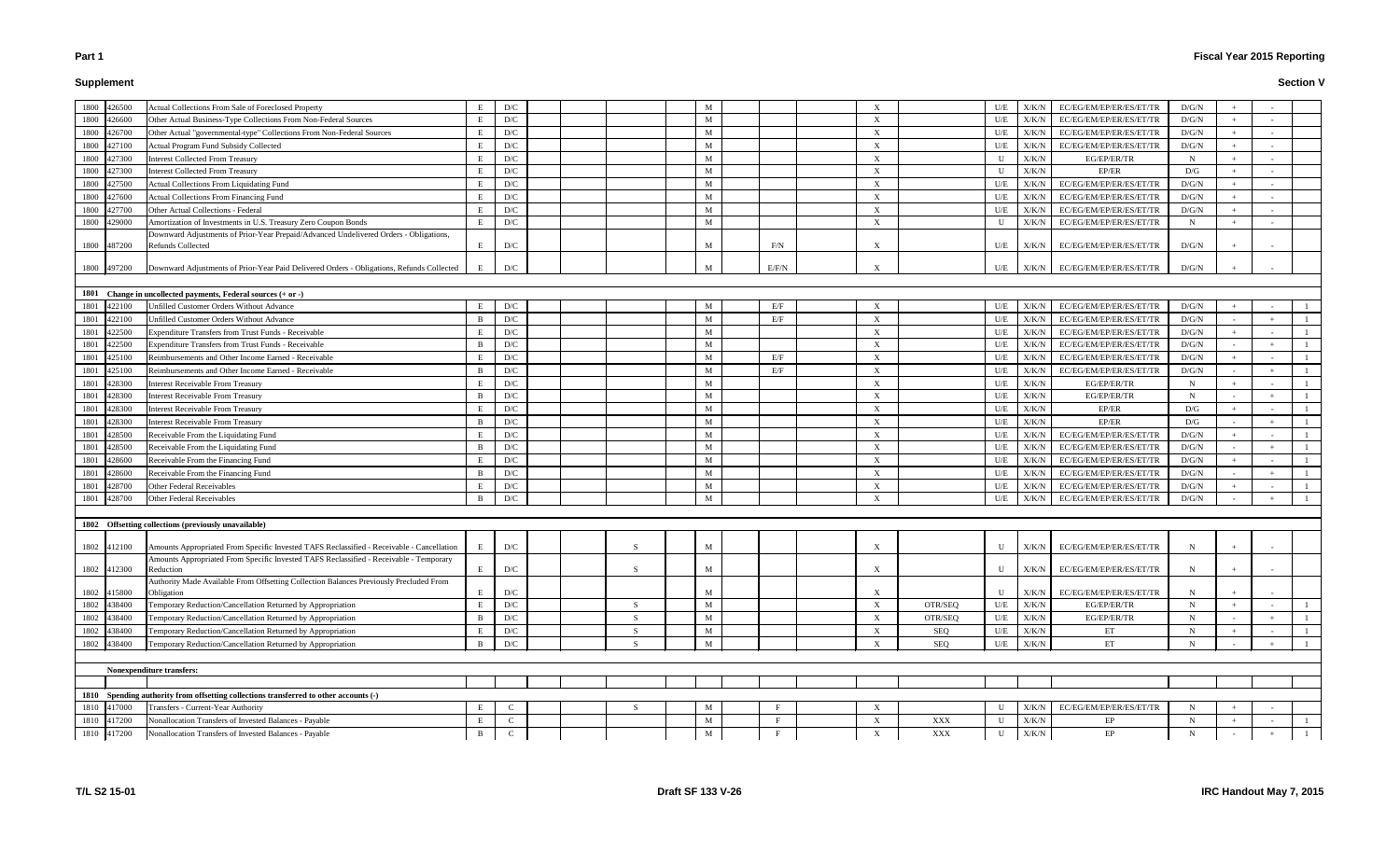# **Supplement**

# **Fiscal Year 2015 Reporting**

| 1800 426500 |             | Actual Collections From Sale of Foreclosed Property                                                        |              | D/C          |  |    | M |       |   |                | U/E         | X/K/N       | EC/EG/EM/EP/ER/ES/ET/TR | D/G/N        |     |  |
|-------------|-------------|------------------------------------------------------------------------------------------------------------|--------------|--------------|--|----|---|-------|---|----------------|-------------|-------------|-------------------------|--------------|-----|--|
| 1800 426600 |             | Other Actual Business-Type Collections From Non-Federal Sources                                            | E            | D/C          |  |    | M |       | X |                | U/E         | X/K/N       | EC/EG/EM/EP/ER/ES/ET/TR | D/G/N        |     |  |
| 1800        | 426700      | Other Actual "governmental-type" Collections From Non-Federal Sources                                      | E            | D/C          |  |    | M |       | X |                | U/E         | X/K/N       | EC/EG/EM/EP/ER/ES/ET/TR | D/G/N        |     |  |
| 1800        | 427100      | Actual Program Fund Subsidy Collected                                                                      |              | D/C          |  |    | M |       | X |                | U/E         | X/K/N       | EC/EG/EM/EP/ER/ES/ET/TR | $\rm{D/G/N}$ |     |  |
| 1800        | 427300      | Interest Collected From Treasury                                                                           | E            | D/C          |  |    | M |       | X |                | U           | X/K/N       | EG/EP/ER/TR             | $\mathbf N$  |     |  |
| 1800        | 427300      | Interest Collected From Treasury                                                                           | Е            | D/C          |  |    | M |       | X |                | U           | X/K/N       | EP/ER                   | D/G          | $+$ |  |
| 1800        | 427500      | <b>Actual Collections From Liquidating Fund</b>                                                            | E            | D/C          |  |    | M |       | X |                | U/E         | X/K/N       | EC/EG/EM/EP/ER/ES/ET/TR | D/G/N        | $+$ |  |
| 1800        | 427600      | <b>Actual Collections From Financing Fund</b>                                                              |              | D/C          |  |    | M |       | X |                | U/E         | X/K/N       | EC/EG/EM/EP/ER/ES/ET/TR | D/G/N        |     |  |
| 1800        | 427700      | Other Actual Collections - Federal                                                                         |              | D/C          |  |    | M |       | X |                | U/E         | X/K/N       | EC/EG/EM/EP/ER/ES/ET/TR | D/G/N        |     |  |
| 1800        | 429000      | Amortization of Investments in U.S. Treasury Zero Coupon Bonds                                             | E            | D/C          |  |    | M |       | X |                | U           | X/K/N       | EC/EG/EM/EP/ER/ES/ET/TR | N            | $+$ |  |
| 1800 487200 |             | Downward Adjustments of Prior-Year Prepaid/Advanced Undelivered Orders - Obligations,<br>Refunds Collected | E            | D/C          |  |    | M | F/N   | X |                | U/E         | X/K/N       | EC/EG/EM/EP/ER/ES/ET/TR | D/G/N        |     |  |
|             |             |                                                                                                            |              |              |  |    |   |       |   |                |             |             |                         |              |     |  |
|             | 1800 497200 | Downward Adjustments of Prior-Year Paid Delivered Orders - Obligations, Refunds Collected                  |              | D/C          |  |    | М | E/F/N | X |                | U/E         | X/K/N       | EC/EG/EM/EP/ER/ES/ET/TR | D/G/N        |     |  |
|             |             | 1801 Change in uncollected payments, Federal sources (+ or -)                                              |              |              |  |    |   |       |   |                |             |             |                         |              |     |  |
| 1801        | 422100      | Unfilled Customer Orders Without Advance                                                                   | Е            | D/C          |  |    | M | E/F   | X |                | U/E         | X/K/N       | EC/EG/EM/EP/ER/ES/ET/TR | D/G/N        |     |  |
| 1801        | 422100      | <b>Jnfilled Customer Orders Without Advance</b>                                                            | B            | D/C          |  |    | M | E/F   | X |                | U/E         | X/K/N       | EC/EG/EM/EP/ER/ES/ET/TR | D/G/N        |     |  |
| 1801        | 422500      | <b>Expenditure Transfers from Trust Funds - Receivable</b>                                                 | E            | D/C          |  |    | M |       | X |                | U/E         | X/K/N       | EC/EG/EM/EP/ER/ES/ET/TR | D/G/N        | $+$ |  |
| 1801        | 422500      | <b>Expenditure Transfers from Trust Funds - Receivable</b>                                                 | B            | D/C          |  |    | M |       | X |                | U/E         | X/K/N       | EC/EG/EM/EP/ER/ES/ET/TR | D/G/N        |     |  |
| 1801        | 425100      | Reimbursements and Other Income Earned - Receivable                                                        | E            | D/C          |  |    | M | E/F   | X |                | U/E         | X/K/N       | EC/EG/EM/EP/ER/ES/ET/TR | D/G/N        |     |  |
| 1801        | 425100      | Reimbursements and Other Income Earned - Receivable                                                        | B            | D/C          |  |    | M | E/F   | X |                | U/E         | X/K/N       | EC/EG/EM/EP/ER/ES/ET/TR | D/G/N        |     |  |
| 1801        | 428300      | Interest Receivable From Treasury                                                                          | E            | D/C          |  |    | M |       | X |                | U/E         | X/K/N       | EG/EP/ER/TR             | $\mathbf N$  | $+$ |  |
| 1801        | 428300      | Interest Receivable From Treasury                                                                          | B            | D/C          |  |    | M |       | X |                | U/E         | X/K/N       | EG/EP/ER/TR             | $\mathbf N$  |     |  |
| 1801        | 428300      | nterest Receivable From Treasury                                                                           | E            | D/C          |  |    | M |       | X |                | U/E         | X/K/N       | EP/ER                   | D/G          |     |  |
| 1801        | 428300      | Interest Receivable From Treasury                                                                          | B            | D/C          |  |    | M |       | X |                | U/E         | X/K/N       | EP/ER                   | D/G          |     |  |
| 1801        | 428500      | Receivable From the Liquidating Fund                                                                       | E            | D/C          |  |    | M |       | X |                | U/E         | X/K/N       | EC/EG/EM/EP/ER/ES/ET/TR | D/G/N        |     |  |
| 1801        | 428500      | Receivable From the Liquidating Fund                                                                       | B            | D/C          |  |    | M |       | X |                | U/E         | X/K/N       | EC/EG/EM/EP/ER/ES/ET/TR | D/G/N        |     |  |
| 1801        | 428600      | Receivable From the Financing Fund                                                                         | Е            | D/C          |  |    | M |       | X |                | U/E         | X/K/N       | EC/EG/EM/EP/ER/ES/ET/TR | D/G/N        |     |  |
| 1801        | 428600      | Receivable From the Financing Fund                                                                         | B            | D/C          |  |    | M |       | X |                | U/E         | X/K/N       | EC/EG/EM/EP/ER/ES/ET/TR | D/G/N        |     |  |
| 1801        | 428700      | Other Federal Receivables                                                                                  |              | D/C          |  |    | M |       | X |                | U/E         | X/K/N       | EC/EG/EM/EP/ER/ES/ET/TR | D/G/N        |     |  |
| 1801        | 428700      | Other Federal Receivables                                                                                  | B            | D/C          |  |    | M |       | X |                | U/E         | X/K/N       | EC/EG/EM/EP/ER/ES/ET/TR | D/G/N        |     |  |
|             |             |                                                                                                            |              |              |  |    |   |       |   |                |             |             |                         |              |     |  |
|             |             | 1802 Offsetting collections (previously unavailable)                                                       |              |              |  |    |   |       |   |                |             |             |                         |              |     |  |
|             | 1802 412100 | Amounts Appropriated From Specific Invested TAFS Reclassified - Receivable - Cancellation                  | E            | D/C          |  |    | M |       | X |                | $\mathbf U$ | X/K/N       | EC/EG/EM/EP/ER/ES/ET/TR | N            |     |  |
|             |             | Amounts Appropriated From Specific Invested TAFS Reclassified - Receivable - Temporary                     |              |              |  |    |   |       |   |                |             |             |                         |              |     |  |
|             | 1802 412300 | Reduction                                                                                                  | E            | D/C          |  | -S | M |       | X |                | $\mathbf U$ | X/K/N       | EC/EG/EM/EP/ER/ES/ET/TR | N            |     |  |
| 1802 415800 |             | Authority Made Available From Offsetting Collection Balances Previously Precluded From<br>Obligation       | Е            | D/C          |  |    | M |       | X |                | U           | X/K/N       | EC/EG/EM/EP/ER/ES/ET/TR | N            |     |  |
| 1802 438400 |             | Temporary Reduction/Cancellation Returned by Appropriation                                                 | E            | D/C          |  | -S | M |       | X | OTR/SEQ        | U/E         | X/K/N       | EG/EP/ER/TR             | $\mathbf N$  | $+$ |  |
| 1802        | 438400      | Temporary Reduction/Cancellation Returned by Appropriation                                                 | B            | D/C          |  | -S | M |       |   |                | U/E         | X/K/N       | EG/EP/ER/TR             | N            |     |  |
| 1802        |             | Temporary Reduction/Cancellation Returned by Appropriation                                                 | E            |              |  |    |   |       | X | OTR/SEQ        |             |             |                         |              |     |  |
|             | 438400      | Temporary Reduction/Cancellation Returned by Appropriation                                                 |              | D/C          |  | -S | M |       | X | SEQ            | U/E         | X/K/N       | EТ                      | N<br>N       |     |  |
| 1802 438400 |             |                                                                                                            | B            | D/C          |  |    | M |       | X | SEQ            | U/E         | X/K/N       | ET                      |              |     |  |
|             |             | <b>Nonexpenditure transfers:</b>                                                                           |              |              |  |    |   |       |   |                |             |             |                         |              |     |  |
|             |             |                                                                                                            |              |              |  |    |   |       |   |                |             |             |                         |              |     |  |
|             |             | 1810 Spending authority from offsetting collections transferred to other accounts (-)                      |              |              |  |    |   |       |   |                |             |             |                         |              |     |  |
| 1810 417000 |             | Transfers - Current-Year Authority                                                                         | E            | C            |  | -S | M |       | X |                | U           | X/K/N       | EC/EG/EM/EP/ER/ES/ET/TR | N            |     |  |
| 1810 417200 |             | Nonallocation Transfers of Invested Balances - Payable                                                     | E            | $\mathbf C$  |  |    | M | F     | X | $\mathbf{XXX}$ | U           | $\rm X/K/N$ | EP                      | $\mathbf N$  |     |  |
| 1810 417200 |             | Nonallocation Transfers of Invested Balances - Payable                                                     | $\mathbf{B}$ | $\mathbf{C}$ |  |    | M | F     | X | $\mathbf{XXX}$ | U           | X/K/N       | EP                      | $\mathbf N$  |     |  |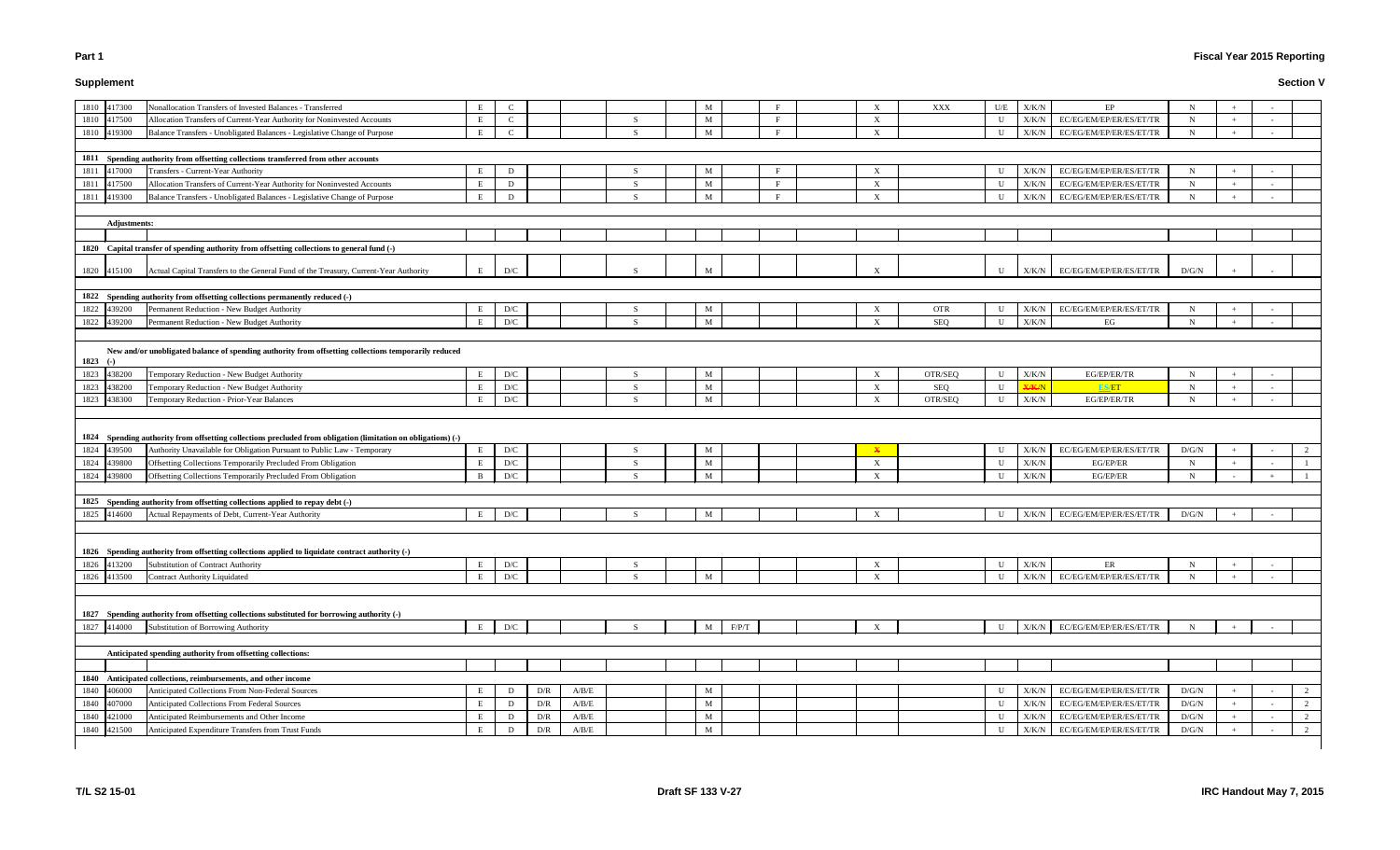# **Supplement**

# **Fiscal Year 2015 Reporting**

# **Section V**

| 1810 417300<br>Nonallocation Transfers of Invested Balances - Transferred                                                                                                                               | E            | $\mathcal{C}$                  |     |             |               | M            | F            | X                         | XXX        | U/E                        | X/K/N                  | EP                            | N            |     |        |   |
|---------------------------------------------------------------------------------------------------------------------------------------------------------------------------------------------------------|--------------|--------------------------------|-----|-------------|---------------|--------------|--------------|---------------------------|------------|----------------------------|------------------------|-------------------------------|--------------|-----|--------|---|
| 1810 417500<br>Allocation Transfers of Current-Year Authority for Noninvested Accounts                                                                                                                  | E            | $\mathbf C$                    |     |             | -S            | M            | F            | X                         |            | U                          | X/K/N                  | EC/EG/EM/EP/ER/ES/ET/TR       | N            |     |        |   |
| Balance Transfers - Unobligated Balances - Legislative Change of Purpose<br>1810 419300                                                                                                                 | E            | $\mathbf{C}$                   |     |             | $\mathcal{S}$ | M            | $\mathbf{F}$ | $\boldsymbol{\mathrm{X}}$ |            | U                          | X/K/N                  | EC/EG/EM/EP/ER/ES/ET/TR       | N            |     |        |   |
|                                                                                                                                                                                                         |              |                                |     |             |               |              |              |                           |            |                            |                        |                               |              |     |        |   |
| 1811 Spending authority from offsetting collections transferred from other accounts                                                                                                                     |              |                                |     |             |               |              |              |                           |            |                            |                        |                               |              |     |        |   |
| 1811<br>417000<br>Transfers - Current-Year Authority                                                                                                                                                    |              | D                              |     |             | -S            | M            |              | X                         |            | U                          | X/K/N                  | EC/EG/EM/EP/ER/ES/ET/TR       | $\mathbf N$  |     |        |   |
| 1811<br>417500<br>Allocation Transfers of Current-Year Authority for Noninvested Accounts                                                                                                               | E            | D                              |     |             | -S            | M            | $\mathbf{F}$ | X                         |            | U                          | X/K/N                  | EC/EG/EM/EP/ER/ES/ET/TR       | $\mathbf N$  | $+$ | $\sim$ |   |
| 1811<br>Balance Transfers - Unobligated Balances - Legislative Change of Purpose<br>419300                                                                                                              | E            | D                              |     |             |               | M            | $\mathbf{F}$ | $\mathbf{X}$              |            | U                          | X/K/N                  | EC/EG/EM/EP/ER/ES/ET/TR       | N            | $+$ |        |   |
|                                                                                                                                                                                                         |              |                                |     |             |               |              |              |                           |            |                            |                        |                               |              |     |        |   |
| <b>Adjustments:</b>                                                                                                                                                                                     |              |                                |     |             |               |              |              |                           |            |                            |                        |                               |              |     |        |   |
|                                                                                                                                                                                                         |              |                                |     |             |               |              |              |                           |            |                            |                        |                               |              |     |        |   |
| 1820 Capital transfer of spending authority from offsetting collections to general fund (-)                                                                                                             |              |                                |     |             |               |              |              |                           |            |                            |                        |                               |              |     |        |   |
| Actual Capital Transfers to the General Fund of the Treasury, Current-Year Authority<br>1820 415100                                                                                                     | E            | D/C                            |     |             |               | M            |              | X                         |            | U                          | X/K/N                  | EC/EG/EM/EP/ER/ES/ET/TR       | D/G/N        |     |        |   |
|                                                                                                                                                                                                         |              |                                |     |             |               |              |              |                           |            |                            |                        |                               |              |     |        |   |
| 1822 Spending authority from offsetting collections permanently reduced (-)                                                                                                                             |              |                                |     |             |               |              |              |                           |            |                            |                        |                               |              |     |        |   |
| 1822 439200<br>Permanent Reduction - New Budget Authority                                                                                                                                               | E            | D/C                            |     |             | -S            | M            |              | X                         | <b>OTR</b> | U                          | X/K/N                  | $\rm EC/EG/EM/EP/ER/ES/ET/TR$ | N            |     |        |   |
| 1822 439200<br>Permanent Reduction - New Budget Authority                                                                                                                                               |              | D/C                            |     |             | -S            | M            |              | X                         | SEQ        | U                          | X/K/N                  | EG                            | N            |     |        |   |
| New and/or unobligated balance of spending authority from offsetting collections temporarily reduced<br>1823 $(-)$<br>1823 438200<br>Temporary Reduction - New Budget Authority                         | E            | D/C                            |     |             | -S            | M            |              | X                         | OTR/SEQ    | $\mathbf U$                | X/K/N                  | EG/EP/ER/TR                   | N            |     |        |   |
| 1823<br>438200<br>Temporary Reduction - New Budget Authority                                                                                                                                            |              | D/C                            |     |             | <sub>S</sub>  | M            |              | X                         | SEQ        | U                          | <b>X/K/N</b>           | ES/ET                         | $\mathbf N$  | $+$ |        |   |
| 1823 438300<br>Temporary Reduction - Prior-Year Balances                                                                                                                                                |              | ${\rm D/C}$                    |     |             | -S            | $\mathbf{M}$ |              | X                         | OTR/SEQ    | U                          | X/K/N                  | EG/EP/ER/TR                   | $\mathbf N$  |     |        |   |
| 1824 Spending authority from offsetting collections precluded from obligation (limitation on obligations) (-)<br>1824 439500<br>Authority Unavailable for Obligation Pursuant to Public Law - Temporary | E            | D/C                            |     |             | -S            | M            |              |                           |            | $\mathbf U$                | X/K/N                  | EC/EG/EM/EP/ER/ES/ET/TR       | D/G/N        |     |        | 2 |
| 1824 439800<br>Offsetting Collections Temporarily Precluded From Obligation                                                                                                                             | E            | D/C                            |     |             | -S            | M            |              | X                         |            | U                          | X/K/N                  | EG/EP/ER                      | $\mathbf N$  |     |        |   |
| 1824 439800<br>Offsetting Collections Temporarily Precluded From Obligation                                                                                                                             | <sub>B</sub> | D/C                            |     |             | -S            | M            |              | X                         |            | U                          | X/K/N                  | EG/EP/ER                      | N            |     |        |   |
|                                                                                                                                                                                                         |              |                                |     |             |               |              |              |                           |            |                            |                        |                               |              |     |        |   |
| 1825 Spending authority from offsetting collections applied to repay debt (-)                                                                                                                           |              |                                |     |             |               |              |              |                           |            |                            |                        |                               |              |     |        |   |
| 1825 414600<br>Actual Repayments of Debt, Current-Year Authority                                                                                                                                        | E            | D/C                            |     |             |               | M            |              | $\mathbf{X}$              |            | U                          | X/K/N                  | EC/EG/EM/EP/ER/ES/ET/TR       | D/G/N        |     |        |   |
| 1826 Spending authority from offsetting collections applied to liquidate contract authority (-)<br>1826 413200<br>Substitution of Contract Authority<br>1826 413500<br>Contract Authority Liquidated    | E            | $\mathbf{D}/\mathbf{C}$<br>D/C |     |             | -S            | M            |              | X<br>X                    |            | $\mathbf U$<br>$\mathbf U$ | X/K/N<br>${\rm X/K/N}$ | ER<br>EC/EG/EM/EP/ER/ES/ET/TR | N<br>N       |     |        |   |
| 1827 Spending authority from offsetting collections substituted for borrowing authority (-)<br>1827 414000<br>Substitution of Borrowing Authority                                                       | E            | $\mathbf{D}/\mathbf{C}$        |     |             |               | F/P/T<br>M   |              | X                         |            | $\mathbf U$                | X/K/N                  | EC/EG/EM/EP/ER/ES/ET/TR       |              |     |        |   |
|                                                                                                                                                                                                         |              |                                |     |             |               |              |              |                           |            |                            |                        |                               |              |     |        |   |
|                                                                                                                                                                                                         |              |                                |     |             |               |              |              |                           |            |                            |                        |                               |              |     |        |   |
| Anticipated spending authority from offsetting collections:                                                                                                                                             |              |                                |     |             |               |              |              |                           |            |                            |                        |                               |              |     |        |   |
|                                                                                                                                                                                                         |              |                                |     |             |               |              |              |                           |            |                            |                        |                               |              |     |        |   |
| 1840 Anticipated collections, reimbursements, and other income                                                                                                                                          |              |                                |     |             |               |              |              |                           |            |                            |                        |                               |              |     |        |   |
| 1840 406000<br>Anticipated Collections From Non-Federal Sources                                                                                                                                         | Е            | D                              | D/R | A/B/E       |               | M            |              |                           |            | U                          | X/K/N                  | EC/EG/EM/EP/ER/ES/ET/TR       | $\rm{D/G/N}$ |     |        | 2 |
| 1840 407000<br>Anticipated Collections From Federal Sources                                                                                                                                             | E            | D                              | D/R | $\rm A/B/E$ |               | M            |              |                           |            | U                          | X/K/N                  | EC/EG/EM/EP/ER/ES/ET/TR       | $\rm{D/G/N}$ |     |        | 2 |
| Anticipated Reimbursements and Other Income<br>1840<br>421000                                                                                                                                           |              | D                              | D/R | $\rm A/B/E$ |               | M            |              |                           |            | U                          | X/K/N                  | EC/EG/EM/EP/ER/ES/ET/TR       | $\rm{D/G/N}$ |     |        | 2 |
| 421500<br>Anticipated Expenditure Transfers from Trust Funds<br>1840                                                                                                                                    |              | D                              | D/R | A/B/E       |               | M            |              |                           |            | U                          | X/K/N                  | EC/EG/EM/EP/ER/ES/ET/TR       | D/G/N        |     |        | 2 |

 $\blacksquare$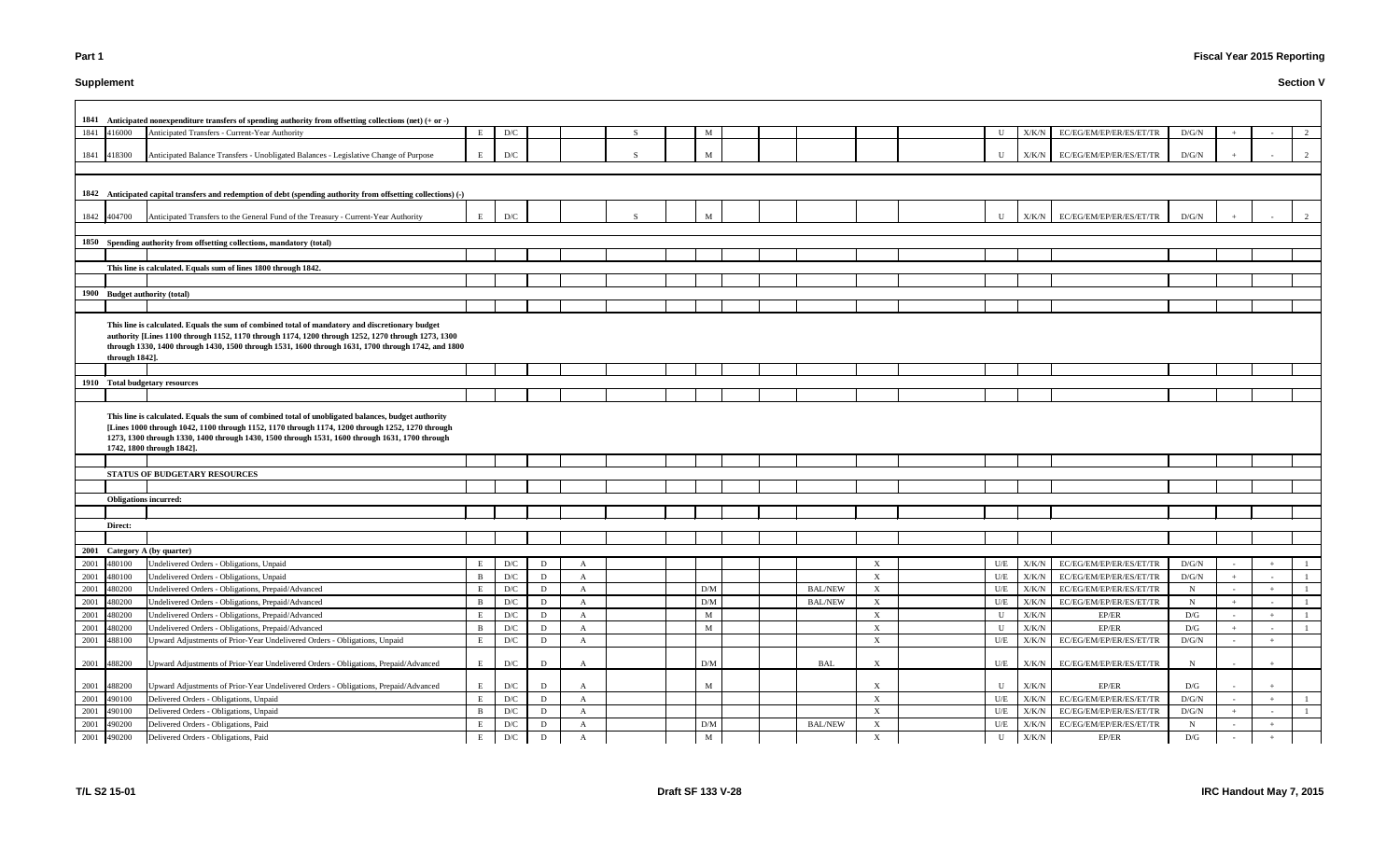# **Supplement**

# **Fiscal Year 2015 Reporting**

|                              | 1841 Anticipated nonexpenditure transfers of spending authority from offsetting collections (net) (+ or -)                                                                                                                                                                                                                            |              |     |              |              |              |              |  |                |                           |                         |               |                               |              |        |   |
|------------------------------|---------------------------------------------------------------------------------------------------------------------------------------------------------------------------------------------------------------------------------------------------------------------------------------------------------------------------------------|--------------|-----|--------------|--------------|--------------|--------------|--|----------------|---------------------------|-------------------------|---------------|-------------------------------|--------------|--------|---|
| 1841 416000                  | Anticipated Transfers - Current-Year Authority                                                                                                                                                                                                                                                                                        | E            | D/C |              |              | <sub>S</sub> | M            |  |                |                           | $\mathbf U$             | X/K/N         | EC/EG/EM/EP/ER/ES/ET/TR       | D/G/N        |        | 2 |
|                              |                                                                                                                                                                                                                                                                                                                                       |              |     |              |              |              |              |  |                |                           |                         |               |                               |              |        |   |
| 1841 418300                  | Anticipated Balance Transfers - Unobligated Balances - Legislative Change of Purpose                                                                                                                                                                                                                                                  | E            | D/C |              |              | -S           | M            |  |                |                           | $\mathbf U$             | X/K/N         | EC/EG/EM/EP/ER/ES/ET/TR       | D/G/N        |        |   |
|                              |                                                                                                                                                                                                                                                                                                                                       |              |     |              |              |              |              |  |                |                           |                         |               |                               |              |        |   |
|                              |                                                                                                                                                                                                                                                                                                                                       |              |     |              |              |              |              |  |                |                           |                         |               |                               |              |        |   |
|                              | 1842 Anticipated capital transfers and redemption of debt (spending authority from offsetting collections) (-)                                                                                                                                                                                                                        |              |     |              |              |              |              |  |                |                           |                         |               |                               |              |        |   |
|                              |                                                                                                                                                                                                                                                                                                                                       |              |     |              |              |              |              |  |                |                           |                         |               |                               |              |        |   |
| 1842 404700                  | Anticipated Transfers to the General Fund of the Treasury - Current-Year Authority                                                                                                                                                                                                                                                    | E            | D/C |              |              |              | M            |  |                |                           | $\mathbf{U}$            | X/K/N         | EC/EG/EM/EP/ER/ES/ET/TR       | D/G/N        |        |   |
|                              |                                                                                                                                                                                                                                                                                                                                       |              |     |              |              |              |              |  |                |                           |                         |               |                               |              |        |   |
|                              | 1850 Spending authority from offsetting collections, mandatory (total)                                                                                                                                                                                                                                                                |              |     |              |              |              |              |  |                |                           |                         |               |                               |              |        |   |
|                              |                                                                                                                                                                                                                                                                                                                                       |              |     |              |              |              |              |  |                |                           |                         |               |                               |              |        |   |
|                              | This line is calculated. Equals sum of lines 1800 through 1842.                                                                                                                                                                                                                                                                       |              |     |              |              |              |              |  |                |                           |                         |               |                               |              |        |   |
|                              |                                                                                                                                                                                                                                                                                                                                       |              |     |              |              |              |              |  |                |                           |                         |               |                               |              |        |   |
|                              | 1900 Budget authority (total)                                                                                                                                                                                                                                                                                                         |              |     |              |              |              |              |  |                |                           |                         |               |                               |              |        |   |
|                              |                                                                                                                                                                                                                                                                                                                                       |              |     |              |              |              |              |  |                |                           |                         |               |                               |              |        |   |
|                              |                                                                                                                                                                                                                                                                                                                                       |              |     |              |              |              |              |  |                |                           |                         |               |                               |              |        |   |
|                              | This line is calculated. Equals the sum of combined total of mandatory and discretionary budget<br>authority [Lines 1100 through 1152, 1170 through 1174, 1200 through 1252, 1270 through 1273, 1300                                                                                                                                  |              |     |              |              |              |              |  |                |                           |                         |               |                               |              |        |   |
|                              | through 1330, 1400 through 1430, 1500 through 1531, 1600 through 1631, 1700 through 1742, and 1800                                                                                                                                                                                                                                    |              |     |              |              |              |              |  |                |                           |                         |               |                               |              |        |   |
| through 1842].               |                                                                                                                                                                                                                                                                                                                                       |              |     |              |              |              |              |  |                |                           |                         |               |                               |              |        |   |
|                              |                                                                                                                                                                                                                                                                                                                                       |              |     |              |              |              |              |  |                |                           |                         |               |                               |              |        |   |
|                              | 1910 Total budgetary resources                                                                                                                                                                                                                                                                                                        |              |     |              |              |              |              |  |                |                           |                         |               |                               |              |        |   |
|                              |                                                                                                                                                                                                                                                                                                                                       |              |     |              |              |              |              |  |                |                           |                         |               |                               |              |        |   |
|                              | This line is calculated. Equals the sum of combined total of unobligated balances, budget authority<br>[Lines 1000 through 1042, 1100 through 1152, 1170 through 1174, 1200 through 1252, 1270 through<br>1273, 1300 through 1330, 1400 through 1430, 1500 through 1531, 1600 through 1631, 1700 through<br>1742, 1800 through 1842]. |              |     |              |              |              |              |  |                |                           |                         |               |                               |              |        |   |
|                              |                                                                                                                                                                                                                                                                                                                                       |              |     |              |              |              |              |  |                |                           |                         |               |                               |              |        |   |
|                              | STATUS OF BUDGETARY RESOURCES                                                                                                                                                                                                                                                                                                         |              |     |              |              |              |              |  |                |                           |                         |               |                               |              |        |   |
|                              |                                                                                                                                                                                                                                                                                                                                       |              |     |              |              |              |              |  |                |                           |                         |               |                               |              |        |   |
| <b>Obligations incurred:</b> |                                                                                                                                                                                                                                                                                                                                       |              |     |              |              |              |              |  |                |                           |                         |               |                               |              |        |   |
|                              |                                                                                                                                                                                                                                                                                                                                       |              |     |              |              |              |              |  |                |                           |                         |               |                               |              |        |   |
| Direct:                      |                                                                                                                                                                                                                                                                                                                                       |              |     |              |              |              |              |  |                |                           |                         |               |                               |              |        |   |
|                              |                                                                                                                                                                                                                                                                                                                                       |              |     |              |              |              |              |  |                |                           |                         |               |                               |              |        |   |
|                              | 2001 Category A (by quarter)                                                                                                                                                                                                                                                                                                          |              |     |              |              |              |              |  |                |                           |                         |               |                               |              |        |   |
|                              | 2001 480100 Undelivered Orders - Obligations, Unpaid                                                                                                                                                                                                                                                                                  | Е,           | D/C | $\mathbf{D}$ | $\mathbf{A}$ |              |              |  |                | $\mathbf{X}$              | $\mathbf{U}/\mathbf{E}$ |               | X/K/N EC/EG/EM/EP/ER/ES/ET/TR | D/G/N        |        |   |
| 2001 480100                  | Undelivered Orders - Obligations, Unpaid                                                                                                                                                                                                                                                                                              | $\mathbf{B}$ | D/C | D            | A            |              |              |  |                | $\boldsymbol{\mathrm{X}}$ | U/E                     | X/K/N         | EC/EG/EM/EP/ER/ES/ET/TR       | D/G/N        |        |   |
| 2001 480200                  | Undelivered Orders - Obligations, Prepaid/Advanced                                                                                                                                                                                                                                                                                    | E            | D/C | D            | A            |              | D/M          |  | <b>BAL/NEW</b> | X                         | U/E                     | X/K/N         | EC/EG/EM/EP/ER/ES/ET/TR       | N            | $\sim$ |   |
| 2001 480200                  | Undelivered Orders - Obligations, Prepaid/Advanced                                                                                                                                                                                                                                                                                    | $\mathbf{B}$ | D/C | D            | A            |              | D/M          |  | <b>BAL/NEW</b> | $\boldsymbol{\mathrm{X}}$ | U/E                     | X/K/N         | EC/EG/EM/EP/ER/ES/ET/TR       | N            |        |   |
| 2001 480200                  | Undelivered Orders - Obligations, Prepaid/Advanced                                                                                                                                                                                                                                                                                    | Е            | D/C | D            | A            |              | M            |  |                | X                         | $\mathbf U$             | $\rm X/K/N$   | EP/ER                         | D/G          |        |   |
| 2001 480200                  | Undelivered Orders - Obligations, Prepaid/Advanced                                                                                                                                                                                                                                                                                    | $\mathbf{B}$ | D/C | D            | $\mathbf{A}$ |              | M            |  |                | X                         | $\mathbf U$             | $\rm X/K/N$   | EP/ER                         | D/G          |        |   |
| 2001 488100                  | Upward Adjustments of Prior-Year Undelivered Orders - Obligations, Unpaid                                                                                                                                                                                                                                                             | E            | D/C | D            | $\mathbf{A}$ |              |              |  |                | $\boldsymbol{\mathrm{X}}$ | $\mathbf{U}/\mathbf{E}$ | X/K/N         | EC/EG/EM/EP/ER/ES/ET/TR       | $\rm{D/G/N}$ |        |   |
|                              |                                                                                                                                                                                                                                                                                                                                       |              |     |              |              |              |              |  |                |                           |                         |               |                               |              |        |   |
| 2001 488200                  | Upward Adjustments of Prior-Year Undelivered Orders - Obligations, Prepaid/Advanced                                                                                                                                                                                                                                                   | E            | D/C | D            | A            |              | D/M          |  | BAL            | $\boldsymbol{\mathrm{X}}$ | U/E                     | X/K/N         | EC/EG/EM/EP/ER/ES/ET/TR       | N            |        |   |
| 2001 488200                  | Upward Adjustments of Prior-Year Undelivered Orders - Obligations, Prepaid/Advanced                                                                                                                                                                                                                                                   | E            | D/C | D            | A            |              | M            |  |                | $\boldsymbol{\mathrm{X}}$ | $\mathbf U$             | X/K/N         | EP/ER                         | D/G          |        |   |
| 2001 490100                  | Delivered Orders - Obligations, Unpaid                                                                                                                                                                                                                                                                                                | E            | D/C | D            | A            |              |              |  |                | $\boldsymbol{\mathrm{X}}$ | $U\!/\!E$               | X/K/N         | EC/EG/EM/EP/ER/ES/ET/TR       | D/G/N        |        |   |
| 2001 490100                  | Delivered Orders - Obligations, Unpaid                                                                                                                                                                                                                                                                                                | $\mathbf{B}$ | D/C | D            | A            |              |              |  |                | $\boldsymbol{\mathrm{X}}$ | $U\!/\!E$               | X/K/N         | EC/EG/EM/EP/ER/ES/ET/TR       | $\rm{D/G/N}$ |        |   |
| 2001 490200                  | Delivered Orders - Obligations, Paid                                                                                                                                                                                                                                                                                                  | E            | D/C | D            | A            |              | D/M          |  | <b>BAL/NEW</b> | X                         | $U\!/\!E$               | $\rm X/K/N$   | EC/EG/EM/EP/ER/ES/ET/TR       | N            | $\sim$ |   |
| 2001 490200                  | Delivered Orders - Obligations, Paid                                                                                                                                                                                                                                                                                                  | E            | D/C | D            | $\mathbf{A}$ |              | $\mathbf{M}$ |  |                | $\mathbf{X}$              | $\mathbf U$             | ${\rm X/K/N}$ | EP/ER                         | D/G          | $\sim$ |   |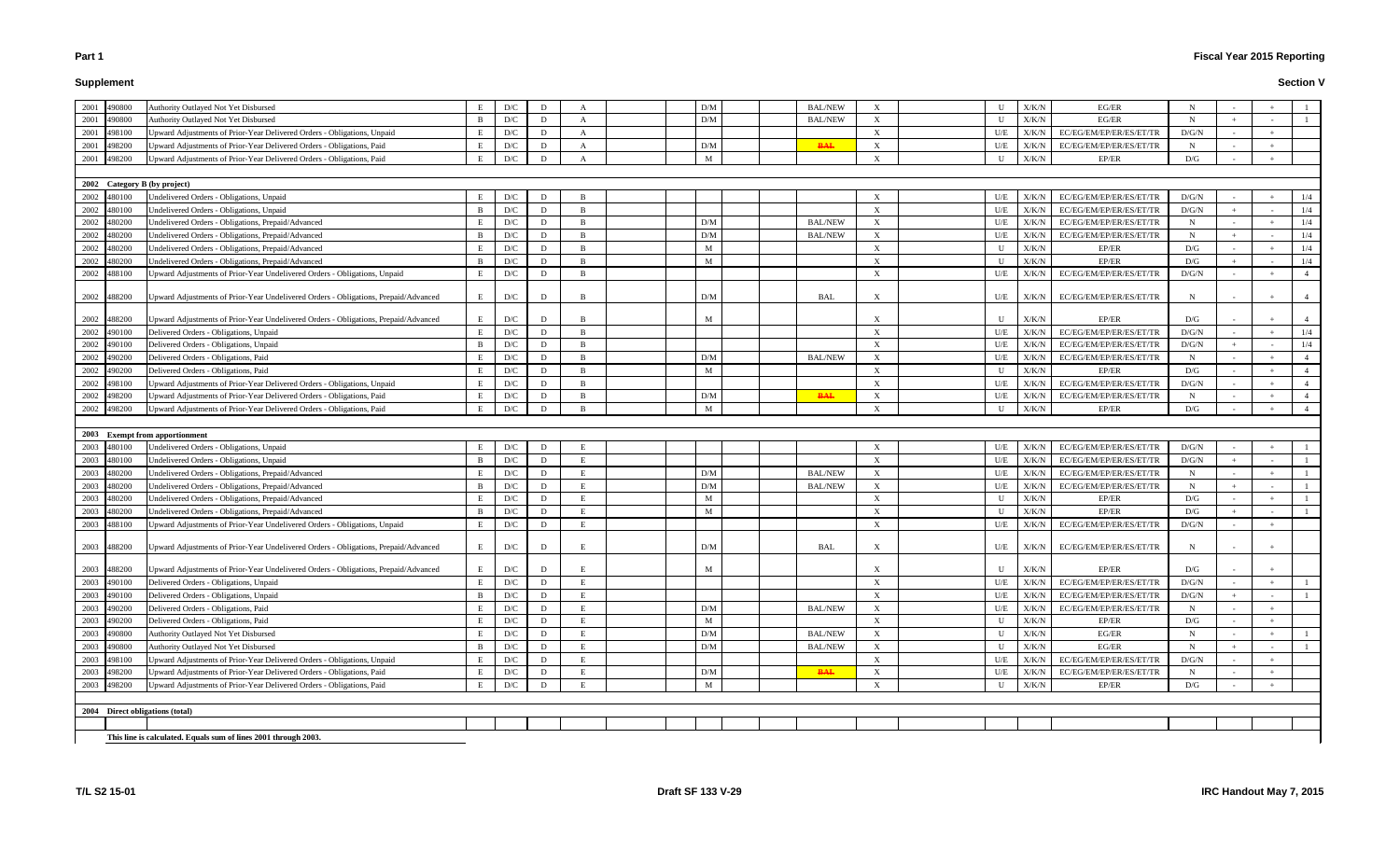# **Supplement**

# **Fiscal Year 2015 Reporting**

| 2001<br>490800                  | Authority Outlayed Not Yet Disbursed                                                                                                                             | E              | D/C                     | D      | A              |  | D/M | <b>BAL/NEW</b> | $\boldsymbol{\mathrm{X}}$ | U            | X/K/N          | EG/ER                                              | N           |        |        |                |
|---------------------------------|------------------------------------------------------------------------------------------------------------------------------------------------------------------|----------------|-------------------------|--------|----------------|--|-----|----------------|---------------------------|--------------|----------------|----------------------------------------------------|-------------|--------|--------|----------------|
| 2001<br>490800                  | Authority Outlayed Not Yet Disbursed                                                                                                                             | -B             | D/C                     | D      | A              |  | D/M | <b>BAL/NEW</b> | $\boldsymbol{\mathrm{X}}$ | $\mathbf{U}$ | X/K/N          | EG/ER                                              | N           |        |        |                |
| 2001<br>498100                  | Upward Adjustments of Prior-Year Delivered Orders - Obligations, Unpaid                                                                                          | E              | D/C                     | D      | A              |  |     |                | $\boldsymbol{\mathrm{X}}$ | U/E          | X/K/N          | EC/EG/EM/EP/ER/ES/ET/TR                            | D/G/N       | $\sim$ |        |                |
| 2001<br>498200                  | Upward Adjustments of Prior-Year Delivered Orders - Obligations, Paid                                                                                            | E              | $\mathbf{D}/\mathbf{C}$ | D      | A              |  | D/M | <b>BAL</b>     | $\boldsymbol{\mathrm{X}}$ | U/E          | X/K/N          | EC/EG/EM/EP/ER/ES/ET/TR                            | N           | $\sim$ |        |                |
| 2001<br>498200                  | Upward Adjustments of Prior-Year Delivered Orders - Obligations, Paid                                                                                            | E              | D/C                     | D      | A              |  | M   |                | $\boldsymbol{\mathrm{X}}$ | $\mathbf{U}$ | X/K/N          | EP/ER                                              | D/G         | $\sim$ | $+$    |                |
|                                 |                                                                                                                                                                  |                |                         |        |                |  |     |                |                           |              |                |                                                    |             |        |        |                |
| 2002 Category B (by project)    |                                                                                                                                                                  |                |                         |        |                |  |     |                |                           |              |                |                                                    |             |        |        |                |
| 2002<br>480100                  | Undelivered Orders - Obligations, Unpaid                                                                                                                         | E              | D/C                     | D      |                |  |     |                |                           | U/E          | X/K/N          | EC/EG/EM/EP/ER/ES/ET/TR                            | D/G/N       |        |        | 1/4            |
| 2002<br>480100                  | Undelivered Orders - Obligations, Unpaid                                                                                                                         | $\mathbf{B}$   | D/C                     | D      | B              |  |     |                | $\boldsymbol{\mathrm{X}}$ | U/E          | X/K/N          | EC/EG/EM/EP/ER/ES/ET/TR                            | D/G/N       | $+$    |        | 1/4            |
| 2002<br>480200                  | Undelivered Orders - Obligations, Prepaid/Advanced                                                                                                               | Е              | D/C                     | D      | B              |  | D/M | <b>BAL/NEW</b> | $\boldsymbol{\mathrm{X}}$ | U/E          | X/K/N          | EC/EG/EM/EP/ER/ES/ET/TR                            | $\mathbf N$ |        |        | 1/4            |
| 2002<br>480200                  | Undelivered Orders - Obligations, Prepaid/Advanced                                                                                                               | B              | D/C                     | D      | <sup>B</sup>   |  | D/M | <b>BAL/NEW</b> | $\boldsymbol{\mathrm{X}}$ | U/E          | X/K/N          | EC/EG/EM/EP/ER/ES/ET/TR                            | $\mathbf N$ |        |        | 1/4            |
| 2002<br>480200                  | Undelivered Orders - Obligations, Prepaid/Advanced                                                                                                               | E              | D/C                     | D      | - B            |  | M   |                | $\boldsymbol{\mathrm{X}}$ | U            | X/K/N          | EP/ER                                              | D/G         |        |        | 1/4            |
| 2002<br>480200                  | Undelivered Orders - Obligations, Prepaid/Advanced                                                                                                               | $\mathbf{B}$   | D/C                     | D      | B              |  | M   |                | $\boldsymbol{\mathrm{X}}$ | U            | X/K/N          | EP/ER                                              | D/G         | $+$    |        | 1/4            |
| 2002<br>488100                  | Jpward Adjustments of Prior-Year Undelivered Orders - Obligations, Unpaid                                                                                        | E              | D/C                     | D      | <sup>B</sup>   |  |     |                | $\boldsymbol{\mathrm{X}}$ | U/E          | X/K/N          | EC/EG/EM/EP/ER/ES/ET/TR                            | D/G/N       |        |        |                |
| 2002 488200                     | Upward Adjustments of Prior-Year Undelivered Orders - Obligations, Prepaid/Advanced                                                                              | E              | D/C                     | D      |                |  | D/M | <b>BAL</b>     |                           | U/E          | X/K/N          | EC/EG/EM/EP/ER/ES/ET/TR                            | N           |        |        |                |
| 2002<br>488200                  | Upward Adjustments of Prior-Year Undelivered Orders - Obligations, Prepaid/Advanced                                                                              | E              | D/C                     | D      | B              |  | M   |                |                           | U            | X/K/N          | EP/ER                                              | D/G         |        |        |                |
| 2002<br>490100                  | Delivered Orders - Obligations, Unpaid                                                                                                                           | E              | D/C                     | D      | B              |  |     |                | $\boldsymbol{\mathrm{X}}$ | U/E          | X/K/N          | EC/EG/EM/EP/ER/ES/ET/TR                            | D/G/N       |        | $+$    | 1/4            |
| 2002<br>490100                  | Delivered Orders - Obligations, Unpaid                                                                                                                           | $\mathbf{B}$   | D/C                     | D      | <sup>B</sup>   |  |     |                | $\boldsymbol{\mathrm{X}}$ | U/E          | X/K/N          | EC/EG/EM/EP/ER/ES/ET/TR                            | D/G/N       | $+$    |        | 1/4            |
| 2002<br>490200                  | Delivered Orders - Obligations, Paid                                                                                                                             | E              | D/C                     | D      | B              |  | D/M | <b>BAL/NEW</b> | $\boldsymbol{\mathrm{X}}$ | U/E          | X/K/N          | EC/EG/EM/EP/ER/ES/ET/TR                            | $\mathbf N$ |        |        | $\overline{4}$ |
| 2002<br>490200                  | Delivered Orders - Obligations, Paid                                                                                                                             | E              | D/C                     | D      | $\overline{B}$ |  | M   |                | $\boldsymbol{\mathrm{X}}$ | U            | X/K/N          | EP/ER                                              | D/G         | $\sim$ |        |                |
| 2002<br>498100                  | Upward Adjustments of Prior-Year Delivered Orders - Obligations, Unpaid                                                                                          | E              | D/C                     | D      | <sup>B</sup>   |  |     |                |                           | U/E          | X/K/N          | EC/EG/EM/EP/ER/ES/ET/TR                            | D/G/N       |        |        |                |
| 2002<br>498200                  | Upward Adjustments of Prior-Year Delivered Orders - Obligations, Paid                                                                                            | E              | D/C                     | D      | B              |  | D/M | <b>BAL</b>     | $\boldsymbol{\mathrm{X}}$ | U/E          | X/K/N          | EC/EG/EM/EP/ER/ES/ET/TR                            | N           | $\sim$ |        |                |
| 2002<br>498200                  | Upward Adjustments of Prior-Year Delivered Orders - Obligations, Paid                                                                                            | E              | D/C                     | D      | B              |  | M   |                | $\boldsymbol{\mathrm{X}}$ | U            | X/K/N          | EP/ER                                              | D/G         |        |        |                |
| 2003 Exempt from apportionment  |                                                                                                                                                                  |                |                         |        |                |  |     |                |                           |              |                |                                                    |             |        |        |                |
|                                 |                                                                                                                                                                  |                |                         |        |                |  |     |                |                           |              |                |                                                    |             |        |        |                |
| 2003<br>480100                  | Undelivered Orders - Obligations, Unpaid                                                                                                                         | Е              | D/C                     | D      |                |  |     |                | $\boldsymbol{\mathrm{X}}$ | U/E          | X/K/N          | EC/EG/EM/EP/ER/ES/ET/TR                            | D/G/N       |        |        |                |
| 2003<br>480100                  | Undelivered Orders - Obligations, Unpaid                                                                                                                         | B              | D/C                     | D      | E              |  |     |                | $\boldsymbol{\mathrm{X}}$ | U/E          | X/K/N          | EC/EG/EM/EP/ER/ES/ET/TR                            | D/G/N       | $+$    |        |                |
| 2003<br>480200                  | Undelivered Orders - Obligations, Prepaid/Advanced                                                                                                               | E              | D/C                     | D      | E              |  | D/M | <b>BAL/NEW</b> | $\boldsymbol{\mathrm{X}}$ | U/E          | X/K/N          | EC/EG/EM/EP/ER/ES/ET/TR                            | $\mathbf N$ |        |        |                |
| 2003<br>480200                  | Undelivered Orders - Obligations, Prepaid/Advanced                                                                                                               | $\overline{B}$ | D/C                     | D      |                |  | D/M | <b>BAL/NEW</b> |                           | U/E          | X/K/N          | EC/EG/EM/EP/ER/ES/ET/TR                            | $\mathbf N$ |        |        |                |
| 2003<br>480200                  | Undelivered Orders - Obligations, Prepaid/Advanced                                                                                                               | E              | D/C                     | D      | E              |  | M   |                | X                         | U            | X/K/N          | EP/ER                                              | D/G         |        |        |                |
| 2003<br>480200                  | Undelivered Orders - Obligations, Prepaid/Advanced                                                                                                               | B              | D/C                     | D      | E              |  | M   |                | $\boldsymbol{\mathrm{X}}$ | U            | X/K/N          | EP/ER                                              | D/G         | $+$    | $\sim$ |                |
| 2003<br>488100<br>2003 488200   | Jpward Adjustments of Prior-Year Undelivered Orders - Obligations, Unpaid<br>Upward Adjustments of Prior-Year Undelivered Orders - Obligations, Prepaid/Advanced | E<br>E         | D/C<br>D/C              | D<br>D |                |  | D/M | <b>BAL</b>     | X                         | U/E<br>U/E   | X/K/N<br>X/K/N | EC/EG/EM/EP/ER/ES/ET/TR<br>EC/EG/EM/EP/ER/ES/ET/TR | D/G/N<br>N  |        |        |                |
| 2003 488200                     | Upward Adjustments of Prior-Year Undelivered Orders - Obligations, Prepaid/Advanced                                                                              | E              | D/C                     | D      |                |  | M   |                | X                         | U            | X/K/N          | EP/ER                                              | D/G         |        |        |                |
| 2003<br>490100                  | Delivered Orders - Obligations, Unpaid                                                                                                                           | E              | D/C                     | D      | E              |  |     |                | $\boldsymbol{\mathrm{X}}$ | U/E          | ${\rm X/K/N}$  | EC/EG/EM/EP/ER/ES/ET/TR                            | D/G/N       |        |        |                |
| 2003<br>490100                  | Delivered Orders - Obligations, Unpaid                                                                                                                           | B              | D/C                     | D      | E              |  |     |                | $\boldsymbol{\mathrm{X}}$ | U/E          | X/K/N          | EC/EG/EM/EP/ER/ES/ET/TR                            | D/G/N       |        |        |                |
| 2003<br>490200                  | Delivered Orders - Obligations, Paid                                                                                                                             | E              | D/C                     | D      | E              |  | D/M | <b>BAL/NEW</b> | $\boldsymbol{\mathrm{X}}$ | U/E          | X/K/N          | EC/EG/EM/EP/ER/ES/ET/TR                            | N           |        |        |                |
| 2003<br>490200                  | Delivered Orders - Obligations, Paid                                                                                                                             | Е              | D/C                     | D      | E              |  | M   |                | $\boldsymbol{\mathrm{X}}$ | U            | X/K/N          | EP/ER                                              | D/G         |        |        |                |
| 2003<br>490800                  | Authority Outlayed Not Yet Disbursed                                                                                                                             | Е              | D/C                     | D      |                |  | D/M | <b>BAL/NEW</b> | $\boldsymbol{\mathrm{X}}$ | U            | X/K/N          | EG/ER                                              | $\mathbf N$ |        |        |                |
| 2003<br>490800                  | Authority Outlayed Not Yet Disbursed                                                                                                                             | B              | D/C                     | D      | E              |  | D/M | <b>BAL/NEW</b> | $\boldsymbol{\mathrm{X}}$ | U            | X/K/N          | EG/ER                                              | N           | $+$    |        |                |
| 2003<br>498100                  | Upward Adjustments of Prior-Year Delivered Orders - Obligations, Unpaid                                                                                          | E              | D/C                     | D      | E              |  |     |                | $\boldsymbol{\mathrm{X}}$ | U/E          | X/K/N          | EC/EG/EM/EP/ER/ES/ET/TR                            | D/G/N       |        |        |                |
| 2003<br>498200                  | Upward Adjustments of Prior-Year Delivered Orders - Obligations, Paid                                                                                            | E              | D/C                     | D      |                |  | D/M | <b>BAL</b>     | $\boldsymbol{\mathrm{X}}$ | U/E          | X/K/N          | EC/EG/EM/EP/ER/ES/ET/TR                            | $\mathbf N$ | $\sim$ |        |                |
| 2003<br>498200                  | Upward Adjustments of Prior-Year Delivered Orders - Obligations, Paid                                                                                            | E              | D/C                     | D      |                |  | M   |                | $\boldsymbol{\mathrm{X}}$ | $\mathbf{U}$ | X/K/N          | EP/ER                                              | D/G         |        |        |                |
|                                 |                                                                                                                                                                  |                |                         |        |                |  |     |                |                           |              |                |                                                    |             |        |        |                |
| 2004 Direct obligations (total) |                                                                                                                                                                  |                |                         |        |                |  |     |                |                           |              |                |                                                    |             |        |        |                |
|                                 | This line is calculated. Equals sum of lines 2001 through 2003.                                                                                                  |                |                         |        |                |  |     |                |                           |              |                |                                                    |             |        |        |                |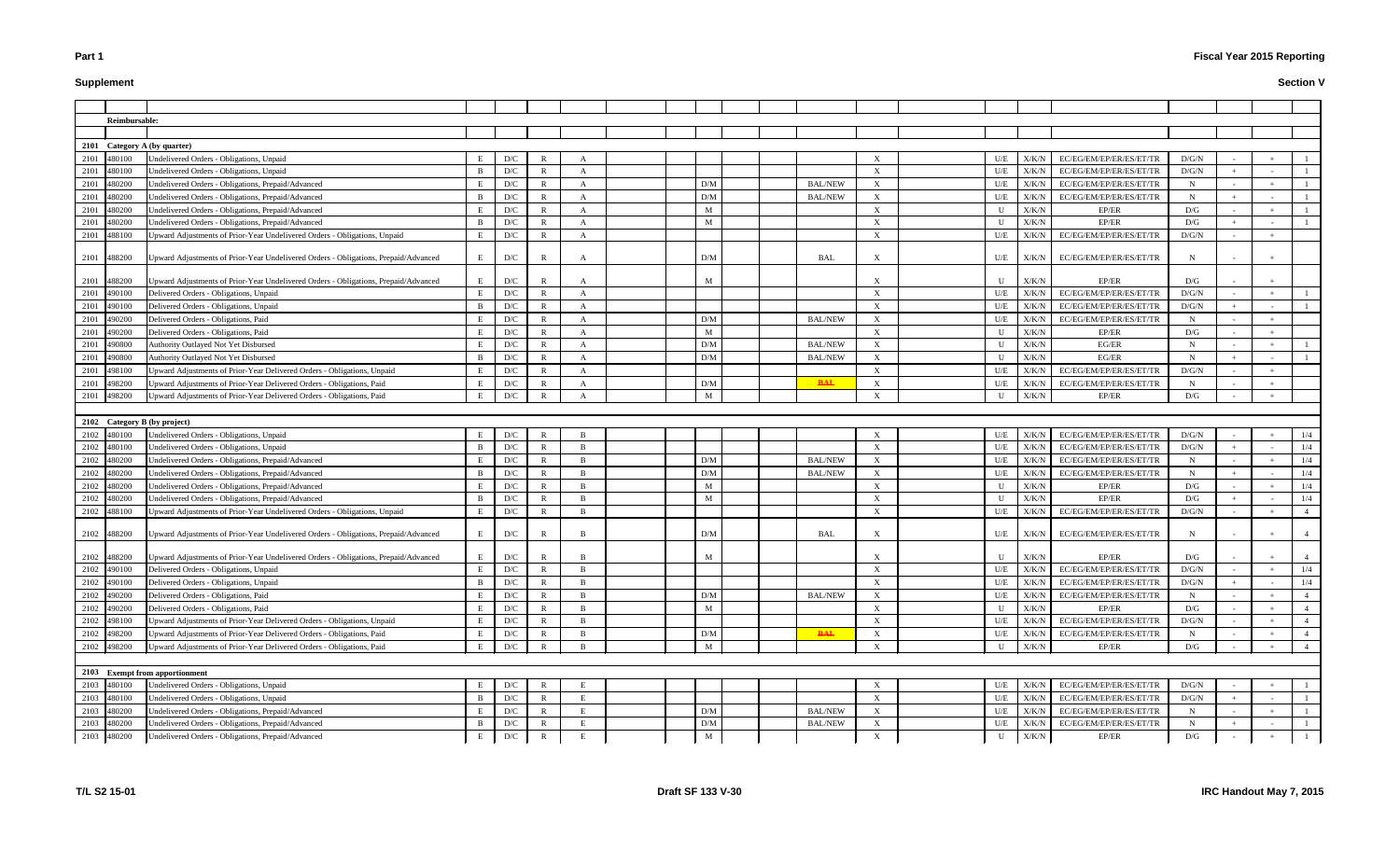# **Supplement**

# **Fiscal Year 2015 Reporting**

|             | Reimbursable: |                                                                                     |              |     |              |                |  |                 |                |                           |              |       |                         |             |        |                |
|-------------|---------------|-------------------------------------------------------------------------------------|--------------|-----|--------------|----------------|--|-----------------|----------------|---------------------------|--------------|-------|-------------------------|-------------|--------|----------------|
|             |               |                                                                                     |              |     |              |                |  |                 |                |                           |              |       |                         |             |        |                |
|             |               | 2101 Category A (by quarter)                                                        |              |     |              |                |  |                 |                |                           |              |       |                         |             |        |                |
| 2101 480100 |               | Undelivered Orders - Obligations, Unpaid                                            | E            | D/C |              |                |  |                 |                | X                         | U/E          | X/K/N | EC/EG/EM/EP/ER/ES/ET/TR | D/G/N       |        |                |
| 2101        | 480100        | Undelivered Orders - Obligations, Unpaid                                            | <sup>B</sup> | D/C | R            | A              |  |                 |                | X                         | U/E          | X/K/N | EC/EG/EM/EP/ER/ES/ET/TR | D/G/N       |        |                |
| 2101        | 480200        | Undelivered Orders - Obligations, Prepaid/Advanced                                  |              | D/C | R            | A              |  | D/M             | <b>BAL/NEW</b> | X                         | U/E          | X/K/N | EC/EG/EM/EP/ER/ES/ET/TR | $\mathbf N$ |        |                |
| 2101        | 480200        | Undelivered Orders - Obligations, Prepaid/Advanced                                  | B            | D/C | R            | A              |  | D/M             | <b>BAL/NEW</b> | X                         | U/E          | X/K/N | EC/EG/EM/EP/ER/ES/ET/TR | N           |        |                |
| 2101        | 480200        | Undelivered Orders - Obligations, Prepaid/Advanced                                  | E            | D/C | $\mathbb{R}$ | A              |  | M               |                | X                         | U            | X/K/N | EP/ER                   | D/G         |        |                |
| 2101 480200 |               | Undelivered Orders - Obligations, Prepaid/Advanced                                  | B            | D/C | $\mathbb{R}$ | $\overline{A}$ |  | M               |                | X                         | U            | X/K/N | EP/ER                   | D/G         |        |                |
| 2101 488100 |               | Upward Adjustments of Prior-Year Undelivered Orders - Obligations, Unpaid           | E            | D/C | $\mathbb{R}$ | A              |  |                 |                | X                         | U/E          | X/K/N | EC/EG/EM/EP/ER/ES/ET/TR | D/G/N       |        |                |
| 2101 488200 |               | Upward Adjustments of Prior-Year Undelivered Orders - Obligations, Prepaid/Advanced | E            | D/C | R            | A              |  | D/M             | <b>BAL</b>     | X                         | U/E          | X/K/N | EC/EG/EM/EP/ER/ES/ET/TR | N           |        |                |
| 2101 488200 |               | Upward Adjustments of Prior-Year Undelivered Orders - Obligations, Prepaid/Advanced | E            | D/C | R            |                |  | M               |                | $\mathbf{x}$              | U            | X/K/N | EP/ER                   | D/G         |        |                |
| 2101        | 490100        | Delivered Orders - Obligations, Unpaid                                              | E            | D/C | $\mathbb{R}$ | A              |  |                 |                | $\boldsymbol{\mathrm{X}}$ | U/E          | X/K/N | EC/EG/EM/EP/ER/ES/ET/TR | D/G/N       |        |                |
| 2101        | 490100        | Delivered Orders - Obligations, Unpaid                                              | B            | D/C | $\mathbb{R}$ | A              |  |                 |                | $\boldsymbol{\mathrm{X}}$ | U/E          | X/K/N | EC/EG/EM/EP/ER/ES/ET/TR | D/G/N       |        |                |
| 2101        | 490200        | Delivered Orders - Obligations, Paid                                                |              | D/C | R            | A              |  | D/M             | <b>BAL/NEW</b> | X                         | U/E          | X/K/N | EC/EG/EM/EP/ER/ES/ET/TR | N           |        |                |
| 2101        | 490200        | Delivered Orders - Obligations, Paid                                                | E            | D/C | $\mathbb{R}$ | A              |  | M               |                | X                         | U            | X/K/N | EP/ER                   | D/G         |        |                |
| 2101        | 490800        | Authority Outlayed Not Yet Disbursed                                                | E            | D/C | R            | A              |  | D/M             | <b>BAL/NEW</b> | X                         | U            | X/K/N | EG/ER                   | N           |        |                |
| 2101        | 490800        | Authority Outlayed Not Yet Disbursed                                                | B            | D/C | R            | A              |  | D/M             | <b>BAL/NEW</b> | X                         | U            | X/K/N | EG/ER                   | N           |        |                |
| 2101 498100 |               | Upward Adjustments of Prior-Year Delivered Orders - Obligations, Unpaid             | E            | D/C | $\mathbb{R}$ | $\mathbf{A}$   |  |                 |                | X                         | U/E          | X/K/N | EC/EG/EM/EP/ER/ES/ET/TR | D/G/N       |        |                |
| 2101 498200 |               | Upward Adjustments of Prior-Year Delivered Orders - Obligations, Paid               | E            | D/C | R            | A              |  | D/M             | <b>BAL</b>     | X                         | U/E          | X/K/N | EC/EG/EM/EP/ER/ES/ET/TR | N           |        |                |
| 2101        | 498200        | Upward Adjustments of Prior-Year Delivered Orders - Obligations, Paid               |              | D/C |              |                |  | M               |                | $\mathbf{x}$              | U            | X/K/N | EP/ER                   | D/G         |        |                |
|             |               |                                                                                     |              |     |              |                |  |                 |                |                           |              |       |                         |             |        |                |
|             |               | 2102 Category B (by project)                                                        |              |     |              |                |  |                 |                |                           |              |       |                         |             |        |                |
| 2102        | 480100        | Undelivered Orders - Obligations, Unpaid                                            |              | D/C |              | - R            |  |                 |                | X                         | U/E          | X/K/N | EC/EG/EM/EP/ER/ES/ET/TR | D/G/N       |        | 1/4            |
| 2102        | 480100        | Undelivered Orders - Obligations, Unpaid                                            | B            | D/C | $\mathbb{R}$ | $\overline{R}$ |  |                 |                | $\boldsymbol{\mathrm{X}}$ | U/E          | X/K/N | EC/EG/EM/EP/ER/ES/ET/TR | D/G/N       |        | 1/4            |
| 2102        | 480200        | Undelivered Orders - Obligations, Prepaid/Advanced                                  | E            | D/C |              | $\overline{B}$ |  | D/M             | <b>BAL/NEW</b> | X                         | U/E          | X/K/N | EC/EG/EM/EP/ER/ES/ET/TR | N           |        | 1/4            |
| 2102        | 480200        | Undelivered Orders - Obligations, Prepaid/Advanced                                  | B.           | D/C |              | - R            |  | D/M             | <b>BAL/NEW</b> | X                         | U/E          | X/K/N | EC/EG/EM/EP/ER/ES/ET/TR | N           |        | 1/4            |
| 2102        | 480200        | Undelivered Orders - Obligations, Prepaid/Advanced                                  |              | D/C | R            | $\overline{B}$ |  | M               |                | X                         | $\mathbf{U}$ | X/K/N | EP/ER                   | D/G         |        | 1/4            |
| 2102        | 480200        | Undelivered Orders - Obligations, Prepaid/Advanced                                  | B            | D/C | R            | $\overline{B}$ |  | M               |                | X                         | U            | X/K/N | EP/ER                   | D/G         |        | 1/4            |
| 2102        | 488100        | Upward Adjustments of Prior-Year Undelivered Orders - Obligations, Unpaid           | E            | D/C | R            | <b>R</b>       |  |                 |                | X                         | U/E          | X/K/N | EC/EG/EM/EP/ER/ES/ET/TR | D/G/N       |        |                |
|             | 2102 488200   | Upward Adjustments of Prior-Year Undelivered Orders - Obligations, Prepaid/Advanced | Е            | D/C |              | B              |  | D/M             | BAL            | X                         | U/E          | X/K/N | EC/EG/EM/EP/ER/ES/ET/TR | N           |        |                |
|             |               |                                                                                     |              |     |              |                |  |                 |                |                           |              |       |                         | D/G         |        |                |
|             | 2102 488200   | Upward Adjustments of Prior-Year Undelivered Orders - Obligations, Prepaid/Advanced | E            | D/C | R            | B              |  | M               |                | $\mathbf{X}$              | U            | X/K/N | EP/ER                   |             |        |                |
| 2102 490100 |               | Delivered Orders - Obligations, Unpaid                                              | E            | D/C | R            | - B            |  |                 |                | X                         | U/E          | X/K/N | EC/EG/EM/EP/ER/ES/ET/TR | D/G/N       |        | 1/4            |
| 2102 490100 |               | Delivered Orders - Obligations, Unpaid                                              | B            | D/C | R            |                |  |                 |                | X                         | U/E          | X/K/N | EC/EG/EM/EP/ER/ES/ET/TR | D/G/N       |        | 1/4            |
| 2102 490200 |               | Delivered Orders - Obligations, Paid                                                | E            | D/C | $\mathbb{R}$ | $\overline{B}$ |  | D/M             | <b>BAL/NEW</b> | $\mathbf{X}$              | U/E          | X/K/N | EC/EG/EM/EP/ER/ES/ET/TR | $\mathbf N$ |        | $\overline{4}$ |
| 2102 490200 |               | Delivered Orders - Obligations, Paid                                                | E            | D/C | R            | B              |  | M               |                | X                         | U            | X/K/N | EP/ER                   | D/G         |        | $\overline{4}$ |
| 2102 498100 |               | Upward Adjustments of Prior-Year Delivered Orders - Obligations, Unpaid             | E.           | D/C |              |                |  |                 |                | X                         | U/E          | X/K/N | EC/EG/EM/EP/ER/ES/ET/TR | D/G/N       |        | $\overline{4}$ |
| 2102 498200 |               | Upward Adjustments of Prior-Year Delivered Orders - Obligations, Paid               | E            | D/C | R            | B              |  | $\rm{D}/\rm{M}$ | <b>BAL</b>     | X                         | U/E          | X/K/N | EC/EG/EM/EP/ER/ES/ET/TR | N           |        | $\overline{4}$ |
| 2102 498200 |               | Upward Adjustments of Prior-Year Delivered Orders - Obligations, Paid               | E            | D/C | R            | $\overline{B}$ |  | M               |                | X                         | U            | X/K/N | EP/ER                   | D/G         |        |                |
|             |               |                                                                                     |              |     |              |                |  |                 |                |                           |              |       |                         |             |        |                |
|             |               | 2103 Exempt from apportionment                                                      |              |     |              |                |  |                 |                |                           |              |       |                         |             |        |                |
| 2103 480100 |               | Undelivered Orders - Obligations, Unpaid                                            | E            | D/C | R            |                |  |                 |                | X                         | U/E          | X/K/N | EC/EG/EM/EP/ER/ES/ET/TR | D/G/N       |        |                |
| 2103 480100 |               | Undelivered Orders - Obligations, Unpaid                                            | B            | D/C | R            |                |  |                 |                | X                         | U/E          | X/K/N | EC/EG/EM/EP/ER/ES/ET/TR | D/G/N       |        |                |
| 2103 480200 |               | Undelivered Orders - Obligations, Prepaid/Advanced                                  |              | D/C | R            |                |  | D/M             | <b>BAL/NEW</b> | X                         | U/E          | X/K/N | EC/EG/EM/EP/ER/ES/ET/TR | $\mathbf N$ |        |                |
| 2103        | 480200        | Undelivered Orders - Obligations, Prepaid/Advanced                                  | B            | D/C | R            | E              |  | D/M             | <b>BAL/NEW</b> | X                         | U/E          | X/K/N | EC/EG/EM/EP/ER/ES/ET/TR | N           |        |                |
| 2103 480200 |               | Undelivered Orders - Obligations, Prepaid/Advanced                                  | Е            | D/C | R            | E              |  | M               |                | X                         | U            | X/K/N | EP/ER                   | D/G         | $\sim$ |                |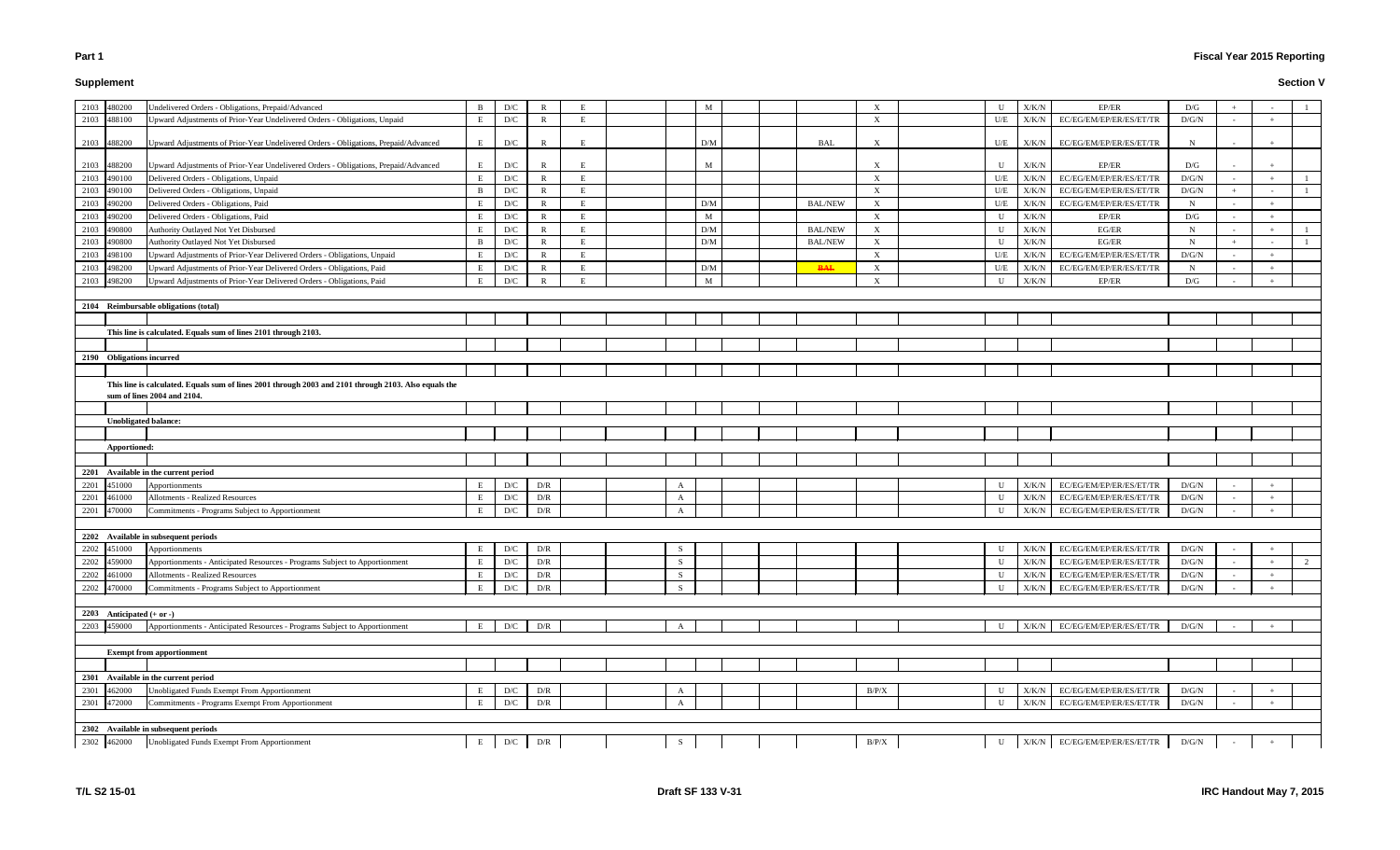# **Supplement**

# **Fiscal Year 2015 Reporting**

|                             | 2103 480200                 | Undelivered Orders - Obligations, Prepaid/Advanced                                                    | B | D/C                     | R            |   |              | M               |                | X                         | U           | X/K/N         | EP/ER                           | D/G          |     |   |
|-----------------------------|-----------------------------|-------------------------------------------------------------------------------------------------------|---|-------------------------|--------------|---|--------------|-----------------|----------------|---------------------------|-------------|---------------|---------------------------------|--------------|-----|---|
|                             | 2103 488100                 | Upward Adjustments of Prior-Year Undelivered Orders - Obligations, Unpaid                             | E | D/C                     | $\mathbb{R}$ | F |              |                 |                | X                         | U/E         | X/K/N         | EC/EG/EM/EP/ER/ES/ET/TR         | D/G/N        |     |   |
|                             |                             |                                                                                                       |   |                         |              |   |              |                 |                |                           |             |               |                                 |              |     |   |
|                             | 2103 488200                 | Upward Adjustments of Prior-Year Undelivered Orders - Obligations, Prepaid/Advanced                   |   | D/C                     | R            |   |              | D/M             | <b>BAL</b>     | X                         | U/E         | X/K/N         | EC/EG/EM/EP/ER/ES/ET/TR         | N            |     |   |
|                             |                             |                                                                                                       |   |                         |              |   |              |                 |                |                           |             |               |                                 |              |     |   |
|                             | 2103 488200                 | Upward Adjustments of Prior-Year Undelivered Orders - Obligations, Prepaid/Advanced                   | E | D/C                     | $\mathbb{R}$ |   |              | M               |                | X                         | U           | X/K/N         | EP/ER                           | D/G          |     |   |
| 2103                        | 490100                      | Delivered Orders - Obligations, Unpaid                                                                | E | D/C                     | $\mathbb{R}$ | E |              |                 |                | $\boldsymbol{\mathrm{X}}$ | U/E         | X/K/N         | EC/EG/EM/EP/ER/ES/ET/TR         | D/G/N        |     |   |
| 2103                        | 490100                      | Delivered Orders - Obligations, Unpaid                                                                | B | D/C                     | R            | E |              |                 |                | $\boldsymbol{\mathrm{X}}$ | U/E         | X/K/N         | EC/EG/EM/EP/ER/ES/ET/TR         | D/G/N        |     |   |
| 2103                        | 490200                      | Delivered Orders - Obligations, Paid                                                                  |   | D/C                     | $\mathbb{R}$ | Е |              | D/M             | <b>BAL/NEW</b> | X                         | U/E         | X/K/N         | EC/EG/EM/EP/ER/ES/ET/TR         | $\mathbf N$  |     |   |
| 2103                        | 490200                      | Delivered Orders - Obligations, Paid                                                                  |   | D/C                     | R            | E |              | M               |                | X                         | U           | X/K/N         | EP/ER                           | D/G          | $+$ |   |
| 2103                        | 490800                      | Authority Outlayed Not Yet Disbursed                                                                  | E | D/C                     | R            | E |              | D/M             | <b>BAL/NEW</b> | $\boldsymbol{\mathrm{X}}$ | U           | X/K/N         | EG/ER                           | N            |     |   |
| 2103                        | 490800                      | Authority Outlayed Not Yet Disbursed                                                                  | B | D/C                     | $\mathbb{R}$ | E |              | $\rm{D}/\rm{M}$ | <b>BAL/NEW</b> | X                         | U           | X/K/N         | EG/ER                           | $\mathbf N$  |     |   |
| 2103                        | 498100                      | Upward Adjustments of Prior-Year Delivered Orders - Obligations, Unpaid                               |   | D/C                     | $\mathbb{R}$ | E |              |                 |                | X                         | U/E         | X/K/N         | EC/EG/EM/EP/ER/ES/ET/TR         | D/G/N        |     |   |
| 2103                        | 498200                      | Upward Adjustments of Prior-Year Delivered Orders - Obligations, Paid                                 | E | D/C                     | R            | E |              | D/M             | <b>BAL</b>     | X                         | U/E         | X/K/N         | EC/EG/EM/EP/ER/ES/ET/TR         | N            |     |   |
|                             |                             |                                                                                                       |   |                         |              |   |              |                 |                |                           |             |               |                                 |              |     |   |
| 2103                        | 498200                      | Upward Adjustments of Prior-Year Delivered Orders - Obligations, Paid                                 |   | D/C                     | R            |   |              | M               |                | X                         | U           | X/K/N         | EP/ER                           | D/G          |     |   |
|                             |                             |                                                                                                       |   |                         |              |   |              |                 |                |                           |             |               |                                 |              |     |   |
|                             |                             | 2104 Reimbursable obligations (total)                                                                 |   |                         |              |   |              |                 |                |                           |             |               |                                 |              |     |   |
|                             |                             |                                                                                                       |   |                         |              |   |              |                 |                |                           |             |               |                                 |              |     |   |
|                             |                             | This line is calculated. Equals sum of lines 2101 through 2103.                                       |   |                         |              |   |              |                 |                |                           |             |               |                                 |              |     |   |
|                             |                             |                                                                                                       |   |                         |              |   |              |                 |                |                           |             |               |                                 |              |     |   |
|                             | 2190 Obligations incurred   |                                                                                                       |   |                         |              |   |              |                 |                |                           |             |               |                                 |              |     |   |
|                             |                             |                                                                                                       |   |                         |              |   |              |                 |                |                           |             |               |                                 |              |     |   |
|                             |                             | This line is calculated. Equals sum of lines 2001 through 2003 and 2101 through 2103. Also equals the |   |                         |              |   |              |                 |                |                           |             |               |                                 |              |     |   |
|                             |                             | sum of lines 2004 and 2104.                                                                           |   |                         |              |   |              |                 |                |                           |             |               |                                 |              |     |   |
|                             |                             |                                                                                                       |   |                         |              |   |              |                 |                |                           |             |               |                                 |              |     |   |
|                             | <b>Unobligated balance:</b> |                                                                                                       |   |                         |              |   |              |                 |                |                           |             |               |                                 |              |     |   |
|                             |                             |                                                                                                       |   |                         |              |   |              |                 |                |                           |             |               |                                 |              |     |   |
|                             | Apportioned:                |                                                                                                       |   |                         |              |   |              |                 |                |                           |             |               |                                 |              |     |   |
|                             |                             |                                                                                                       |   |                         |              |   |              |                 |                |                           |             |               |                                 |              |     |   |
|                             |                             | 2201 Available in the current period                                                                  |   |                         |              |   |              |                 |                |                           |             |               |                                 |              |     |   |
| 2201                        |                             | Apportionments                                                                                        |   | D/C                     |              |   |              |                 |                |                           | U           | X/K/N         | EC/EG/EM/EP/ER/ES/ET/TR         | D/G/N        |     |   |
|                             | 451000                      |                                                                                                       |   |                         | D/R          |   | A            |                 |                |                           |             |               |                                 |              |     |   |
| 2201                        | 461000                      | Allotments - Realized Resources                                                                       | E | D/C                     | D/R          |   | $\mathbf{A}$ |                 |                |                           | $\mathbf U$ | X/K/N         | EC/EG/EM/EP/ER/ES/ET/TR         | D/G/N        |     |   |
| 2201                        | 470000                      | Commitments - Programs Subject to Apportionment                                                       |   | D/C                     | D/R          |   | A            |                 |                |                           | U           | X/K/N         | EC/EG/EM/EP/ER/ES/ET/TR         | D/G/N        |     |   |
|                             |                             |                                                                                                       |   |                         |              |   |              |                 |                |                           |             |               |                                 |              |     |   |
|                             |                             | 2202 Available in subsequent periods                                                                  |   |                         |              |   |              |                 |                |                           |             |               |                                 |              |     |   |
|                             | 2202 451000                 | Apportionments                                                                                        |   | D/C                     | D/R          |   | S            |                 |                |                           | U           | X/K/N         | EC/EG/EM/EP/ER/ES/ET/TR         | D/G/N        |     |   |
|                             | 2202 459000                 | Apportionments - Anticipated Resources - Programs Subject to Apportionment                            | Е | D/C                     | D/R          |   | S            |                 |                |                           | U           |               | X/K/N EC/EG/EM/EP/ER/ES/ET/TR   | $\rm{D/G/N}$ |     | 2 |
|                             | 2202 461000                 | Allotments - Realized Resources                                                                       | E | D/C                     | D/R          |   | S            |                 |                |                           | $\mathbf U$ | ${\rm X/K/N}$ | EC/EG/EM/EP/ER/ES/ET/TR         | D/G/N        |     |   |
|                             | 2202 470000                 | Commitments - Programs Subject to Apportionment                                                       |   | D/C                     | D/R          |   | S.           |                 |                |                           | U           | X/K/N         | EC/EG/EM/EP/ER/ES/ET/TR         | D/G/N        |     |   |
|                             |                             |                                                                                                       |   |                         |              |   |              |                 |                |                           |             |               |                                 |              |     |   |
| 2203 Anticipated $(+ or -)$ |                             |                                                                                                       |   |                         |              |   |              |                 |                |                           |             |               |                                 |              |     |   |
|                             |                             |                                                                                                       |   |                         |              |   |              |                 |                |                           |             |               |                                 |              |     |   |
|                             |                             |                                                                                                       |   |                         |              |   | $\mathbf{A}$ |                 |                |                           | $\mathbf U$ |               | EC/EG/EM/EP/ER/ES/ET/TR         | D/G/N        |     |   |
|                             | 2203 459000                 | Apportionments - Anticipated Resources - Programs Subject to Apportionment                            |   | $\mathbf{D}/\mathbf{C}$ | D/R          |   |              |                 |                |                           |             | ${\rm X/K/N}$ |                                 |              |     |   |
|                             |                             |                                                                                                       |   |                         |              |   |              |                 |                |                           |             |               |                                 |              |     |   |
|                             |                             | <b>Exempt from apportionment</b>                                                                      |   |                         |              |   |              |                 |                |                           |             |               |                                 |              |     |   |
|                             |                             |                                                                                                       |   |                         |              |   |              |                 |                |                           |             |               |                                 |              |     |   |
|                             |                             | 2301 Available in the current period                                                                  |   |                         |              |   |              |                 |                |                           |             |               |                                 |              |     |   |
| 2301                        | 462000                      | Unobligated Funds Exempt From Apportionment                                                           |   | D/C                     | D/R          |   | A            |                 |                | B/P/X                     | U           | X/K/N         | EC/EG/EM/EP/ER/ES/ET/TR         | D/G/N        |     |   |
|                             | 2301 472000                 | Commitments - Programs Exempt From Apportionment                                                      |   | $\mathbf{D}/\mathbf{C}$ | D/R          |   | $\mathbf{A}$ |                 |                |                           | U           | ${\rm X/K/N}$ | EC/EG/EM/EP/ER/ES/ET/TR         | D/G/N        |     |   |
|                             |                             |                                                                                                       |   |                         |              |   |              |                 |                |                           |             |               |                                 |              |     |   |
|                             | 2302 462000                 | 2302 Available in subsequent periods<br>Unobligated Funds Exempt From Apportionment                   | E | $\mathbf{D}/\mathbf{C}$ | D/R          |   | S            |                 |                | B/P/X                     | $\mathbf U$ |               | $X/K/N$ EC/EG/EM/EP/ER/ES/ET/TR | D/G/N        |     |   |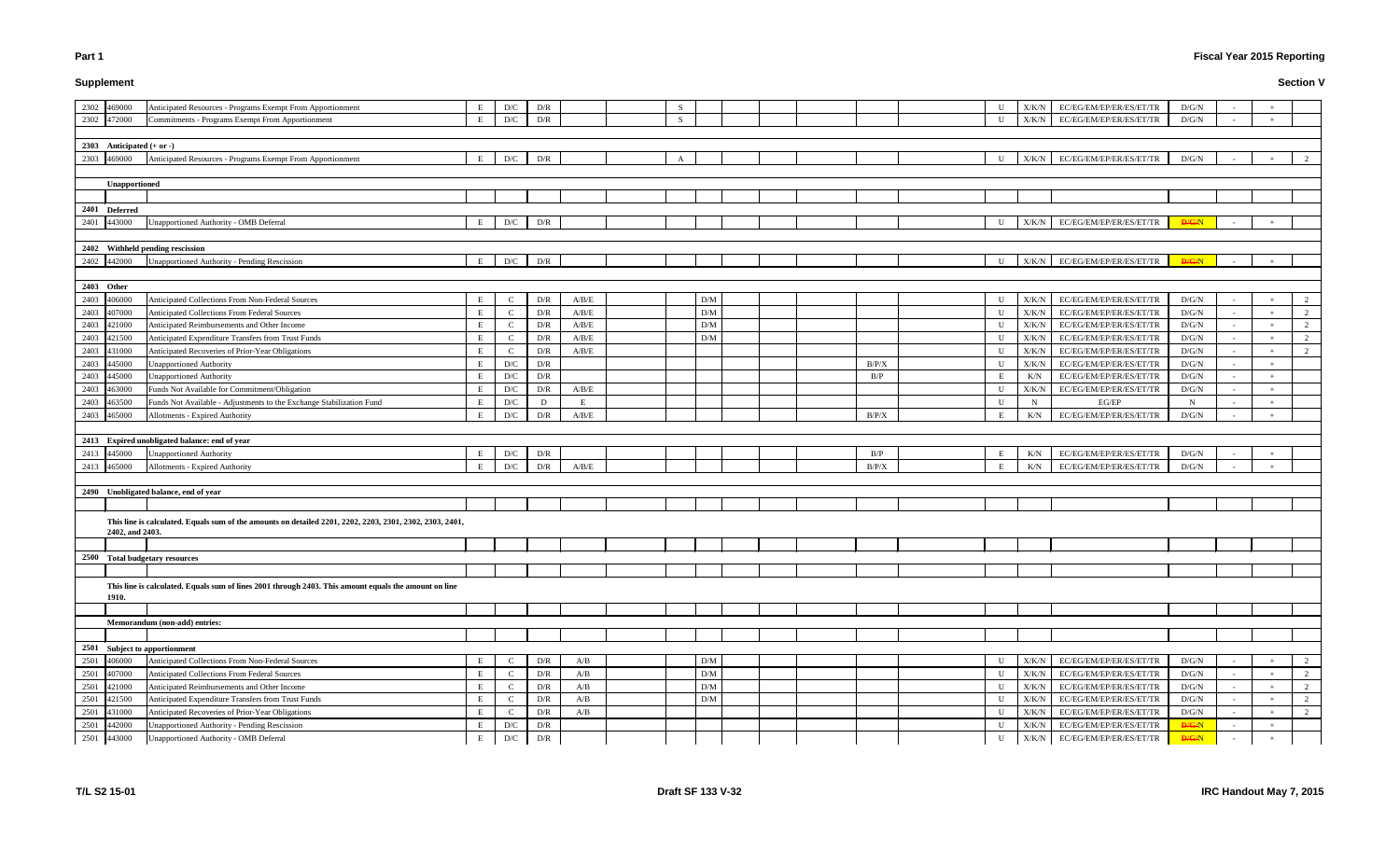# **Supplement**

# **Fiscal Year 2015 Reporting**

| U      | X/K/N          | EC/EG/EM/EP/ER/ES/ET/TR                            | D/G/N          | $\overline{\phantom{a}}$                             |                                  |                     |
|--------|----------------|----------------------------------------------------|----------------|------------------------------------------------------|----------------------------------|---------------------|
| U      | X/K/N          | EC/EG/EM/EP/ER/ES/ET/TR                            | D/G/N          | $\overline{\phantom{a}}$                             | $+$                              |                     |
|        |                |                                                    |                |                                                      |                                  |                     |
|        |                |                                                    |                |                                                      |                                  |                     |
| U      | X/K/N          | EC/EG/EM/EP/ER/ES/ET/TR                            | D/G/N          | $\overline{\phantom{a}}$                             | $\qquad \qquad +$                | 2                   |
|        |                |                                                    |                |                                                      |                                  |                     |
|        |                |                                                    |                |                                                      |                                  |                     |
|        |                |                                                    |                |                                                      |                                  |                     |
|        |                |                                                    |                |                                                      |                                  |                     |
| U      | X/K/N          | EC/EG/EM/EP/ER/ES/ET/TR                            | <b>D/G/N</b>   | $\overline{a}$                                       | $^+$                             |                     |
|        |                |                                                    |                |                                                      |                                  |                     |
|        |                |                                                    |                |                                                      |                                  |                     |
| U      | X/K/N          | EC/EG/EM/EP/ER/ES/ET/TR                            | <b>D/G/N</b>   | $\overline{\phantom{a}}$                             | $+$                              |                     |
|        |                |                                                    |                |                                                      |                                  |                     |
|        |                |                                                    |                |                                                      |                                  |                     |
| U      | X/K/N          | EC/EG/EM/EP/ER/ES/ET/TR                            | D/G/N          | $\overline{\phantom{a}}$                             |                                  | 2                   |
| U      | X/K/N          | EC/EG/EM/EP/ER/ES/ET/TR                            | D/G/N          | $\overline{\phantom{a}}$                             | $^+$                             | 2                   |
| U      | X/K/N          | EC/EG/EM/EP/ER/ES/ET/TR                            | D/G/N          | $\overline{\phantom{a}}$                             | $\begin{array}{c} + \end{array}$ | 2<br>$\overline{c}$ |
| U      | X/K/N          | EC/EG/EM/EP/ER/ES/ET/TR<br>EC/EG/EM/EP/ER/ES/ET/TR | D/G/N          | $\overline{\phantom{a}}$                             | $\begin{array}{c} + \end{array}$ | 2                   |
| U<br>U | X/K/N<br>X/K/N | EC/EG/EM/EP/ER/ES/ET/TR                            | D/G/N<br>D/G/N | $\overline{\phantom{a}}$<br>$\overline{\phantom{a}}$ | $^{+}$                           |                     |
| E      | K/N            | EC/EG/EM/EP/ER/ES/ET/TR                            | D/G/N          | $\overline{\phantom{a}}$                             |                                  |                     |
| U      | X/K/N          | EC/EG/EM/EP/ER/ES/ET/TR                            | D/G/N          |                                                      | $^{+}$                           |                     |
| U      | N              | EG/EP                                              | N              |                                                      | $^{+}$                           |                     |
| E      | K/N            | EC/EG/EM/EP/ER/ES/ET/TR                            | D/G/N          | $\overline{\phantom{a}}$                             |                                  |                     |
|        |                |                                                    |                |                                                      |                                  |                     |
|        |                |                                                    |                |                                                      |                                  |                     |
| Е      | K/N            | EC/EG/EM/EP/ER/ES/ET/TR                            | D/G/N          | $\sim$                                               | $\! + \!\!\!\!$                  |                     |
| E      | K/N            | EC/EG/EM/EP/ER/ES/ET/TR                            | D/G/N          | $\sim$                                               | $+$                              |                     |
|        |                |                                                    |                |                                                      |                                  |                     |
|        |                |                                                    |                |                                                      |                                  |                     |
|        |                |                                                    |                |                                                      |                                  |                     |
|        |                |                                                    |                |                                                      |                                  |                     |
|        |                |                                                    |                |                                                      |                                  |                     |
|        |                |                                                    |                |                                                      |                                  |                     |
|        |                |                                                    |                |                                                      |                                  |                     |
|        |                |                                                    |                |                                                      |                                  |                     |
|        |                |                                                    |                |                                                      |                                  |                     |
|        |                |                                                    |                |                                                      |                                  |                     |
|        |                |                                                    |                |                                                      |                                  |                     |
|        |                |                                                    |                |                                                      |                                  |                     |
|        |                |                                                    |                |                                                      |                                  |                     |
|        |                |                                                    |                |                                                      |                                  |                     |
| U      | X/K/N          | EC/EG/EM/EP/ER/ES/ET/TR                            | D/G/N          |                                                      |                                  | 2                   |
| U      | X/K/N          | EC/EG/EM/EP/ER/ES/ET/TR                            | D/G/N          | $\overline{\phantom{a}}$                             |                                  | $\overline{c}$      |
| U      | X/K/N          | EC/EG/EM/EP/ER/ES/ET/TR                            | D/G/N          | $\overline{\phantom{a}}$                             | $^{+}$                           | 2                   |
| U      | X/K/N          | EC/EG/EM/EP/ER/ES/ET/TR                            | D/G/N          |                                                      | $^{+}$                           | 2                   |
| U      | X/K/N          | EC/EG/EM/EP/ER/ES/ET/TR                            | D/G/N          | ÷,                                                   | $^{+}$                           | $\overline{c}$      |
| U      | X/K/N          | EC/EG/EM/EP/ER/ES/ET/TR                            | <b>D/G/N</b>   | $\overline{\phantom{a}}$                             | $^{+}$                           |                     |
| U      | X/K/N          | EC/EG/EM/EP/ER/ES/ET/TR                            | <b>D/G/N</b>   |                                                      | $\ddot{}$                        |                     |

| 2302 469000 |                             | Anticipated Resources - Programs Exempt From Apportionment                                               | E | D/C           | D/R |       | -S |                 |  |       | U            | X/K/N         | EC/EG/EM/EP/ER/ES/ET/TR | D/G/N        |        |        |  |
|-------------|-----------------------------|----------------------------------------------------------------------------------------------------------|---|---------------|-----|-------|----|-----------------|--|-------|--------------|---------------|-------------------------|--------------|--------|--------|--|
|             | 2302 472000                 | Commitments - Programs Exempt From Apportionment                                                         | E | D/C           | D/R |       | S  |                 |  |       | U            | X/K/N         | EC/EG/EM/EP/ER/ES/ET/TR | D/G/N        |        |        |  |
|             |                             |                                                                                                          |   |               |     |       |    |                 |  |       |              |               |                         |              |        |        |  |
|             | 2303 Anticipated $(+ or -)$ |                                                                                                          |   |               |     |       |    |                 |  |       |              |               |                         |              |        |        |  |
|             | 2303 469000                 | Anticipated Resources - Programs Exempt From Apportionment                                               | E | D/C           | D/R |       | A  |                 |  |       | U            | X/K/N         | EC/EG/EM/EP/ER/ES/ET/TR | D/G/N        |        |        |  |
|             |                             |                                                                                                          |   |               |     |       |    |                 |  |       |              |               |                         |              |        |        |  |
|             | Unapportioned               |                                                                                                          |   |               |     |       |    |                 |  |       |              |               |                         |              |        |        |  |
|             |                             |                                                                                                          |   |               |     |       |    |                 |  |       |              |               |                         |              |        |        |  |
|             | 2401 Deferred               |                                                                                                          |   |               |     |       |    |                 |  |       |              |               |                         |              |        |        |  |
|             | 2401 443000                 | Unapportioned Authority - OMB Deferral                                                                   | E | D/C           | D/R |       |    |                 |  |       | U            | ${\rm X/K/N}$ | EC/EG/EM/EP/ER/ES/ET/TR | H/G/N        |        |        |  |
|             |                             |                                                                                                          |   |               |     |       |    |                 |  |       |              |               |                         |              |        |        |  |
|             |                             | 2402 Withheld pending rescission                                                                         |   |               |     |       |    |                 |  |       |              |               |                         |              |        |        |  |
|             | 2402 442000                 | Unapportioned Authority - Pending Rescission                                                             | E | D/C           | D/R |       |    |                 |  |       | $\mathbf{U}$ | ${\rm X/K/N}$ | EC/EG/EM/EP/ER/ES/ET/TR | D/G/N        |        |        |  |
|             |                             |                                                                                                          |   |               |     |       |    |                 |  |       |              |               |                         |              |        |        |  |
| 2403 Other  |                             |                                                                                                          |   |               |     |       |    |                 |  |       |              |               |                         |              |        |        |  |
| 2403 406000 |                             | Anticipated Collections From Non-Federal Sources                                                         | E |               | D/R | A/B/E |    | D/M             |  |       | U            | X/K/N         | EC/EG/EM/EP/ER/ES/ET/TR | D/G/N        |        |        |  |
| 2403        | 407000                      | Anticipated Collections From Federal Sources                                                             | E | C             | D/R | A/B/E |    | $\rm{D}/\rm{M}$ |  |       | U            | $\rm X/K/N$   | EC/EG/EM/EP/ER/ES/ET/TR | $\rm D/G/N$  |        |        |  |
| 2403        | 421000                      | Anticipated Reimbursements and Other Income                                                              | E | C             | D/R | A/B/E |    | D/M             |  |       | U            | X/K/N         | EC/EG/EM/EP/ER/ES/ET/TR | D/G/N        | $\sim$ | $+$    |  |
| 2403        | 421500                      | Anticipated Expenditure Transfers from Trust Funds                                                       | E | C             | D/R | A/B/E |    | D/M             |  |       | U            | X/K/N         | EC/EG/EM/EP/ER/ES/ET/TR | D/G/N        | $\sim$ |        |  |
| 2403        | 431000                      | Anticipated Recoveries of Prior-Year Obligations                                                         | E | $\mathcal{C}$ | D/R | A/B/E |    |                 |  |       | U            | $\rm X/K/N$   | EC/EG/EM/EP/ER/ES/ET/TR | D/G/N        | $\sim$ |        |  |
| 2403        | 445000                      | Unapportioned Authority                                                                                  | E | D/C           | D/R |       |    |                 |  | B/P/X | U            | X/K/N         | EC/EG/EM/EP/ER/ES/ET/TR | D/G/N        | $\sim$ | $+$    |  |
| 2403        | 445000                      | Unapportioned Authority                                                                                  | E | D/C           | D/R |       |    |                 |  | B/P   | Е            | K/N           | EC/EG/EM/EP/ER/ES/ET/TR | D/G/N        |        | $^{+}$ |  |
| 2403        | 463000                      | Funds Not Available for Commitment/Obligation                                                            | E | D/C           | D/R | A/B/E |    |                 |  |       | U            | $\rm X/K/N$   | EC/EG/EM/EP/ER/ES/ET/TR | D/G/N        | $\sim$ | $+$    |  |
| 2403        | 463500                      | Funds Not Available - Adjustments to the Exchange Stabilization Fund                                     | E | D/C           | D   |       |    |                 |  |       | U            | $\mathbf N$   | EG/EP                   | N            | $\sim$ | $+$    |  |
| 2403 465000 |                             | Allotments - Expired Authority                                                                           | E | D/C           | D/R | A/B/E |    |                 |  | B/P/X | E            | K/N           | EC/EG/EM/EP/ER/ES/ET/TR | D/G/N        | $\sim$ |        |  |
|             |                             |                                                                                                          |   |               |     |       |    |                 |  |       |              |               |                         |              |        |        |  |
|             |                             | 2413 Expired unobligated balance: end of year                                                            |   |               |     |       |    |                 |  |       |              |               |                         |              |        |        |  |
| 2413 445000 |                             | <b>Unapportioned Authority</b>                                                                           | Е | D/C           | D/R |       |    |                 |  | B/P   | E            | K/N           | EC/EG/EM/EP/ER/ES/ET/TR | D/G/N        |        |        |  |
| 2413 465000 |                             | Allotments - Expired Authority                                                                           | E | D/C           | D/R | A/B/E |    |                 |  | B/P/X | Е            | K/N           | EC/EG/EM/EP/ER/ES/ET/TR | D/G/N        |        |        |  |
|             |                             |                                                                                                          |   |               |     |       |    |                 |  |       |              |               |                         |              |        |        |  |
|             |                             | 2490 Unobligated balance, end of year                                                                    |   |               |     |       |    |                 |  |       |              |               |                         |              |        |        |  |
|             |                             |                                                                                                          |   |               |     |       |    |                 |  |       |              |               |                         |              |        |        |  |
|             |                             | This line is calculated. Equals sum of the amounts on detailed 2201, 2202, 2203, 2301, 2302, 2303, 2401, |   |               |     |       |    |                 |  |       |              |               |                         |              |        |        |  |
|             | 2402, and 2403.             |                                                                                                          |   |               |     |       |    |                 |  |       |              |               |                         |              |        |        |  |
|             |                             |                                                                                                          |   |               |     |       |    |                 |  |       |              |               |                         |              |        |        |  |
|             |                             | 2500 Total budgetary resources                                                                           |   |               |     |       |    |                 |  |       |              |               |                         |              |        |        |  |
|             |                             |                                                                                                          |   |               |     |       |    |                 |  |       |              |               |                         |              |        |        |  |
|             |                             | This line is calculated. Equals sum of lines 2001 through 2403. This amount equals the amount on line    |   |               |     |       |    |                 |  |       |              |               |                         |              |        |        |  |
|             | 1910.                       |                                                                                                          |   |               |     |       |    |                 |  |       |              |               |                         |              |        |        |  |
|             |                             |                                                                                                          |   |               |     |       |    |                 |  |       |              |               |                         |              |        |        |  |
|             |                             | Memorandum (non-add) entries:                                                                            |   |               |     |       |    |                 |  |       |              |               |                         |              |        |        |  |
|             |                             |                                                                                                          |   |               |     |       |    |                 |  |       |              |               |                         |              |        |        |  |
|             |                             | 2501 Subject to apportionment                                                                            |   |               |     |       |    |                 |  |       |              |               |                         |              |        |        |  |
| 2501        | 406000                      | Anticipated Collections From Non-Federal Sources                                                         | E | C             | D/R | A/B   |    | D/M             |  |       | U            | X/K/N         | EC/EG/EM/EP/ER/ES/ET/TR | D/G/N        | $\sim$ |        |  |
| 2501        | 407000                      | Anticipated Collections From Federal Sources                                                             | E | $\mathbb{C}$  | D/R | A/B   |    | D/M             |  |       | U            | X/K/N         | EC/EG/EM/EP/ER/ES/ET/TR | D/G/N        | $\sim$ |        |  |
| 2501 421000 |                             | Anticipated Reimbursements and Other Income                                                              | E | $\mathbf{C}$  | D/R | A/B   |    | D/M             |  |       | $\mathbf U$  | X/K/N         | EC/EG/EM/EP/ER/ES/ET/TR | D/G/N        | $\sim$ |        |  |
| 2501        | 421500                      | Anticipated Expenditure Transfers from Trust Funds                                                       | E | $\mathbf C$   | D/R | A/B   |    | D/M             |  |       | U            | X/K/N         | EC/EG/EM/EP/ER/ES/ET/TR | D/G/N        |        |        |  |
| 2501        | 431000                      | Anticipated Recoveries of Prior-Year Obligations                                                         | E | $\mathbf{C}$  | D/R | A/B   |    |                 |  |       | U            | X/K/N         | EC/EG/EM/EP/ER/ES/ET/TR | $\rm D/G/N$  |        |        |  |
| 2501        | 442000                      | <b>Unapportioned Authority - Pending Rescission</b>                                                      | E | D/C           | D/R |       |    |                 |  |       | U            | X/K/N         | EC/EG/EM/EP/ER/ES/ET/TR | <b>D/G/N</b> | $\sim$ |        |  |
| 2501 443000 |                             | Jnapportioned Authority - OMB Deferral                                                                   | E | D/C           | D/R |       |    |                 |  |       |              | $\rm X/K/N$   | EC/EG/EM/EP/ER/ES/ET/TR | <b>D/G/N</b> |        |        |  |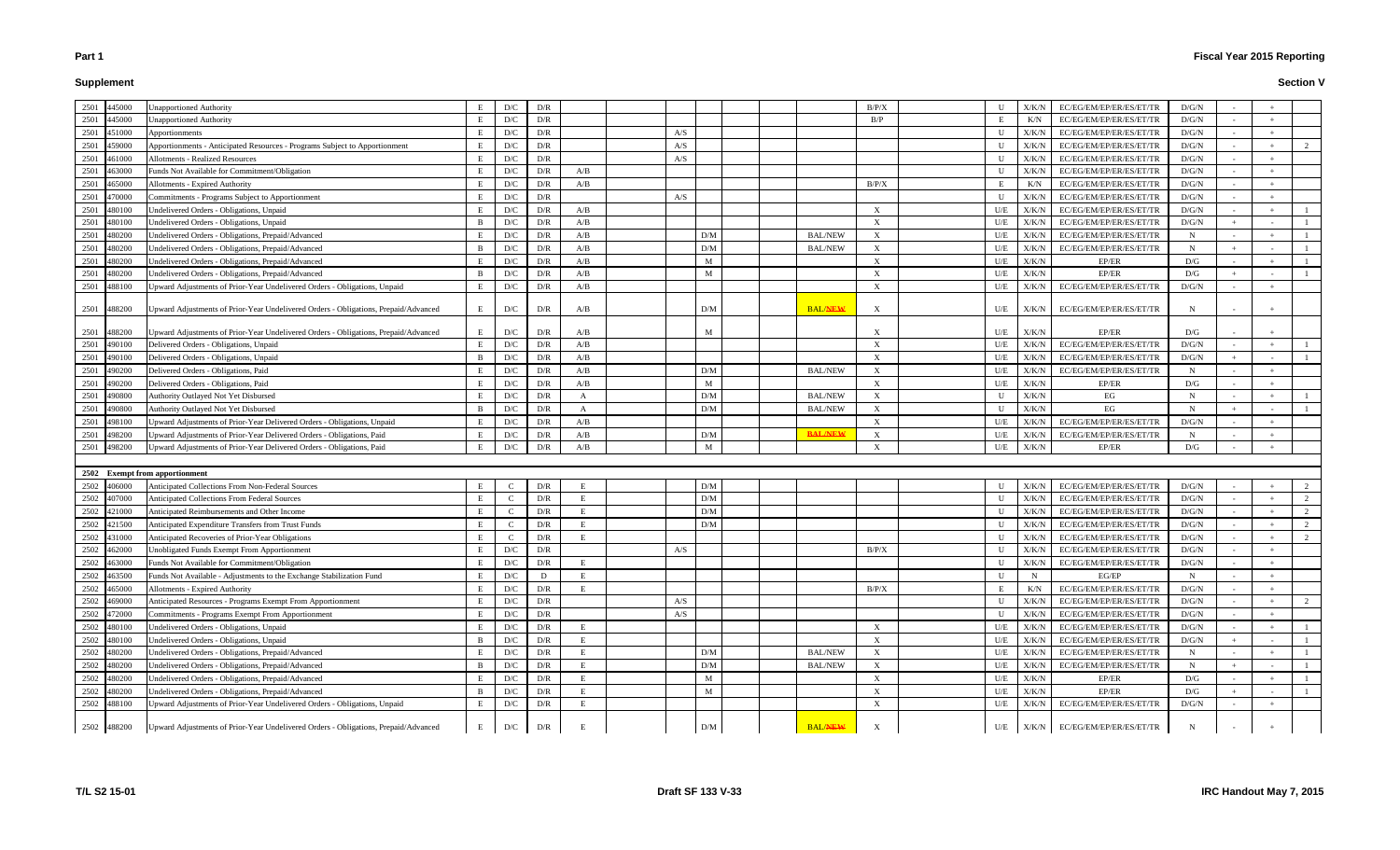# **Supplement**

| 2501<br>445000                 | <b>Jnapportioned Authority</b>                                                      | E            | D/C                     | D/R                     |     |     |                 |                | B/P/X                     | U            | X/K/N         | EC/EG/EM/EP/ER/ES/ET/TR                 | D/G/N       |  |   |
|--------------------------------|-------------------------------------------------------------------------------------|--------------|-------------------------|-------------------------|-----|-----|-----------------|----------------|---------------------------|--------------|---------------|-----------------------------------------|-------------|--|---|
| 2501<br>445000                 | <b>Jnapportioned Authority</b>                                                      | E            | $\mathbf{D}/\mathbf{C}$ | D/R                     |     |     |                 |                | B/P                       |              | K/N           | EC/EG/EM/EP/ER/ES/ET/TR                 | D/G/N       |  |   |
| 2501<br>451000                 | Apportionments                                                                      | E            | D/C                     | D/R                     |     | A/S |                 |                |                           | $\mathbf{U}$ | X/K/N         | EC/EG/EM/EP/ER/ES/ET/TR                 | D/G/N       |  |   |
| 2501<br>459000                 | Apportionments - Anticipated Resources - Programs Subject to Apportionmen           | E            | $\mathbf{D}/\mathbf{C}$ | D/R                     |     | A/S |                 |                |                           | $\mathbf{U}$ | X/K/N         | EC/EG/EM/EP/ER/ES/ET/TR                 | D/G/N       |  |   |
| 2501<br>461000                 | <b>Allotments - Realized Resources</b>                                              | E            | $\mathbf{D}/\mathbf{C}$ | D/R                     |     | A/S |                 |                |                           | U            | X/K/N         | EC/EG/EM/EP/ER/ES/ET/TR                 | D/G/N       |  |   |
| 2501<br>463000                 | Funds Not Available for Commitment/Obligation                                       | E            | D/C                     | D/R                     | A/B |     |                 |                |                           | U            | X/K/N         | EC/EG/EM/EP/ER/ES/ET/TR                 | D/G/N       |  |   |
| 2501<br>165000                 | Allotments - Expired Authority                                                      | E            | D/C                     | D/R                     | A/B |     |                 |                | B/P/X                     |              | K/N           | EC/EG/EM/EP/ER/ES/ET/TR                 | D/G/N       |  |   |
| 2501<br>170000                 | Commitments - Programs Subject to Apportionment                                     | E            | D/C                     | D/R                     |     | A/S |                 |                |                           | U            | X/K/N         | EC/EG/EM/EP/ER/ES/ET/TR                 | D/G/N       |  |   |
| 2501<br>480100                 | Undelivered Orders - Obligations, Unpaid                                            | E            | D/C                     | D/R                     | A/B |     |                 |                | $\boldsymbol{\mathrm{X}}$ | U/E          | X/K/N         | EC/EG/EM/EP/ER/ES/ET/TR                 | D/G/N       |  |   |
| 2501<br>480100                 | Undelivered Orders - Obligations, Unpaid                                            | <sup>B</sup> | $\mathbf{D}/\mathbf{C}$ | D/R                     | A/B |     |                 |                | $\boldsymbol{\mathrm{X}}$ | U/E          | X/K/N         | EC/EG/EM/EP/ER/ES/ET/TR                 | D/G/N       |  |   |
| 2501<br>180200                 | Undelivered Orders - Obligations, Prepaid/Advanced                                  | E            | $\mathbf{D}/\mathbf{C}$ | D/R                     | A/B |     | D/M             | <b>BAL/NEW</b> | X                         | U/E          | X/K/N         | EC/EG/EM/EP/ER/ES/ET/TR                 | N           |  |   |
| 2501<br>480200                 | Undelivered Orders - Obligations, Prepaid/Advanced                                  | -B           | D/C                     | D/R                     | A/B |     | D/M             | <b>BAL/NEW</b> | X                         | U/E          | X/K/N         | EC/EG/EM/EP/ER/ES/ET/TR                 | N           |  |   |
| 2501<br>480200                 | Undelivered Orders - Obligations, Prepaid/Advanced                                  | E            | D/C                     | D/R                     | A/B |     | M               |                | $\mathbf{X}$              | U/E          | X/K/N         | EP/ER                                   | D/G         |  |   |
| 2501<br>480200                 | Undelivered Orders - Obligations, Prepaid/Advanced                                  | <sup>B</sup> | D/C                     | D/R                     | A/B |     | M               |                |                           | U/E          | X/K/N         | EP/ER                                   | D/G         |  |   |
| 2501<br>488100                 | Upward Adjustments of Prior-Year Undelivered Orders - Obligations, Unpaid           | E            | D/C                     | D/R                     | A/B |     |                 |                |                           | U/E          | X/K/N         | EC/EG/EM/EP/ER/ES/ET/TR                 | D/G/N       |  |   |
|                                |                                                                                     |              |                         |                         |     |     |                 |                |                           |              |               |                                         |             |  |   |
| 2501<br>488200                 | Upward Adjustments of Prior-Year Undelivered Orders - Obligations, Prepaid/Advanced | E            | D/C                     | D/R                     | A/B |     | D/M             | <b>BAL/NEW</b> | X                         | U/E          | X/K/N         | EC/EG/EM/EP/ER/ES/ET/TR                 | N           |  |   |
| 2501<br>488200                 | Upward Adjustments of Prior-Year Undelivered Orders - Obligations, Prepaid/Advanced | E            | D/C                     | D/R                     | A/B |     | M               |                | $\boldsymbol{\mathrm{X}}$ | U/E          | X/K/N         | EP/ER                                   | D/G         |  |   |
| 2501<br>490100                 | Delivered Orders - Obligations, Unpaid                                              | E            | D/C                     | D/R                     | A/B |     |                 |                | X                         | U/E          | X/K/N         | EC/EG/EM/EP/ER/ES/ET/TR                 | D/G/N       |  |   |
| 2501<br>490100                 | Delivered Orders - Obligations, Unpaid                                              | <b>R</b>     | $\mathbf{D}/\mathbf{C}$ | D/R                     | A/B |     |                 |                | X                         | U/E          | X/K/N         | EC/EG/EM/EP/ER/ES/ET/TR                 | D/G/N       |  |   |
| 2501<br>!90200                 | Delivered Orders - Obligations, Paid                                                | E            | $\mathbf{D}/\mathbf{C}$ | D/R                     | A/B |     | D/M             | <b>BAL/NEW</b> | X                         | U/E          | X/K/N         | EC/EG/EM/EP/ER/ES/ET/TR                 | N           |  |   |
| 2501<br>190200                 | Delivered Orders - Obligations, Paid                                                | E            | $\mathbf{D}/\mathbf{C}$ | D/R                     | A/B |     | M               |                | X                         | U/E          | X/K/N         | EP/ER                                   | D/G         |  |   |
| 2501<br>190800                 | Authority Outlayed Not Yet Disbursed                                                | E            | $\mathbf{D}/\mathbf{C}$ | D/R                     | A   |     | $\rm{D}/\rm{M}$ | <b>BAL/NEW</b> | X                         | $\mathbf{U}$ | X/K/N         | EG                                      | N           |  |   |
| 2501<br>490800                 | Authority Outlayed Not Yet Disbursed                                                | <sup>B</sup> | D/C                     | D/R                     | A   |     | D/M             | <b>BAL/NEW</b> | $\mathbf{X}$              | U            | X/K/N         | EG                                      | N           |  |   |
| 2501<br>498100                 | Upward Adjustments of Prior-Year Delivered Orders - Obligations, Unpaid             | E            | D/C                     | D/R                     | A/B |     |                 |                | X                         | U/E          | X/K/N         | EC/EG/EM/EP/ER/ES/ET/TR                 | D/G/N       |  |   |
| 2501<br>498200                 | Upward Adjustments of Prior-Year Delivered Orders - Obligations, Paid               | E            | D/C                     | D/R                     | A/B |     | D/M             | <b>BAL/NEW</b> |                           | U/E          | X/K/N         | EC/EG/EM/EP/ER/ES/ET/TR                 | N           |  |   |
| 2501<br>198200                 | Upward Adjustments of Prior-Year Delivered Orders - Obligations, Paid               | E            | D/C                     | D/R                     | A/B |     | M               |                | $\mathbf{x}$              | U/E          | X/K/N         | EP/ER                                   | D/G         |  |   |
|                                |                                                                                     |              |                         |                         |     |     |                 |                |                           |              |               |                                         |             |  |   |
| 2502 Exempt from apportionment |                                                                                     |              |                         |                         |     |     |                 |                |                           |              |               |                                         |             |  |   |
| 2502<br>406000                 | <b>Anticipated Collections From Non-Federal Sources</b>                             | E            | $\Gamma$                | D/R                     | F   |     | D/M             |                |                           | U            | X/K/N         | EC/EG/EM/EP/ER/ES/ET/TR                 | D/G/N       |  |   |
| 2502<br>407000                 | <b>Anticipated Collections From Federal Sources</b>                                 | E            | $\mathsf{C}$            | D/R                     | E   |     | D/M             |                |                           | U            | X/K/N         | EC/EG/EM/EP/ER/ES/ET/TR                 | D/G/N       |  | 2 |
| 2502<br>21000                  | Anticipated Reimbursements and Other Income                                         | E            | $\mathsf{C}$            | D/R                     | E   |     | D/M             |                |                           | $\mathbf{U}$ | X/K/N         | EC/EG/EM/EP/ER/ES/ET/TR                 | D/G/N       |  | 2 |
| 2502<br>421500                 | Anticipated Expenditure Transfers from Trust Funds                                  | E            | $\mathsf{C}$            | D/R                     | E   |     | D/M             |                |                           | $\mathbf{U}$ | X/K/N         | EC/EG/EM/EP/ER/ES/ET/TR                 | D/G/N       |  | 2 |
| 2502<br>431000                 | Anticipated Recoveries of Prior-Year Obligations                                    | E            | $\Gamma$                | D/R                     | Е   |     |                 |                |                           | U            | X/K/N         | EC/EG/EM/EP/ER/ES/ET/TR                 | D/G/N       |  | 2 |
| 2502<br>462000                 | <b>Jnobligated Funds Exempt From Apportionment</b>                                  | E            | D/C                     | D/R                     |     | A/S |                 |                | B/P/X                     | U            | X/K/N         | EC/EG/EM/EP/ER/ES/ET/TR                 | D/G/N       |  |   |
| 2502 463000                    | Funds Not Available for Commitment/Obligation                                       | E            | D/C                     | D/R                     | E   |     |                 |                |                           | $\mathbf{U}$ | X/K/N         | EC/EG/EM/EP/ER/ES/ET/TR                 | D/G/N       |  |   |
| 2502<br>463500                 | Funds Not Available - Adjustments to the Exchange Stabilization Fund                | $\mathbf E$  | D/C                     | D                       | E   |     |                 |                |                           | $\mathbf{U}$ | $\mathbf N$   | EG/EP                                   | $\mathbf N$ |  |   |
| 2502 465000                    | <b>Allotments - Expired Authority</b>                                               | E            | $\mathbf{D}/\mathbf{C}$ | D/R                     | E   |     |                 |                | B/P/X                     |              | K/N           | EC/EG/EM/EP/ER/ES/ET/TR                 | D/G/N       |  |   |
| 2502<br>469000                 | Anticipated Resources - Programs Exempt From Apportionment                          | E            | $\mathbf{D}/\mathbf{C}$ | $\mathbf{D}/\mathbf{R}$ |     | A/S |                 |                |                           | U            | X/K/N         | EC/EG/EM/EP/ER/ES/ET/TR                 | D/G/N       |  | 2 |
| 2502<br>472000                 | Commitments - Programs Exempt From Apportionment                                    | E            | $\mathbf{D}/\mathbf{C}$ | D/R                     |     | A/S |                 |                |                           | U            | X/K/N         | EC/EG/EM/EP/ER/ES/ET/TR                 | D/G/N       |  |   |
| 2502<br>480100                 | Undelivered Orders - Obligations, Unpaid                                            | E            | D/C                     | D/R                     | E   |     |                 |                | X                         | U/E          | X/K/N         | EC/EG/EM/EP/ER/ES/ET/TR                 | D/G/N       |  |   |
| 2502<br>480100                 | Undelivered Orders - Obligations, Unpaid                                            | B            | D/C                     | D/R                     | E   |     |                 |                | X                         | U/E          | X/K/N         | EC/EG/EM/EP/ER/ES/ET/TR                 | D/G/N       |  |   |
| 2502<br>480200                 | Undelivered Orders - Obligations, Prepaid/Advanced                                  | E            | D/C                     | D/R                     |     |     | D/M             | <b>BAL/NEW</b> | X                         | U/E          | X/K/N         | EC/EG/EM/EP/ER/ES/ET/TR                 | N           |  |   |
| 2502<br>480200                 | Undelivered Orders - Obligations, Prepaid/Advanced                                  | $\mathbf{B}$ | $\mathbf{D}/\mathbf{C}$ | D/R                     | E   |     | D/M             | <b>BAL/NEW</b> | $\boldsymbol{\mathrm{X}}$ | U/E          | X/K/N         | EC/EG/EM/EP/ER/ES/ET/TR                 | $\mathbf N$ |  |   |
| 2502<br>480200                 | Undelivered Orders - Obligations, Prepaid/Advanced                                  | E            | $\mathbf{D}/\mathbf{C}$ | D/R                     | E   |     | M               |                | $\boldsymbol{\mathrm{X}}$ | U/E          | ${\rm X/K/N}$ | EP/ER                                   | D/G         |  |   |
| 2502<br>480200                 | Undelivered Orders - Obligations, Prepaid/Advanced                                  | <sup>B</sup> | D/C                     | D/R                     | E   |     | M               |                | X                         | U/E          | X/K/N         | EP/ER                                   | D/G         |  |   |
| 2502 488100                    | Upward Adjustments of Prior-Year Undelivered Orders - Obligations, Unpaid           | E            | D/C                     | D/R                     | Е   |     |                 |                | $\boldsymbol{\mathrm{X}}$ | U/E          | ${\rm X/K/N}$ | EC/EG/EM/EP/ER/ES/ET/TR                 | D/G/N       |  |   |
|                                |                                                                                     |              |                         |                         |     |     |                 |                |                           |              |               |                                         |             |  |   |
| 2502 488200                    | Upward Adjustments of Prior-Year Undelivered Orders - Obligations, Prepaid/Advanced | E            | D/C                     | D/R                     | E   |     | D/M             | <b>BAL/NEW</b> | X                         |              |               | $U/E$ $X/K/N$ $EC/EG/EM/EP/ER/ES/ET/TR$ | $\mathbf N$ |  |   |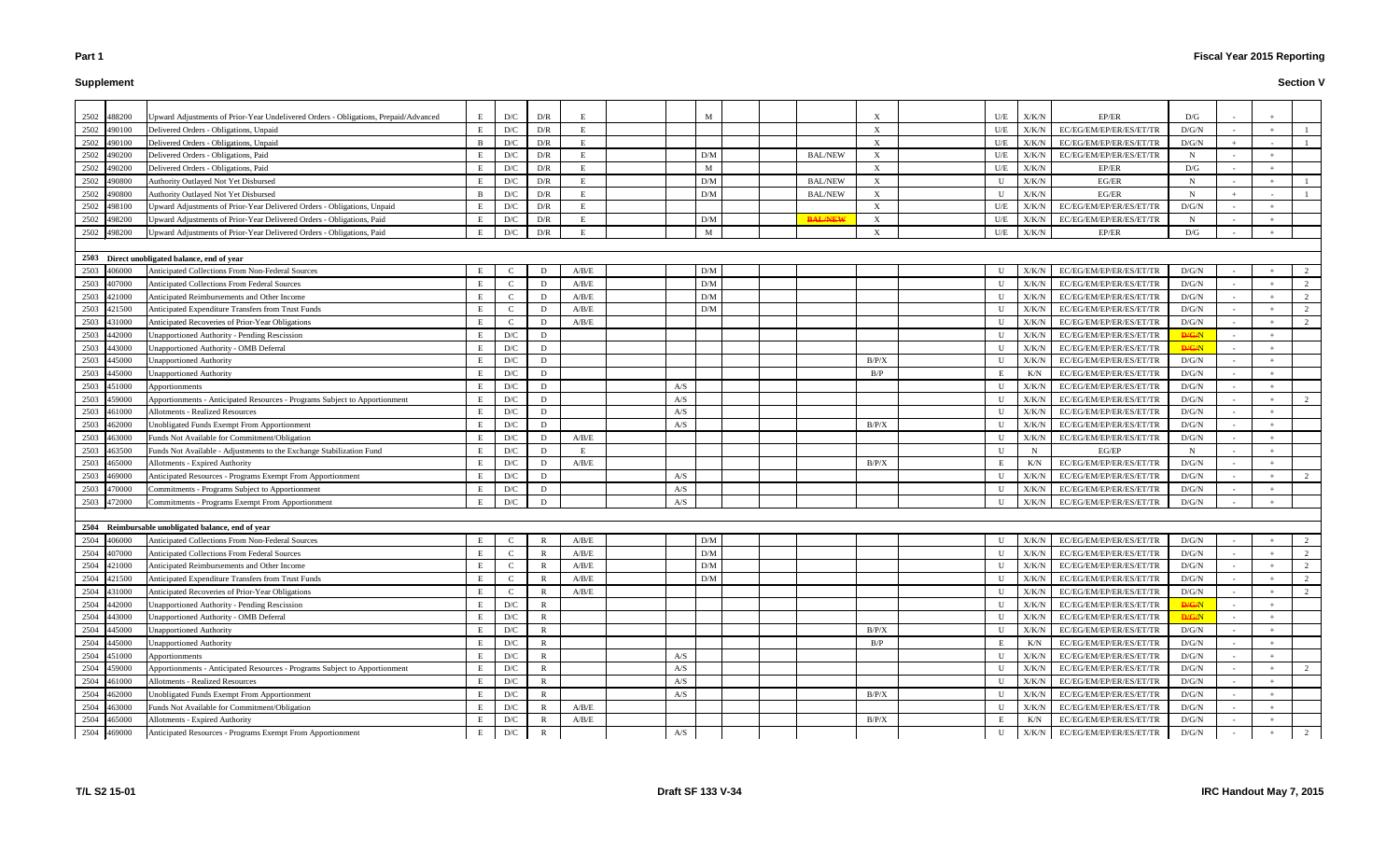# **Supplement**

| 2502 | 488200      | Upward Adjustments of Prior-Year Undelivered Orders - Obligations, Prepaid/Advanced | E.           | D/C                     | D/R          |              |     | M   |                |                           | U/E          | X/K/N         | EP/ER                   | D/G          |  |          |
|------|-------------|-------------------------------------------------------------------------------------|--------------|-------------------------|--------------|--------------|-----|-----|----------------|---------------------------|--------------|---------------|-------------------------|--------------|--|----------|
| 2502 | 490100      | Delivered Orders - Obligations, Unpaid                                              |              | $\mathbf{D}/\mathbf{C}$ | D/R          | Е            |     |     |                | $\boldsymbol{\mathrm{X}}$ | U/E          | X/K/N         | EC/EG/EM/EP/ER/ES/ET/TR | D/G/N        |  |          |
| 2502 | 490100      | Delivered Orders - Obligations, Unpaid                                              |              | $\mathbf{D}/\mathbf{C}$ | D/R          |              |     |     |                | $\boldsymbol{\mathrm{X}}$ | U/E          | X/K/N         | EC/EG/EM/EP/ER/ES/ET/TR | D/G/N        |  |          |
| 2502 | 490200      | Delivered Orders - Obligations, Paid                                                | E            | D/C                     | D/R          | E            |     | D/M | <b>BAL/NEW</b> | $\boldsymbol{\mathrm{X}}$ | U/E          | X/K/N         | EC/EG/EM/EP/ER/ES/ET/TR | N            |  |          |
| 2502 | 490200      | Delivered Orders - Obligations, Paid                                                |              | D/C                     | D/R          | E            |     | M   |                | $\boldsymbol{\mathrm{X}}$ | U/E          | X/K/N         | EP/ER                   | D/G          |  |          |
| 2502 | 490800      | Authority Outlayed Not Yet Disbursed                                                |              | $\mathbf{D}/\mathbf{C}$ | D/R          | $\mathbf{F}$ |     | D/M | <b>BAL/NEW</b> | $\boldsymbol{\mathrm{X}}$ | U            | X/K/N         | EG/ER                   | $\mathbf N$  |  |          |
| 2502 | 490800      | Authority Outlayed Not Yet Disbursed                                                | <sup>B</sup> | D/C                     | D/R          | E            |     | D/M | <b>BAL/NEW</b> | X                         | U            | X/K/N         | EG/ER                   | $\mathbf N$  |  |          |
| 2502 | 498100      | Upward Adjustments of Prior-Year Delivered Orders - Obligations, Unpaid             |              | D/C                     | D/R          | E            |     |     |                | X                         | U/E          | X/K/N         | EC/EG/EM/EP/ER/ES/ET/TR | D/G/N        |  |          |
| 2502 | 498200      | Joward Adjustments of Prior-Year Delivered Orders - Obligations, Paid               |              | D/C                     | D/R          | E            |     | D/M | <b>BAL/NEW</b> | $\boldsymbol{\mathrm{X}}$ | U/E          | X/K/N         | EC/EG/EM/EP/ER/ES/ET/TR | N            |  |          |
|      | 2502 498200 | Upward Adjustments of Prior-Year Delivered Orders - Obligations, Paid               | E            | D/C                     | D/R          | -E           |     | M   |                | $\boldsymbol{\mathrm{X}}$ | U/E          | ${\rm X/K/N}$ | EP/ER                   | D/G          |  |          |
|      |             |                                                                                     |              |                         |              |              |     |     |                |                           |              |               |                         |              |  |          |
|      |             | 2503 Direct unobligated balance, end of year                                        |              |                         |              |              |     |     |                |                           |              |               |                         |              |  |          |
|      | 2503 406000 | Anticipated Collections From Non-Federal Sources                                    |              | $\Gamma$                | D            | A/B/E        |     | D/M |                |                           | $\mathbf{U}$ | X/K/N         | EC/EG/EM/EP/ER/ES/ET/TR | D/G/N        |  | 2        |
| 2503 | 407000      | Anticipated Collections From Federal Sources                                        |              | $\mathcal{C}$           | D            | A/B/E        |     | D/M |                |                           | U            | X/K/N         | EC/EG/EM/EP/ER/ES/ET/TR | D/G/N        |  | 2        |
| 2503 | 421000      | Anticipated Reimbursements and Other Income                                         |              | $\mathcal{C}$           | D            | A/B/E        |     | D/M |                |                           | $\mathbf{U}$ | X/K/N         | EC/EG/EM/EP/ER/ES/ET/TR | D/G/N        |  | 2        |
| 2503 | 421500      | Anticipated Expenditure Transfers from Trust Funds                                  | E            | $\mathcal{C}$           | D            | A/B/E        |     | D/M |                |                           | $\mathbf{U}$ | X/K/N         | EC/EG/EM/EP/ER/ES/ET/TR | D/G/N        |  | 2        |
|      | 2503 431000 | Anticipated Recoveries of Prior-Year Obligations                                    | E            | $\mathbf C$             | D            | A/B/E        |     |     |                |                           | U            | X/K/N         | EC/EG/EM/EP/ER/ES/ET/TR | D/G/N        |  | 2        |
| 2503 | 442000      | Unapportioned Authority - Pending Rescission                                        |              | $\mathbf{D}/\mathbf{C}$ | D            |              |     |     |                |                           | U            | X/K/N         | EC/EG/EM/EP/ER/ES/ET/TR | <b>D/G/N</b> |  |          |
| 2503 | 443000      | Jnapportioned Authority - OMB Deferral                                              |              | D/C                     | D            |              |     |     |                |                           | U            | X/K/N         | EC/EG/EM/EP/ER/ES/ET/TR | <b>D/G/N</b> |  |          |
| 2503 | 445000      | Jnapportioned Authority                                                             |              | D/C                     | D            |              |     |     |                | B/P/X                     | U            | X/K/N         | EC/EG/EM/EP/ER/ES/ET/TR | D/G/N        |  |          |
| 2503 | 445000      | <b>Jnapportioned Authority</b>                                                      |              | $\mathbf{D}/\mathbf{C}$ | D            |              |     |     |                | B/P                       |              | K/N           | EC/EG/EM/EP/ER/ES/ET/TR | D/G/N        |  |          |
| 2503 | 451000      | Apportionments                                                                      |              | D/C                     | D            |              | A/S |     |                |                           | U            | X/K/N         | EC/EG/EM/EP/ER/ES/ET/TR | D/G/N        |  |          |
| 2503 | 459000      | Apportionments - Anticipated Resources - Programs Subject to Apportionment          | E            | D/C                     | D            |              | A/S |     |                |                           | U            | X/K/N         | EC/EG/EM/EP/ER/ES/ET/TR | D/G/N        |  | 2        |
| 2503 | 461000      | Allotments - Realized Resources                                                     |              | D/C                     | D            |              | A/S |     |                |                           | U            | X/K/N         | EC/EG/EM/EP/ER/ES/ET/TR | D/G/N        |  |          |
| 2503 | 462000      | Unobligated Funds Exempt From Apportionment                                         |              | D/C                     | D            |              | A/S |     |                | B/P/X                     | $\mathbf{U}$ | X/K/N         | EC/EG/EM/EP/ER/ES/ET/TR | D/G/N        |  |          |
| 2503 | 463000      | Funds Not Available for Commitment/Obligation                                       |              | D/C                     | D            | A/B/E        |     |     |                |                           | U            | X/K/N         | EC/EG/EM/EP/ER/ES/ET/TR | D/G/N        |  |          |
| 2503 | 463500      | Funds Not Available - Adjustments to the Exchange Stabilization Fund                |              | D/C                     | D            | E            |     |     |                |                           | $\mathbf{U}$ | N             | EG/EP                   | N            |  |          |
| 2503 | 465000      | <b>Allotments - Expired Authority</b>                                               |              | D/C                     | D            | A/B/E        |     |     |                | B/P/X                     |              | K/N           | EC/EG/EM/EP/ER/ES/ET/TR | D/G/N        |  |          |
| 2503 | 469000      | Anticipated Resources - Programs Exempt From Apportionment                          |              | D/C                     | D            |              | A/S |     |                |                           | U            | X/K/N         | EC/EG/EM/EP/ER/ES/ET/TR | D/G/N        |  | 2        |
| 2503 | 470000      | Commitments - Programs Subject to Apportionment                                     |              | D/C                     | D            |              | A/S |     |                |                           | U            | X/K/N         | EC/EG/EM/EP/ER/ES/ET/TR | D/G/N        |  |          |
|      | 2503 472000 | Commitments - Programs Exempt From Apportionment                                    |              | D/C                     | D            |              | A/S |     |                |                           | U            | X/K/N         | EC/EG/EM/EP/ER/ES/ET/TR | D/G/N        |  |          |
|      |             |                                                                                     |              |                         |              |              |     |     |                |                           |              |               |                         |              |  |          |
|      |             | 2504 Reimbursable unobligated balance, end of year                                  |              |                         |              |              |     |     |                |                           |              |               |                         |              |  |          |
|      | 2504 406000 | Anticipated Collections From Non-Federal Sources                                    | E            | $\mathcal{C}$           | R            | A/B/E        |     | D/M |                |                           | U            | X/K/N         | EC/EG/EM/EP/ER/ES/ET/TR | D/G/N        |  | 2        |
|      | 2504 407000 | Anticipated Collections From Federal Sources                                        | E            | $\mathcal{C}$           | $\mathbf R$  | A/B/E        |     | D/M |                |                           | $\mathbf{U}$ | X/K/N         | EC/EG/EM/EP/ER/ES/ET/TR | D/G/N        |  | $\gamma$ |
|      | 2504 421000 | Anticipated Reimbursements and Other Income                                         |              | C                       | R            | A/B/E        |     | D/M |                |                           | U            | X/K/N         | EC/EG/EM/EP/ER/ES/ET/TR | D/G/N        |  |          |
|      | 2504 421500 | Anticipated Expenditure Transfers from Trust Funds                                  |              | $\mathbf C$             | R            | A/B/E        |     | D/M |                |                           | U            | X/K/N         | EC/EG/EM/EP/ER/ES/ET/TR | D/G/N        |  | 2        |
|      | 2504 431000 | Anticipated Recoveries of Prior-Year Obligations                                    | E            | $\mathcal{C}$           | R            | $\rm A/B/E$  |     |     |                |                           | U            | X/K/N         | EC/EG/EM/EP/ER/ES/ET/TR | D/G/N        |  | 2        |
| 2504 | 442000      | Unapportioned Authority - Pending Rescission                                        |              | D/C                     | $\mathbb{R}$ |              |     |     |                |                           | U            | X/K/N         | EC/EG/EM/EP/ER/ES/ET/TR | <b>D/G/N</b> |  |          |
|      | 2504 443000 | Unapportioned Authority - OMB Deferral                                              |              | D/C                     | $\mathbb{R}$ |              |     |     |                |                           | U            | X/K/N         | EC/EG/EM/EP/ER/ES/ET/TR | <b>D/G/N</b> |  |          |
|      | 2504 445000 | <b>Unapportioned Authority</b>                                                      | E            | D/C                     | $\mathbf R$  |              |     |     |                | B/P/X                     | U            | X/K/N         | EC/EG/EM/EP/ER/ES/ET/TR | D/G/N        |  |          |
|      | 2504 445000 | <b>Unapportioned Authority</b>                                                      |              | D/C                     | R            |              |     |     |                | B/P                       |              | K/N           | EC/EG/EM/EP/ER/ES/ET/TR | D/G/N        |  |          |
|      | 2504 451000 | Apportionments                                                                      |              | D/C                     | $\mathbf R$  |              | A/S |     |                |                           | U            | X/K/N         | EC/EG/EM/EP/ER/ES/ET/TR | D/G/N        |  |          |
|      | 2504 459000 | Apportionments - Anticipated Resources - Programs Subject to Apportionment          | Е            | D/C                     | R            |              | A/S |     |                |                           | U            | X/K/N         | EC/EG/EM/EP/ER/ES/ET/TR | D/G/N        |  |          |
| 2504 | 461000      | Allotments - Realized Resources                                                     |              | D/C                     | $\mathbf R$  |              | A/S |     |                |                           | U            | X/K/N         | EC/EG/EM/EP/ER/ES/ET/TR | D/G/N        |  |          |
| 2504 | 462000      | Unobligated Funds Exempt From Apportionment                                         |              | D/C                     | R            |              | A/S |     |                | B/P/X                     | U            | X/K/N         | EC/EG/EM/EP/ER/ES/ET/TR | D/G/N        |  |          |
| 2504 | 463000      | Funds Not Available for Commitment/Obligation                                       | E            | D/C                     | R            | A/B/E        |     |     |                |                           | $\mathbf U$  | X/K/N         | EC/EG/EM/EP/ER/ES/ET/TR | D/G/N        |  |          |
| 2504 | 465000      | Allotments - Expired Authority                                                      |              | D/C                     | R            | A/B/E        |     |     |                | B/P/X                     | E            | K/N           | EC/EG/EM/EP/ER/ES/ET/TR | D/G/N        |  |          |
|      | 2504 469000 | Anticipated Resources - Programs Exempt From Apportionment                          |              | $\mathbf{D}/\mathbf{C}$ | $\mathbf{R}$ |              | A/S |     |                |                           | U            | ${\rm X/K/N}$ | EC/EG/EM/EP/ER/ES/ET/TR | D/G/N        |  | 2        |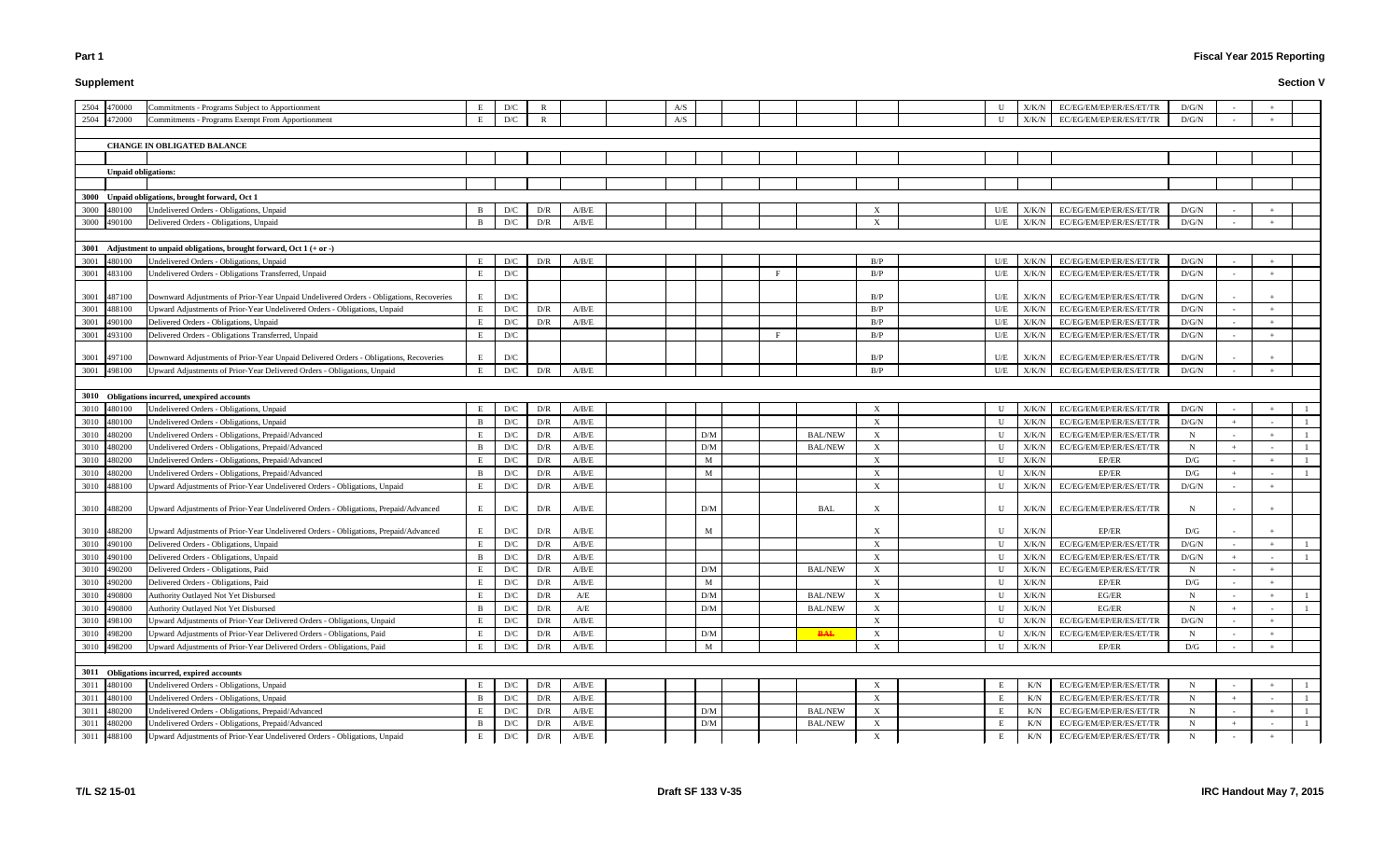# **Supplement**

# **Fiscal Year 2015 Reporting**

|      | 2504 470000                | Commitments - Programs Subject to Apportionment                                        | E              | D/C                     | $\mathbb{R}$            |                         | A/S |                 |   |                |                           |              | X/K/N         | EC/EG/EM/EP/ER/ES/ET/TR         | D/G/N        |  |  |
|------|----------------------------|----------------------------------------------------------------------------------------|----------------|-------------------------|-------------------------|-------------------------|-----|-----------------|---|----------------|---------------------------|--------------|---------------|---------------------------------|--------------|--|--|
|      | 2504 472000                | Commitments - Programs Exempt From Apportionment                                       | E              | D/C                     | $\mathbb{R}$            |                         | A/S |                 |   |                |                           |              | ${\rm X/K/N}$ | EC/EG/EM/EP/ER/ES/ET/TR         | D/G/N        |  |  |
|      |                            |                                                                                        |                |                         |                         |                         |     |                 |   |                |                           |              |               |                                 |              |  |  |
|      |                            | <b>CHANGE IN OBLIGATED BALANCE</b>                                                     |                |                         |                         |                         |     |                 |   |                |                           |              |               |                                 |              |  |  |
|      |                            |                                                                                        |                |                         |                         |                         |     |                 |   |                |                           |              |               |                                 |              |  |  |
|      | <b>Unpaid obligations:</b> |                                                                                        |                |                         |                         |                         |     |                 |   |                |                           |              |               |                                 |              |  |  |
|      |                            |                                                                                        |                |                         |                         |                         |     |                 |   |                |                           |              |               |                                 |              |  |  |
|      |                            | 3000 Unpaid obligations, brought forward, Oct 1                                        |                |                         |                         |                         |     |                 |   |                |                           |              |               |                                 |              |  |  |
|      | 3000 480100                | Undelivered Orders - Obligations, Unpaid                                               | B              | D/C                     | D/R                     | A/B/E                   |     |                 |   |                | $\boldsymbol{\mathrm{X}}$ | U/E          | X/K/N         | EC/EG/EM/EP/ER/ES/ET/TR         | D/G/N        |  |  |
|      | 3000 490100                | Delivered Orders - Obligations, Unpaid                                                 | $\overline{B}$ | D/C                     | D/R                     | A/B/E                   |     |                 |   |                | $\boldsymbol{\mathrm{X}}$ | U/E          | X/K/N         | EC/EG/EM/EP/ER/ES/ET/TR         | D/G/N        |  |  |
|      |                            |                                                                                        |                |                         |                         |                         |     |                 |   |                |                           |              |               |                                 |              |  |  |
| 3001 |                            | Adjustment to unpaid obligations, brought forward, Oct $1 (+ or -)$                    |                |                         |                         |                         |     |                 |   |                |                           |              |               |                                 |              |  |  |
| 3001 | 480100                     | Jndelivered Orders - Obligations, Unpaid                                               | E              | D/C                     | D/R                     | A/B/E                   |     |                 |   |                | B/P                       | U/E          | X/K/N         | EC/EG/EM/EP/ER/ES/ET/TR         | D/G/N        |  |  |
| 3001 | 483100                     | Undelivered Orders - Obligations Transferred, Unpaid                                   | E              | D/C                     |                         |                         |     |                 | F |                | B/P                       | U/E          | X/K/N         | EC/EG/EM/EP/ER/ES/ET/TR         | D/G/N        |  |  |
|      |                            |                                                                                        |                |                         |                         |                         |     |                 |   |                |                           |              |               |                                 |              |  |  |
|      | 3001 487100                | Downward Adjustments of Prior-Year Unpaid Undelivered Orders - Obligations, Recoveries | E              | D/C                     |                         |                         |     |                 |   |                | B/P                       | U/E          | X/K/N         | EC/EG/EM/EP/ER/ES/ET/TR         | D/G/N        |  |  |
| 3001 | 488100                     | Jpward Adjustments of Prior-Year Undelivered Orders - Obligations, Unpaid              | E              | D/C                     | D/R                     | A/B/E                   |     |                 |   |                | B/P                       | U/E          | X/K/N         | EC/EG/EM/EP/ER/ES/ET/TR         | D/G/N        |  |  |
| 3001 | 490100                     | Delivered Orders - Obligations, Unpaid                                                 | E              | D/C                     | D/R                     | A/B/E                   |     |                 |   |                | B/P                       | U/E          | X/K/N         | EC/EG/EM/EP/ER/ES/ET/TR         | D/G/N        |  |  |
| 3001 | 493100                     | Delivered Orders - Obligations Transferred, Unpaid                                     | E              | D/C                     |                         |                         |     |                 | F |                | B/P                       | U/E          | X/K/N         | EC/EG/EM/EP/ER/ES/ET/TR         | D/G/N        |  |  |
|      |                            |                                                                                        |                |                         |                         |                         |     |                 |   |                |                           |              |               |                                 |              |  |  |
|      | 3001 497100                | Downward Adjustments of Prior-Year Unpaid Delivered Orders - Obligations, Recoveries   | E              | D/C                     |                         |                         |     |                 |   |                | B/P                       | U/E          | X/K/N         | EC/EG/EM/EP/ER/ES/ET/TR         | D/G/N        |  |  |
|      | 3001 498100                | Jpward Adjustments of Prior-Year Delivered Orders - Obligations, Unpaid                | E              | $\mathbf{D}/\mathbf{C}$ | D/R                     | A/B/E                   |     |                 |   |                | B/P                       | U/E          | X/K/N         | EC/EG/EM/EP/ER/ES/ET/TR         | D/G/N        |  |  |
|      |                            |                                                                                        |                |                         |                         |                         |     |                 |   |                |                           |              |               |                                 |              |  |  |
|      |                            | 3010 Obligations incurred, unexpired accounts                                          |                |                         |                         |                         |     |                 |   |                |                           |              |               |                                 |              |  |  |
|      | 3010 480100                | Jndelivered Orders - Obligations, Unpaid                                               | E              | D/C                     | D/R                     | A/B/E                   |     |                 |   |                | $\boldsymbol{\mathrm{X}}$ |              | X/K/N         | EC/EG/EM/EP/ER/ES/ET/TR         | D/G/N        |  |  |
| 3010 | 480100                     | <b>Jndelivered Orders - Obligations, Unpaid</b>                                        | -B             | D/C                     | D/R                     | A/B/E                   |     |                 |   |                | $\boldsymbol{\mathrm{X}}$ |              | X/K/N         | EC/EG/EM/EP/ER/ES/ET/TR         | D/G/N        |  |  |
| 3010 | 480200                     | Jndelivered Orders - Obligations, Prepaid/Advanced                                     | E              | D/C                     | D/R                     | A/B/E                   |     | D/M             |   | <b>BAL/NEW</b> | X                         | U            | X/K/N         | EC/EG/EM/EP/ER/ES/ET/TR         | $\mathbf N$  |  |  |
| 3010 | 180200                     | Jndelivered Orders - Obligations, Prepaid/Advanced                                     | -B             | D/C                     | D/R                     | A/B/E                   |     | D/M             |   | <b>BAL/NEW</b> | $\boldsymbol{\mathrm{X}}$ |              | X/K/N         | EC/EG/EM/EP/ER/ES/ET/TR         | $N_{\rm}$    |  |  |
| 3010 | 180200                     | Jndelivered Orders - Obligations, Prepaid/Advanced                                     | E              | $\mathbf{D}/\mathbf{C}$ | D/R                     | A/B/E                   |     | M               |   |                | $\boldsymbol{\mathrm{X}}$ |              | X/K/N         | EP/ER                           | D/G          |  |  |
| 3010 | 480200                     | Jndelivered Orders - Obligations, Prepaid/Advanced                                     | B              | D/C                     | D/R                     | A/B/E                   |     | M               |   |                | $\boldsymbol{\mathrm{X}}$ |              | X/K/N         | EP/ER                           | D/G          |  |  |
| 3010 | 488100                     | Jpward Adjustments of Prior-Year Undelivered Orders - Obligations, Unpaid              | E              | D/C                     | D/R                     | A/B/E                   |     |                 |   |                | $\boldsymbol{\mathrm{X}}$ |              | X/K/N         | EC/EG/EM/EP/ER/ES/ET/TR         | D/G/N        |  |  |
|      | 3010 488200                | Upward Adjustments of Prior-Year Undelivered Orders - Obligations, Prepaid/Advanced    | E              | D/C                     | D/R                     | A/B/E                   |     | D/M             |   | BAL            | $\boldsymbol{\mathrm{X}}$ | $\mathbf{U}$ | X/K/N         | EC/EG/EM/EP/ER/ES/ET/TR         | $\mathbf N$  |  |  |
|      | 3010 488200                | Jpward Adjustments of Prior-Year Undelivered Orders - Obligations, Prepaid/Advanced    | E              | D/C                     | D/R                     | A/B/E                   |     | M               |   |                | $\boldsymbol{\mathrm{X}}$ |              | X/K/N         | EP/ER                           | D/G          |  |  |
|      | 3010 490100                | Delivered Orders - Obligations, Unpaid                                                 | E              | D/C                     | D/R                     | A/B/E                   |     |                 |   |                | $\boldsymbol{\mathrm{X}}$ |              | X/K/N         | EC/EG/EM/EP/ER/ES/ET/TR         | D/G/N        |  |  |
|      | 3010 490100                | Delivered Orders - Obligations, Unpaid                                                 | B              | D/C                     | D/R                     | A/B/E                   |     |                 |   |                | $\mathbf{X}$              |              |               | $X/K/N$ EC/EG/EM/EP/ER/ES/ET/TR | D/G/N        |  |  |
|      | 3010 490200                | Delivered Orders - Obligations, Paid                                                   | E              | D/C                     | D/R                     | A/B/E                   |     | $\rm{D}/\rm{M}$ |   | <b>BAL/NEW</b> | $\boldsymbol{\mathrm{X}}$ | U            | X/K/N         | EC/EG/EM/EP/ER/ES/ET/TR         | $\mathbf N$  |  |  |
|      | 3010 490200                | Delivered Orders - Obligations, Paid                                                   | E              | D/C                     | D/R                     | A/B/E                   |     | M               |   |                | $\boldsymbol{\mathrm{X}}$ | U            | ${\rm X/K/N}$ | EP/ER                           | D/G          |  |  |
| 3010 | 490800                     | Authority Outlayed Not Yet Disbursed                                                   | E              | D/C                     | D/R                     | A/E                     |     | D/M             |   | <b>BAL/NEW</b> | X                         |              | X/K/N         | EG/ER                           | $\mathbf N$  |  |  |
| 3010 | 190800                     | Authority Outlayed Not Yet Disbursed                                                   | -B             | D/C                     | D/R                     | $\mathbf{A}/\mathbf{E}$ |     | D/M             |   | <b>BAL/NEW</b> | $\boldsymbol{\mathrm{X}}$ |              | X/K/N         | EG/ER                           | $\mathbf N$  |  |  |
| 3010 | 498100                     | Jpward Adjustments of Prior-Year Delivered Orders - Obligations, Unpaid                | E              | D/C                     | D/R                     | A/B/E                   |     |                 |   |                | $\boldsymbol{\mathrm{X}}$ |              | X/K/N         | EC/EG/EM/EP/ER/ES/ET/TR         | $\rm{D/G/N}$ |  |  |
|      | 3010 498200                | Jpward Adjustments of Prior-Year Delivered Orders - Obligations, Paid                  | E              | D/C                     | D/R                     | A/B/E                   |     | D/M             |   | <b>BAL</b>     | $\boldsymbol{\mathrm{X}}$ |              | X/K/N         | EC/EG/EM/EP/ER/ES/ET/TR         | $\mathbf N$  |  |  |
|      | 3010 498200                | Jpward Adjustments of Prior-Year Delivered Orders - Obligations, Paid                  | E              | D/C                     | D/R                     | A/B/E                   |     | M               |   |                | $\boldsymbol{\mathrm{X}}$ |              | X/K/N         | EP/ER                           | D/G          |  |  |
|      |                            |                                                                                        |                |                         |                         |                         |     |                 |   |                |                           |              |               |                                 |              |  |  |
|      |                            | 3011 Obligations incurred, expired accounts                                            |                |                         |                         |                         |     |                 |   |                |                           |              |               |                                 |              |  |  |
|      | 3011 480100                | Undelivered Orders - Obligations, Unpaid                                               | E              | D/C                     | D/R                     | A/B/E                   |     |                 |   |                | $\boldsymbol{\mathrm{X}}$ | E.           | K/N           | EC/EG/EM/EP/ER/ES/ET/TR         | $\mathbf N$  |  |  |
|      | 3011 480100                | Undelivered Orders - Obligations, Unpaid                                               | B              | D/C                     | $\mathbf{D}/\mathbf{R}$ | $\rm A/B/E$             |     |                 |   |                | $\boldsymbol{\mathrm{X}}$ |              | K/N           | EC/EG/EM/EP/ER/ES/ET/TR         | $\mathbf N$  |  |  |
| 3011 | 480200                     | Undelivered Orders - Obligations, Prepaid/Advanced                                     | E              | D/C                     | D/R                     | $\rm A/B/E$             |     | $\rm{D}/\rm{M}$ |   | <b>BAL/NEW</b> | X                         |              | K/N           | EC/EG/EM/EP/ER/ES/ET/TR         | $\mathbf N$  |  |  |
| 3011 | 480200                     | Jndelivered Orders - Obligations, Prepaid/Advanced                                     | B              | D/C                     | D/R                     | A/B/E                   |     | D/M             |   | <b>BAL/NEW</b> | $\boldsymbol{\mathrm{X}}$ | E            | K/N           | EC/EG/EM/EP/ER/ES/ET/TR         | $\mathbf N$  |  |  |
| 3011 | 488100                     | Upward Adjustments of Prior-Year Undelivered Orders - Obligations, Unpaid              | E              | D/C                     | D/R                     | A/B/E                   |     |                 |   |                | $\boldsymbol{\mathrm{X}}$ | E            | K/N           | EC/EG/EM/EP/ER/ES/ET/TR         | $\mathbf N$  |  |  |
|      |                            |                                                                                        |                |                         |                         |                         |     |                 |   |                |                           |              |               |                                 |              |  |  |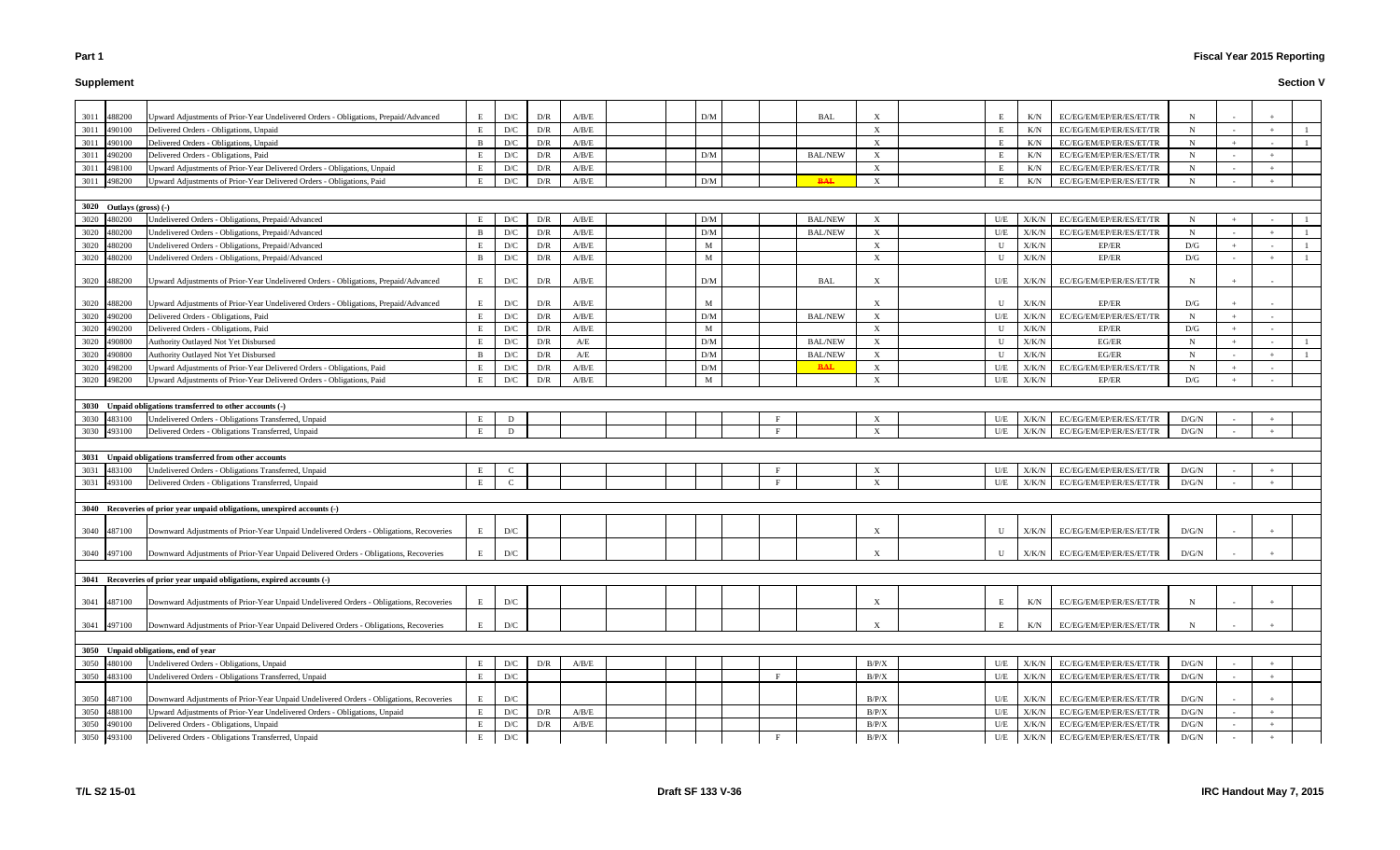#### **Supplement**

| 3011 | 488200                     | Upward Adjustments of Prior-Year Undelivered Orders - Obligations, Prepaid/Advanced              | E            | D/C                     | D/R | A/B/E                   |  | D/M |   | BAL            |                           | E            | K/N           | EC/EG/EM/EP/ER/ES/ET/TR         |             |                          |     |  |
|------|----------------------------|--------------------------------------------------------------------------------------------------|--------------|-------------------------|-----|-------------------------|--|-----|---|----------------|---------------------------|--------------|---------------|---------------------------------|-------------|--------------------------|-----|--|
| 3011 | 490100                     | Delivered Orders - Obligations, Unpaid                                                           | E            | D/C                     | D/R | A/B/E                   |  |     |   |                | $\boldsymbol{\mathrm{X}}$ | E            | K/N           | EC/EG/EM/EP/ER/ES/ET/TR         | N           |                          |     |  |
| 3011 | 490100                     | Delivered Orders - Obligations, Unpaid                                                           | B            | D/C                     | D/R | A/B/E                   |  |     |   |                | $\boldsymbol{\mathrm{X}}$ | E            | K/N           | EC/EG/EM/EP/ER/ES/ET/TR         | $\mathbf N$ | $+$                      |     |  |
| 3011 | 490200                     | Delivered Orders - Obligations, Paid                                                             | E            | D/C                     | D/R | A/B/E                   |  | D/M |   | <b>BAL/NEW</b> | $\boldsymbol{\mathrm{X}}$ | E            | K/N           | EC/EG/EM/EP/ER/ES/ET/TR         | N           | $\sim$                   | $+$ |  |
|      | 498100                     |                                                                                                  | E            | D/C                     | D/R | A/B/E                   |  |     |   |                | X                         | E            |               | EC/EG/EM/EP/ER/ES/ET/TR         | $\mathbf N$ |                          |     |  |
| 3011 |                            | Upward Adjustments of Prior-Year Delivered Orders - Obligations, Unpaid                          | E            | D/C                     | D/R |                         |  | D/M |   |                |                           |              | K/N           |                                 | $\mathbf N$ |                          |     |  |
| 3011 | 498200                     | Upward Adjustments of Prior-Year Delivered Orders - Obligations, Paid                            |              |                         |     | A/B/E                   |  |     |   | <b>BAL</b>     | $\mathbf{X}$              | E            | K/N           | EC/EG/EM/EP/ER/ES/ET/TR         |             |                          |     |  |
|      |                            |                                                                                                  |              |                         |     |                         |  |     |   |                |                           |              |               |                                 |             |                          |     |  |
|      | $3020$ Outlays (gross) (-) |                                                                                                  |              |                         |     |                         |  |     |   |                |                           |              |               |                                 |             |                          |     |  |
| 3020 | 480200                     | Undelivered Orders - Obligations, Prepaid/Advanced                                               | E            | D/C                     | D/R | A/B/E                   |  | D/M |   | <b>BAL/NEW</b> | X                         | U/E          | X/K/N         | EC/EG/EM/EP/ER/ES/ET/TR         | $\mathbf N$ | $+$                      |     |  |
| 3020 | 80200                      | Undelivered Orders - Obligations, Prepaid/Advanced                                               | B            | D/C                     | D/R | A/B/E                   |  | D/M |   | <b>BAL/NEW</b> | X                         | U/E          | ${\rm X/K/N}$ | EC/EG/EM/EP/ER/ES/ET/TR         | $\mathbf N$ |                          |     |  |
| 3020 | 180200                     | Undelivered Orders - Obligations, Prepaid/Advanced                                               | E            | D/C                     | D/R | A/B/E                   |  | M   |   |                | $\boldsymbol{\mathrm{X}}$ | U            | ${\rm X/K/N}$ | EP/ER                           | D/G         |                          |     |  |
| 3020 | 480200                     | Undelivered Orders - Obligations, Prepaid/Advanced                                               | $\mathbf{B}$ | D/C                     | D/R | A/B/E                   |  | M   |   |                | $\mathbf{X}$              | U            | X/K/N         | EP/ER                           | D/G         | $\sim$                   |     |  |
| 3020 | 488200                     | Upward Adjustments of Prior-Year Undelivered Orders - Obligations, Prepaid/Advanced              | E            | D/C                     | D/R | A/B/E                   |  | D/M |   | BAL            |                           | U/E          | X/K/N         | EC/EG/EM/EP/ER/ES/ET/TR         | N           |                          |     |  |
| 3020 | 488200                     | Upward Adjustments of Prior-Year Undelivered Orders - Obligations, Prepaid/Advanced              | E            | D/C                     | D/R | A/B/E                   |  | M   |   |                | $\boldsymbol{\mathrm{X}}$ | U            | X/K/N         | EP/ER                           | D/G         |                          |     |  |
| 3020 | 490200                     | Delivered Orders - Obligations, Paid                                                             | $\,$ E       | D/C                     | D/R | A/B/E                   |  | D/M |   | <b>BAL/NEW</b> | X                         | U/E          | X/K/N         | EC/EG/EM/EP/ER/ES/ET/TR         | $\mathbf N$ | $+$                      |     |  |
| 3020 | 490200                     | Delivered Orders - Obligations, Paid                                                             | E            | D/C                     | D/R | A/B/E                   |  | M   |   |                | X                         | $\mathbf{U}$ | X/K/N         | EP/ER                           | D/G         | $+$                      |     |  |
| 3020 | 490800                     | Authority Outlayed Not Yet Disbursed                                                             | E            | D/C                     | D/R | A/E                     |  | D/M |   | <b>BAL/NEW</b> | X                         | U            | $\rm X/K/N$   | EG/ER                           | N           | $+$                      |     |  |
|      |                            |                                                                                                  |              |                         |     |                         |  |     |   |                |                           |              |               | EG/ER                           |             |                          |     |  |
| 3020 | 190800                     | <b>Authority Outlayed Not Yet Disbursed</b>                                                      | B            | D/C                     | D/R | $\mathbf{A}/\mathbf{E}$ |  | D/M |   | <b>BAL/NEW</b> | X                         | U            | X/K/N         |                                 | $\mathbf N$ | $\overline{\phantom{a}}$ |     |  |
| 3020 | 498200                     | Upward Adjustments of Prior-Year Delivered Orders - Obligations, Paid                            | E            | D/C                     | D/R | A/B/E                   |  | D/M |   | <b>BAL</b>     | X                         | U/E          | X/K/N         | EC/EG/EM/EP/ER/ES/ET/TR         | N           | $+$                      |     |  |
| 3020 | 498200                     | Jpward Adjustments of Prior-Year Delivered Orders - Obligations, Paid                            | E            | D/C                     | D/R | A/B/E                   |  | M   |   |                | X                         | U/E          | X/K/N         | EP/ER                           | D/G         | $+$                      |     |  |
|      |                            |                                                                                                  |              |                         |     |                         |  |     |   |                |                           |              |               |                                 |             |                          |     |  |
|      |                            | 3030 Unpaid obligations transferred to other accounts (-)                                        |              |                         |     |                         |  |     |   |                |                           |              |               |                                 |             |                          |     |  |
| 3030 | 483100                     | Undelivered Orders - Obligations Transferred, Unpaid                                             | E            | D                       |     |                         |  |     |   |                | $\boldsymbol{\mathrm{X}}$ | U/E          | X/K/N         | EC/EG/EM/EP/ER/ES/ET/TR         | D/G/N       | $\sim$                   |     |  |
| 3030 | 493100                     | Delivered Orders - Obligations Transferred, Unpaid                                               | E            | D                       |     |                         |  |     |   |                | $\boldsymbol{\mathrm{X}}$ | U/E          | ${\rm X/K/N}$ | EC/EG/EM/EP/ER/ES/ET/TR         | D/G/N       |                          |     |  |
|      |                            |                                                                                                  |              |                         |     |                         |  |     |   |                |                           |              |               |                                 |             |                          |     |  |
|      |                            | 3031 Unpaid obligations transferred from other accounts                                          |              |                         |     |                         |  |     |   |                |                           |              |               |                                 |             |                          |     |  |
| 3031 | 483100                     | Undelivered Orders - Obligations Transferred, Unpaid                                             | E            | $\mathcal{C}$           |     |                         |  |     |   |                | X                         | U/E          | X/K/N         | EC/EG/EM/EP/ER/ES/ET/TR         | D/G/N       |                          |     |  |
| 3031 | 493100                     | Delivered Orders - Obligations Transferred, Unpaid                                               | E            | $\mathcal{C}$           |     |                         |  |     |   |                | $\boldsymbol{\mathrm{X}}$ | U/E          |               | $X/K/N$ EC/EG/EM/EP/ER/ES/ET/TR | D/G/N       |                          |     |  |
|      |                            |                                                                                                  |              |                         |     |                         |  |     |   |                |                           |              |               |                                 |             |                          |     |  |
|      |                            | 3040 Recoveries of prior year unpaid obligations, unexpired accounts (-)                         |              |                         |     |                         |  |     |   |                |                           |              |               |                                 |             |                          |     |  |
|      |                            |                                                                                                  |              |                         |     |                         |  |     |   |                |                           |              |               |                                 |             |                          |     |  |
| 3040 | 487100                     | Downward Adjustments of Prior-Year Unpaid Undelivered Orders - Obligations, Recoveries           | E            | D/C                     |     |                         |  |     |   |                | $\boldsymbol{\mathrm{X}}$ | U            | X/K/N         | EC/EG/EM/EP/ER/ES/ET/TR         | D/G/N       |                          |     |  |
|      |                            | 3040 497100 Downward Adjustments of Prior-Year Unpaid Delivered Orders - Obligations, Recoveries | E            | D/C                     |     |                         |  |     |   |                |                           | U            |               | $X/K/N$ EC/EG/EM/EP/ER/ES/ET/TR | D/G/N       |                          |     |  |
|      |                            |                                                                                                  |              |                         |     |                         |  |     |   |                |                           |              |               |                                 |             |                          |     |  |
|      |                            | 3041 Recoveries of prior year unpaid obligations, expired accounts (-)                           |              |                         |     |                         |  |     |   |                |                           |              |               |                                 |             |                          |     |  |
|      |                            |                                                                                                  |              |                         |     |                         |  |     |   |                |                           |              |               |                                 |             |                          |     |  |
| 3041 | 487100                     | Downward Adjustments of Prior-Year Unpaid Undelivered Orders - Obligations, Recoveries           | E            | D/C                     |     |                         |  |     |   |                | $\boldsymbol{\mathrm{X}}$ | E            | K/N           | EC/EG/EM/EP/ER/ES/ET/TR         | N           |                          |     |  |
| 3041 | 497100                     | Downward Adjustments of Prior-Year Unpaid Delivered Orders - Obligations, Recoveries             | E            | D/C                     |     |                         |  |     |   |                | $\boldsymbol{\mathrm{X}}$ | E            | K/N           | EC/EG/EM/EP/ER/ES/ET/TR         | N           |                          |     |  |
|      |                            |                                                                                                  |              |                         |     |                         |  |     |   |                |                           |              |               |                                 |             |                          |     |  |
| 3050 |                            | Unpaid obligations, end of year                                                                  |              |                         |     |                         |  |     |   |                |                           |              |               |                                 |             |                          |     |  |
| 3050 | 480100                     | Undelivered Orders - Obligations, Unpaid                                                         | E            | D/C                     | D/R | A/B/E                   |  |     |   |                | B/P/X                     | U/E          | X/K/N         | EC/EG/EM/EP/ER/ES/ET/TR         | D/G/N       | $\sim$                   |     |  |
| 3050 | 483100                     | Undelivered Orders - Obligations Transferred, Unpaid                                             | E            | D/C                     |     |                         |  |     | F |                | B/P/X                     | U/E          | X/K/N         | EC/EG/EM/EP/ER/ES/ET/TR         | D/G/N       | $\sim$                   |     |  |
|      |                            |                                                                                                  |              |                         |     |                         |  |     |   |                |                           |              |               |                                 |             |                          |     |  |
| 3050 | 487100                     | Downward Adjustments of Prior-Year Unpaid Undelivered Orders - Obligations, Recoveries           | E            | D/C                     |     |                         |  |     |   |                | B/P/X                     | U/E          | X/K/N         | EC/EG/EM/EP/ER/ES/ET/TR         | D/G/N       | $\sim$                   |     |  |
| 3050 | 488100                     | Upward Adjustments of Prior-Year Undelivered Orders - Obligations, Unpaid                        | E            | $\mathbf{D}/\mathbf{C}$ | D/R | A/B/E                   |  |     |   |                | B/P/X                     | U/E          | X/K/N         | EC/EG/EM/EP/ER/ES/ET/TR         | D/G/N       | $\sim$                   |     |  |
| 3050 | 490100                     | Delivered Orders - Obligations, Unpaid                                                           | E            | D/C                     | D/R | $\rm A/B/E$             |  |     |   |                | B/P/X                     | U/E          | X/K/N         | EC/EG/EM/EP/ER/ES/ET/TR         | D/G/N       | $\sim$                   |     |  |
|      | 3050 493100                | Delivered Orders - Obligations Transferred, Unpaid                                               | E            | D/C                     |     |                         |  |     |   |                | B/P/X                     | U/E          |               | $X/K/N$ EC/EG/EM/EP/ER/ES/ET/TR | D/G/N       | $\sim$                   |     |  |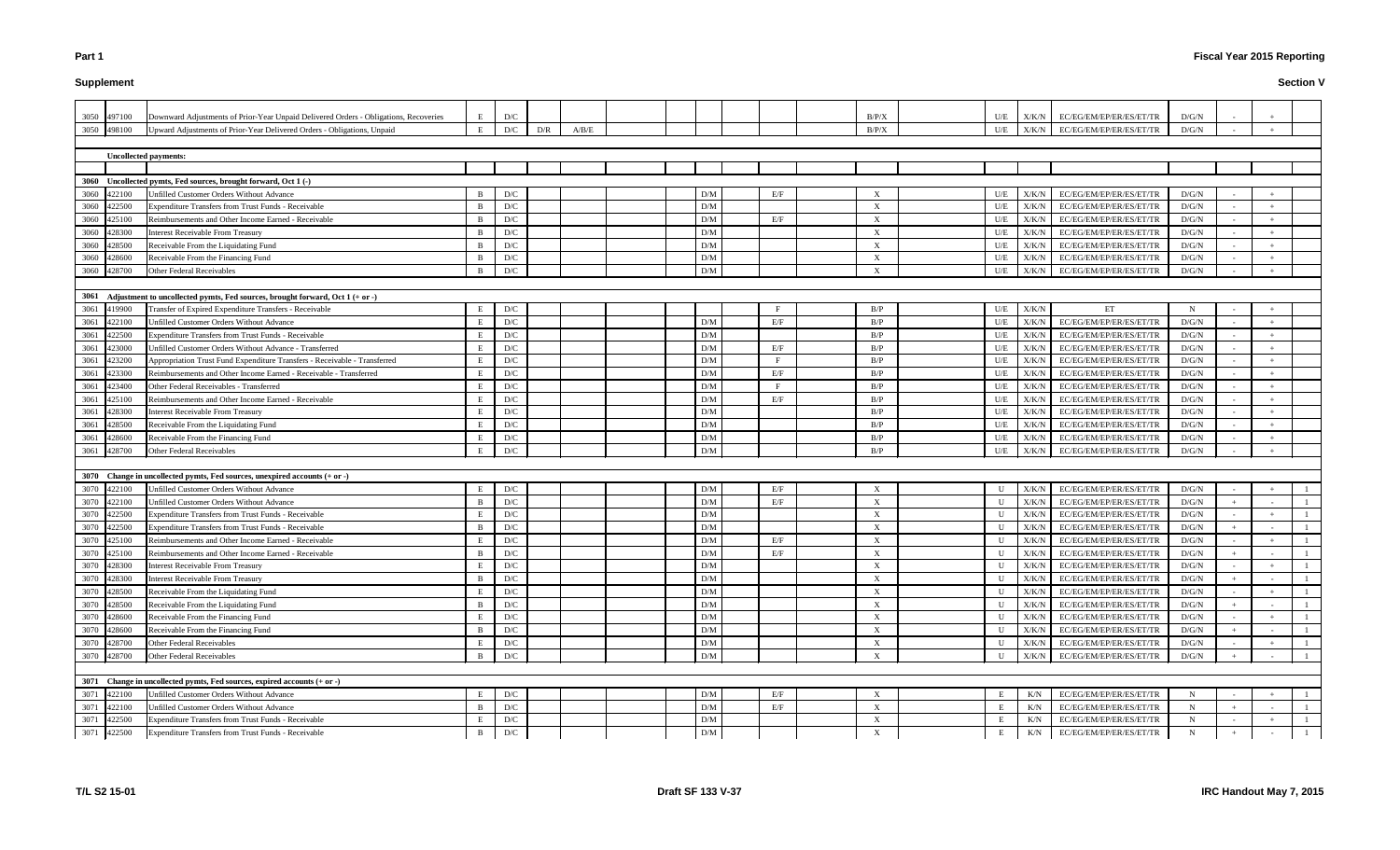# **Supplement**

| 3050 497100    | Downward Adjustments of Prior-Year Unpaid Delivered Orders - Obligations, Recoveries | E            | D/C |     |       |  |                         |     | B/P/X                     | U/E          | X/K/N | EC/EG/EM/EP/ER/ES/ET/TR | D/G/N       |     |              |
|----------------|--------------------------------------------------------------------------------------|--------------|-----|-----|-------|--|-------------------------|-----|---------------------------|--------------|-------|-------------------------|-------------|-----|--------------|
| 3050 498100    | Upward Adjustments of Prior-Year Delivered Orders - Obligations, Unpaid              | E            | D/C | D/R | A/B/E |  |                         |     | B/P/X                     | U/E          | X/K/N | EC/EG/EM/EP/ER/ES/ET/TR | D/G/N       |     |              |
|                |                                                                                      |              |     |     |       |  |                         |     |                           |              |       |                         |             |     |              |
|                | <b>Uncollected payments:</b>                                                         |              |     |     |       |  |                         |     |                           |              |       |                         |             |     |              |
|                |                                                                                      |              |     |     |       |  |                         |     |                           |              |       |                         |             |     |              |
|                | 3060 Uncollected pymts, Fed sources, brought forward, Oct 1 (-)                      |              |     |     |       |  |                         |     |                           |              |       |                         |             |     |              |
| 3060 422100    | Unfilled Customer Orders Without Advance                                             | B            | D/C |     |       |  | D/M                     | E/F | X                         | U/E          | X/K/N | EC/EG/EM/EP/ER/ES/ET/TR | D/G/N       |     |              |
| 3060<br>422500 | <b>Expenditure Transfers from Trust Funds - Receivable</b>                           | B            | D/C |     |       |  | D/M                     |     | X                         | U/E          | X/K/N | EC/EG/EM/EP/ER/ES/ET/TR | D/G/N       |     |              |
| 3060<br>425100 | Reimbursements and Other Income Earned - Receivable                                  | B            | D/C |     |       |  | D/M                     | E/F | X                         | U/E          | X/K/N | EC/EG/EM/EP/ER/ES/ET/TR | D/G/N       |     |              |
| 3060<br>428300 | <b>Interest Receivable From Treasury</b>                                             | B            | D/C |     |       |  | D/M                     |     | X                         | U/E          | X/K/N | EC/EG/EM/EP/ER/ES/ET/TR | D/G/N       |     |              |
| 3060<br>428500 | Receivable From the Liquidating Fund                                                 | <sup>B</sup> | D/C |     |       |  | D/M                     |     | X                         | U/E          | X/K/N | EC/EG/EM/EP/ER/ES/ET/TR | D/G/N       |     |              |
| 3060<br>428600 | Receivable From the Financing Fund                                                   | B            | D/C |     |       |  | D/M                     |     | X                         | U/E          | X/K/N | EC/EG/EM/EP/ER/ES/ET/TR | D/G/N       |     |              |
| 3060<br>428700 | <b>Other Federal Receivables</b>                                                     | B            | D/C |     |       |  | D/M                     |     | X                         | U/E          | X/K/N | EC/EG/EM/EP/ER/ES/ET/TR | D/G/N       |     |              |
|                |                                                                                      |              |     |     |       |  |                         |     |                           |              |       |                         |             |     |              |
|                | 3061 Adjustment to uncollected pymts, Fed sources, brought forward, Oct 1 (+ or -)   |              |     |     |       |  |                         |     |                           |              |       |                         |             |     |              |
| 3061 419900    | Transfer of Expired Expenditure Transfers - Receivable                               | E            | D/C |     |       |  |                         |     | B/P                       | U/E          | X/K/N | ET                      | $\mathbf N$ |     |              |
| 3061<br>422100 | Unfilled Customer Orders Without Advance                                             | E            | D/C |     |       |  | D/M                     | E/F | B/P                       | U/E          | X/K/N | EC/EG/EM/EP/ER/ES/ET/TR | D/G/N       |     |              |
| 3061<br>422500 | <b>Expenditure Transfers from Trust Funds - Receivable</b>                           | E            | D/C |     |       |  | D/M                     |     | B/P                       | U/E          | X/K/N | EC/EG/EM/EP/ER/ES/ET/TR | D/G/N       |     |              |
| 3061<br>423000 | Unfilled Customer Orders Without Advance - Transferred                               | E            | D/C |     |       |  | D/M                     | E/F | B/P                       | U/E          | X/K/N | EC/EG/EM/EP/ER/ES/ET/TR | D/G/N       |     |              |
| 3061<br>423200 | Appropriation Trust Fund Expenditure Transfers - Receivable - Transferred            | E            | D/C |     |       |  | D/M                     | F   | B/P                       | U/E          | X/K/N | EC/EG/EM/EP/ER/ES/ET/TR | D/G/N       |     |              |
| 3061<br>423300 | Reimbursements and Other Income Earned - Receivable - Transferred                    | E            | D/C |     |       |  | D/M                     | E/F | B/P                       | U/E          | X/K/N | EC/EG/EM/EP/ER/ES/ET/TR | D/G/N       |     |              |
| 3061<br>423400 | Other Federal Receivables - Transferred                                              | E            | D/C |     |       |  | D/M                     | F   | B/P                       | U/E          | X/K/N | EC/EG/EM/EP/ER/ES/ET/TR | D/G/N       |     |              |
| 3061<br>425100 | Reimbursements and Other Income Earned - Receivable                                  | E            | D/C |     |       |  | D/M                     | E/F | B/P                       | U/E          | X/K/N | EC/EG/EM/EP/ER/ES/ET/TR | D/G/N       |     |              |
| 3061<br>428300 | <b>Interest Receivable From Treasury</b>                                             | E            | D/C |     |       |  | D/M                     |     | B/P                       | U/E          | X/K/N | EC/EG/EM/EP/ER/ES/ET/TR | D/G/N       |     |              |
| 3061<br>428500 | Receivable From the Liquidating Fund                                                 | E            | D/C |     |       |  | D/M                     |     | B/P                       | U/E          | X/K/N | EC/EG/EM/EP/ER/ES/ET/TR | D/G/N       |     |              |
| 3061<br>428600 | Receivable From the Financing Fund                                                   | E            | D/C |     |       |  | D/M                     |     | B/P                       | U/E          | X/K/N | EC/EG/EM/EP/ER/ES/ET/TR | D/G/N       |     |              |
| 3061<br>428700 | <b>Other Federal Receivables</b>                                                     | E            | D/C |     |       |  | D/M                     |     | B/P                       | U/E          | X/K/N | EC/EG/EM/EP/ER/ES/ET/TR | D/G/N       |     |              |
|                |                                                                                      |              |     |     |       |  |                         |     |                           |              |       |                         |             |     |              |
|                | 3070 Change in uncollected pymts, Fed sources, unexpired accounts (+ or -)           |              |     |     |       |  |                         |     |                           |              |       |                         |             |     |              |
| 3070 422100    | Unfilled Customer Orders Without Advance                                             | E            | D/C |     |       |  | D/M                     | E/F | X                         | U            | X/K/N | EC/EG/EM/EP/ER/ES/ET/TR | D/G/N       |     |              |
| 3070<br>422100 | Unfilled Customer Orders Without Advance                                             | B            | D/C |     |       |  | D/M                     | E/F | X                         | U            | X/K/N | EC/EG/EM/EP/ER/ES/ET/TR | D/G/N       |     |              |
| 3070<br>422500 | Expenditure Transfers from Trust Funds - Receivable                                  | E            | D/C |     |       |  | D/M                     |     | X                         | U            | X/K/N | EC/EG/EM/EP/ER/ES/ET/TR | D/G/N       |     |              |
| 3070<br>422500 | Expenditure Transfers from Trust Funds - Receivable                                  | B            | D/C |     |       |  | D/M                     |     | $\mathbf{X}$              | U            | X/K/N | EC/EG/EM/EP/ER/ES/ET/TR | D/G/N       |     |              |
| 3070<br>425100 | Reimbursements and Other Income Earned - Receivable                                  | E            | D/C |     |       |  | D/M                     | E/F | $\boldsymbol{\mathrm{X}}$ | U            | X/K/N | EC/EG/EM/EP/ER/ES/ET/TR | D/G/N       |     |              |
| 3070 425100    | Reimbursements and Other Income Earned - Receivable                                  | B            | D/C |     |       |  | D/M                     | E/F | $\mathbf{Y}$              | $\mathbf{U}$ | X/K/N | EC/EG/EM/EP/ER/ES/ET/TR | D/G/N       |     |              |
| 3070 428300    | Interest Receivable From Treasury                                                    | E            | D/C |     |       |  | D/M                     |     | X                         | U            | X/K/N | EC/EG/EM/EP/ER/ES/ET/TR | D/G/N       |     |              |
| 3070 428300    | <b>Interest Receivable From Treasury</b>                                             | B            | D/C |     |       |  | D/M                     |     | X                         | U            | X/K/N | EC/EG/EM/EP/ER/ES/ET/TR | D/G/N       |     |              |
| 3070 428500    | Receivable From the Liquidating Fund                                                 | E            | D/C |     |       |  | D/M                     |     | X                         | U            | X/K/N | EC/EG/EM/EP/ER/ES/ET/TR | D/G/N       |     |              |
| 3070<br>428500 | Receivable From the Liquidating Fund                                                 | B            | D/C |     |       |  | D/M                     |     | X                         | U            | X/K/N | EC/EG/EM/EP/ER/ES/ET/TR | D/G/N       |     |              |
| 3070<br>428600 | Receivable From the Financing Fund                                                   | E            | D/C |     |       |  | D/M                     |     | X                         | U            | X/K/N | EC/EG/EM/EP/ER/ES/ET/TR | D/G/N       |     |              |
| 3070<br>428600 | Receivable From the Financing Fund                                                   | B            | D/C |     |       |  | D/M                     |     | X                         | U            | X/K/N | EC/EG/EM/EP/ER/ES/ET/TR | D/G/N       |     |              |
| 3070<br>428700 | Other Federal Receivables                                                            | E            | D/C |     |       |  | D/M                     |     | X                         | U            | X/K/N | EC/EG/EM/EP/ER/ES/ET/TR | D/G/N       |     |              |
| 3070 428700    | Other Federal Receivables                                                            | B            | D/C |     |       |  | D/M                     |     | X                         | U            | X/K/N | EC/EG/EM/EP/ER/ES/ET/TR | D/G/N       |     |              |
|                |                                                                                      |              |     |     |       |  |                         |     |                           |              |       |                         |             |     |              |
|                | 3071 Change in uncollected pymts, Fed sources, expired accounts (+ or -)             |              |     |     |       |  |                         |     |                           |              |       |                         |             |     |              |
| 3071<br>422100 | Unfilled Customer Orders Without Advance                                             | E            | D/C |     |       |  | D/M                     | E/F | X                         | E            | K/N   | EC/EG/EM/EP/ER/ES/ET/TR | $\mathbf N$ |     |              |
| 3071<br>422100 | Unfilled Customer Orders Without Advance                                             | B            | D/C |     |       |  | D/M                     | E/F | X                         | E            | K/N   | EC/EG/EM/EP/ER/ES/ET/TR | $\mathbf N$ |     |              |
| 3071<br>422500 | Expenditure Transfers from Trust Funds - Receivable                                  | E            | D/C |     |       |  | D/M                     |     | X                         | Е            | K/N   | EC/EG/EM/EP/ER/ES/ET/TR | $\mathbf N$ |     | -1           |
| 3071 422500    | Expenditure Transfers from Trust Funds - Receivable                                  | B            | D/C |     |       |  | $\mathbf{D}/\mathbf{M}$ |     | X                         | Е            | K/N   | EC/EG/EM/EP/ER/ES/ET/TR | N           | $+$ | $\mathbf{1}$ |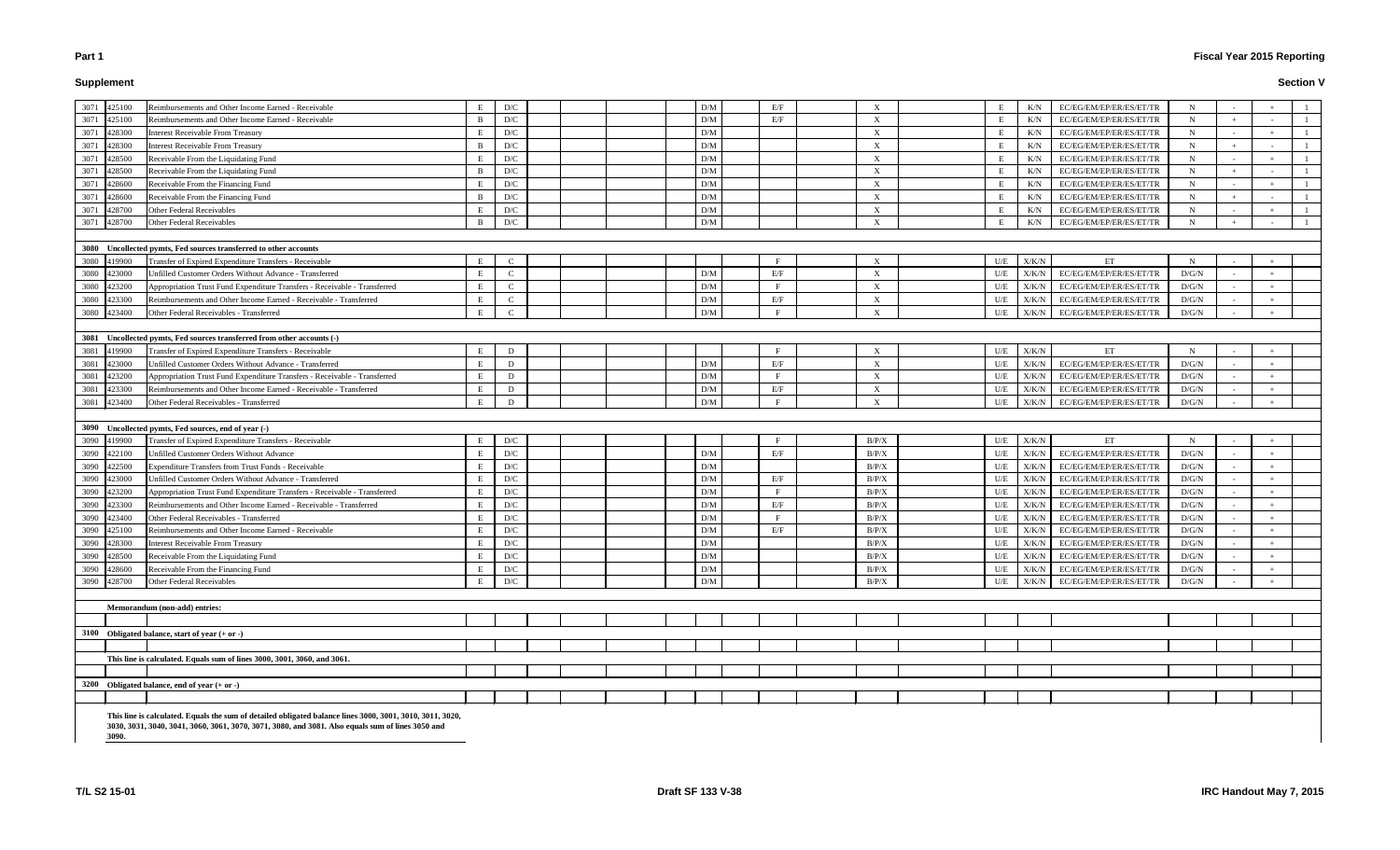# **Supplement**

# **Fiscal Year 2015 Reporting**

#### **Section V**

| 3071 425100                |        | Reimbursements and Other Income Earned - Receivable                       |          | D/C                     |  | D/M                     | E/F          | X                         |           | K/N           | EC/EG/EM/EP/ER/ES/ET/TR         | N           |  |  |
|----------------------------|--------|---------------------------------------------------------------------------|----------|-------------------------|--|-------------------------|--------------|---------------------------|-----------|---------------|---------------------------------|-------------|--|--|
| 3071 425100                |        | Reimbursements and Other Income Earned - Receivable                       | B        | D/C                     |  | $\rm{D}/\rm{M}$         | E/F          | X                         |           | K/N           | EC/EG/EM/EP/ER/ES/ET/TR         | N           |  |  |
| 3071 428300                |        | <b>Interest Receivable From Treasury</b>                                  | E        | D/C                     |  | D/M                     |              | X                         | Е         | K/N           | EC/EG/EM/EP/ER/ES/ET/TR         | $\mathbf N$ |  |  |
| 3071                       | 428300 | <b>Interest Receivable From Treasury</b>                                  | B        | D/C                     |  | $\rm{D}/\rm{M}$         |              | X                         | Е         | K/N           | EC/EG/EM/EP/ER/ES/ET/TR         | N           |  |  |
| 3071                       | 428500 | Receivable From the Liquidating Fund                                      |          | D/C                     |  | $\rm{D}/\rm{M}$         |              | X                         | E         | K/N           | EC/EG/EM/EP/ER/ES/ET/TR         | N           |  |  |
| 3071                       | 428500 | Receivable From the Liquidating Fund                                      | B        | D/C                     |  | $\rm{D}/\rm{M}$         |              | $\boldsymbol{\mathrm{X}}$ | Е         | K/N           | EC/EG/EM/EP/ER/ES/ET/TR         | N           |  |  |
| 3071                       | 428600 | Receivable From the Financing Fund                                        |          | D/C                     |  | $\rm{D}/\rm{M}$         |              | X                         | Е         | K/N           | EC/EG/EM/EP/ER/ES/ET/TR         | $\mathbf N$ |  |  |
| 3071                       | 428600 | Receivable From the Financing Fund                                        | B        | D/C                     |  | D/M                     |              | X                         |           | K/N           | EC/EG/EM/EP/ER/ES/ET/TR         | $\mathbf N$ |  |  |
| 3071 428700                |        | Other Federal Receivables                                                 |          | D/C                     |  | $\rm{D}/\rm{M}$         |              | X                         |           | K/N           | EC/EG/EM/EP/ER/ES/ET/TR         | $\mathbf N$ |  |  |
| 3071 428700                |        | Other Federal Receivables                                                 | B        | D/C                     |  | D/M                     |              | $\boldsymbol{\mathrm{X}}$ | E.        | K/N           | EC/EG/EM/EP/ER/ES/ET/TR         | N           |  |  |
|                            |        |                                                                           |          |                         |  |                         |              |                           |           |               |                                 |             |  |  |
|                            |        | 3080 Uncollected pymts, Fed sources transferred to other accounts         |          |                         |  |                         |              |                           |           |               |                                 |             |  |  |
| 3080 419900                |        | Transfer of Expired Expenditure Transfers - Receivable                    | E        | $\mathcal{C}$           |  |                         | F            | X                         | U/E       | X/K/N         | ET                              | N           |  |  |
| 3080 423000                |        | Unfilled Customer Orders Without Advance - Transferred                    |          | $\mathbf{C}$            |  | $\mathbf{D}/\mathbf{M}$ | E/F          | X                         | U/E       | X/K/N         | EC/EG/EM/EP/ER/ES/ET/TR         | D/G/N       |  |  |
| 3080 423200                |        | Appropriation Trust Fund Expenditure Transfers - Receivable - Transferred |          | $\mathbf C$             |  | D/M                     | $\mathbf{F}$ | X                         | U/E       | X/K/N         | EC/EG/EM/EP/ER/ES/ET/TR         | D/G/N       |  |  |
| 3080                       | 423300 | Reimbursements and Other Income Earned - Receivable - Transferred         | E        | $\mathcal{C}$           |  | $\rm{D}/\rm{M}$         | E/F          | X                         | U/E       | X/K/N         | EC/EG/EM/EP/ER/ES/ET/TR         | D/G/N       |  |  |
| 3080 423400                |        | Other Federal Receivables - Transferred                                   |          | $\mathbf C$             |  | D/M                     | F            | X                         | U/E       | X/K/N         | EC/EG/EM/EP/ER/ES/ET/TR         | D/G/N       |  |  |
|                            |        |                                                                           |          |                         |  |                         |              |                           |           |               |                                 |             |  |  |
|                            |        | 3081 Uncollected pymts, Fed sources transferred from other accounts (-)   |          |                         |  |                         |              |                           |           |               |                                 |             |  |  |
| 3081                       | 419900 | Transfer of Expired Expenditure Transfers - Receivable                    |          | D                       |  |                         |              | $\boldsymbol{\mathrm{X}}$ | U/E       | ${\rm X/K/N}$ | ET                              | N           |  |  |
| 3081                       | 423000 | Unfilled Customer Orders Without Advance - Transferred                    |          | D                       |  | D/M                     | E/F          | X                         | U/E       | X/K/N         | EC/EG/EM/EP/ER/ES/ET/TR         | D/G/N       |  |  |
| 3081                       | 423200 | Appropriation Trust Fund Expenditure Transfers - Receivable - Transferred | E.       | D                       |  | D/M                     | F            | X                         | U/E       | X/K/N         | EC/EG/EM/EP/ER/ES/ET/TR         | D/G/N       |  |  |
| 3081                       | 423300 | Reimbursements and Other Income Earned - Receivable - Transferred         |          | D                       |  | $\rm{D}/\rm{M}$         | E/F          | X                         | U/E       | X/K/N         | EC/EG/EM/EP/ER/ES/ET/TR         | D/G/N       |  |  |
|                            |        | Other Federal Receivables - Transferred                                   |          | D                       |  | D/M                     | $\rm F$      | X                         | U/E       | X/K/N         | EC/EG/EM/EP/ER/ES/ET/TR         | D/G/N       |  |  |
|                            |        |                                                                           |          |                         |  |                         |              |                           |           |               |                                 |             |  |  |
| 3081 423400                |        |                                                                           |          |                         |  |                         |              |                           |           |               |                                 |             |  |  |
|                            |        |                                                                           |          |                         |  |                         |              |                           |           |               |                                 |             |  |  |
|                            |        | 3090 Uncollected pymts, Fed sources, end of year (-)                      |          |                         |  |                         | F            |                           |           |               |                                 |             |  |  |
| 3090 419900                |        | Transfer of Expired Expenditure Transfers - Receivable                    |          | D/C                     |  |                         |              | B/P/X                     | U/E       | X/K/N         | ET                              | $\mathbf N$ |  |  |
| 3090 422100                |        | Unfilled Customer Orders Without Advance                                  |          | D/C                     |  | D/M                     | E/F          | B/P/X                     | U/E       | X/K/N         | EC/EG/EM/EP/ER/ES/ET/TR         | D/G/N       |  |  |
| 3090                       | 422500 | <b>Expenditure Transfers from Trust Funds - Receivable</b>                |          | D/C                     |  | D/M                     |              | B/P/X                     | U/E       | X/K/N         | EC/EG/EM/EP/ER/ES/ET/TR         | D/G/N       |  |  |
| 3090                       | 423000 | <b>Jnfilled Customer Orders Without Advance - Transferred</b>             |          | D/C                     |  | $\rm{D}/\rm{M}$         | E/F          | B/P/X                     | U/E       | X/K/N         | EC/EG/EM/EP/ER/ES/ET/TR         | D/G/N       |  |  |
| 3090                       | 423200 | Appropriation Trust Fund Expenditure Transfers - Receivable - Transferred |          | D/C                     |  | $\rm{D}/\rm{M}$         | $\mathbf{F}$ | B/P/X                     | U/E       | X/K/N         | EC/EG/EM/EP/ER/ES/ET/TR         | D/G/N       |  |  |
| 3090                       | 423300 | Reimbursements and Other Income Earned - Receivable - Transferred         |          | D/C                     |  | D/M                     | E/F          | B/P/X                     | U/E       | X/K/N         | EC/EG/EM/EP/ER/ES/ET/TR         | D/G/N       |  |  |
| 3090                       | 423400 | Other Federal Receivables - Transferred                                   |          | D/C                     |  | D/M                     | F            | B/P/X                     | U/E       | X/K/N         | EC/EG/EM/EP/ER/ES/ET/TR         | D/G/N       |  |  |
| 3090 425100                |        | Reimbursements and Other Income Earned - Receivable                       |          | D/C                     |  | $\rm{D}/\rm{M}$         | E/F          | B/P/X                     | U/E       | X/K/N         | EC/EG/EM/EP/ER/ES/ET/TR         | D/G/N       |  |  |
|                            |        | <b>Interest Receivable From Treasury</b>                                  | E        | D/C                     |  | D/M                     |              | B/P/X                     | U/E       | X/K/N         | EC/EG/EM/EP/ER/ES/ET/TR         | D/G/N       |  |  |
| 3090 428300<br>3090 428500 |        | Receivable From the Liquidating Fund                                      | <u>ь</u> | $\mathbf{D}/\mathbf{C}$ |  | $\rm{D}/\rm{M}$         |              | B/P/X                     | $U\!/\!E$ |               | $X/K/N$ EC/EG/EM/EP/ER/ES/ET/TR | $\rm D/G/N$ |  |  |
| 3090 428600                |        | Receivable From the Financing Fund                                        | Е        | D/C                     |  | D/M                     |              | B/P/X                     | U/E       | X/K/N         | EC/EG/EM/EP/ER/ES/ET/TR         | D/G/N       |  |  |
| 3090 428700                |        | Other Federal Receivables                                                 |          | D/C                     |  | D/M                     |              | B/P/X                     | U/E       | X/K/N         | EC/EG/EM/EP/ER/ES/ET/TR         | D/G/N       |  |  |
|                            |        |                                                                           |          |                         |  |                         |              |                           |           |               |                                 |             |  |  |
|                            |        | Memorandum (non-add) entries:                                             |          |                         |  |                         |              |                           |           |               |                                 |             |  |  |
|                            |        |                                                                           |          |                         |  |                         |              |                           |           |               |                                 |             |  |  |
|                            |        | 3100 Obligated balance, start of year $(+ or -)$                          |          |                         |  |                         |              |                           |           |               |                                 |             |  |  |
|                            |        |                                                                           |          |                         |  |                         |              |                           |           |               |                                 |             |  |  |
|                            |        | This line is calculated. Equals sum of lines 3000, 3001, 3060, and 3061.  |          |                         |  |                         |              |                           |           |               |                                 |             |  |  |
|                            |        |                                                                           |          |                         |  |                         |              |                           |           |               |                                 |             |  |  |
|                            |        | 3200 Obligated balance, end of year (+ or -)                              |          |                         |  |                         |              |                           |           |               |                                 |             |  |  |
|                            |        |                                                                           |          |                         |  |                         |              |                           |           |               |                                 |             |  |  |

**3030, 3031, 3040, 3041, 3060, 3061, 3070, 3071, 3080, and 3081. Also equals sum of lines 3050 and** 

**3090.**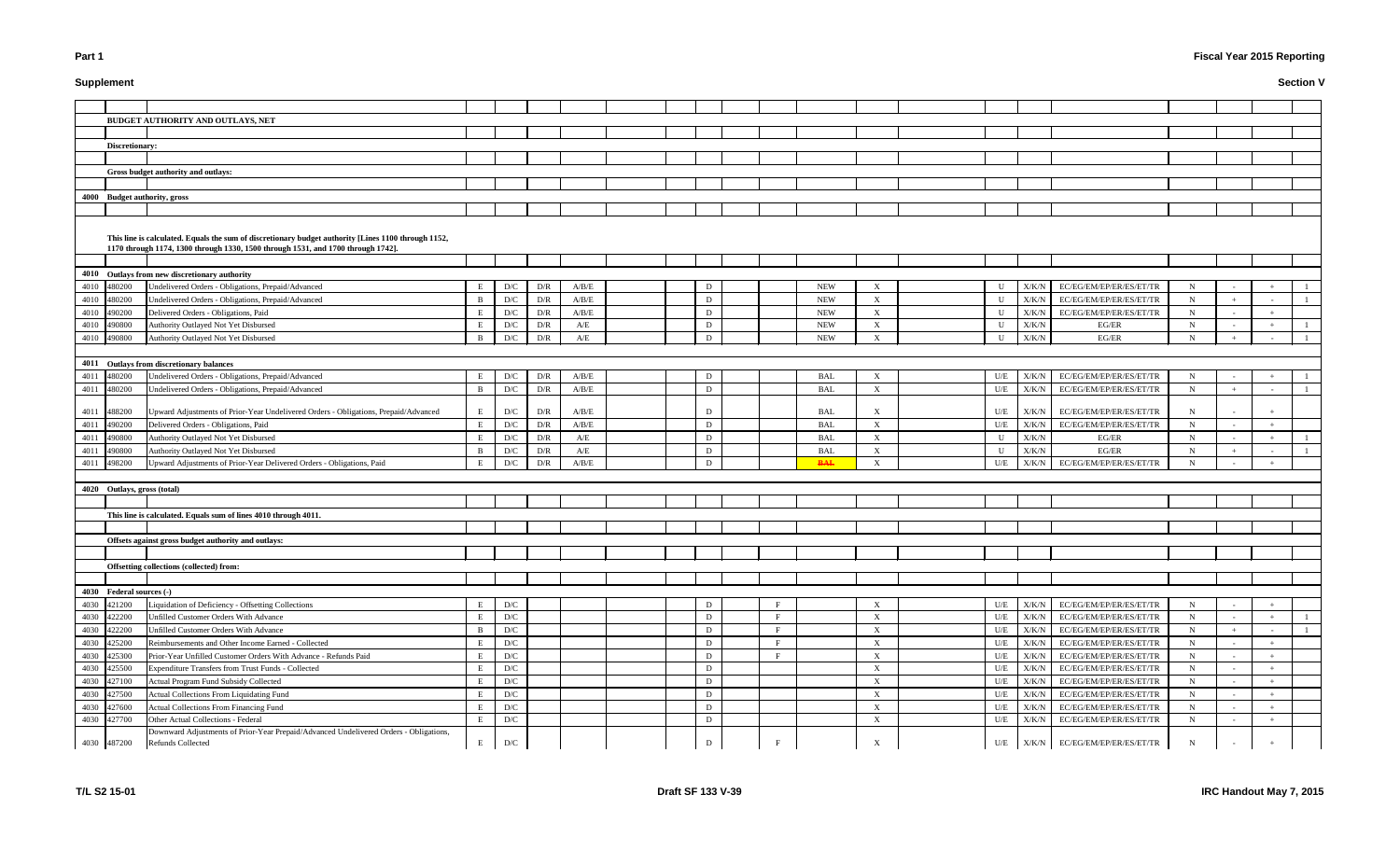# **Supplement**

# **Fiscal Year 2015 Reporting**

|      | <b>BUDGET AUTHORITY AND OUTLAYS, NET</b>                                                            |   |                         |     |       |  |   |   |            |                           |             |               |                                   |             |  |  |
|------|-----------------------------------------------------------------------------------------------------|---|-------------------------|-----|-------|--|---|---|------------|---------------------------|-------------|---------------|-----------------------------------|-------------|--|--|
|      |                                                                                                     |   |                         |     |       |  |   |   |            |                           |             |               |                                   |             |  |  |
|      | Discretionary:                                                                                      |   |                         |     |       |  |   |   |            |                           |             |               |                                   |             |  |  |
|      |                                                                                                     |   |                         |     |       |  |   |   |            |                           |             |               |                                   |             |  |  |
|      | Gross budget authority and outlays:                                                                 |   |                         |     |       |  |   |   |            |                           |             |               |                                   |             |  |  |
|      |                                                                                                     |   |                         |     |       |  |   |   |            |                           |             |               |                                   |             |  |  |
|      | 4000 Budget authority, gross                                                                        |   |                         |     |       |  |   |   |            |                           |             |               |                                   |             |  |  |
|      |                                                                                                     |   |                         |     |       |  |   |   |            |                           |             |               |                                   |             |  |  |
|      | This line is calculated. Equals the sum of discretionary budget authority [Lines 1100 through 1152, |   |                         |     |       |  |   |   |            |                           |             |               |                                   |             |  |  |
|      | 1170 through 1174, 1300 through 1330, 1500 through 1531, and 1700 through 1742].                    |   |                         |     |       |  |   |   |            |                           |             |               |                                   |             |  |  |
|      |                                                                                                     |   |                         |     |       |  |   |   |            |                           |             |               |                                   |             |  |  |
|      | 4010 Outlays from new discretionary authority                                                       |   |                         |     |       |  |   |   |            |                           |             |               |                                   |             |  |  |
|      | 4010 480200<br>Undelivered Orders - Obligations, Prepaid/Advanced                                   |   | D/C                     | D/R | A/B/E |  | D |   | <b>NEW</b> | X                         | U           | X/K/N         | EC/EG/EM/EP/ER/ES/ET/TR           | N           |  |  |
|      | 4010 480200<br>Undelivered Orders - Obligations, Prepaid/Advanced                                   | B | D/C                     | D/R | A/B/E |  | D |   | <b>NEW</b> | $\boldsymbol{X}$          | U           | X/K/N         | EC/EG/EM/EP/ER/ES/ET/TR           | $\mathbf N$ |  |  |
|      | 4010 490200<br>Delivered Orders - Obligations, Paid                                                 | E | D/C                     | D/R | A/B/E |  | D |   | <b>NEW</b> | X                         | U           | X/K/N         | EC/EG/EM/EP/ER/ES/ET/TR           | $\mathbf N$ |  |  |
|      | 4010 490800<br>Authority Outlayed Not Yet Disbursed                                                 |   | D/C                     | D/R | A/E   |  | D |   | <b>NEW</b> | $\boldsymbol{\mathrm{X}}$ | U           | X/K/N         | EG/ER                             | $\mathbf N$ |  |  |
|      | Authority Outlayed Not Yet Disbursed<br>4010 490800                                                 | B | D/C                     | D/R | A/E   |  | D |   | <b>NEW</b> | $\boldsymbol{\mathrm{X}}$ | $\mathbf U$ | ${\rm X/K/N}$ | EG/ER                             | $\mathbf N$ |  |  |
|      |                                                                                                     |   |                         |     |       |  |   |   |            |                           |             |               |                                   |             |  |  |
|      | 4011 Outlays from discretionary balances                                                            |   |                         |     |       |  |   |   |            |                           |             |               |                                   |             |  |  |
| 4011 | Undelivered Orders - Obligations, Prepaid/Advanced<br>480200                                        | E | D/C                     | D/R | A/B/E |  | D |   | <b>BAL</b> | X                         | U/E         | X/K/N         | EC/EG/EM/EP/ER/ES/ET/TR           | $\mathbf N$ |  |  |
| 4011 | 480200<br>Undelivered Orders - Obligations, Prepaid/Advanced                                        | B | D/C                     | D/R | A/B/E |  | D |   | <b>BAL</b> | X                         | U/E         | X/K/N         | EC/EG/EM/EP/ER/ES/ET/TR           | $\mathbf N$ |  |  |
|      |                                                                                                     |   |                         |     |       |  |   |   |            |                           |             |               |                                   |             |  |  |
|      | 4011 488200<br>Upward Adjustments of Prior-Year Undelivered Orders - Obligations, Prepaid/Advanced  | E | D/C                     | D/R | A/B/E |  | D |   | BAL        | X                         | U/E         | X/K/N         | EC/EG/EM/EP/ER/ES/ET/TR           | N           |  |  |
| 4011 | Delivered Orders - Obligations, Paid<br>490200                                                      | E | D/C                     | D/R | A/B/E |  | D |   | <b>BAL</b> | X                         | U/E         | X/K/N         | EC/EG/EM/EP/ER/ES/ET/TR           | $\mathbf N$ |  |  |
| 4011 | Authority Outlayed Not Yet Disbursed<br>490800                                                      |   | D/C                     | D/R | A/E   |  | D |   | <b>BAL</b> | $\boldsymbol{\mathrm{X}}$ | U           | X/K/N         | EG/ER                             | $N_{\rm}$   |  |  |
| 4011 | Authority Outlayed Not Yet Disbursed<br>490800                                                      | B | D/C                     | D/R | A/E   |  | D |   | BAL        | $\boldsymbol{\mathrm{X}}$ | U           | X/K/N         | EG/ER                             | N           |  |  |
| 4011 | 498200<br>Upward Adjustments of Prior-Year Delivered Orders - Obligations, Paid                     | E | D/C                     | D/R | A/B/E |  | D |   | <b>BAL</b> | $\mathbf{X}$              | U/E         | X/K/N         | EC/EG/EM/EP/ER/ES/ET/TR           | N           |  |  |
|      |                                                                                                     |   |                         |     |       |  |   |   |            |                           |             |               |                                   |             |  |  |
|      | 4020 Outlays, gross (total)                                                                         |   |                         |     |       |  |   |   |            |                           |             |               |                                   |             |  |  |
|      |                                                                                                     |   |                         |     |       |  |   |   |            |                           |             |               |                                   |             |  |  |
|      | This line is calculated. Equals sum of lines 4010 through 4011.                                     |   |                         |     |       |  |   |   |            |                           |             |               |                                   |             |  |  |
|      |                                                                                                     |   |                         |     |       |  |   |   |            |                           |             |               |                                   |             |  |  |
|      | Offsets against gross budget authority and outlays:                                                 |   |                         |     |       |  |   |   |            |                           |             |               |                                   |             |  |  |
|      |                                                                                                     |   |                         |     |       |  |   |   |            |                           |             |               |                                   |             |  |  |
|      | Offsetting collections (collected) from:                                                            |   |                         |     |       |  |   |   |            |                           |             |               |                                   |             |  |  |
|      |                                                                                                     |   |                         |     |       |  |   |   |            |                           |             |               |                                   |             |  |  |
|      | 4030 Federal sources (-)                                                                            |   |                         |     |       |  |   |   |            |                           |             |               |                                   |             |  |  |
|      | 4030 421200<br>Liquidation of Deficiency - Offsetting Collections                                   |   | D/C                     |     |       |  | D |   |            | $\boldsymbol{\mathrm{X}}$ | U/E         | X/K/N         | EC/EG/EM/EP/ER/ES/ET/TR           | N           |  |  |
|      | 4030 422200<br>Unfilled Customer Orders With Advance                                                | Е | D/C                     |     |       |  | D | F |            | X                         | U/E         | X/K/N         | EC/EG/EM/EP/ER/ES/ET/TR           | $\mathbf N$ |  |  |
|      | 4030 422200<br>Unfilled Customer Orders With Advance                                                | B | D/C                     |     |       |  | D | F |            | X                         | U/E         | X/K/N         | EC/EG/EM/EP/ER/ES/ET/TR           | N           |  |  |
|      | 4030 425200<br>Reimbursements and Other Income Earned - Collected                                   |   | D/C                     |     |       |  | D | F |            | X                         | U/E         | X/K/N         | EC/EG/EM/EP/ER/ES/ET/TR           | $\mathbf N$ |  |  |
|      | Prior-Year Unfilled Customer Orders With Advance - Refunds Paid<br>4030 425300                      | E | D/C                     |     |       |  | D | F |            | X                         | U/E         | X/K/N         | EC/EG/EM/EP/ER/ES/ET/TR           | $\mathbf N$ |  |  |
| 4030 | 425500<br>Expenditure Transfers from Trust Funds - Collected                                        | Е | D/C                     |     |       |  | D |   |            | X                         | U/E         | $\rm X/K/N$   | EC/EG/EM/EP/ER/ES/ET/TR           | N           |  |  |
| 4030 | 427100<br>Actual Program Fund Subsidy Collected                                                     | E | D/C                     |     |       |  | D |   |            | X                         | U/E         | X/K/N         | EC/EG/EM/EP/ER/ES/ET/TR           | $N_{\odot}$ |  |  |
| 4030 | Actual Collections From Liquidating Fund<br>427500                                                  | Е | D/C                     |     |       |  | D |   |            | X                         | U/E         | X/K/N         | EC/EG/EM/EP/ER/ES/ET/TR           | $\mathbf N$ |  |  |
|      | 4030 427600<br>Actual Collections From Financing Fund                                               | E | D/C                     |     |       |  | D |   |            | X                         | U/E         | X/K/N         | EC/EG/EM/EP/ER/ES/ET/TR           | $N_{\odot}$ |  |  |
|      | 4030 427700<br>Other Actual Collections - Federal                                                   | E | D/C                     |     |       |  | D |   |            | $\boldsymbol{\mathrm{X}}$ | U/E         | X/K/N         | EC/EG/EM/EP/ER/ES/ET/TR           | $N_{\rm}$   |  |  |
|      | Downward Adjustments of Prior-Year Prepaid/Advanced Undelivered Orders - Obligations,               |   |                         |     |       |  |   |   |            |                           |             |               |                                   |             |  |  |
|      | 4030 487200<br>Refunds Collected                                                                    | Е | $\mathbf{D}/\mathbf{C}$ |     |       |  |   |   |            | $\boldsymbol{\mathrm{X}}$ |             |               | U/E X/K/N EC/EG/EM/EP/ER/ES/ET/TR | $\mathbf N$ |  |  |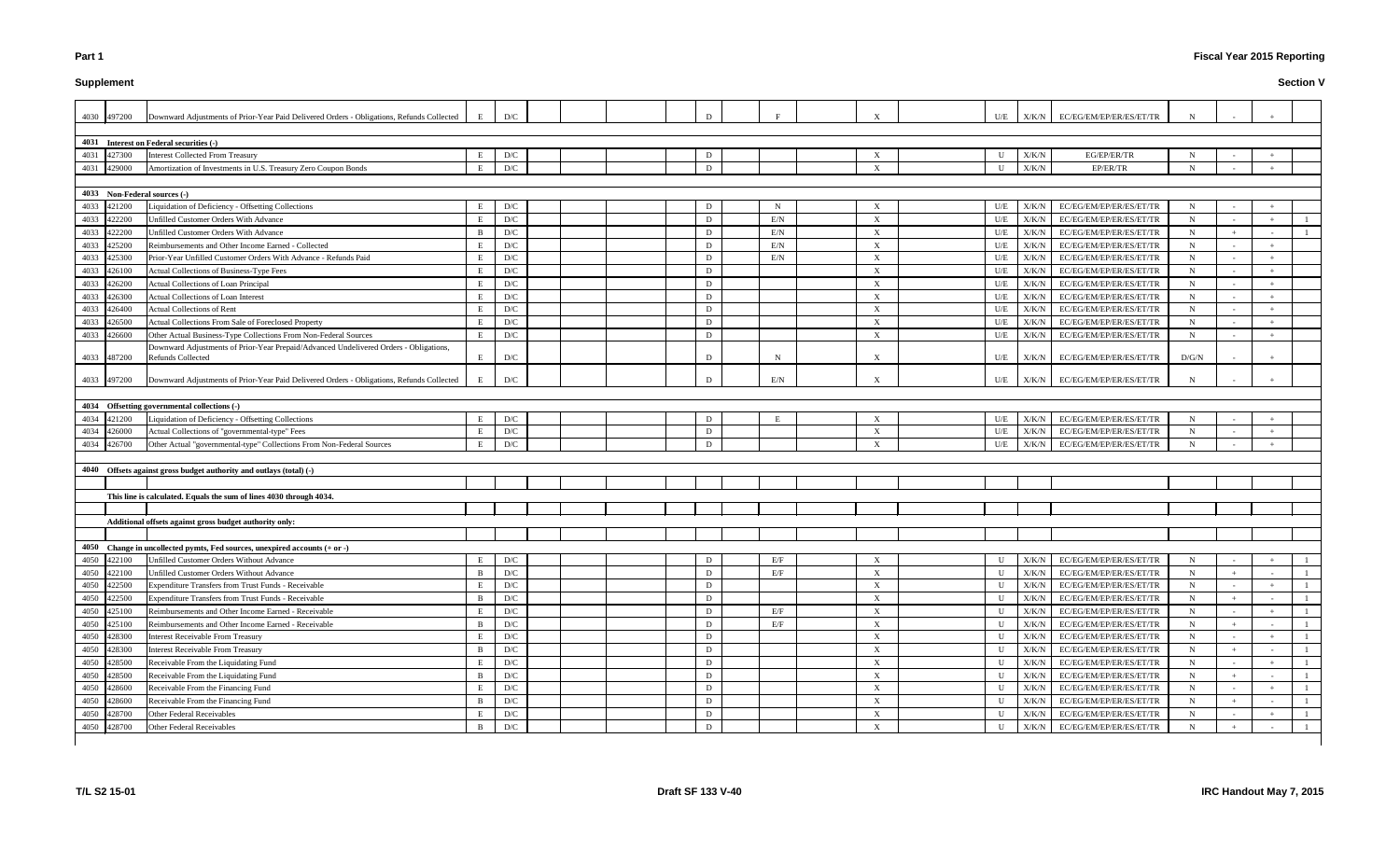# **Supplement**

# **Fiscal Year 2015 Reporting**

|      | 4030 497200 | Downward Adjustments of Prior-Year Paid Delivered Orders - Obligations, Refunds Collected | E            | D/C                     |  |  |   |            |                           | U/E          |               | X/K/N EC/EG/EM/EP/ER/ES/ET/TR |             |        |     |  |
|------|-------------|-------------------------------------------------------------------------------------------|--------------|-------------------------|--|--|---|------------|---------------------------|--------------|---------------|-------------------------------|-------------|--------|-----|--|
|      |             |                                                                                           |              |                         |  |  |   |            |                           |              |               |                               |             |        |     |  |
|      |             | 4031 Interest on Federal securities (-)                                                   |              |                         |  |  |   |            |                           |              |               |                               |             |        |     |  |
| 4031 | 427300      | <b>Interest Collected From Treasury</b>                                                   | E            | D/C                     |  |  | D |            | X                         | U            | X/K/N         | EG/EP/ER/TR                   |             |        |     |  |
| 4031 | 429000      | Amortization of Investments in U.S. Treasury Zero Coupon Bonds                            | E            | D/C                     |  |  | D |            | $\boldsymbol{\mathrm{X}}$ | $\mathbf{U}$ | X/K/N         | EP/ER/TR                      | N           |        |     |  |
|      |             |                                                                                           |              |                         |  |  |   |            |                           |              |               |                               |             |        |     |  |
|      |             | 4033 Non-Federal sources (-)                                                              |              |                         |  |  |   |            |                           |              |               |                               |             |        |     |  |
|      | 4033 421200 | Liquidation of Deficiency - Offsetting Collections                                        | E            | D/C                     |  |  | D | N          | X                         | U/E          | X/K/N         | EC/EG/EM/EP/ER/ES/ET/TR       | N           |        |     |  |
| 4033 | 422200      | <b>Unfilled Customer Orders With Advance</b>                                              | E            | $\mathbf{D}/\mathbf{C}$ |  |  | D | E/N        | X                         | U/E          | X/K/N         | EC/EG/EM/EP/ER/ES/ET/TR       | N           |        |     |  |
| 4033 | 422200      | Unfilled Customer Orders With Advance                                                     | В            | $\mathbf{D}/\mathbf{C}$ |  |  | D | E/N        | X                         | U/E          | X/K/N         | EC/EG/EM/EP/ER/ES/ET/TR       | N           | $+$    |     |  |
| 4033 | 425200      | Reimbursements and Other Income Earned - Collected                                        | E            | D/C                     |  |  | D | E/N        | X                         | U/E          | X/K/N         | EC/EG/EM/EP/ER/ES/ET/TR       | $N_{\rm}$   | $\sim$ |     |  |
| 4033 | 425300      | Prior-Year Unfilled Customer Orders With Advance - Refunds Paid                           | E            | D/C                     |  |  | D | E/N        | X                         | U/E          | X/K/N         | EC/EG/EM/EP/ER/ES/ET/TR       | N           | $\sim$ |     |  |
| 4033 | 426100      | Actual Collections of Business-Type Fees                                                  | E.           | $\mathbf{D}/\mathbf{C}$ |  |  | D |            | $\boldsymbol{\mathrm{X}}$ | U/E          | ${\rm X/K/N}$ | EC/EG/EM/EP/ER/ES/ET/TR       | N           | $\sim$ |     |  |
| 4033 | 426200      | Actual Collections of Loan Principal                                                      | E.           | $\mathbf{D}/\mathbf{C}$ |  |  | D |            | X                         | U/E          | $\rm X/K/N$   | EC/EG/EM/EP/ER/ES/ET/TR       | N           | $\sim$ |     |  |
| 4033 | 426300      | <b>Actual Collections of Loan Interest</b>                                                | Е            | $\mathbf{D}/\mathbf{C}$ |  |  | D |            | X                         | U/E          | X/K/N         | EC/EG/EM/EP/ER/ES/ET/TR       | N           | $\sim$ |     |  |
| 4033 | 426400      | Actual Collections of Rent                                                                | Е            | D/C                     |  |  | D |            | $\boldsymbol{\mathrm{X}}$ | U/E          | X/K/N         | EC/EG/EM/EP/ER/ES/ET/TR       | N           | $\sim$ |     |  |
| 4033 | 426500      | Actual Collections From Sale of Foreclosed Property                                       | E            | $\mathbf{D}/\mathbf{C}$ |  |  | D |            | $\boldsymbol{\mathrm{X}}$ | U/E          | X/K/N         | EC/EG/EM/EP/ER/ES/ET/TR       | N           | $\sim$ |     |  |
|      | 4033 426600 | Other Actual Business-Type Collections From Non-Federal Sources                           | E            | $\mathbf{D}/\mathbf{C}$ |  |  | D |            | $\mathbf{X}$              | U/E          | X/K/N         | EC/EG/EM/EP/ER/ES/ET/TR       | N           | $\sim$ |     |  |
|      |             | Downward Adjustments of Prior-Year Prepaid/Advanced Undelivered Orders - Obligations,     |              |                         |  |  |   |            |                           |              |               |                               |             |        |     |  |
| 4033 | 487200      | <b>Refunds Collected</b>                                                                  | E            | $\mathbf{D}/\mathbf{C}$ |  |  | D | N          | X                         | U/E          | X/K/N         | EC/EG/EM/EP/ER/ES/ET/TR       | D/G/N       | $\sim$ |     |  |
|      |             |                                                                                           |              |                         |  |  |   |            |                           |              |               |                               |             |        |     |  |
|      | 4033 497200 | Downward Adjustments of Prior-Year Paid Delivered Orders - Obligations, Refunds Collected |              | D/C                     |  |  | D | E/N        | $\boldsymbol{\mathrm{X}}$ | U/E          | X/K/N         | EC/EG/EM/EP/ER/ES/ET/TR       |             |        |     |  |
|      |             |                                                                                           |              |                         |  |  |   |            |                           |              |               |                               |             |        |     |  |
|      |             | 4034 Offsetting governmental collections (-)                                              |              |                         |  |  |   |            |                           |              |               |                               |             |        |     |  |
|      | 4034 421200 | Liquidation of Deficiency - Offsetting Collections                                        | E            | $\mathbf{D}/\mathbf{C}$ |  |  | D |            | $\boldsymbol{\mathrm{X}}$ | U/E          | X/K/N         | EC/EG/EM/EP/ER/ES/ET/TR       | N           |        |     |  |
| 4034 | 426000      | Actual Collections of "governmental-type" Fees                                            | E            | $\mathbf{D}/\mathbf{C}$ |  |  | D |            | X                         | U/E          | X/K/N         | EC/EG/EM/EP/ER/ES/ET/TR       | N           |        |     |  |
| 4034 | 426700      | Other Actual "governmental-type" Collections From Non-Federal Sources                     | E            | D/C                     |  |  | D |            | $\boldsymbol{\mathrm{X}}$ | U/E          | X/K/N         | EC/EG/EM/EP/ER/ES/ET/TR       | N           |        |     |  |
|      |             |                                                                                           |              |                         |  |  |   |            |                           |              |               |                               |             |        |     |  |
|      |             | 4040 Offsets against gross budget authority and outlays (total) (-)                       |              |                         |  |  |   |            |                           |              |               |                               |             |        |     |  |
|      |             |                                                                                           |              |                         |  |  |   |            |                           |              |               |                               |             |        |     |  |
|      |             | This line is calculated. Equals the sum of lines 4030 through 4034.                       |              |                         |  |  |   |            |                           |              |               |                               |             |        |     |  |
|      |             |                                                                                           |              |                         |  |  |   |            |                           |              |               |                               |             |        |     |  |
|      |             | Additional offsets against gross budget authority only:                                   |              |                         |  |  |   |            |                           |              |               |                               |             |        |     |  |
|      |             |                                                                                           |              |                         |  |  |   |            |                           |              |               |                               |             |        |     |  |
|      |             | 4050 Change in uncollected pymts, Fed sources, unexpired accounts (+ or -)                |              |                         |  |  |   |            |                           |              |               |                               |             |        |     |  |
|      | 4050 422100 | Unfilled Customer Orders Without Advance                                                  |              | D/C                     |  |  | D | E/F        | X                         |              |               | X/K/N EC/EG/EM/EP/ER/ES/ET/TR | N           | $\sim$ | $+$ |  |
|      | 4050 422100 | Unfilled Customer Orders Without Advance                                                  | <sub>B</sub> | $\mathbf{D}/\mathbf{C}$ |  |  | D | $\rm{E/F}$ | $\boldsymbol{\mathrm{X}}$ | U            | X/K/N         | EC/EG/EM/EP/ER/ES/ET/TR       | N           |        |     |  |
| 4050 | 422500      | Expenditure Transfers from Trust Funds - Receivable                                       | E            | $\mathbf{D}/\mathbf{C}$ |  |  | D |            | $\boldsymbol{\mathrm{X}}$ | U            | $\rm X/K/N$   | EC/EG/EM/EP/ER/ES/ET/TR       | N           |        |     |  |
| 4050 | 422500      | Expenditure Transfers from Trust Funds - Receivable                                       | B            | $\mathbf{D}/\mathbf{C}$ |  |  | D |            | X                         | U            | X/K/N         | EC/EG/EM/EP/ER/ES/ET/TR       | $\mathbf N$ | $+$    |     |  |
| 4050 | 425100      | Reimbursements and Other Income Earned - Receivable                                       | Е            | $\mathbf{D}/\mathbf{C}$ |  |  | D | E/F        | $\mathbf{X}$              | U            | X/K/N         | EC/EG/EM/EP/ER/ES/ET/TR       | N           |        |     |  |
|      | 4050 425100 | Reimbursements and Other Income Earned - Receivable                                       | <sup>B</sup> | $\mathbf{D}/\mathbf{C}$ |  |  | D | E/F        | X                         | U            | X/K/N         | EC/EG/EM/EP/ER/ES/ET/TR       | N           | $+$    |     |  |
|      | 4050 428300 | <b>Interest Receivable From Treasury</b>                                                  | E            | $\mathbf{D}/\mathbf{C}$ |  |  | D |            | $\mathbf{X}$              | $\mathbf U$  | X/K/N         | EC/EG/EM/EP/ER/ES/ET/TR       | $\mathbf N$ |        |     |  |
|      | 4050 428300 | <b>Interest Receivable From Treasury</b>                                                  | B            | $\mathbf{D}/\mathbf{C}$ |  |  | D |            | X                         | U            | X/K/N         | EC/EG/EM/EP/ER/ES/ET/TR       | $\mathbf N$ | $+$    |     |  |
| 4050 | 428500      | Receivable From the Liquidating Fund                                                      | E            | $\mathbf{D}/\mathbf{C}$ |  |  | D |            | X                         | U            | X/K/N         | EC/EG/EM/EP/ER/ES/ET/TR       | N           |        |     |  |
| 4050 | 428500      | Receivable From the Liquidating Fund                                                      | B            | $\mathbf{D}/\mathbf{C}$ |  |  | D |            | $\boldsymbol{\mathrm{X}}$ | U            | X/K/N         | EC/EG/EM/EP/ER/ES/ET/TR       | $\mathbf N$ | $+$    |     |  |
| 4050 | 428600      | Receivable From the Financing Fund                                                        | E            | $\mathbf{D}/\mathbf{C}$ |  |  | D |            | X                         | U            | X/K/N         | EC/EG/EM/EP/ER/ES/ET/TR       | N           |        |     |  |
| 4050 | 428600      | Receivable From the Financing Fund                                                        | B            | D/C                     |  |  | D |            | X                         | U            | X/K/N         | EC/EG/EM/EP/ER/ES/ET/TR       | N           | $+$    |     |  |
| 4050 | 428700      | Other Federal Receivables                                                                 | E            | $\mathbf{D}/\mathbf{C}$ |  |  | D |            | X                         | U            | X/K/N         | EC/EG/EM/EP/ER/ES/ET/TR       | $\mathbf N$ | $\sim$ |     |  |
|      | 4050 428700 | Other Federal Receivables                                                                 | B            | $\mathbf{D}/\mathbf{C}$ |  |  | D |            | X                         | U            | X/K/N         | EC/EG/EM/EP/ER/ES/ET/TR       | N           | $+$    |     |  |
|      |             |                                                                                           |              |                         |  |  |   |            |                           |              |               |                               |             |        |     |  |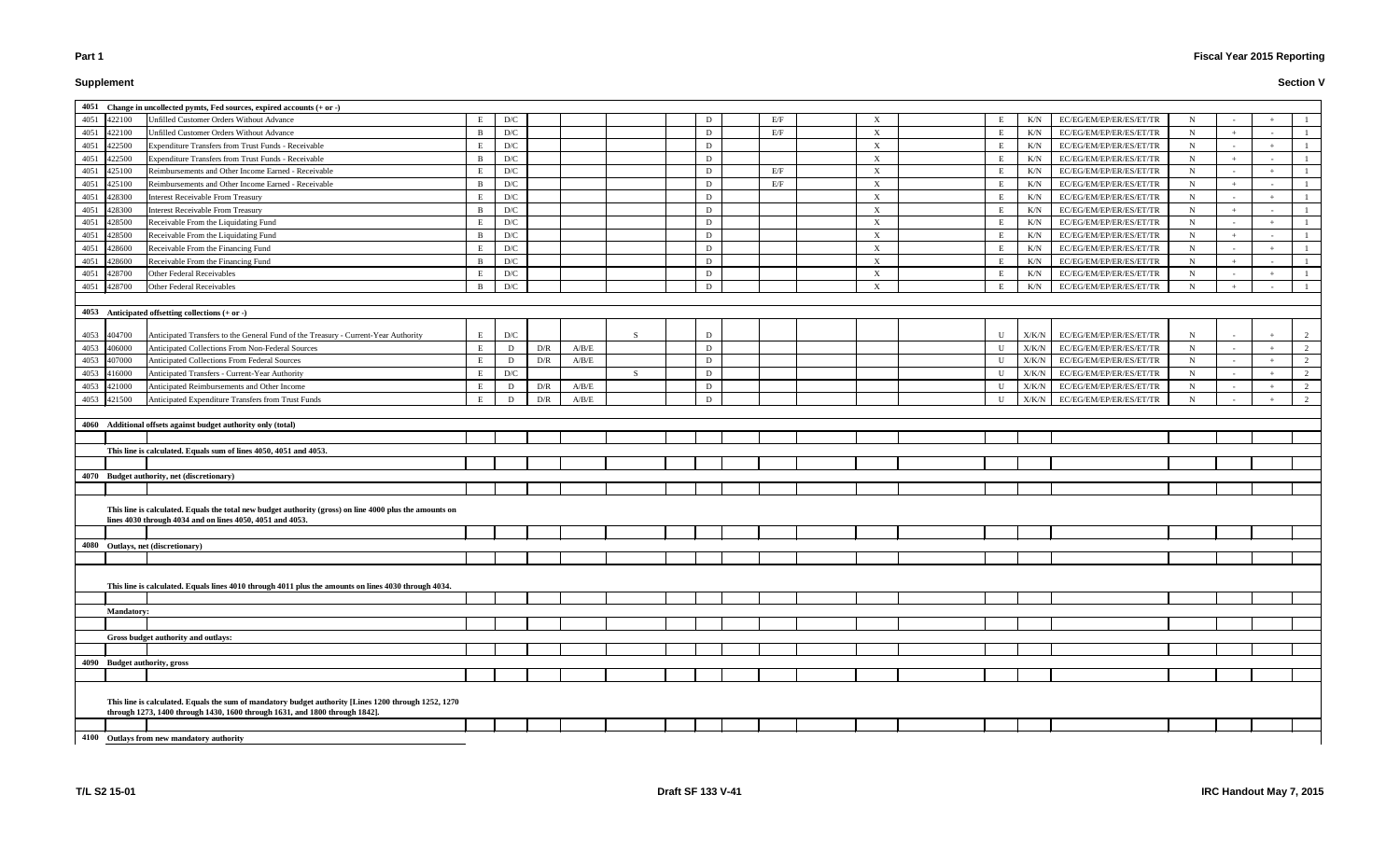# **Supplement**

|             |                   | 4051 Change in uncollected pymts, Fed sources, expired accounts $(+ or -)$                              |              |     |     |       |              |   |     |                           |              |               |                         |             |            |               |
|-------------|-------------------|---------------------------------------------------------------------------------------------------------|--------------|-----|-----|-------|--------------|---|-----|---------------------------|--------------|---------------|-------------------------|-------------|------------|---------------|
| 4051        | 422100            | Unfilled Customer Orders Without Advance                                                                |              | D/C |     |       |              | D | E/F | $\boldsymbol{\mathrm{X}}$ |              | K/N           | EC/EG/EM/EP/ER/ES/ET/TR | N           |            |               |
| 4051        | 422100            | Unfilled Customer Orders Without Advance                                                                | B            | D/C |     |       |              | D | E/F | $\boldsymbol{\mathrm{X}}$ | E            | K/N           | EC/EG/EM/EP/ER/ES/ET/TR | $\mathbf N$ | $+$        |               |
| 4051        | 422500            | Expenditure Transfers from Trust Funds - Receivable                                                     | E.           | D/C |     |       |              | D |     | $\boldsymbol{\mathrm{X}}$ | E            | K/N           | EC/EG/EM/EP/ER/ES/ET/TR | $\mathbf N$ | $\sim$     |               |
| 4051        | 422500            | Expenditure Transfers from Trust Funds - Receivable                                                     | <sup>B</sup> | D/C |     |       |              | D |     | $\boldsymbol{\mathrm{X}}$ | E            | K/N           | EC/EG/EM/EP/ER/ES/ET/TR | $\mathbf N$ | $+$        |               |
| 4051        | 425100            | Reimbursements and Other Income Earned - Receivable                                                     |              | D/C |     |       |              | D | E/F | $\boldsymbol{\mathrm{X}}$ | E            | K/N           | EC/EG/EM/EP/ER/ES/ET/TR | $\mathbf N$ | $\sim$     |               |
| 4051        | 425100            | Reimbursements and Other Income Earned - Receivable                                                     | B            | D/C |     |       |              | D | E/F | $\boldsymbol{\mathrm{X}}$ | E            | K/N           | EC/EG/EM/EP/ER/ES/ET/TR | N           | $+$        |               |
| 4051        | 428300            | <b>Interest Receivable From Treasury</b>                                                                | E.           | D/C |     |       |              | D |     | $\boldsymbol{\mathrm{X}}$ | E            | K/N           | EC/EG/EM/EP/ER/ES/ET/TR | $\mathbf N$ | $\sim$     |               |
| 4051        | 428300            | <b>Interest Receivable From Treasury</b>                                                                | B            | D/C |     |       |              | D |     | $\boldsymbol{\mathrm{X}}$ | E            | $\rm K/N$     | EC/EG/EM/EP/ER/ES/ET/TR | $\mathbf N$ | $+$        |               |
| 4051        | 428500            | Receivable From the Liquidating Fund                                                                    |              | D/C |     |       |              | D |     | $\boldsymbol{\mathrm{X}}$ | E            | K/N           | EC/EG/EM/EP/ER/ES/ET/TR | $\mathbf N$ | $\sim$     |               |
| 4051        | 428500            | Receivable From the Liquidating Fund                                                                    | B            | D/C |     |       |              | D |     | $\boldsymbol{\mathrm{X}}$ | E            | K/N           | EC/EG/EM/EP/ER/ES/ET/TR | $\mathbf N$ | $+$        |               |
| 4051        | 428600            | Receivable From the Financing Fund                                                                      | E            | D/C |     |       |              | D |     | $\boldsymbol{\mathrm{X}}$ | E            | K/N           | EC/EG/EM/EP/ER/ES/ET/TR | $\mathbf N$ | $\sim$     |               |
| 4051        | 428600            | Receivable From the Financing Fund                                                                      | B            | D/C |     |       |              | D |     | $\boldsymbol{\mathrm{X}}$ | E            | K/N           | EC/EG/EM/EP/ER/ES/ET/TR | $\mathbf N$ | $+$        |               |
| 4051        | 428700            | Other Federal Receivables                                                                               |              | D/C |     |       |              | D |     | $\boldsymbol{\mathrm{X}}$ | E            | $\rm K/N$     | EC/EG/EM/EP/ER/ES/ET/TR | $\mathbf N$ |            |               |
| 4051        | 428700            | <b>Other Federal Receivables</b>                                                                        | B            |     |     |       |              | D |     |                           | E            | K/N           |                         |             | $\sim$     |               |
|             |                   |                                                                                                         |              | D/C |     |       |              |   |     | $\boldsymbol{\mathrm{X}}$ |              |               | EC/EG/EM/EP/ER/ES/ET/TR | $\mathbf N$ | $+$        |               |
|             |                   | 4053 Anticipated offsetting collections $(+ or -)$                                                      |              |     |     |       |              |   |     |                           |              |               |                         |             |            |               |
|             |                   |                                                                                                         |              |     |     |       |              |   |     |                           |              |               |                         |             |            |               |
| 4053 404700 |                   | Anticipated Transfers to the General Fund of the Treasury - Current-Year Authority                      | E            | D/C |     |       | <sub>S</sub> | D |     |                           | U            | X/K/N         | EC/EG/EM/EP/ER/ES/ET/TR | N           | $\sim$ $-$ |               |
| 4053        | 406000            | Anticipated Collections From Non-Federal Sources                                                        | E            | D   | D/R | A/B/E |              | D |     |                           | U            | X/K/N         | EC/EG/EM/EP/ER/ES/ET/TR | $\mathbf N$ | $\sim$     |               |
| 4053        | 407000            | Anticipated Collections From Federal Sources                                                            |              | D   | D/R | A/B/E |              | D |     |                           | U            | $\rm X/K/N$   | EC/EG/EM/EP/ER/ES/ET/TR | $\mathbf N$ | $\sim$     |               |
| 4053        | 416000            | Anticipated Transfers - Current-Year Authority                                                          | E            | D/C |     |       | S.           | D |     |                           | U            | X/K/N         | EC/EG/EM/EP/ER/ES/ET/TR | $\mathbf N$ | $\sim$     | 2             |
| 4053        | 421000            | Anticipated Reimbursements and Other Income                                                             |              | D   | D/R | A/B/E |              | D |     |                           | U            | ${\rm X/K/N}$ | EC/EG/EM/EP/ER/ES/ET/TR | N           | $\sim$     | 2             |
| 4053        | 421500            | Anticipated Expenditure Transfers from Trust Funds                                                      |              | D   | D/R | A/B/E |              | D |     |                           | $\mathbf{U}$ | X/K/N         | EC/EG/EM/EP/ER/ES/ET/TR | $\mathbf N$ |            | $\mathcal{D}$ |
|             |                   |                                                                                                         |              |     |     |       |              |   |     |                           |              |               |                         |             |            |               |
|             |                   | 4060 Additional offsets against budget authority only (total)                                           |              |     |     |       |              |   |     |                           |              |               |                         |             |            |               |
|             |                   |                                                                                                         |              |     |     |       |              |   |     |                           |              |               |                         |             |            |               |
|             |                   |                                                                                                         |              |     |     |       |              |   |     |                           |              |               |                         |             |            |               |
|             |                   |                                                                                                         |              |     |     |       |              |   |     |                           |              |               |                         |             |            |               |
|             |                   | This line is calculated. Equals sum of lines 4050, 4051 and 4053.                                       |              |     |     |       |              |   |     |                           |              |               |                         |             |            |               |
|             |                   |                                                                                                         |              |     |     |       |              |   |     |                           |              |               |                         |             |            |               |
|             |                   | 4070 Budget authority, net (discretionary)                                                              |              |     |     |       |              |   |     |                           |              |               |                         |             |            |               |
|             |                   |                                                                                                         |              |     |     |       |              |   |     |                           |              |               |                         |             |            |               |
|             |                   | This line is calculated. Equals the total new budget authority (gross) on line 4000 plus the amounts on |              |     |     |       |              |   |     |                           |              |               |                         |             |            |               |
|             |                   | lines 4030 through 4034 and on lines 4050, 4051 and 4053.                                               |              |     |     |       |              |   |     |                           |              |               |                         |             |            |               |
|             |                   |                                                                                                         |              |     |     |       |              |   |     |                           |              |               |                         |             |            |               |
|             |                   | 4080 Outlays, net (discretionary)                                                                       |              |     |     |       |              |   |     |                           |              |               |                         |             |            |               |
|             |                   |                                                                                                         |              |     |     |       |              |   |     |                           |              |               |                         |             |            |               |
|             |                   |                                                                                                         |              |     |     |       |              |   |     |                           |              |               |                         |             |            |               |
|             |                   | This line is calculated. Equals lines 4010 through 4011 plus the amounts on lines 4030 through 4034.    |              |     |     |       |              |   |     |                           |              |               |                         |             |            |               |
|             |                   |                                                                                                         |              |     |     |       |              |   |     |                           |              |               |                         |             |            |               |
|             | <b>Mandatory:</b> |                                                                                                         |              |     |     |       |              |   |     |                           |              |               |                         |             |            |               |
|             |                   |                                                                                                         |              |     |     |       |              |   |     |                           |              |               |                         |             |            |               |
|             |                   | Gross budget authority and outlays:                                                                     |              |     |     |       |              |   |     |                           |              |               |                         |             |            |               |
|             |                   |                                                                                                         |              |     |     |       |              |   |     |                           |              |               |                         |             |            |               |
|             |                   | 4090 Budget authority, gross                                                                            |              |     |     |       |              |   |     |                           |              |               |                         |             |            |               |
|             |                   |                                                                                                         |              |     |     |       |              |   |     |                           |              |               |                         |             |            |               |
|             |                   |                                                                                                         |              |     |     |       |              |   |     |                           |              |               |                         |             |            |               |
|             |                   | This line is calculated. Equals the sum of mandatory budget authority [Lines 1200 through 1252, 1270    |              |     |     |       |              |   |     |                           |              |               |                         |             |            |               |
|             |                   | through 1273, 1400 through 1430, 1600 through 1631, and 1800 through 1842].                             |              |     |     |       |              |   |     |                           |              |               |                         |             |            |               |
|             |                   | 4100 Outlays from new mandatory authority                                                               |              |     |     |       |              |   |     |                           |              |               |                         |             |            |               |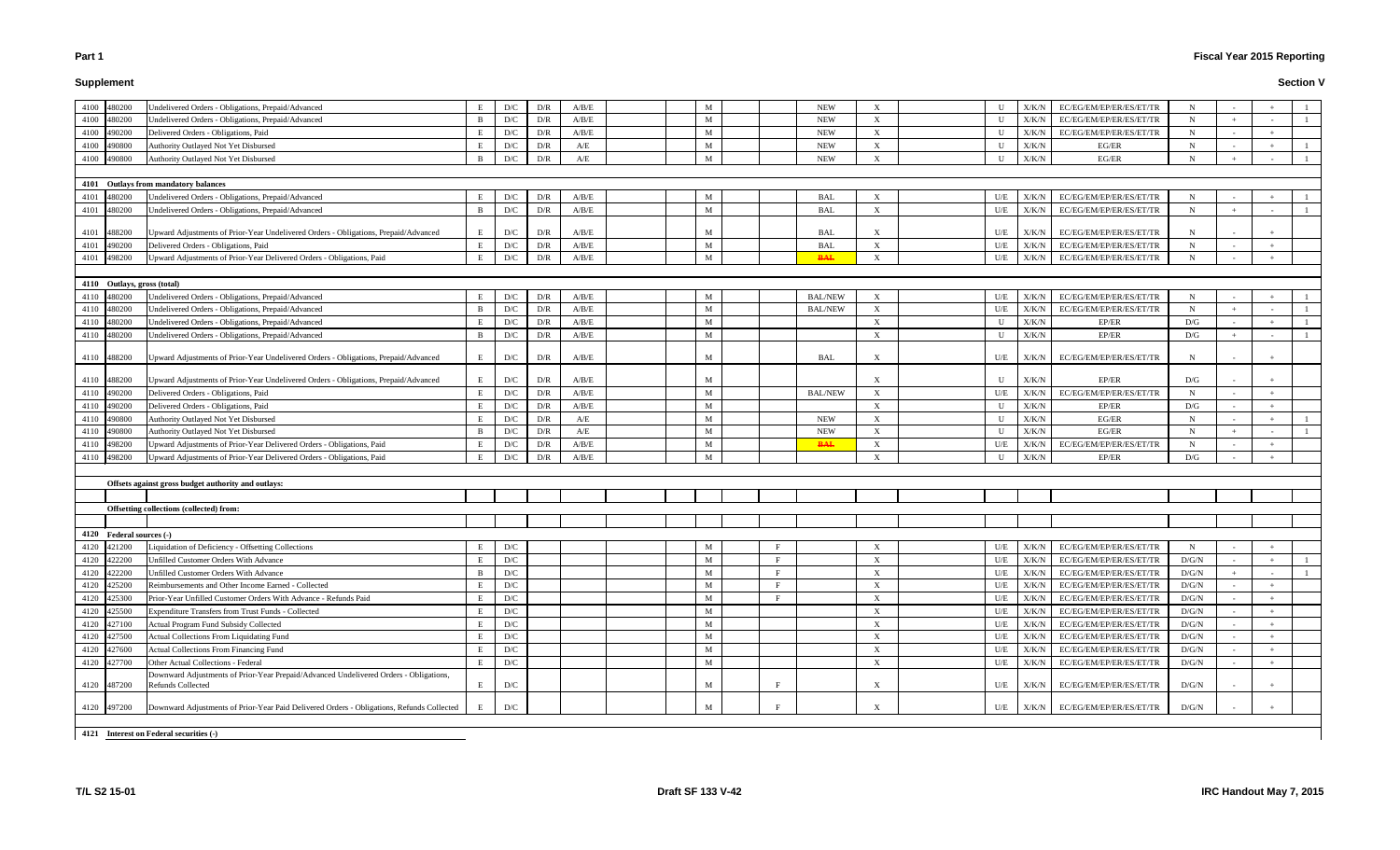# **Supplement**

# **Fiscal Year 2015 Reporting**

|      | 4100 480200                 | Undelivered Orders - Obligations, Prepaid/Advanced                                        | E            | D/C                     | D/R | A/B/E                                                                     | M           |    | <b>NEW</b>     | X                              | $\mathbf{U}$ | X/K/N | EC/EG/EM/EP/ER/ES/ET/TR       | N           |        |     |  |
|------|-----------------------------|-------------------------------------------------------------------------------------------|--------------|-------------------------|-----|---------------------------------------------------------------------------|-------------|----|----------------|--------------------------------|--------------|-------|-------------------------------|-------------|--------|-----|--|
| 4100 | 480200                      | Undelivered Orders - Obligations, Prepaid/Advanced                                        | <sup>B</sup> | D/C                     | D/R | A/B/E                                                                     | M           |    | <b>NEW</b>     | $\boldsymbol{\mathrm{X}}$      | U            | X/K/N | EC/EG/EM/EP/ER/ES/ET/TR       | $\mathbf N$ | $+$    |     |  |
| 4100 | 490200                      | Delivered Orders - Obligations, Paid                                                      | E            | D/C                     | D/R | A/B/E                                                                     | M           |    | <b>NEW</b>     | $\boldsymbol{\mathrm{X}}$      | U            | X/K/N | EC/EG/EM/EP/ER/ES/ET/TR       | $\mathbf N$ | $\sim$ |     |  |
| 4100 | 490800                      | Authority Outlayed Not Yet Disbursed                                                      | E            | D/C                     | D/R | A/E                                                                       | M           |    | ${\rm NEW}$    | $\boldsymbol{\mathrm{X}}$      | U            | X/K/N | $EG/ER$                       | N           |        |     |  |
| 4100 | 490800                      | Authority Outlayed Not Yet Disbursed                                                      | <sup>R</sup> | D/C                     | D/R | A/E                                                                       | M           |    | <b>NEW</b>     | $\boldsymbol{\mathrm{X}}$      | U            | X/K/N | EG/ER                         | N           | $+$    |     |  |
|      |                             |                                                                                           |              |                         |     |                                                                           |             |    |                |                                |              |       |                               |             |        |     |  |
|      |                             | 4101 Outlays from mandatory balances                                                      |              |                         |     |                                                                           |             |    |                |                                |              |       |                               |             |        |     |  |
| 4101 | 480200                      | Undelivered Orders - Obligations, Prepaid/Advanced                                        | E.           | D/C                     | D/R | $\ensuremath{\mathrm{A}}/\ensuremath{\mathrm{B}}/\ensuremath{\mathrm{E}}$ | M           |    | <b>BAL</b>     | $\boldsymbol{\mathrm{X}}$      | U/E          | X/K/N | EC/EG/EM/EP/ER/ES/ET/TR       | N           |        |     |  |
| 4101 | 480200                      | Undelivered Orders - Obligations, Prepaid/Advanced                                        |              | D/C                     | D/R | A/B/E                                                                     | M           |    | <b>BAL</b>     | $\boldsymbol{X}$               | U/E          | X/K/N | EC/EG/EM/EP/ER/ES/ET/TR       | N           | $+$    |     |  |
|      |                             |                                                                                           |              |                         |     |                                                                           |             |    |                |                                |              |       |                               |             |        |     |  |
| 4101 | 488200                      | Upward Adjustments of Prior-Year Undelivered Orders - Obligations, Prepaid/Advanced       | E            | D/C                     | D/R | A/B/E                                                                     | M           |    | BAL            | $\boldsymbol{\mathrm{X}}$      | U/E          | X/K/N | EC/EG/EM/EP/ER/ES/ET/TR       | N           |        |     |  |
| 4101 | 490200                      | Delivered Orders - Obligations, Paid                                                      | E            | D/C                     | D/R | A/B/E                                                                     | M           |    | BAL            | X                              | U/E          | X/K/N | EC/EG/EM/EP/ER/ES/ET/TR       | $\mathbf N$ | $\sim$ |     |  |
| 4101 | 498200                      | Upward Adjustments of Prior-Year Delivered Orders - Obligations, Paid                     | E            | D/C                     | D/R | A/B/E                                                                     | M           |    | <b>BAL</b>     | $\boldsymbol{\mathrm{X}}$      | U/E          | X/K/N | EC/EG/EM/EP/ER/ES/ET/TR       | $\mathbf N$ | $\sim$ |     |  |
|      |                             |                                                                                           |              |                         |     |                                                                           |             |    |                |                                |              |       |                               |             |        |     |  |
|      | 4110 Outlays, gross (total) |                                                                                           |              |                         |     |                                                                           |             |    |                |                                |              |       |                               |             |        |     |  |
| 4110 | 480200                      | Undelivered Orders - Obligations, Prepaid/Advanced                                        | E            | D/C                     | D/R | A/B/E                                                                     | M           |    | <b>BAL/NEW</b> |                                | U/E          | X/K/N | EC/EG/EM/EP/ER/ES/ET/TR       | $\mathbf N$ |        |     |  |
| 4110 | 480200                      | Undelivered Orders - Obligations, Prepaid/Advanced                                        |              | D/C                     | D/R | A/B/E                                                                     | M           |    | <b>BAL/NEW</b> | $\boldsymbol{\mathrm{X}}$      | U/E          | X/K/N | EC/EG/EM/EP/ER/ES/ET/TR       | $\mathbf N$ | $+$    |     |  |
|      | 4110 480200                 | Undelivered Orders - Obligations, Prepaid/Advanced                                        | E            | D/C                     | D/R | A/B/E                                                                     | M           |    |                | $\boldsymbol{\mathrm{X}}$      | U            | X/K/N | EP/ER                         | D/G         | $\sim$ |     |  |
|      | 4110 480200                 | Undelivered Orders - Obligations, Prepaid/Advanced                                        | <sup>B</sup> | D/C                     | D/R | A/B/E                                                                     | M           |    |                | $\boldsymbol{\mathrm{X}}$      | U            | X/K/N | EP/ER                         | D/G         | $+$    |     |  |
|      |                             |                                                                                           |              |                         |     |                                                                           |             |    |                |                                |              |       |                               |             |        |     |  |
| 4110 | 488200                      | Upward Adjustments of Prior-Year Undelivered Orders - Obligations, Prepaid/Advanced       | E            | D/C                     | D/R | A/B/E                                                                     | M           |    | BAL            |                                | U/E          | X/K/N | EC/EG/EM/EP/ER/ES/ET/TR       | N           |        |     |  |
|      |                             |                                                                                           |              |                         |     |                                                                           |             |    |                |                                |              |       |                               |             |        |     |  |
| 4110 | 488200                      | Upward Adjustments of Prior-Year Undelivered Orders - Obligations, Prepaid/Advanced       | E            | D/C                     | D/R | A/B/E                                                                     | M           |    |                | $\boldsymbol{\mathrm{X}}$      | U            | X/K/N | EP/ER                         | D/G         |        |     |  |
| 4110 | 490200                      | Delivered Orders - Obligations, Paid                                                      | E            | D/C                     | D/R | A/B/E                                                                     | M           |    | <b>BAL/NEW</b> | $\mathbf{X}$                   | U/E          | X/K/N | EC/EG/EM/EP/ER/ES/ET/TR       | $\mathbf N$ | $\sim$ |     |  |
| 4110 | 490200                      | Delivered Orders - Obligations, Paid                                                      | E            | D/C                     | D/R | A/B/E                                                                     | M           |    |                | $\boldsymbol{\mathrm{X}}$      | $\mathbf{U}$ | X/K/N | EP/ER                         | D/G         | $\sim$ |     |  |
| 4110 | 490800                      | Authority Outlayed Not Yet Disbursed                                                      | E            | D/C                     | D/R | A/E                                                                       | M           |    | <b>NEW</b>     | $\boldsymbol{\mathrm{X}}$      | $\mathbf{I}$ | X/K/N | EG/ER                         | N           | $\sim$ |     |  |
| 4110 | 490800                      | Authority Outlayed Not Yet Disbursed                                                      |              | D/C                     | D/R | A/E                                                                       | M           |    | <b>NEW</b>     | $\boldsymbol{\mathrm{X}}$      | $\mathbf{I}$ | X/K/N | EG/ER                         | $\mathbf N$ | $+$    |     |  |
| 4110 | 498200                      | Upward Adjustments of Prior-Year Delivered Orders - Obligations, Paid                     | Е            | D/C                     | D/R | A/B/E                                                                     | M           |    | <b>BAL</b>     | $\boldsymbol{X}$               | U/E          | X/K/N | EC/EG/EM/EP/ER/ES/ET/TR       | N           |        |     |  |
|      | 4110 498200                 | Upward Adjustments of Prior-Year Delivered Orders - Obligations, Paid                     | E            | D/C                     | D/R | A/B/E                                                                     | M           |    |                | $\boldsymbol{\mathrm{X}}$      | U            | X/K/N | EP/ER                         | D/G         |        |     |  |
|      |                             |                                                                                           |              |                         |     |                                                                           |             |    |                |                                |              |       |                               |             |        |     |  |
|      |                             | Offsets against gross budget authority and outlays:                                       |              |                         |     |                                                                           |             |    |                |                                |              |       |                               |             |        |     |  |
|      |                             |                                                                                           |              |                         |     |                                                                           |             |    |                |                                |              |       |                               |             |        |     |  |
|      |                             | Offsetting collections (collected) from:                                                  |              |                         |     |                                                                           |             |    |                |                                |              |       |                               |             |        |     |  |
|      |                             |                                                                                           |              |                         |     |                                                                           |             |    |                |                                |              |       |                               |             |        |     |  |
|      | 4120 Federal sources (-)    |                                                                                           |              |                         |     |                                                                           |             |    |                |                                |              |       |                               |             |        |     |  |
| 4120 | 421200                      | Liquidation of Deficiency - Offsetting Collections                                        | E            | D/C                     |     |                                                                           | M           |    |                |                                | U/E          |       | X/K/N EC/EG/EM/EP/ER/ES/ET/TR | N           |        |     |  |
|      | 4120 422200                 | Unfilled Customer Orders With Advance                                                     | Е            | $\mathbf{D}/\mathbf{C}$ |     |                                                                           | M           |    |                |                                | U/E          |       | X/K/N EC/EG/EM/EP/ER/ES/ET/TR | D/G/N       |        |     |  |
| 4120 | 422200                      | <b>Unfilled Customer Orders With Advance</b>                                              | $\mathbf{B}$ | $\mathbf{D}/\mathbf{C}$ |     |                                                                           | M           |    |                | X<br>$\boldsymbol{\mathrm{X}}$ | U/E          | X/K/N | EC/EG/EM/EP/ER/ES/ET/TR       | D/G/N       | $\sim$ | $+$ |  |
|      |                             | Reimbursements and Other Income Earned - Collected                                        |              | $\mathbf{D}/\mathbf{C}$ |     |                                                                           |             |    |                |                                |              | X/K/N | EC/EG/EM/EP/ER/ES/ET/TR       |             |        |     |  |
|      | 4120 425200                 |                                                                                           | E            |                         |     |                                                                           | M           |    |                | X                              | U/E          |       |                               | D/G/N       |        |     |  |
| 4120 | 425300                      | Prior-Year Unfilled Customer Orders With Advance - Refunds Paid                           | E            | $\mathbf{D}/\mathbf{C}$ |     |                                                                           | M           |    |                | $\boldsymbol{\mathrm{X}}$      | U/E          | X/K/N | EC/EG/EM/EP/ER/ES/ET/TR       | D/G/N       |        |     |  |
|      | 4120 425500                 | Expenditure Transfers from Trust Funds - Collected                                        | E            | $\mathbf{D}/\mathbf{C}$ |     |                                                                           | $\mathbf M$ |    |                | $\boldsymbol{\mathrm{X}}$      | U/E          | X/K/N | EC/EG/EM/EP/ER/ES/ET/TR       | D/G/N       |        |     |  |
|      | 4120 427100                 | Actual Program Fund Subsidy Collected                                                     | E            | D/C                     |     |                                                                           | M           |    |                | X                              | U/E          | X/K/N | EC/EG/EM/EP/ER/ES/ET/TR       | D/G/N       |        |     |  |
|      | 4120 427500                 | Actual Collections From Liquidating Fund                                                  | E            | $\mathbf{D}/\mathbf{C}$ |     |                                                                           | M           |    |                | $\boldsymbol{\mathrm{X}}$      | U/E          | X/K/N | EC/EG/EM/EP/ER/ES/ET/TR       | D/G/N       |        |     |  |
| 4120 | 427600                      | Actual Collections From Financing Fund                                                    | E            | $\mathbf{D}/\mathbf{C}$ |     |                                                                           | M           |    |                | $\boldsymbol{\mathrm{X}}$      | $U\!/\!E$    | X/K/N | EC/EG/EM/EP/ER/ES/ET/TR       | D/G/N       |        |     |  |
|      | 4120 427700                 | Other Actual Collections - Federal                                                        | E            | $\mathbf{D}/\mathbf{C}$ |     |                                                                           | M           |    |                | $\boldsymbol{\mathrm{X}}$      | U/E          | X/K/N | EC/EG/EM/EP/ER/ES/ET/TR       | D/G/N       |        |     |  |
|      |                             | Downward Adjustments of Prior-Year Prepaid/Advanced Undelivered Orders - Obligations,     |              |                         |     |                                                                           |             |    |                |                                |              |       |                               |             |        |     |  |
|      | 4120 487200                 | Refunds Collected                                                                         | E            | $\mathbf{D}/\mathbf{C}$ |     |                                                                           | M           | Е. |                | $\boldsymbol{\mathrm{X}}$      | U/E          |       | X/K/N EC/EG/EM/EP/ER/ES/ET/TR | D/G/N       |        |     |  |
|      |                             |                                                                                           |              |                         |     |                                                                           |             |    |                |                                |              |       |                               |             |        |     |  |
|      | 4120 497200                 | Downward Adjustments of Prior-Year Paid Delivered Orders - Obligations, Refunds Collected |              | D/C                     |     |                                                                           | M           |    |                |                                | U/E          |       | X/K/N EC/EG/EM/EP/ER/ES/ET/TR | D/G/N       |        |     |  |
|      |                             |                                                                                           |              |                         |     |                                                                           |             |    |                |                                |              |       |                               |             |        |     |  |
|      |                             | 4121 Interest on Federal securities (-)                                                   |              |                         |     |                                                                           |             |    |                |                                |              |       |                               |             |        |     |  |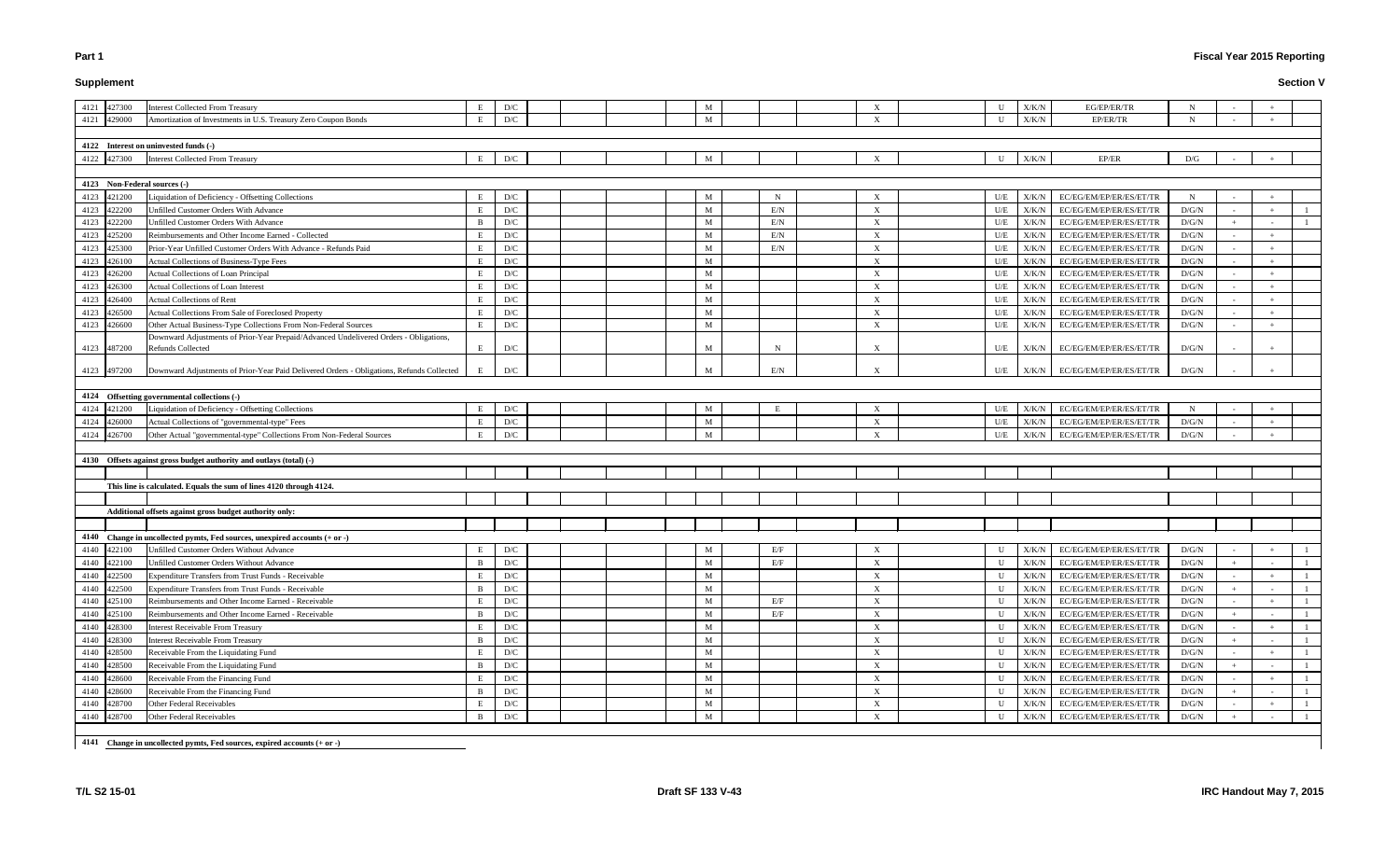# **Supplement**

# **Fiscal Year 2015 Reporting**

#### **Section V**

| 4121 427300                           | <b>Interest Collected From Treasury</b>                                                                           | Е<br>D/C            |  | M |             | X                         | U            | X/K/N         | EG/EP/ER/TR                   | N           |        |  |
|---------------------------------------|-------------------------------------------------------------------------------------------------------------------|---------------------|--|---|-------------|---------------------------|--------------|---------------|-------------------------------|-------------|--------|--|
| 4121 429000                           | Amortization of Investments in U.S. Treasury Zero Coupon Bonds                                                    | E<br>D/C            |  | M |             | $\boldsymbol{\mathrm{X}}$ |              | X/K/N         | EP/ER/TR                      | N           |        |  |
|                                       |                                                                                                                   |                     |  |   |             |                           |              |               |                               |             |        |  |
|                                       |                                                                                                                   |                     |  |   |             |                           |              |               |                               |             |        |  |
| 4122 Interest on uninvested funds (-) |                                                                                                                   |                     |  |   |             |                           |              |               | EP/ER                         |             |        |  |
| 4122 427300                           | <b>Interest Collected From Treasury</b>                                                                           | E<br>D/C            |  | M |             | $\boldsymbol{\mathrm{X}}$ | U            | X/K/N         |                               | D/G         |        |  |
|                                       |                                                                                                                   |                     |  |   |             |                           |              |               |                               |             |        |  |
| 4123 Non-Federal sources (-)          |                                                                                                                   |                     |  |   |             |                           |              |               |                               |             |        |  |
| 4123<br>421200                        | Liquidation of Deficiency - Offsetting Collections                                                                | Е<br>D/C            |  | M | $\mathbf N$ | $\boldsymbol{\mathrm{X}}$ | U/E          | X/K/N         | EC/EG/EM/EP/ER/ES/ET/TR       | $\mathbf N$ |        |  |
| 4123 422200                           | Unfilled Customer Orders With Advance                                                                             | D/C<br>E            |  | M | E/N         | $\boldsymbol{\mathrm{X}}$ | U/E          | X/K/N         | EC/EG/EM/EP/ER/ES/ET/TR       | D/G/N       | $\sim$ |  |
| 422200<br>4123                        | Unfilled Customer Orders With Advance                                                                             | D/C<br>B            |  | M | E/N         | $\boldsymbol{\mathrm{X}}$ | U/E          | X/K/N         | EC/EG/EM/EP/ER/ES/ET/TR       | D/G/N       |        |  |
| 4123 425200                           | Reimbursements and Other Income Earned - Collected                                                                | D/C<br>E            |  | M | E/N         | $\boldsymbol{\mathrm{X}}$ | U/E          | X/K/N         | EC/EG/EM/EP/ER/ES/ET/TR       | D/G/N       | $\sim$ |  |
| 4123 425300                           | Prior-Year Unfilled Customer Orders With Advance - Refunds Paid                                                   | D/C<br>Е            |  | M | E/N         | $\boldsymbol{\mathrm{X}}$ | U/E          | X/K/N         | EC/EG/EM/EP/ER/ES/ET/TR       | D/G/N       | $\sim$ |  |
| 4123 426100                           | <b>Actual Collections of Business-Type Fees</b>                                                                   | E<br>D/C            |  | M |             | $\boldsymbol{\mathrm{X}}$ | U/E          | X/K/N         | EC/EG/EM/EP/ER/ES/ET/TR       | D/G/N       | $\sim$ |  |
| 4123 426200                           | <b>Actual Collections of Loan Principal</b>                                                                       | D/C<br>E            |  | M |             | $\boldsymbol{\mathrm{X}}$ | U/E          | X/K/N         | EC/EG/EM/EP/ER/ES/ET/TR       | D/G/N       |        |  |
| 4123 426300                           | Actual Collections of Loan Interest                                                                               | D/C<br>E            |  | M |             | $\boldsymbol{\mathrm{X}}$ | U/E          | X/K/N         | EC/EG/EM/EP/ER/ES/ET/TR       | D/G/N       | $\sim$ |  |
| 4123 426400                           | <b>Actual Collections of Rent</b>                                                                                 | D/C<br>E            |  | M |             | $\boldsymbol{\mathrm{X}}$ | U/E          | X/K/N         | EC/EG/EM/EP/ER/ES/ET/TR       | D/G/N       | $\sim$ |  |
| 4123<br>426500                        | Actual Collections From Sale of Foreclosed Property                                                               | E<br>D/C            |  | M |             | X                         | U/E          | X/K/N         | EC/EG/EM/EP/ER/ES/ET/TR       | D/G/N       | $\sim$ |  |
| 4123 426600                           | Other Actual Business-Type Collections From Non-Federal Sources                                                   | D/C<br>E            |  | M |             | $\boldsymbol{\mathrm{X}}$ | U/E          | X/K/N         | EC/EG/EM/EP/ER/ES/ET/TR       | D/G/N       | $\sim$ |  |
| 4123 487200                           | Downward Adjustments of Prior-Year Prepaid/Advanced Undelivered Orders - Obligations,<br><b>Refunds Collected</b> | E<br>D/C            |  | M | N           | X                         | U/E          | X/K/N         | EC/EG/EM/EP/ER/ES/ET/TR       | D/G/N       |        |  |
|                                       |                                                                                                                   |                     |  |   |             |                           |              |               |                               |             |        |  |
| 4123 497200                           | Downward Adjustments of Prior-Year Paid Delivered Orders - Obligations, Refunds Collected                         | D/C                 |  | M | E/N         | $\boldsymbol{\mathrm{X}}$ | U/E          |               | X/K/N EC/EG/EM/EP/ER/ES/ET/TR | D/G/N       |        |  |
|                                       |                                                                                                                   |                     |  |   |             |                           |              |               |                               |             |        |  |
|                                       | 4124 Offsetting governmental collections (-)                                                                      |                     |  |   |             |                           |              |               |                               |             |        |  |
| 4124 421200                           | Liquidation of Deficiency - Offsetting Collections                                                                | D/C<br>E            |  | M |             | X                         | U/E          | X/K/N         | EC/EG/EM/EP/ER/ES/ET/TR       | $\mathbf N$ |        |  |
| 4124 426000                           | Actual Collections of "governmental-type" Fees                                                                    | E<br>D/C            |  | M |             | $\boldsymbol{\mathrm{X}}$ | U/E          | X/K/N         | EC/EG/EM/EP/ER/ES/ET/TR       | D/G/N       |        |  |
| 4124 426700                           | Other Actual "governmental-type" Collections From Non-Federal Sources                                             | D/C<br>Е            |  | M |             | $\boldsymbol{\mathrm{X}}$ | U/E          | X/K/N         | EC/EG/EM/EP/ER/ES/ET/TR       | D/G/N       |        |  |
|                                       |                                                                                                                   |                     |  |   |             |                           |              |               |                               |             |        |  |
|                                       | 4130 Offsets against gross budget authority and outlays (total) (-)                                               |                     |  |   |             |                           |              |               |                               |             |        |  |
|                                       |                                                                                                                   |                     |  |   |             |                           |              |               |                               |             |        |  |
|                                       | This line is calculated. Equals the sum of lines 4120 through 4124.                                               |                     |  |   |             |                           |              |               |                               |             |        |  |
|                                       |                                                                                                                   |                     |  |   |             |                           |              |               |                               |             |        |  |
|                                       | Additional offsets against gross budget authority only:                                                           |                     |  |   |             |                           |              |               |                               |             |        |  |
|                                       |                                                                                                                   |                     |  |   |             |                           |              |               |                               |             |        |  |
|                                       | 4140 Change in uncollected pymts, Fed sources, unexpired accounts (+ or -)                                        |                     |  |   |             |                           |              |               |                               |             |        |  |
| 4140 422100                           | Unfilled Customer Orders Without Advance                                                                          | E<br>D/C            |  | M | E/F         |                           | U            |               | X/K/N EC/EG/EM/EP/ER/ES/ET/TR | D/G/N       |        |  |
| 4140 422100                           | Unfilled Customer Orders Without Advance                                                                          | $\mathbf{B}$<br>D/C |  | M | E/F         | X                         | U            |               | X/K/N EC/EG/EM/EP/ER/ES/ET/TR | D/G/N       | $+$    |  |
| 4140 422500                           | Expenditure Transfers from Trust Funds - Receivable                                                               | Е<br>D/C            |  | M |             | X                         | U            | X/K/N         | EC/EG/EM/EP/ER/ES/ET/TR       | D/G/N       |        |  |
| 4140 422500                           | Expenditure Transfers from Trust Funds - Receivable                                                               | D/C<br>B            |  | M |             | X                         | U            | X/K/N         | EC/EG/EM/EP/ER/ES/ET/TR       | D/G/N       |        |  |
| 4140 425100                           | Reimbursements and Other Income Earned - Receivable                                                               | D/C<br>E            |  | M | E/F         | X                         | U            | X/K/N         | EC/EG/EM/EP/ER/ES/ET/TR       | D/G/N       |        |  |
| 4140 425100                           | Reimbursements and Other Income Earned - Receivable                                                               | D/C<br>$\mathbf{B}$ |  | M | E/F         | X                         | U            | X/K/N         | EC/EG/EM/EP/ER/ES/ET/TR       | D/G/N       |        |  |
| 4140 428300                           | <b>Interest Receivable From Treasury</b>                                                                          | D/C<br>E            |  | M |             | X                         | $\mathbf{U}$ | X/K/N         | EC/EG/EM/EP/ER/ES/ET/TR       | D/G/N       |        |  |
| 4140 428300                           | <b>Interest Receivable From Treasury</b>                                                                          | D/C<br>B            |  | M |             | $\boldsymbol{\mathrm{X}}$ | $\mathbf{U}$ | ${\rm X/K/N}$ | EC/EG/EM/EP/ER/ES/ET/TR       | D/G/N       |        |  |
| 4140 428500                           | Receivable From the Liquidating Fund                                                                              | Е<br>D/C            |  | M |             | $\boldsymbol{\mathrm{X}}$ |              | ${\rm X/K/N}$ | EC/EG/EM/EP/ER/ES/ET/TR       | D/G/N       |        |  |
| 4140 428500                           | Receivable From the Liquidating Fund                                                                              | D/C<br>B            |  | M |             | X                         | U            | X/K/N         | EC/EG/EM/EP/ER/ES/ET/TR       | D/G/N       |        |  |
| 4140 428600                           | Receivable From the Financing Fund                                                                                | D/C<br>E            |  | M |             | X                         | U            | X/K/N         | EC/EG/EM/EP/ER/ES/ET/TR       | D/G/N       |        |  |
| 4140 428600                           | Receivable From the Financing Fund                                                                                | D/C<br>B            |  | M |             | X                         | $\mathbf{U}$ | X/K/N         | EC/EG/EM/EP/ER/ES/ET/TR       | D/G/N       |        |  |
| 4140 428700                           | Other Federal Receivables                                                                                         | E<br>D/C            |  | M |             | $\boldsymbol{\mathrm{X}}$ | U            |               | X/K/N EC/EG/EM/EP/ER/ES/ET/TR | D/G/N       |        |  |
| 4140 428700                           | Other Federal Receivables                                                                                         | D/C<br>B            |  | M |             | X                         | $\mathbf{U}$ |               | X/K/N EC/EG/EM/EP/ER/ES/ET/TR | D/G/N       |        |  |
|                                       |                                                                                                                   |                     |  |   |             |                           |              |               |                               |             |        |  |
|                                       | 4141 Change in uncollected pymts, Fed sources, expired accounts (+ or -)                                          |                     |  |   |             |                           |              |               |                               |             |        |  |